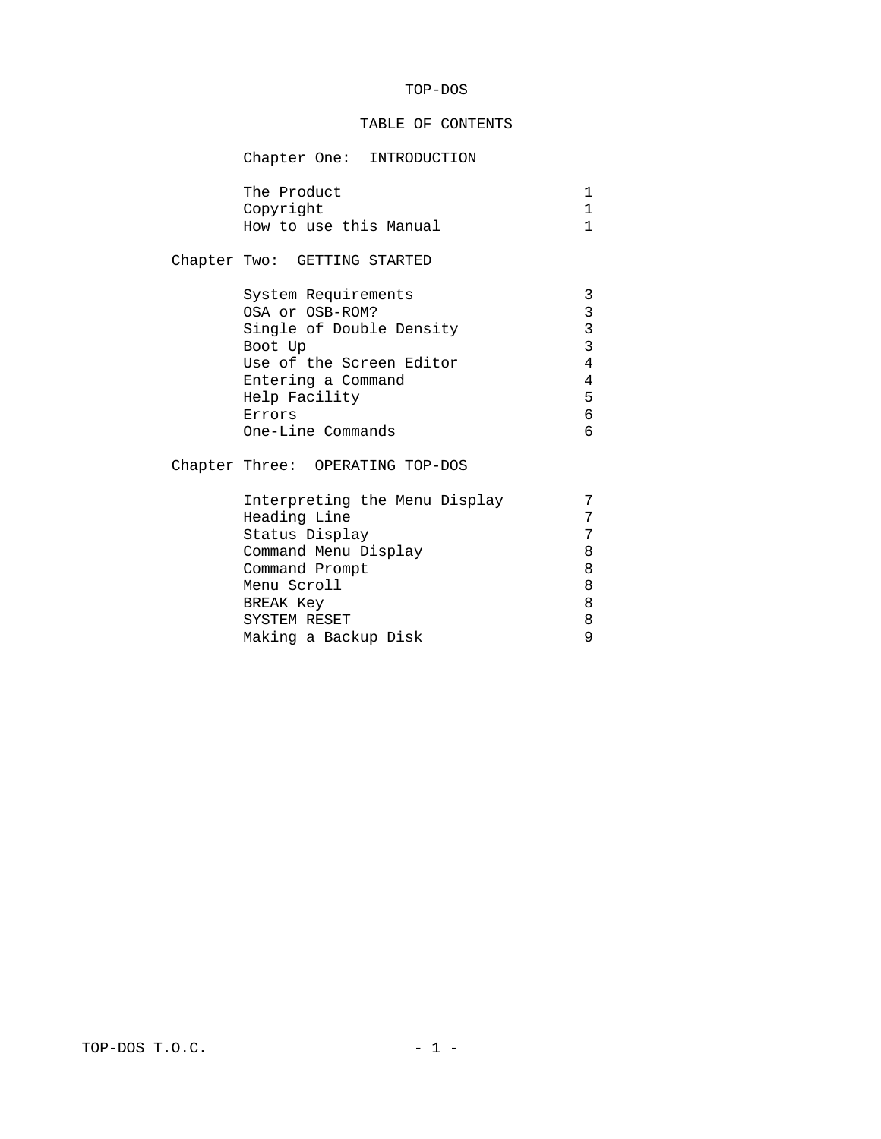### TOP-DOS

#### TABLE OF CONTENTS

# Chapter One: INTRODUCTION

| The Product            |  |
|------------------------|--|
| Copyright              |  |
| How to use this Manual |  |

## Chapter Two: GETTING STARTED

| System Requirements      |   |
|--------------------------|---|
| OSA or OSB-ROM?          | 3 |
| Single of Double Density | 3 |
| Boot Up                  | 3 |
| Use of the Screen Editor | 4 |
| Entering a Command       | 4 |
| Help Facility            | 5 |
| Errors                   | 6 |
| One-Line Commands        |   |

## Chapter Three: OPERATING TOP-DOS

| Interpreting the Menu Display |   |
|-------------------------------|---|
| Heading Line                  |   |
| Status Display                |   |
| Command Menu Display          | 8 |
| Command Prompt                | 8 |
| Menu Scroll                   | 8 |
| <b>BREAK Key</b>              | 8 |
| SYSTEM RESET                  | 8 |
| Making a Backup Disk          |   |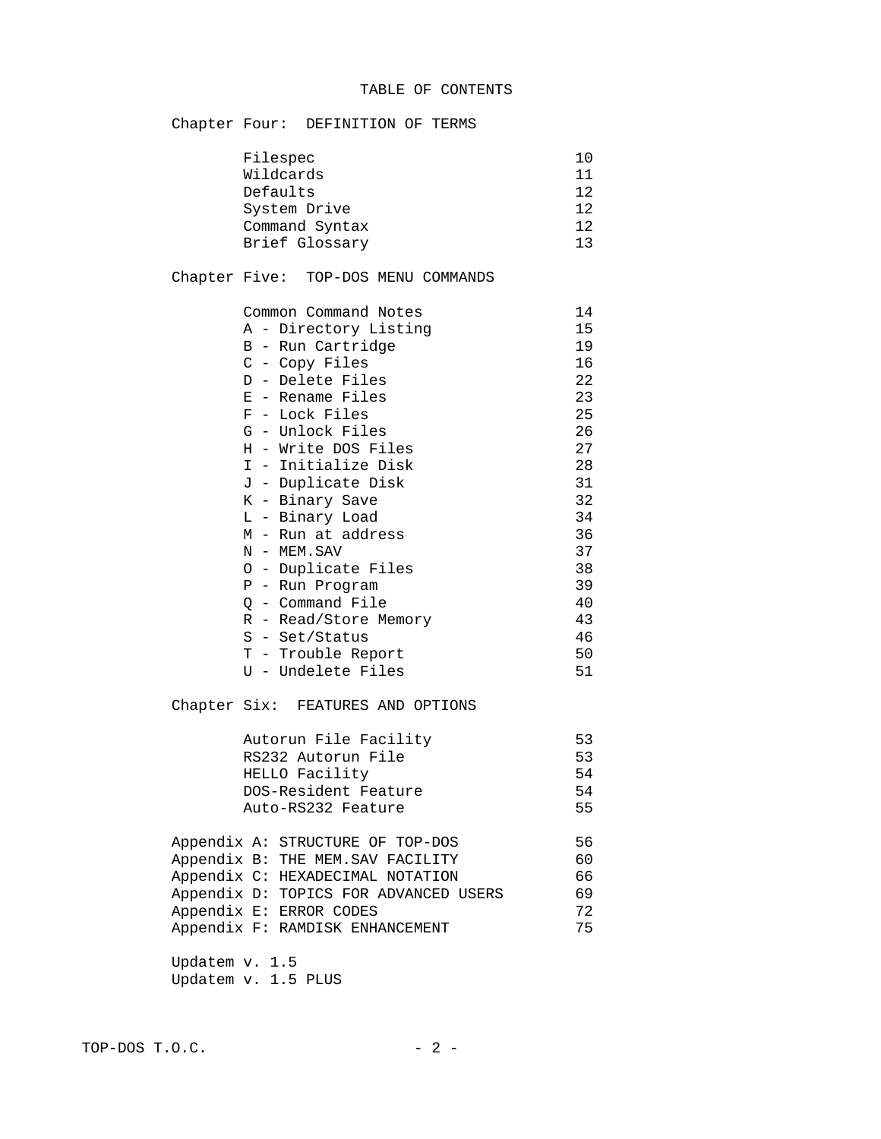| Filespec                 |  |                                  |    | 10                                |    |
|--------------------------|--|----------------------------------|----|-----------------------------------|----|
| Wildcards                |  |                                  | 11 |                                   |    |
| Defaults<br>System Drive |  |                                  |    | 12                                |    |
|                          |  |                                  |    | 12                                |    |
|                          |  |                                  |    | 12                                |    |
|                          |  |                                  |    |                                   | 13 |
|                          |  | Command Syntax<br>Brief Glossary |    | Chapter Four: DEFINITION OF TERMS |    |

## Chapter Five: TOP-DOS MENU COMMANDS

| Common Command Notes  | 14 |
|-----------------------|----|
| A - Directory Listing | 15 |
| B - Run Cartridge     | 19 |
| C - Copy Files        | 16 |
| D - Delete Files      | 22 |
| E - Rename Files      | 23 |
| F - Lock Files        | 25 |
| G - Unlock Files      | 26 |
| H - Write DOS Files   | 27 |
| I - Initialize Disk   | 28 |
| J - Duplicate Disk    | 31 |
| K - Binary Save       | 32 |
| L - Binary Load       | 34 |
| M - Run at address    | 36 |
| N - MEM.SAV           | 37 |
| 0 - Duplicate Files   | 38 |
| P - Run Program       | 39 |
| Q - Command File      | 40 |
| R - Read/Store Memory | 43 |
| S - Set/Status        | 46 |
| T - Trouble Report    | 50 |
| U<br>- Undelete Files | 51 |

Chapter Six: FEATURES AND OPTIONS

| Autorun File Facility | 53  |
|-----------------------|-----|
| RS232 Autorun File    | 53  |
| HELLO Facility        | .54 |
| DOS-Resident Feature  | .54 |
| Auto-RS232 Feature    | 55  |

|  | Appendix A: STRUCTURE OF TOP-DOS      | 56 |
|--|---------------------------------------|----|
|  | Appendix B: THE MEM.SAV FACILITY      | 60 |
|  | Appendix C: HEXADECIMAL NOTATION      | 66 |
|  | Appendix D: TOPICS FOR ADVANCED USERS | 69 |
|  | Appendix E: ERROR CODES               | 72 |
|  | Appendix F: RAMDISK ENHANCEMENT       | 75 |
|  |                                       |    |

 Updatem v. 1.5 Updatem v. 1.5 PLUS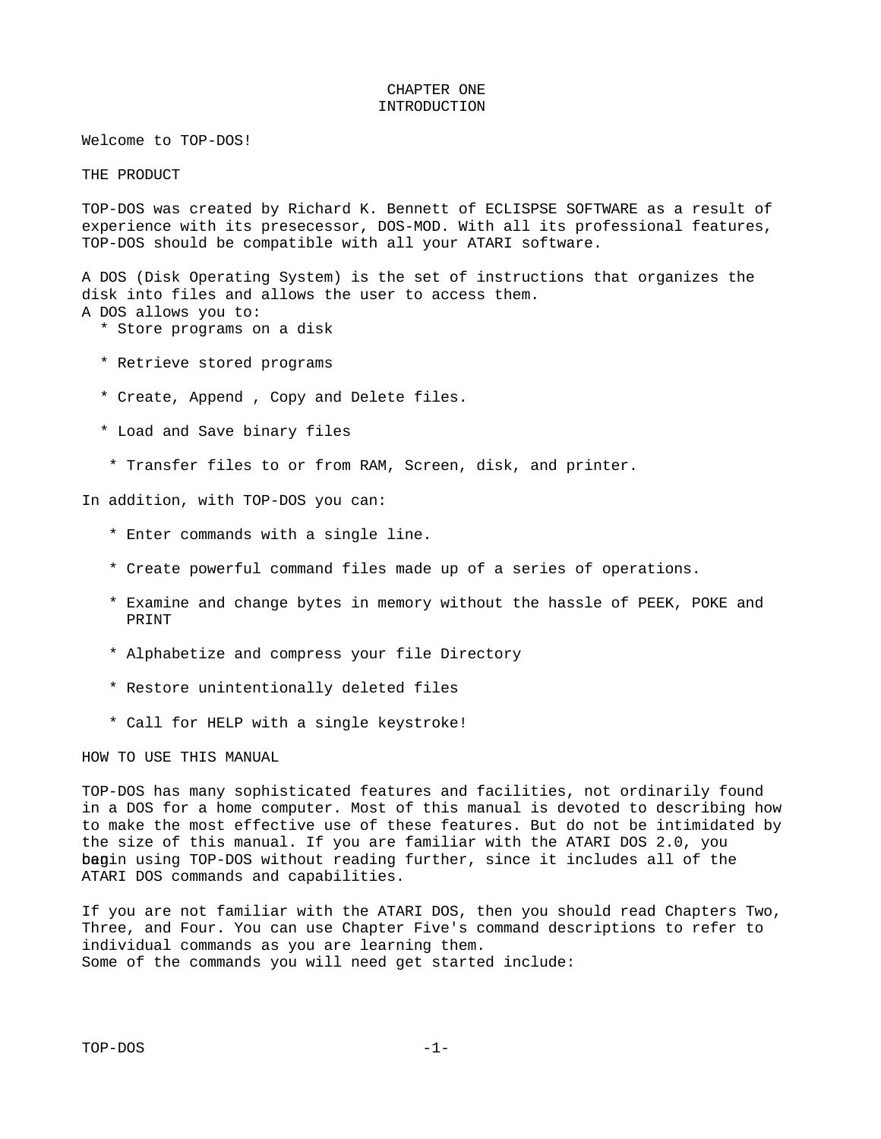#### CHAPTER ONE INTRODUCTION

Welcome to TOP-DOS!

THE PRODUCT

TOP-DOS was created by Richard K. Bennett of ECLISPSE SOFTWARE as a result of experience with its presecessor, DOS-MOD. With all its professional features, TOP-DOS should be compatible with all your ATARI software.

A DOS (Disk Operating System) is the set of instructions that organizes the disk into files and allows the user to access them. A DOS allows you to:

- \* Store programs on a disk
- \* Retrieve stored programs
- \* Create, Append , Copy and Delete files.
- \* Load and Save binary files
- \* Transfer files to or from RAM, Screen, disk, and printer.

In addition, with TOP-DOS you can:

- \* Enter commands with a single line.
- \* Create powerful command files made up of a series of operations.
- \* Examine and change bytes in memory without the hassle of PEEK, POKE and PRINT
- \* Alphabetize and compress your file Directory
- \* Restore unintentionally deleted files
- \* Call for HELP with a single keystroke!

HOW TO USE THIS MANUAL

TOP-DOS has many sophisticated features and facilities, not ordinarily found in a DOS for a home computer. Most of this manual is devoted to describing how to make the most effective use of these features. But do not be intimidated by the size of this manual. If you are familiar with the ATARI DOS 2.0, you bagin using TOP-DOS without reading further, since it includes all of the ATARI DOS commands and capabilities.

If you are not familiar with the ATARI DOS, then you should read Chapters Two, Three, and Four. You can use Chapter Five's command descriptions to refer to individual commands as you are learning them. Some of the commands you will need get started include: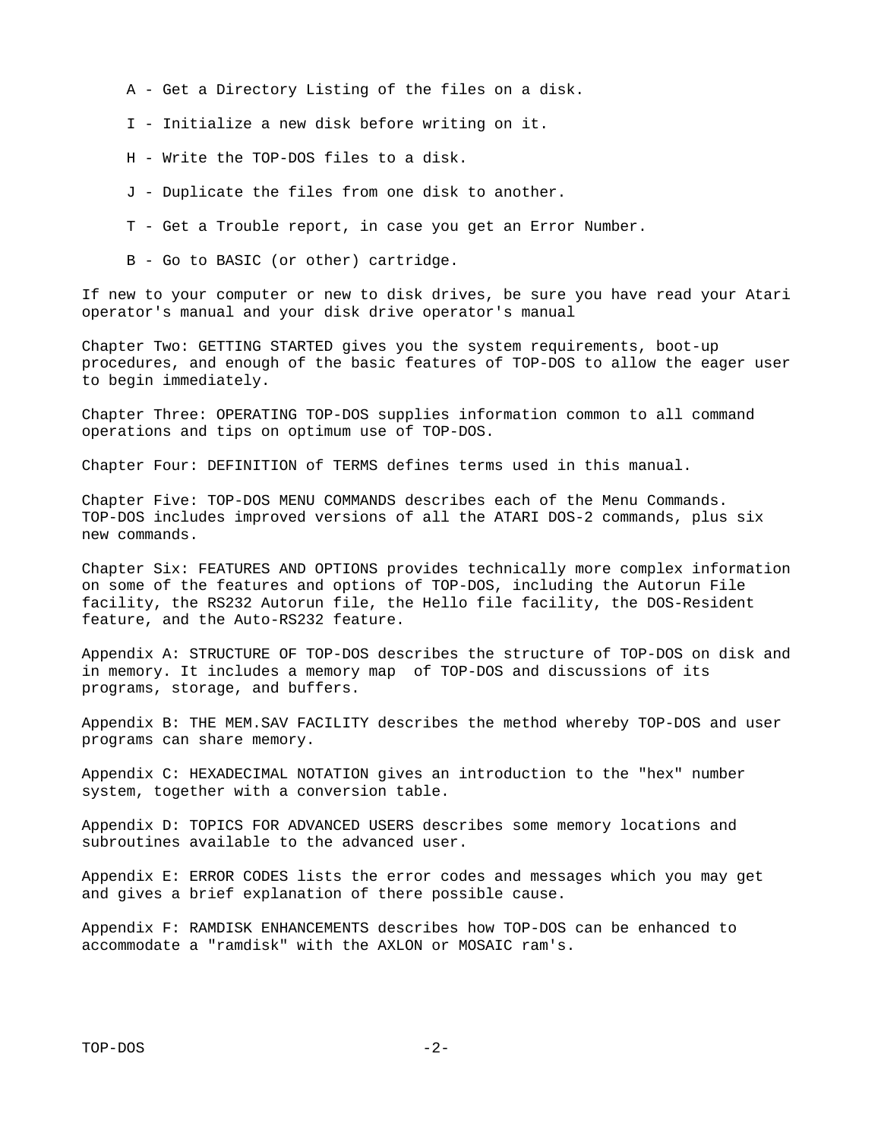- A Get a Directory Listing of the files on a disk.
- I Initialize a new disk before writing on it.
- H Write the TOP-DOS files to a disk.
- J Duplicate the files from one disk to another.
- T Get a Trouble report, in case you get an Error Number.
- B Go to BASIC (or other) cartridge.

If new to your computer or new to disk drives, be sure you have read your Atari operator's manual and your disk drive operator's manual

Chapter Two: GETTING STARTED gives you the system requirements, boot-up procedures, and enough of the basic features of TOP-DOS to allow the eager user to begin immediately.

Chapter Three: OPERATING TOP-DOS supplies information common to all command operations and tips on optimum use of TOP-DOS.

Chapter Four: DEFINITION of TERMS defines terms used in this manual.

Chapter Five: TOP-DOS MENU COMMANDS describes each of the Menu Commands. TOP-DOS includes improved versions of all the ATARI DOS-2 commands, plus six new commands.

Chapter Six: FEATURES AND OPTIONS provides technically more complex information on some of the features and options of TOP-DOS, including the Autorun File facility, the RS232 Autorun file, the Hello file facility, the DOS-Resident feature, and the Auto-RS232 feature.

Appendix A: STRUCTURE OF TOP-DOS describes the structure of TOP-DOS on disk and in memory. It includes a memory map of TOP-DOS and discussions of its programs, storage, and buffers.

Appendix B: THE MEM.SAV FACILITY describes the method whereby TOP-DOS and user programs can share memory.

Appendix C: HEXADECIMAL NOTATION gives an introduction to the "hex" number system, together with a conversion table.

Appendix D: TOPICS FOR ADVANCED USERS describes some memory locations and subroutines available to the advanced user.

Appendix E: ERROR CODES lists the error codes and messages which you may get and gives a brief explanation of there possible cause.

Appendix F: RAMDISK ENHANCEMENTS describes how TOP-DOS can be enhanced to accommodate a "ramdisk" with the AXLON or MOSAIC ram's.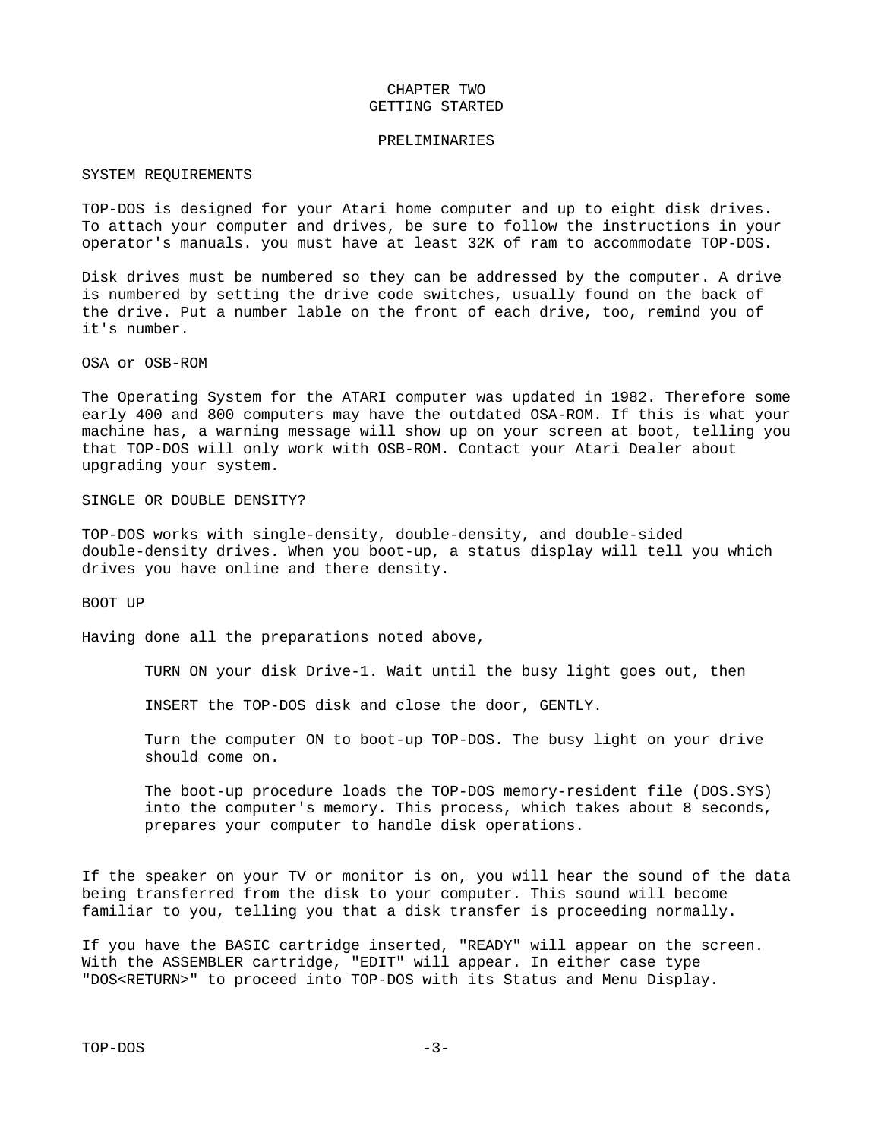#### CHAPTER TWO GETTING STARTED

#### PRELIMINARIES

#### SYSTEM REQUIREMENTS

TOP-DOS is designed for your Atari home computer and up to eight disk drives. To attach your computer and drives, be sure to follow the instructions in your operator's manuals. you must have at least 32K of ram to accommodate TOP-DOS.

Disk drives must be numbered so they can be addressed by the computer. A drive is numbered by setting the drive code switches, usually found on the back of the drive. Put a number lable on the front of each drive, too, remind you of it's number.

OSA or OSB-ROM

The Operating System for the ATARI computer was updated in 1982. Therefore some early 400 and 800 computers may have the outdated OSA-ROM. If this is what your machine has, a warning message will show up on your screen at boot, telling you that TOP-DOS will only work with OSB-ROM. Contact your Atari Dealer about upgrading your system.

SINGLE OR DOUBLE DENSITY?

TOP-DOS works with single-density, double-density, and double-sided double-density drives. When you boot-up, a status display will tell you which drives you have online and there density.

BOOT UP

Having done all the preparations noted above,

TURN ON your disk Drive-1. Wait until the busy light goes out, then

INSERT the TOP-DOS disk and close the door, GENTLY.

 Turn the computer ON to boot-up TOP-DOS. The busy light on your drive should come on.

 The boot-up procedure loads the TOP-DOS memory-resident file (DOS.SYS) into the computer's memory. This process, which takes about 8 seconds, prepares your computer to handle disk operations.

If the speaker on your TV or monitor is on, you will hear the sound of the data being transferred from the disk to your computer. This sound will become familiar to you, telling you that a disk transfer is proceeding normally.

If you have the BASIC cartridge inserted, "READY" will appear on the screen. With the ASSEMBLER cartridge, "EDIT" will appear. In either case type "DOS<RETURN>" to proceed into TOP-DOS with its Status and Menu Display.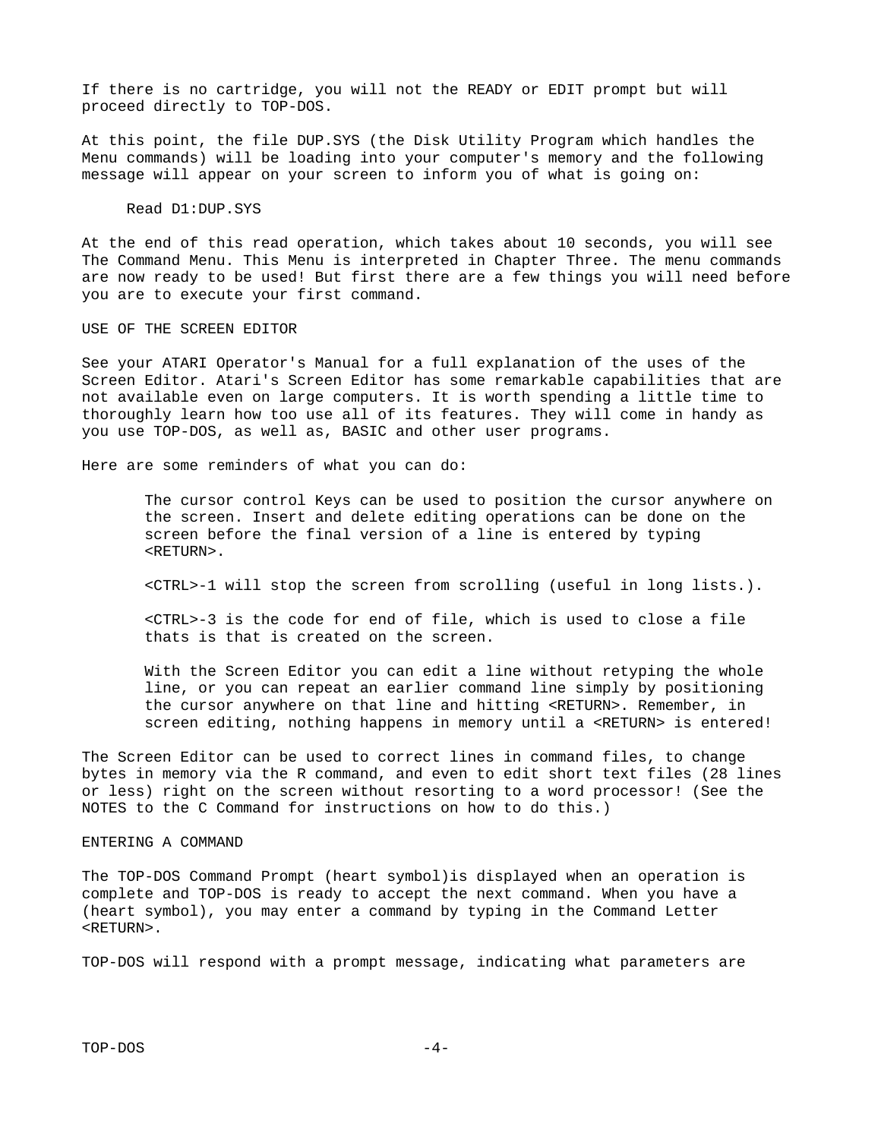If there is no cartridge, you will not the READY or EDIT prompt but will proceed directly to TOP-DOS.

At this point, the file DUP.SYS (the Disk Utility Program which handles the Menu commands) will be loading into your computer's memory and the following message will appear on your screen to inform you of what is going on:

#### Read D1:DUP.SYS

At the end of this read operation, which takes about 10 seconds, you will see The Command Menu. This Menu is interpreted in Chapter Three. The menu commands are now ready to be used! But first there are a few things you will need before you are to execute your first command.

#### USE OF THE SCREEN EDITOR

See your ATARI Operator's Manual for a full explanation of the uses of the Screen Editor. Atari's Screen Editor has some remarkable capabilities that are not available even on large computers. It is worth spending a little time to thoroughly learn how too use all of its features. They will come in handy as you use TOP-DOS, as well as, BASIC and other user programs.

Here are some reminders of what you can do:

 The cursor control Keys can be used to position the cursor anywhere on the screen. Insert and delete editing operations can be done on the screen before the final version of a line is entered by typing <RETURN>.

<CTRL>-1 will stop the screen from scrolling (useful in long lists.).

 <CTRL>-3 is the code for end of file, which is used to close a file thats is that is created on the screen.

 With the Screen Editor you can edit a line without retyping the whole line, or you can repeat an earlier command line simply by positioning the cursor anywhere on that line and hitting <RETURN>. Remember, in screen editing, nothing happens in memory until a <RETURN> is entered!

The Screen Editor can be used to correct lines in command files, to change bytes in memory via the R command, and even to edit short text files (28 lines or less) right on the screen without resorting to a word processor! (See the NOTES to the C Command for instructions on how to do this.)

#### ENTERING A COMMAND

The TOP-DOS Command Prompt (heart symbol)is displayed when an operation is complete and TOP-DOS is ready to accept the next command. When you have a (heart symbol), you may enter a command by typing in the Command Letter <RETURN>.

TOP-DOS will respond with a prompt message, indicating what parameters are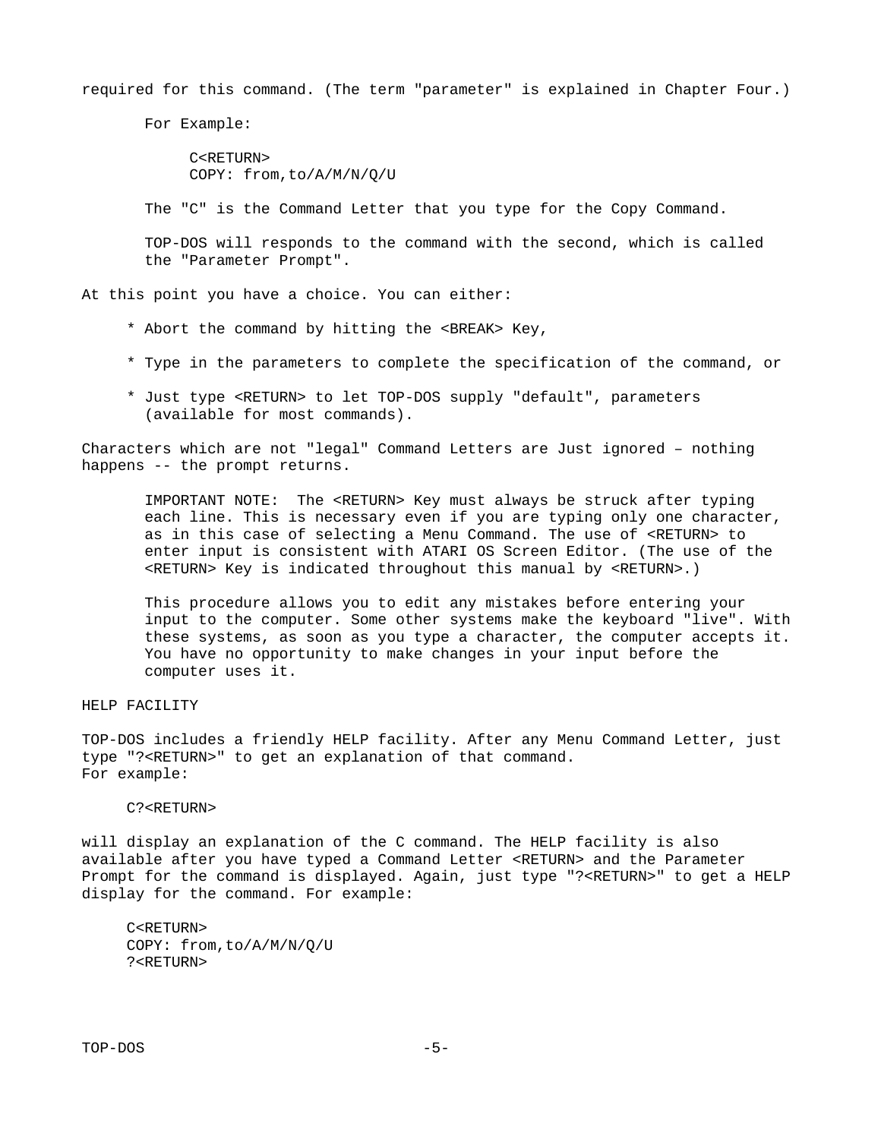required for this command. (The term "parameter" is explained in Chapter Four.)

For Example:

 C<RETURN> COPY: from,to/A/M/N/Q/U

The "C" is the Command Letter that you type for the Copy Command.

 TOP-DOS will responds to the command with the second, which is called the "Parameter Prompt".

At this point you have a choice. You can either:

- \* Abort the command by hitting the <BREAK> Key,
- \* Type in the parameters to complete the specification of the command, or
- \* Just type <RETURN> to let TOP-DOS supply "default", parameters (available for most commands).

Characters which are not "legal" Command Letters are Just ignored – nothing happens -- the prompt returns.

 IMPORTANT NOTE: The <RETURN> Key must always be struck after typing each line. This is necessary even if you are typing only one character, as in this case of selecting a Menu Command. The use of <RETURN> to enter input is consistent with ATARI OS Screen Editor. (The use of the <RETURN> Key is indicated throughout this manual by <RETURN>.)

 This procedure allows you to edit any mistakes before entering your input to the computer. Some other systems make the keyboard "live". With these systems, as soon as you type a character, the computer accepts it. You have no opportunity to make changes in your input before the computer uses it.

HELP FACILITY

TOP-DOS includes a friendly HELP facility. After any Menu Command Letter, just type "?<RETURN>" to get an explanation of that command. For example:

#### C?<RETURN>

will display an explanation of the C command. The HELP facility is also available after you have typed a Command Letter <RETURN> and the Parameter Prompt for the command is displayed. Again, just type "?<RETURN>" to get a HELP display for the command. For example:

 C<RETURN> COPY: from,to/A/M/N/Q/U ?<RETURN>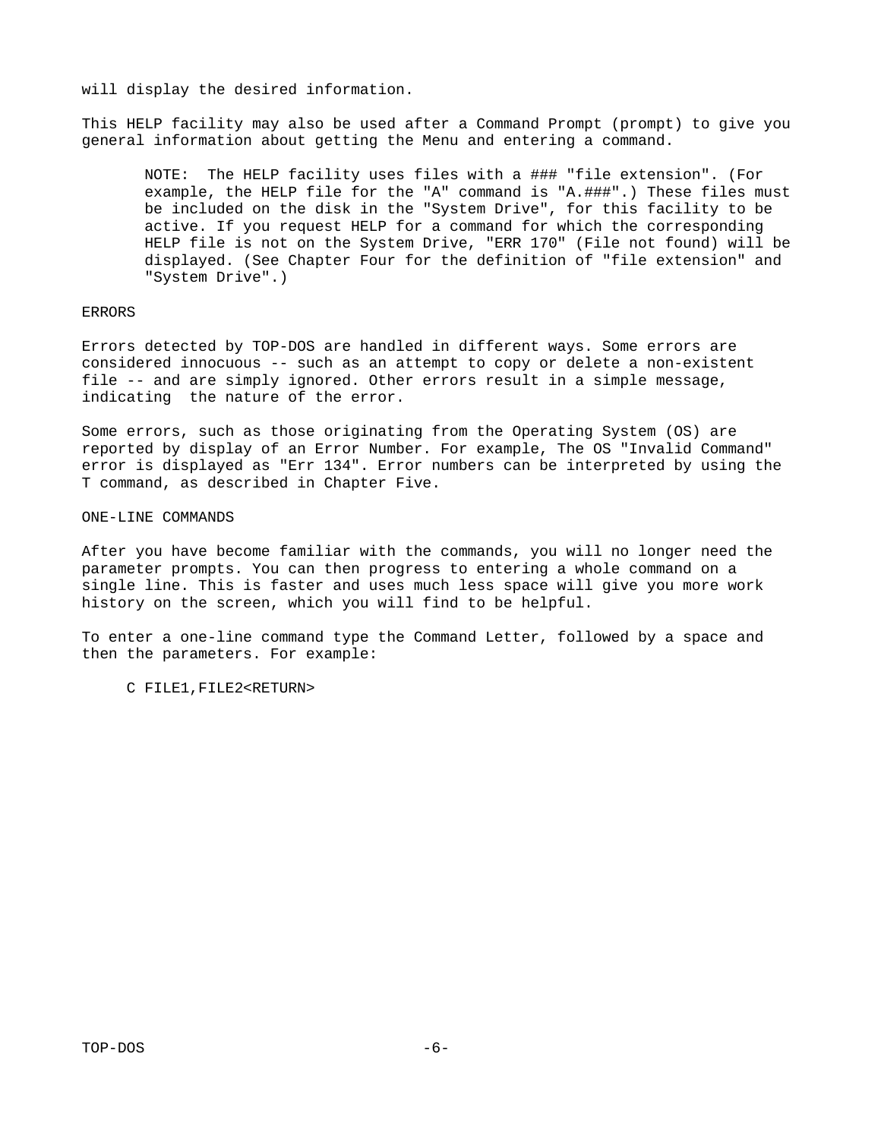will display the desired information.

This HELP facility may also be used after a Command Prompt (prompt) to give you general information about getting the Menu and entering a command.

 NOTE: The HELP facility uses files with a ### "file extension". (For example, the HELP file for the "A" command is "A.###".) These files must be included on the disk in the "System Drive", for this facility to be active. If you request HELP for a command for which the corresponding HELP file is not on the System Drive, "ERR 170" (File not found) will be displayed. (See Chapter Four for the definition of "file extension" and "System Drive".)

#### ERRORS

Errors detected by TOP-DOS are handled in different ways. Some errors are considered innocuous -- such as an attempt to copy or delete a non-existent file -- and are simply ignored. Other errors result in a simple message, indicating the nature of the error.

Some errors, such as those originating from the Operating System (OS) are reported by display of an Error Number. For example, The OS "Invalid Command" error is displayed as "Err 134". Error numbers can be interpreted by using the T command, as described in Chapter Five.

ONE-LINE COMMANDS

After you have become familiar with the commands, you will no longer need the parameter prompts. You can then progress to entering a whole command on a single line. This is faster and uses much less space will give you more work history on the screen, which you will find to be helpful.

To enter a one-line command type the Command Letter, followed by a space and then the parameters. For example:

C FILE1,FILE2<RETURN>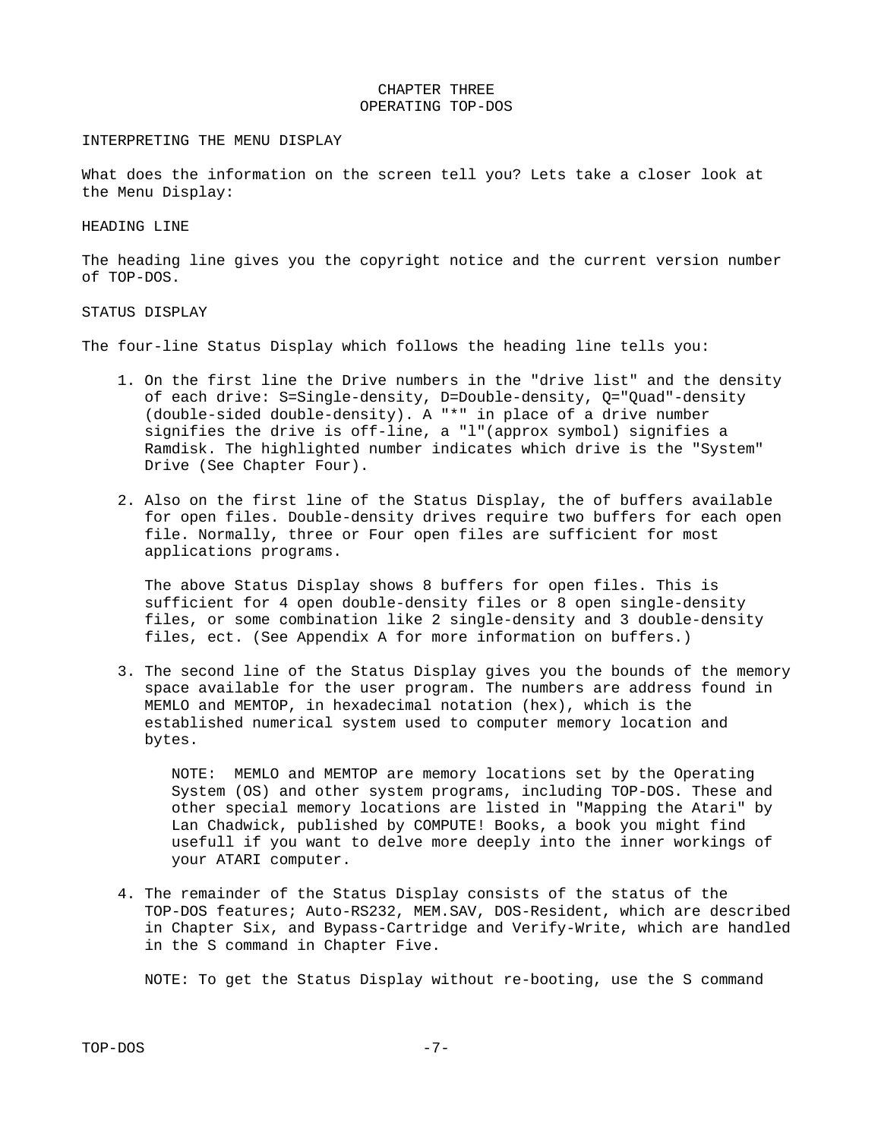#### CHAPTER THREE OPERATING TOP-DOS

#### INTERPRETING THE MENU DISPLAY

What does the information on the screen tell you? Lets take a closer look at the Menu Display:

#### HEADING LINE

The heading line gives you the copyright notice and the current version number of TOP-DOS.

#### STATUS DISPLAY

The four-line Status Display which follows the heading line tells you:

- 1. On the first line the Drive numbers in the "drive list" and the density of each drive: S=Single-density, D=Double-density, Q="Quad"-density (double-sided double-density). A "\*" in place of a drive number signifies the drive is off-line, a "l"(approx symbol) signifies a Ramdisk. The highlighted number indicates which drive is the "System" Drive (See Chapter Four).
- 2. Also on the first line of the Status Display, the of buffers available for open files. Double-density drives require two buffers for each open file. Normally, three or Four open files are sufficient for most applications programs.

 The above Status Display shows 8 buffers for open files. This is sufficient for 4 open double-density files or 8 open single-density files, or some combination like 2 single-density and 3 double-density files, ect. (See Appendix A for more information on buffers.)

 3. The second line of the Status Display gives you the bounds of the memory space available for the user program. The numbers are address found in MEMLO and MEMTOP, in hexadecimal notation (hex), which is the established numerical system used to computer memory location and bytes.

 NOTE: MEMLO and MEMTOP are memory locations set by the Operating System (OS) and other system programs, including TOP-DOS. These and other special memory locations are listed in "Mapping the Atari" by Lan Chadwick, published by COMPUTE! Books, a book you might find usefull if you want to delve more deeply into the inner workings of your ATARI computer.

 4. The remainder of the Status Display consists of the status of the TOP-DOS features; Auto-RS232, MEM.SAV, DOS-Resident, which are described in Chapter Six, and Bypass-Cartridge and Verify-Write, which are handled in the S command in Chapter Five.

NOTE: To get the Status Display without re-booting, use the S command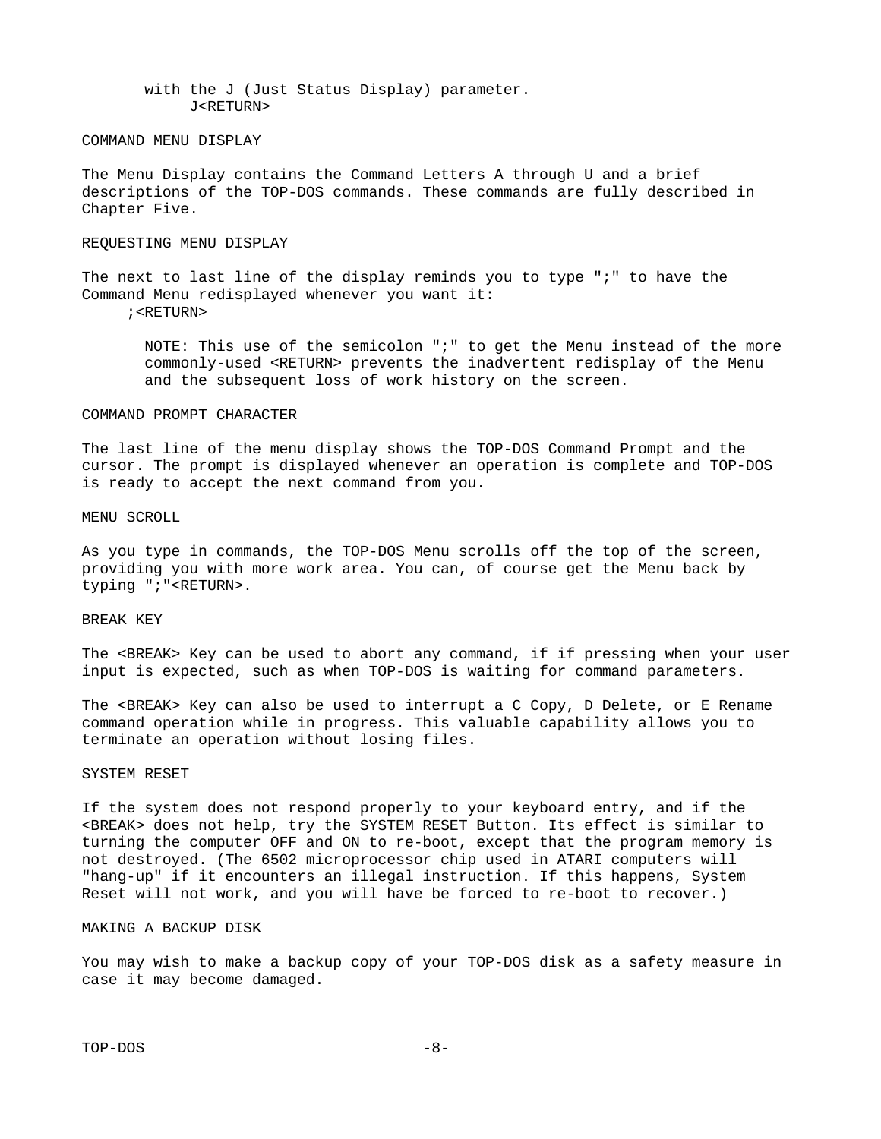with the J (Just Status Display) parameter. J<RETURN>

#### COMMAND MENU DISPLAY

The Menu Display contains the Command Letters A through U and a brief descriptions of the TOP-DOS commands. These commands are fully described in Chapter Five.

#### REQUESTING MENU DISPLAY

The next to last line of the display reminds you to type ";" to have the Command Menu redisplayed whenever you want it: ;<RETURN>

 NOTE: This use of the semicolon ";" to get the Menu instead of the more commonly-used <RETURN> prevents the inadvertent redisplay of the Menu and the subsequent loss of work history on the screen.

#### COMMAND PROMPT CHARACTER

The last line of the menu display shows the TOP-DOS Command Prompt and the cursor. The prompt is displayed whenever an operation is complete and TOP-DOS is ready to accept the next command from you.

#### MENU SCROLL

As you type in commands, the TOP-DOS Menu scrolls off the top of the screen, providing you with more work area. You can, of course get the Menu back by typing ";"<RETURN>.

#### BREAK KEY

The <BREAK> Key can be used to abort any command, if if pressing when your user input is expected, such as when TOP-DOS is waiting for command parameters.

The <BREAK> Key can also be used to interrupt a C Copy, D Delete, or E Rename command operation while in progress. This valuable capability allows you to terminate an operation without losing files.

#### SYSTEM RESET

If the system does not respond properly to your keyboard entry, and if the <BREAK> does not help, try the SYSTEM RESET Button. Its effect is similar to turning the computer OFF and ON to re-boot, except that the program memory is not destroyed. (The 6502 microprocessor chip used in ATARI computers will "hang-up" if it encounters an illegal instruction. If this happens, System Reset will not work, and you will have be forced to re-boot to recover.)

#### MAKING A BACKUP DISK

You may wish to make a backup copy of your TOP-DOS disk as a safety measure in case it may become damaged.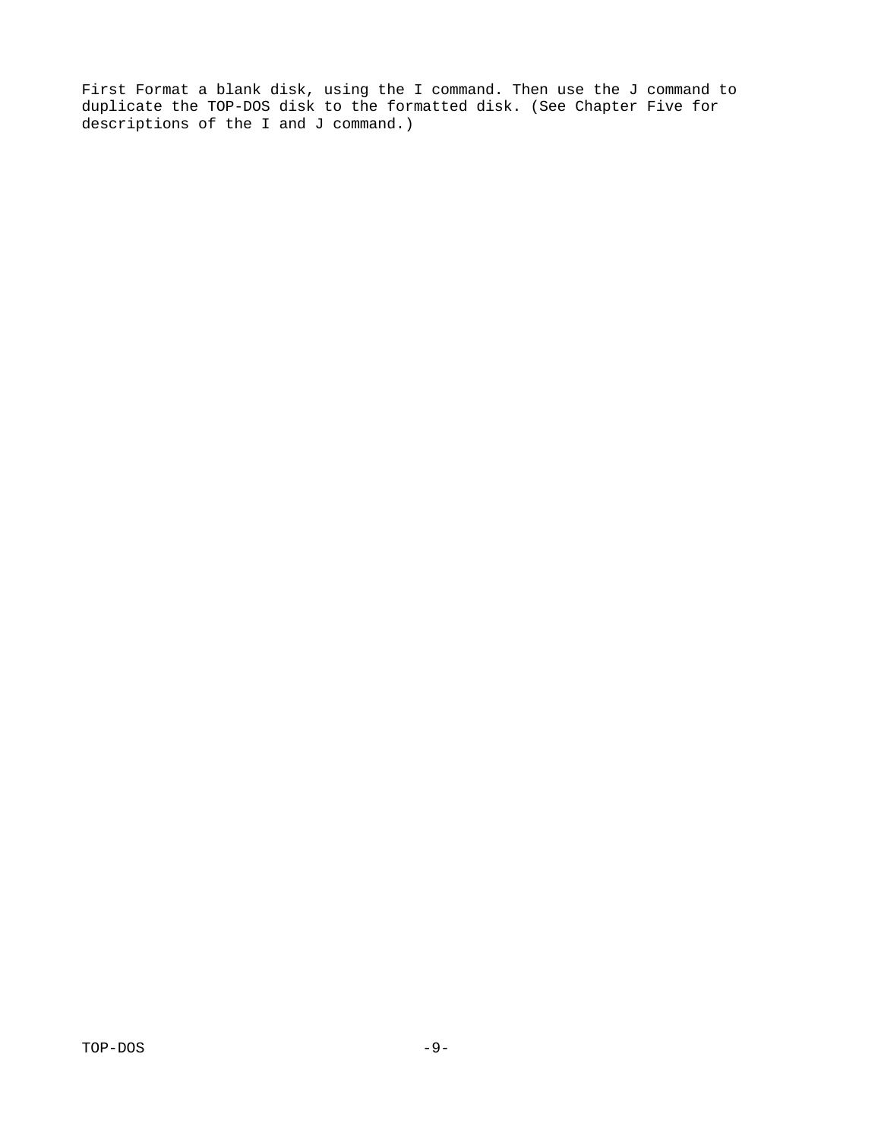First Format a blank disk, using the I command. Then use the J command to duplicate the TOP-DOS disk to the formatted disk. (See Chapter Five for descriptions of the I and J command.)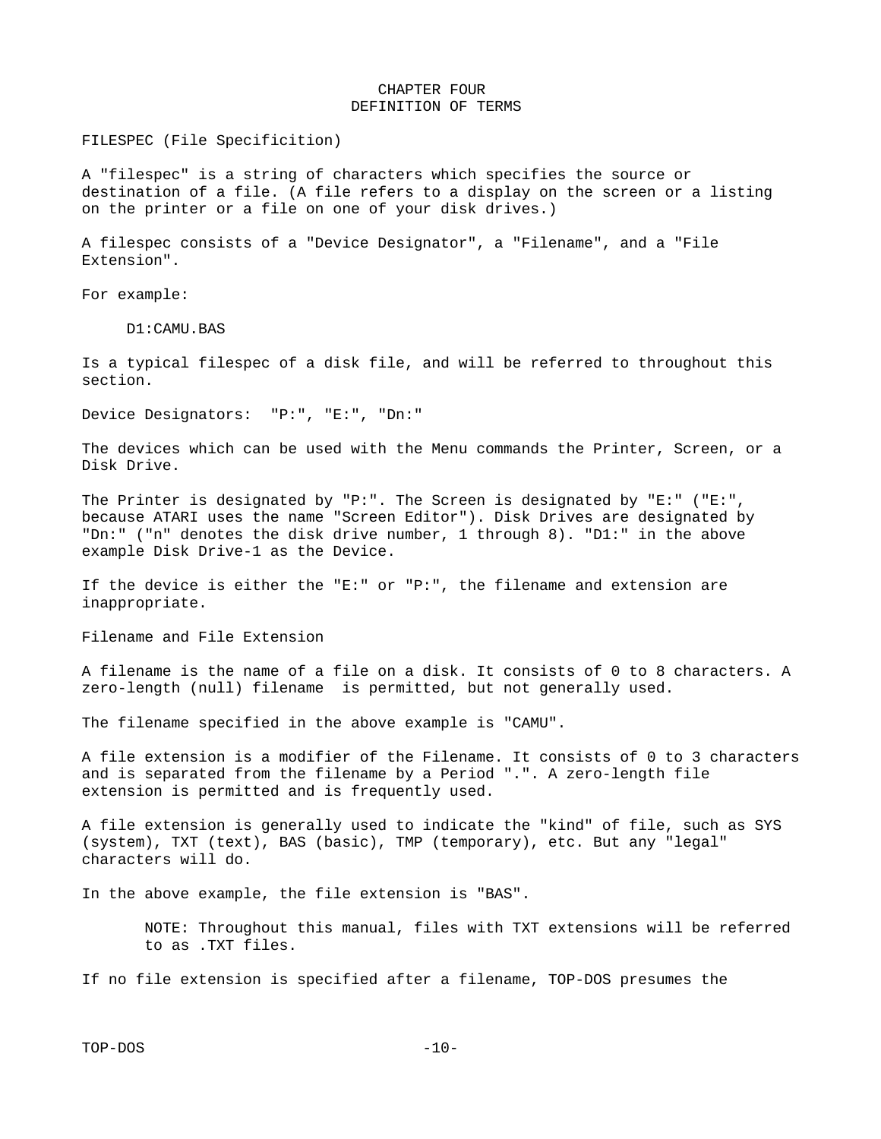#### CHAPTER FOUR DEFINITION OF TERMS

FILESPEC (File Specificition)

A "filespec" is a string of characters which specifies the source or destination of a file. (A file refers to a display on the screen or a listing on the printer or a file on one of your disk drives.)

A filespec consists of a "Device Designator", a "Filename", and a "File Extension".

For example:

D1:CAMU.BAS

Is a typical filespec of a disk file, and will be referred to throughout this section.

Device Designators: "P:", "E:", "Dn:"

The devices which can be used with the Menu commands the Printer, Screen, or a Disk Drive.

The Printer is designated by "P:". The Screen is designated by "E:" ("E:", because ATARI uses the name "Screen Editor"). Disk Drives are designated by "Dn:" ("n" denotes the disk drive number, 1 through 8). "D1:" in the above example Disk Drive-1 as the Device.

If the device is either the "E:" or "P:", the filename and extension are inappropriate.

Filename and File Extension

A filename is the name of a file on a disk. It consists of 0 to 8 characters. A zero-length (null) filename is permitted, but not generally used.

The filename specified in the above example is "CAMU".

A file extension is a modifier of the Filename. It consists of 0 to 3 characters and is separated from the filename by a Period ".". A zero-length file extension is permitted and is frequently used.

A file extension is generally used to indicate the "kind" of file, such as SYS (system), TXT (text), BAS (basic), TMP (temporary), etc. But any "legal" characters will do.

In the above example, the file extension is "BAS".

 NOTE: Throughout this manual, files with TXT extensions will be referred to as .TXT files.

If no file extension is specified after a filename, TOP-DOS presumes the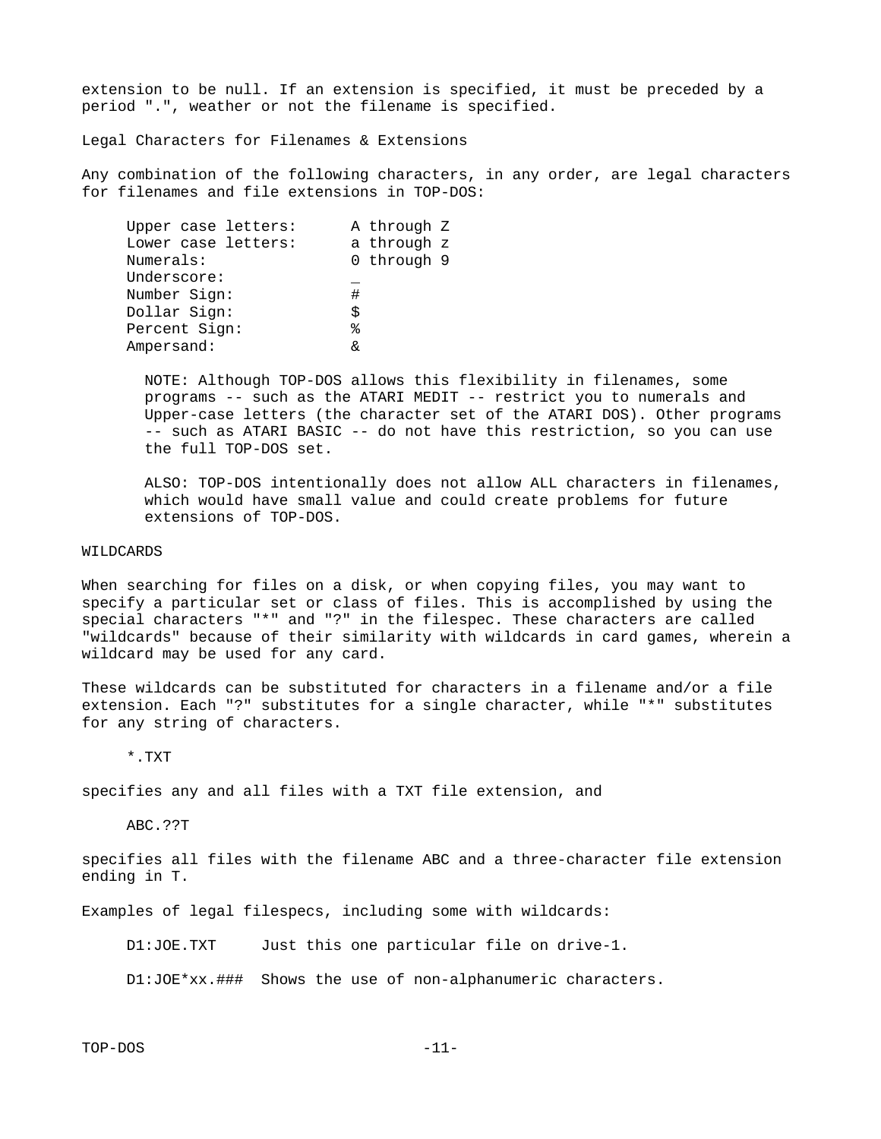extension to be null. If an extension is specified, it must be preceded by a period ".", weather or not the filename is specified.

Legal Characters for Filenames & Extensions

Any combination of the following characters, in any order, are legal characters for filenames and file extensions in TOP-DOS:

| Upper case letters: |    | A through Z |
|---------------------|----|-------------|
| Lower case letters: |    | a through z |
| Numerals:           |    | 0 through 9 |
| Underscore:         |    |             |
| Number Sign:        | #  |             |
| Dollar Sign:        | \$ |             |
| Percent Sign:       | %  |             |
| Ampersand:          | R, |             |
|                     |    |             |

 NOTE: Although TOP-DOS allows this flexibility in filenames, some programs -- such as the ATARI MEDIT -- restrict you to numerals and Upper-case letters (the character set of the ATARI DOS). Other programs -- such as ATARI BASIC -- do not have this restriction, so you can use the full TOP-DOS set.

 ALSO: TOP-DOS intentionally does not allow ALL characters in filenames, which would have small value and could create problems for future extensions of TOP-DOS.

#### WILDCARDS

When searching for files on a disk, or when copying files, you may want to specify a particular set or class of files. This is accomplished by using the special characters "\*" and "?" in the filespec. These characters are called "wildcards" because of their similarity with wildcards in card games, wherein a wildcard may be used for any card.

These wildcards can be substituted for characters in a filename and/or a file extension. Each "?" substitutes for a single character, while "\*" substitutes for any string of characters.

\*.TXT

specifies any and all files with a TXT file extension, and

ABC.??T

specifies all files with the filename ABC and a three-character file extension ending in T.

Examples of legal filespecs, including some with wildcards:

D1:JOE.TXT Just this one particular file on drive-1.

D1:JOE\*xx.### Shows the use of non-alphanumeric characters.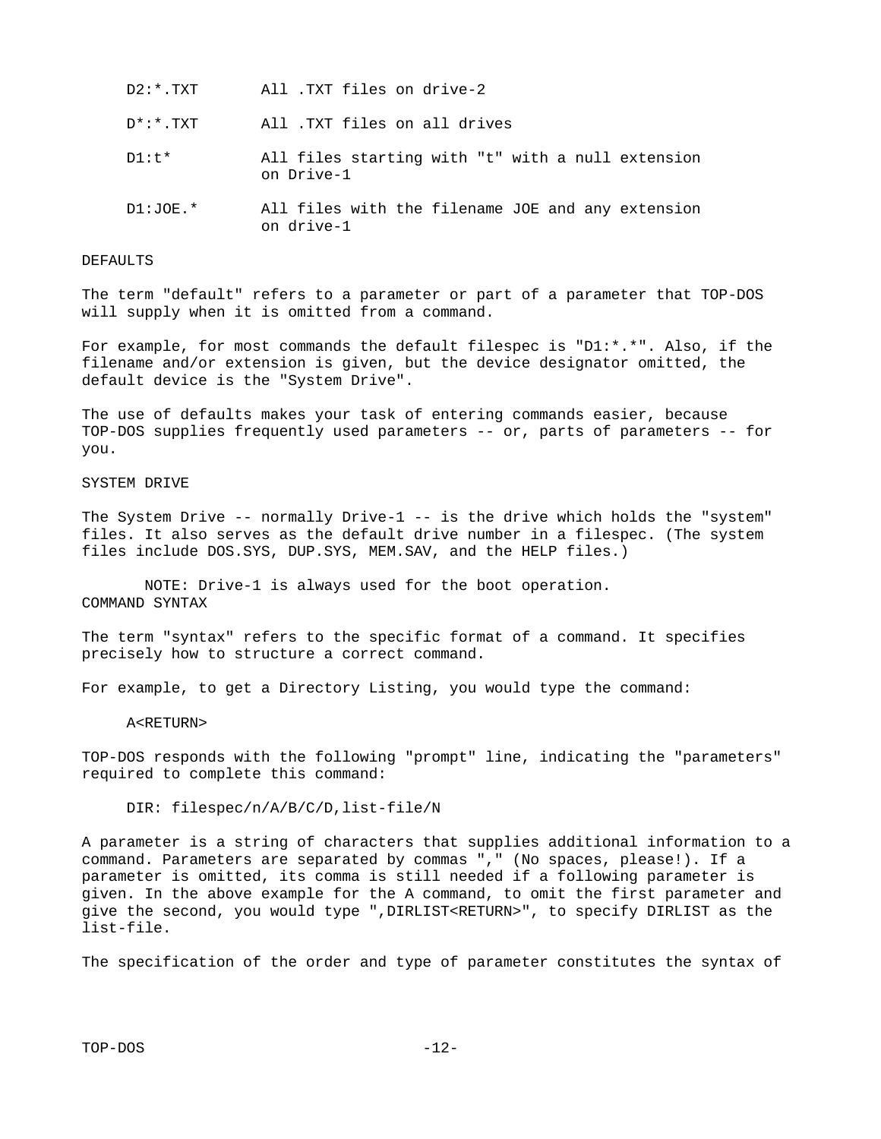- D\*:\*.TXT All .TXT files on all drives
- D1:t\* All files starting with "t" with a null extension on Drive-1
- D1:JOE.\* All files with the filename JOE and any extension on drive-1

#### DEFAULTS

The term "default" refers to a parameter or part of a parameter that TOP-DOS will supply when it is omitted from a command.

For example, for most commands the default filespec is "D1:\*.\*". Also, if the filename and/or extension is given, but the device designator omitted, the default device is the "System Drive".

The use of defaults makes your task of entering commands easier, because TOP-DOS supplies frequently used parameters -- or, parts of parameters -- for you.

#### SYSTEM DRIVE

The System Drive -- normally Drive-1 -- is the drive which holds the "system" files. It also serves as the default drive number in a filespec. (The system files include DOS.SYS, DUP.SYS, MEM.SAV, and the HELP files.)

 NOTE: Drive-1 is always used for the boot operation. COMMAND SYNTAX

The term "syntax" refers to the specific format of a command. It specifies precisely how to structure a correct command.

For example, to get a Directory Listing, you would type the command:

#### A<RETURN>

TOP-DOS responds with the following "prompt" line, indicating the "parameters" required to complete this command:

#### DIR: filespec/n/A/B/C/D,list-file/N

A parameter is a string of characters that supplies additional information to a command. Parameters are separated by commas "," (No spaces, please!). If a parameter is omitted, its comma is still needed if a following parameter is given. In the above example for the A command, to omit the first parameter and give the second, you would type ",DIRLIST<RETURN>", to specify DIRLIST as the list-file.

The specification of the order and type of parameter constitutes the syntax of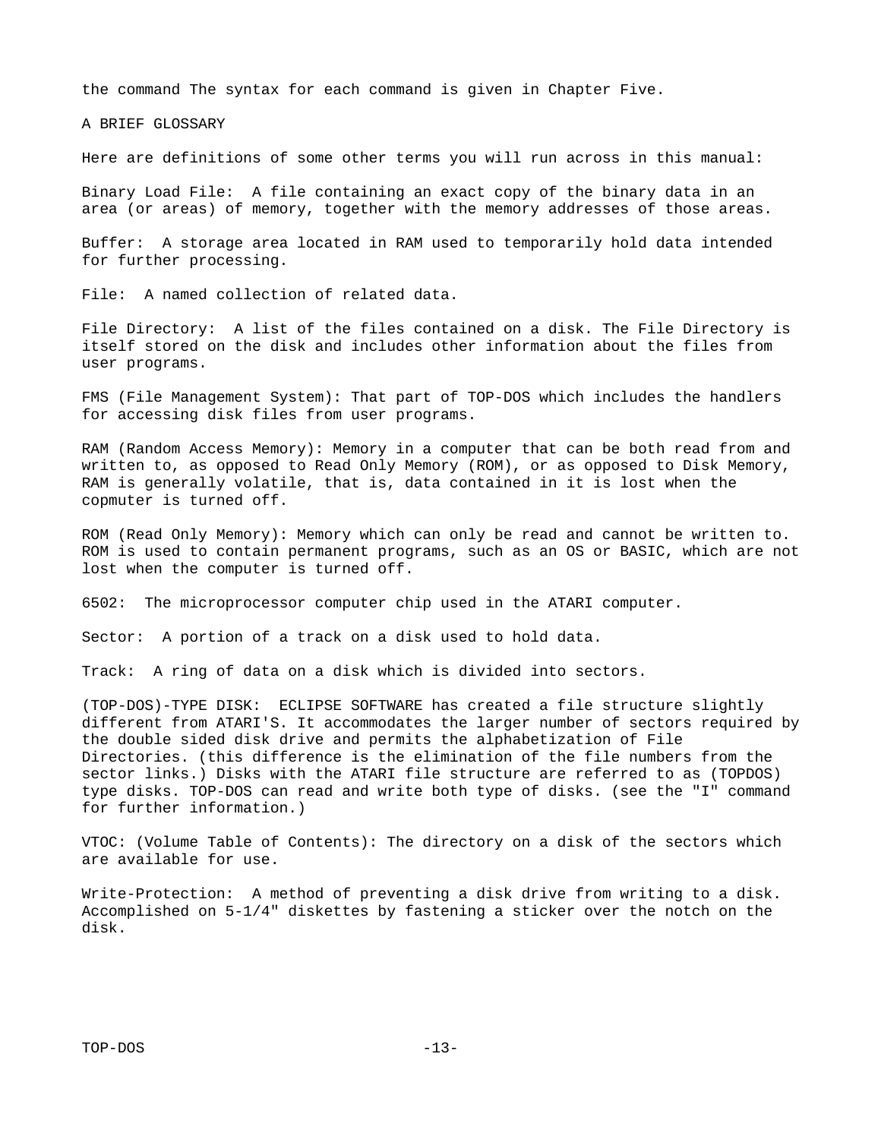the command The syntax for each command is given in Chapter Five.

A BRIEF GLOSSARY

Here are definitions of some other terms you will run across in this manual:

Binary Load File: A file containing an exact copy of the binary data in an area (or areas) of memory, together with the memory addresses of those areas.

Buffer: A storage area located in RAM used to temporarily hold data intended for further processing.

File: A named collection of related data.

File Directory: A list of the files contained on a disk. The File Directory is itself stored on the disk and includes other information about the files from user programs.

FMS (File Management System): That part of TOP-DOS which includes the handlers for accessing disk files from user programs.

RAM (Random Access Memory): Memory in a computer that can be both read from and written to, as opposed to Read Only Memory (ROM), or as opposed to Disk Memory, RAM is generally volatile, that is, data contained in it is lost when the copmuter is turned off.

ROM (Read Only Memory): Memory which can only be read and cannot be written to. ROM is used to contain permanent programs, such as an OS or BASIC, which are not lost when the computer is turned off.

6502: The microprocessor computer chip used in the ATARI computer.

Sector: A portion of a track on a disk used to hold data.

Track: A ring of data on a disk which is divided into sectors.

(TOP-DOS)-TYPE DISK: ECLIPSE SOFTWARE has created a file structure slightly different from ATARI'S. It accommodates the larger number of sectors required by the double sided disk drive and permits the alphabetization of File Directories. (this difference is the elimination of the file numbers from the sector links.) Disks with the ATARI file structure are referred to as (TOPDOS) type disks. TOP-DOS can read and write both type of disks. (see the "I" command for further information.)

VTOC: (Volume Table of Contents): The directory on a disk of the sectors which are available for use.

Write-Protection: A method of preventing a disk drive from writing to a disk. Accomplished on 5-1/4" diskettes by fastening a sticker over the notch on the disk.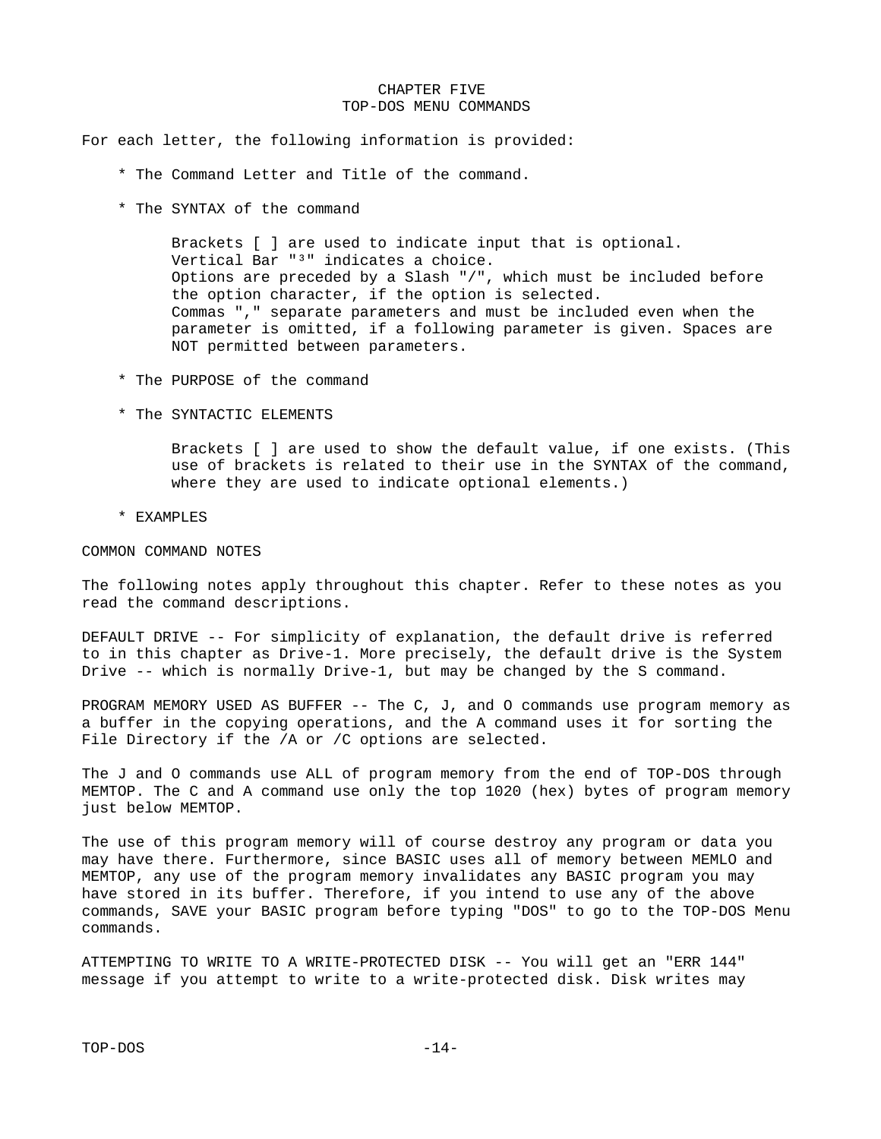#### CHAPTER FIVE TOP-DOS MENU COMMANDS

For each letter, the following information is provided:

- \* The Command Letter and Title of the command.
- \* The SYNTAX of the command

 Brackets [ ] are used to indicate input that is optional. Vertical Bar "<sup>3</sup>" indicates a choice. Options are preceded by a Slash "/", which must be included before the option character, if the option is selected. Commas "," separate parameters and must be included even when the parameter is omitted, if a following parameter is given. Spaces are NOT permitted between parameters.

- \* The PURPOSE of the command
- \* The SYNTACTIC ELEMENTS

 Brackets [ ] are used to show the default value, if one exists. (This use of brackets is related to their use in the SYNTAX of the command, where they are used to indicate optional elements.)

\* EXAMPLES

COMMON COMMAND NOTES

The following notes apply throughout this chapter. Refer to these notes as you read the command descriptions.

DEFAULT DRIVE -- For simplicity of explanation, the default drive is referred to in this chapter as Drive-1. More precisely, the default drive is the System Drive -- which is normally Drive-1, but may be changed by the S command.

PROGRAM MEMORY USED AS BUFFER -- The C, J, and O commands use program memory as a buffer in the copying operations, and the A command uses it for sorting the File Directory if the /A or /C options are selected.

The J and O commands use ALL of program memory from the end of TOP-DOS through MEMTOP. The C and A command use only the top 1020 (hex) bytes of program memory just below MEMTOP.

The use of this program memory will of course destroy any program or data you may have there. Furthermore, since BASIC uses all of memory between MEMLO and MEMTOP, any use of the program memory invalidates any BASIC program you may have stored in its buffer. Therefore, if you intend to use any of the above commands, SAVE your BASIC program before typing "DOS" to go to the TOP-DOS Menu commands.

ATTEMPTING TO WRITE TO A WRITE-PROTECTED DISK -- You will get an "ERR 144" message if you attempt to write to a write-protected disk. Disk writes may

TOP-DOS -14-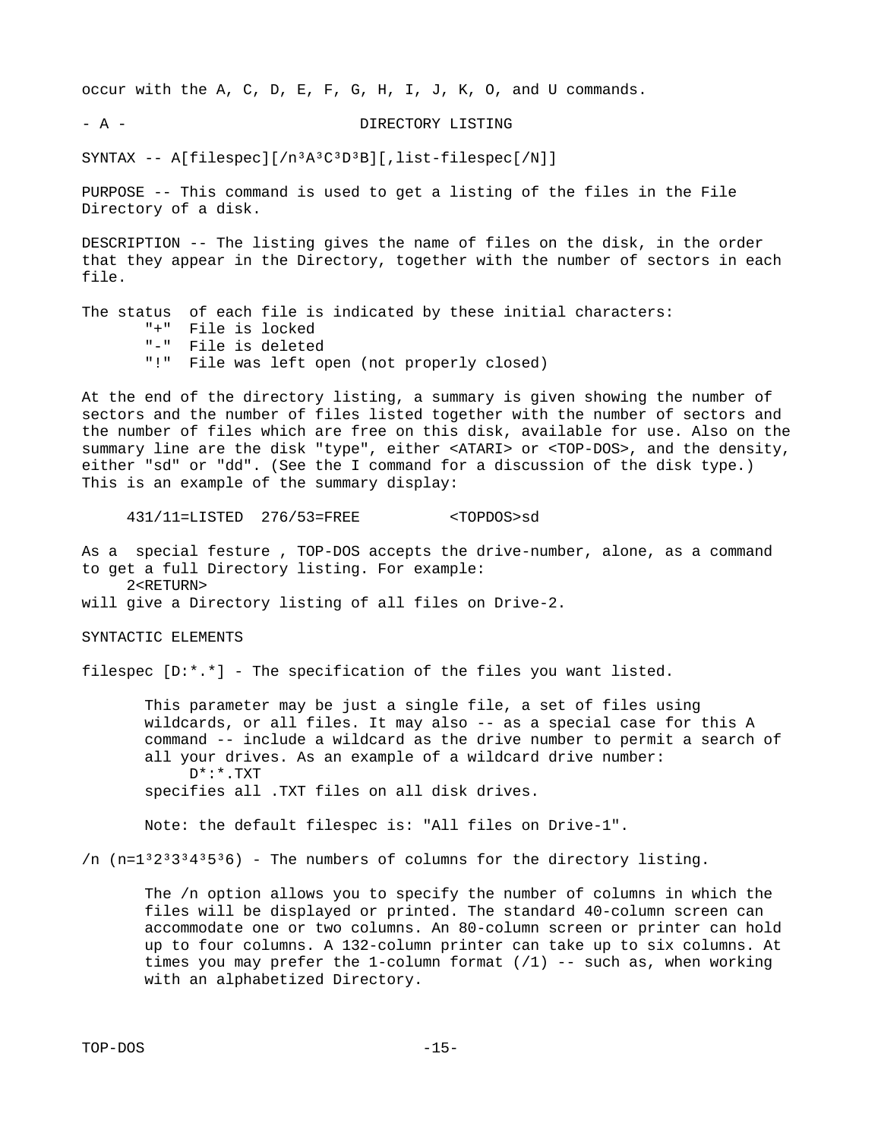occur with the A, C, D, E, F, G, H, I, J, K, O, and U commands.

- A - DIRECTORY LISTING

SYNTAX -- A[filespec][/n<sup>3</sup>A<sup>3</sup>C<sup>3</sup>D<sup>3</sup>B][,list-filespec[/N]]

PURPOSE -- This command is used to get a listing of the files in the File Directory of a disk.

DESCRIPTION -- The listing gives the name of files on the disk, in the order that they appear in the Directory, together with the number of sectors in each file.

The status of each file is indicated by these initial characters: "+" File is locked "-" File is deleted "!" File was left open (not properly closed)

At the end of the directory listing, a summary is given showing the number of sectors and the number of files listed together with the number of sectors and the number of files which are free on this disk, available for use. Also on the summary line are the disk "type", either <ATARI> or <TOP-DOS>, and the density, either "sd" or "dd". (See the I command for a discussion of the disk type.) This is an example of the summary display:

431/11=LISTED 276/53=FREE <TOPDOS>sd

As a special festure , TOP-DOS accepts the drive-number, alone, as a command to get a full Directory listing. For example: 2<RETURN>

will give a Directory listing of all files on Drive-2.

SYNTACTIC ELEMENTS

filespec [D:\*.\*] - The specification of the files you want listed.

 This parameter may be just a single file, a set of files using wildcards, or all files. It may also -- as a special case for this A command -- include a wildcard as the drive number to permit a search of all your drives. As an example of a wildcard drive number:  $D^*$ : \* . TXT

specifies all .TXT files on all disk drives.

Note: the default filespec is: "All files on Drive-1".

/n  $(n=1^32^33^34^35^36)$  - The numbers of columns for the directory listing.

 The /n option allows you to specify the number of columns in which the files will be displayed or printed. The standard 40-column screen can accommodate one or two columns. An 80-column screen or printer can hold up to four columns. A 132-column printer can take up to six columns. At times you may prefer the 1-column format  $(1)$  -- such as, when working with an alphabetized Directory.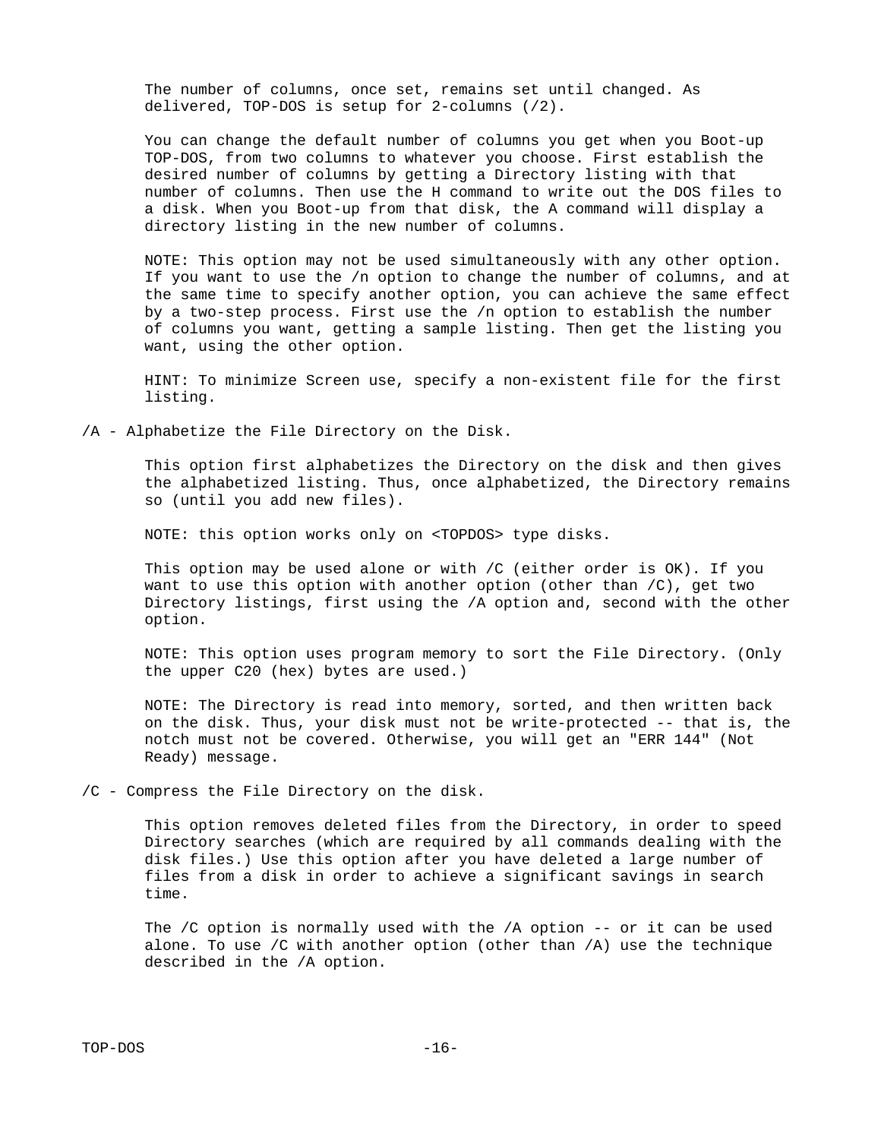The number of columns, once set, remains set until changed. As delivered, TOP-DOS is setup for 2-columns (/2).

 You can change the default number of columns you get when you Boot-up TOP-DOS, from two columns to whatever you choose. First establish the desired number of columns by getting a Directory listing with that number of columns. Then use the H command to write out the DOS files to a disk. When you Boot-up from that disk, the A command will display a directory listing in the new number of columns.

 NOTE: This option may not be used simultaneously with any other option. If you want to use the /n option to change the number of columns, and at the same time to specify another option, you can achieve the same effect by a two-step process. First use the /n option to establish the number of columns you want, getting a sample listing. Then get the listing you want, using the other option.

 HINT: To minimize Screen use, specify a non-existent file for the first listing.

/A - Alphabetize the File Directory on the Disk.

 This option first alphabetizes the Directory on the disk and then gives the alphabetized listing. Thus, once alphabetized, the Directory remains so (until you add new files).

NOTE: this option works only on <TOPDOS> type disks.

This option may be used alone or with  $\sqrt{C}$  (either order is OK). If you want to use this option with another option (other than /C), get two Directory listings, first using the /A option and, second with the other option.

 NOTE: This option uses program memory to sort the File Directory. (Only the upper C20 (hex) bytes are used.)

 NOTE: The Directory is read into memory, sorted, and then written back on the disk. Thus, your disk must not be write-protected -- that is, the notch must not be covered. Otherwise, you will get an "ERR 144" (Not Ready) message.

/C - Compress the File Directory on the disk.

 This option removes deleted files from the Directory, in order to speed Directory searches (which are required by all commands dealing with the disk files.) Use this option after you have deleted a large number of files from a disk in order to achieve a significant savings in search time.

 The /C option is normally used with the /A option -- or it can be used alone. To use /C with another option (other than /A) use the technique described in the /A option.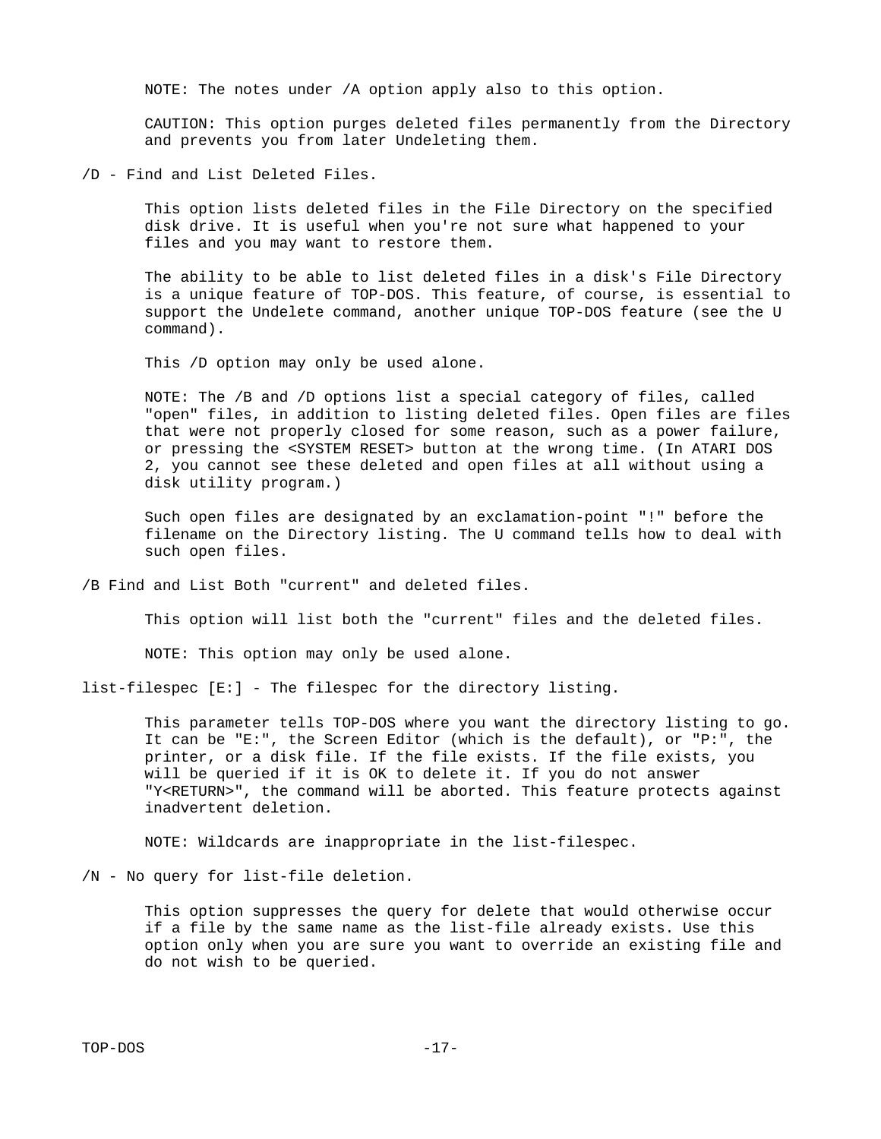NOTE: The notes under /A option apply also to this option.

 CAUTION: This option purges deleted files permanently from the Directory and prevents you from later Undeleting them.

/D - Find and List Deleted Files.

 This option lists deleted files in the File Directory on the specified disk drive. It is useful when you're not sure what happened to your files and you may want to restore them.

 The ability to be able to list deleted files in a disk's File Directory is a unique feature of TOP-DOS. This feature, of course, is essential to support the Undelete command, another unique TOP-DOS feature (see the U command).

This /D option may only be used alone.

 NOTE: The /B and /D options list a special category of files, called "open" files, in addition to listing deleted files. Open files are files that were not properly closed for some reason, such as a power failure, or pressing the <SYSTEM RESET> button at the wrong time. (In ATARI DOS 2, you cannot see these deleted and open files at all without using a disk utility program.)

 Such open files are designated by an exclamation-point "!" before the filename on the Directory listing. The U command tells how to deal with such open files.

/B Find and List Both "current" and deleted files.

This option will list both the "current" files and the deleted files.

NOTE: This option may only be used alone.

list-filespec [E:] - The filespec for the directory listing.

 This parameter tells TOP-DOS where you want the directory listing to go. It can be "E:", the Screen Editor (which is the default), or "P:", the printer, or a disk file. If the file exists. If the file exists, you will be queried if it is OK to delete it. If you do not answer "Y<RETURN>", the command will be aborted. This feature protects against inadvertent deletion.

NOTE: Wildcards are inappropriate in the list-filespec.

/N - No query for list-file deletion.

 This option suppresses the query for delete that would otherwise occur if a file by the same name as the list-file already exists. Use this option only when you are sure you want to override an existing file and do not wish to be queried.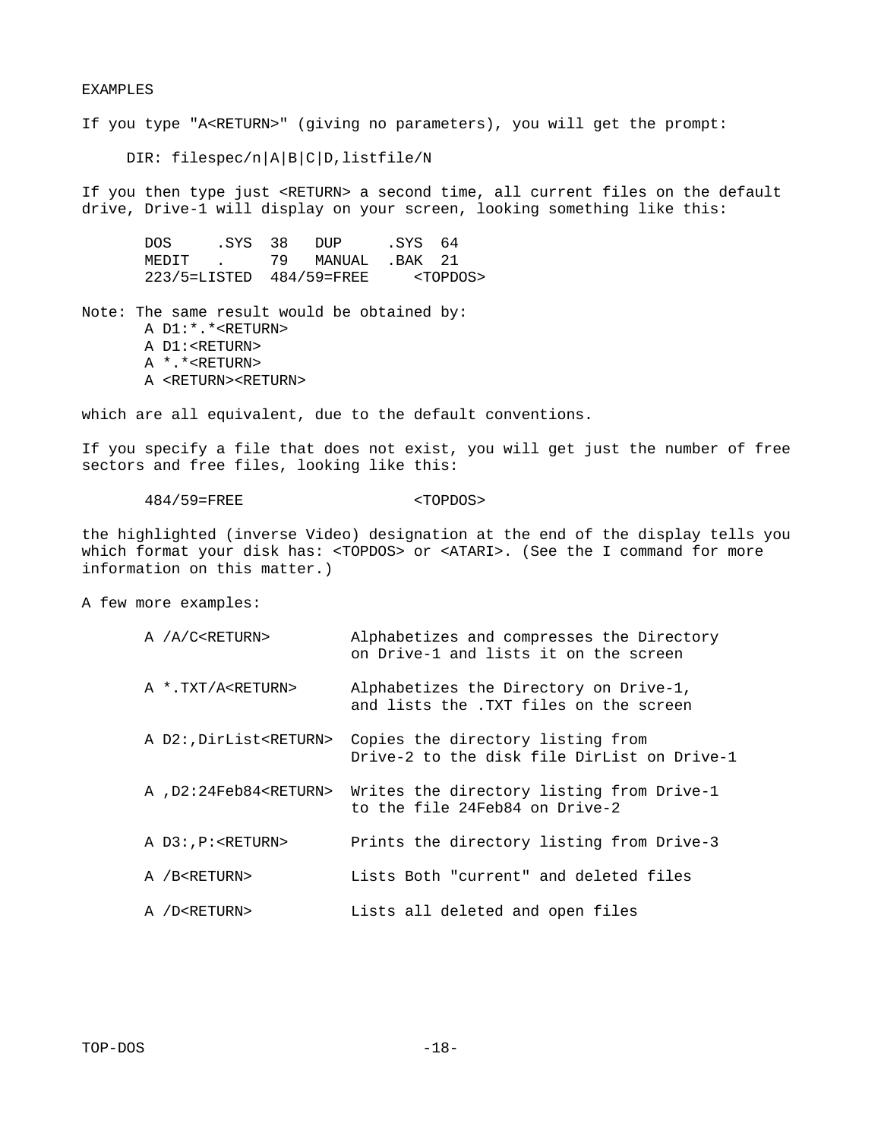#### EXAMPLES

If you type "A<RETURN>" (giving no parameters), you will get the prompt:

DIR: filespec/n|A|B|C|D, listfile/N

If you then type just <RETURN> a second time, all current files on the default drive, Drive-1 will display on your screen, looking something like this:

DOS .SYS 38 DUP .SYS 64<br>MEDIT . 79 MANUAL .BAK 21 MEDIT . 79 MANUAL 223/5=LISTED 484/59=FREE <TOPDOS>

Note: The same result would be obtained by: A D1:\*.\*<RETURN> A D1:<RETURN> A \*.\*<RETURN> A <RETURN><RETURN>

which are all equivalent, due to the default conventions.

If you specify a file that does not exist, you will get just the number of free sectors and free files, looking like this:

#### 484/59=FREE <TOPDOS>

the highlighted (inverse Video) designation at the end of the display tells you which format your disk has: <TOPDOS> or <ATARI>. (See the I command for more information on this matter.)

A few more examples:

| A /A/C <return></return>         | Alphabetizes and compresses the Directory<br>on Drive-1 and lists it on the screen |
|----------------------------------|------------------------------------------------------------------------------------|
| A *.TXT/A <return></return>      | Alphabetizes the Directory on Drive-1,<br>and lists the .TXT files on the screen   |
| A D2:, DirList <return></return> | Copies the directory listing from<br>Drive-2 to the disk file DirList on Drive-1   |
| A , D2:24Feb84 <return></return> | Writes the directory listing from Drive-1<br>to the file 24Feb84 on Drive-2        |
| A D3:, P: <return></return>      | Prints the directory listing from Drive-3                                          |
| A /B <return></return>           | Lists Both "current" and deleted files                                             |
| A /D <return></return>           | Lists all deleted and open files                                                   |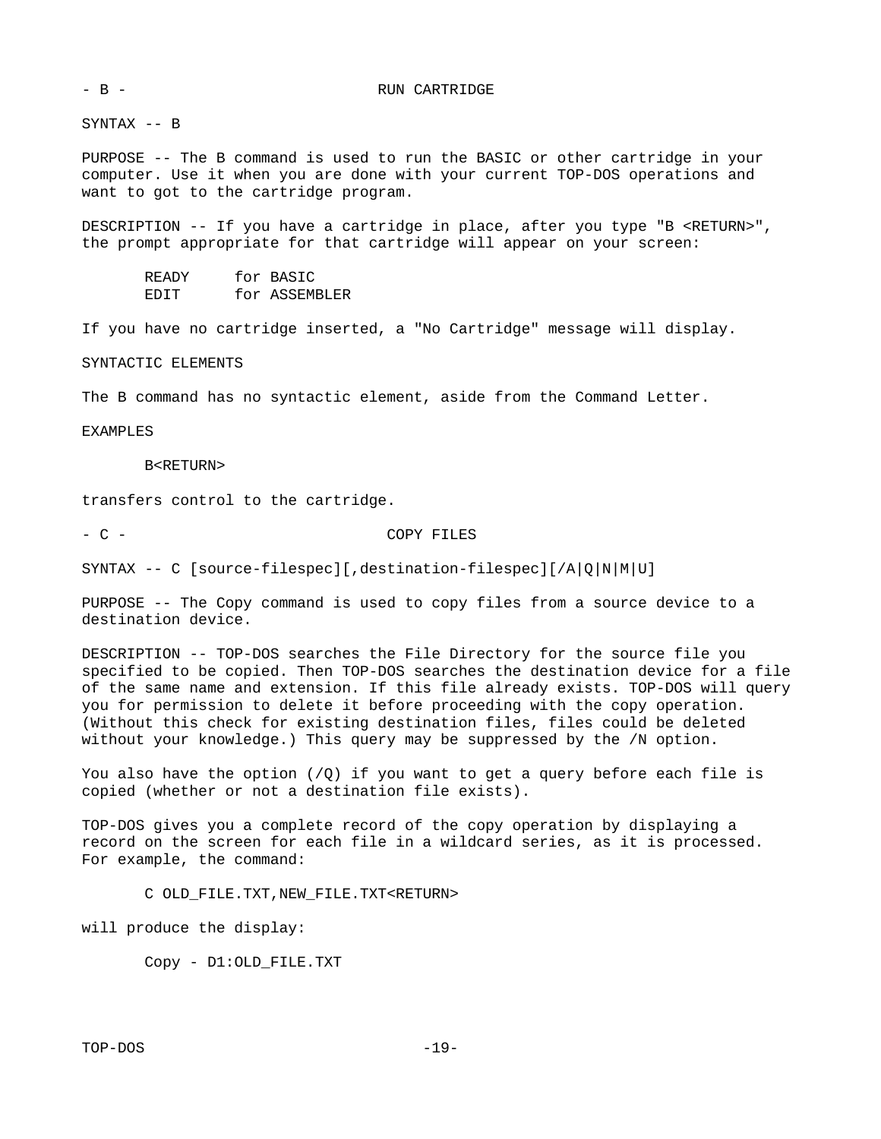SYNTAX -- B

PURPOSE -- The B command is used to run the BASIC or other cartridge in your computer. Use it when you are done with your current TOP-DOS operations and want to got to the cartridge program.

DESCRIPTION -- If you have a cartridge in place, after you type "B <RETURN>", the prompt appropriate for that cartridge will appear on your screen:

 READY for BASIC EDIT for ASSEMBLER

If you have no cartridge inserted, a "No Cartridge" message will display.

SYNTACTIC ELEMENTS

The B command has no syntactic element, aside from the Command Letter.

EXAMPLES

B<RETURN>

transfers control to the cartridge.

- C - COPY FILES

SYNTAX -- C [source-filespec][,destination-filespec][/A|Q|N|M|U]

PURPOSE -- The Copy command is used to copy files from a source device to a destination device.

DESCRIPTION -- TOP-DOS searches the File Directory for the source file you specified to be copied. Then TOP-DOS searches the destination device for a file of the same name and extension. If this file already exists. TOP-DOS will query you for permission to delete it before proceeding with the copy operation. (Without this check for existing destination files, files could be deleted without your knowledge.) This query may be suppressed by the /N option.

You also have the option  $(\sqrt{Q})$  if you want to get a query before each file is copied (whether or not a destination file exists).

TOP-DOS gives you a complete record of the copy operation by displaying a record on the screen for each file in a wildcard series, as it is processed. For example, the command:

C OLD\_FILE.TXT,NEW\_FILE.TXT<RETURN>

will produce the display:

Copy - D1:OLD\_FILE.TXT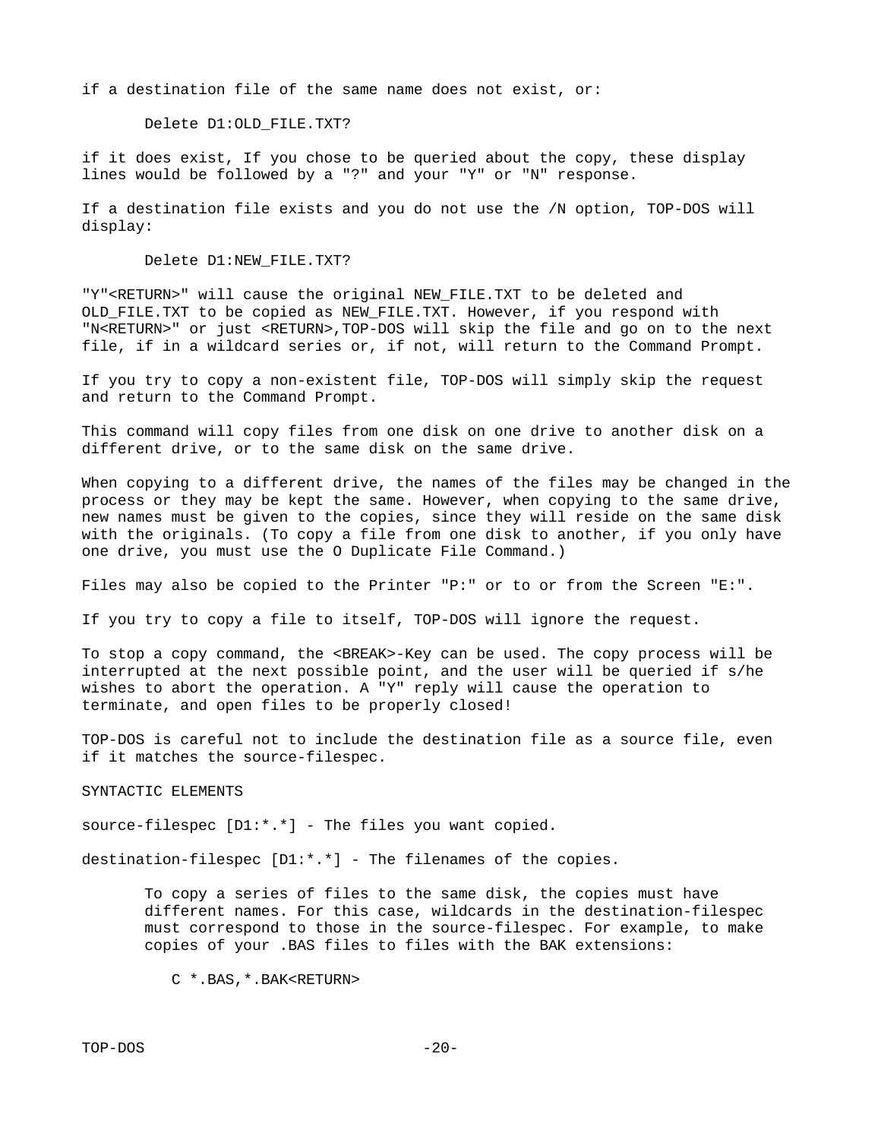if a destination file of the same name does not exist, or:

Delete D1:OLD\_FILE.TXT?

if it does exist, If you chose to be queried about the copy, these display lines would be followed by a "?" and your "Y" or "N" response.

If a destination file exists and you do not use the /N option, TOP-DOS will display:

Delete D1:NEW\_FILE.TXT?

"Y"<RETURN>" will cause the original NEW\_FILE.TXT to be deleted and OLD\_FILE.TXT to be copied as NEW\_FILE.TXT. However, if you respond with "N<RETURN>" or just <RETURN>,TOP-DOS will skip the file and go on to the next file, if in a wildcard series or, if not, will return to the Command Prompt.

If you try to copy a non-existent file, TOP-DOS will simply skip the request and return to the Command Prompt.

This command will copy files from one disk on one drive to another disk on a different drive, or to the same disk on the same drive.

When copying to a different drive, the names of the files may be changed in the process or they may be kept the same. However, when copying to the same drive, new names must be given to the copies, since they will reside on the same disk with the originals. (To copy a file from one disk to another, if you only have one drive, you must use the O Duplicate File Command.)

Files may also be copied to the Printer "P:" or to or from the Screen "E:".

If you try to copy a file to itself, TOP-DOS will ignore the request.

To stop a copy command, the <BREAK>-Key can be used. The copy process will be interrupted at the next possible point, and the user will be queried if s/he wishes to abort the operation. A "Y" reply will cause the operation to terminate, and open files to be properly closed!

TOP-DOS is careful not to include the destination file as a source file, even if it matches the source-filespec.

SYNTACTIC ELEMENTS

source-filespec [D1:\*.\*] - The files you want copied.

destination-filespec [D1:\*.\*] - The filenames of the copies.

 To copy a series of files to the same disk, the copies must have different names. For this case, wildcards in the destination-filespec must correspond to those in the source-filespec. For example, to make copies of your .BAS files to files with the BAK extensions:

C \*.BAS,\*.BAK<RETURN>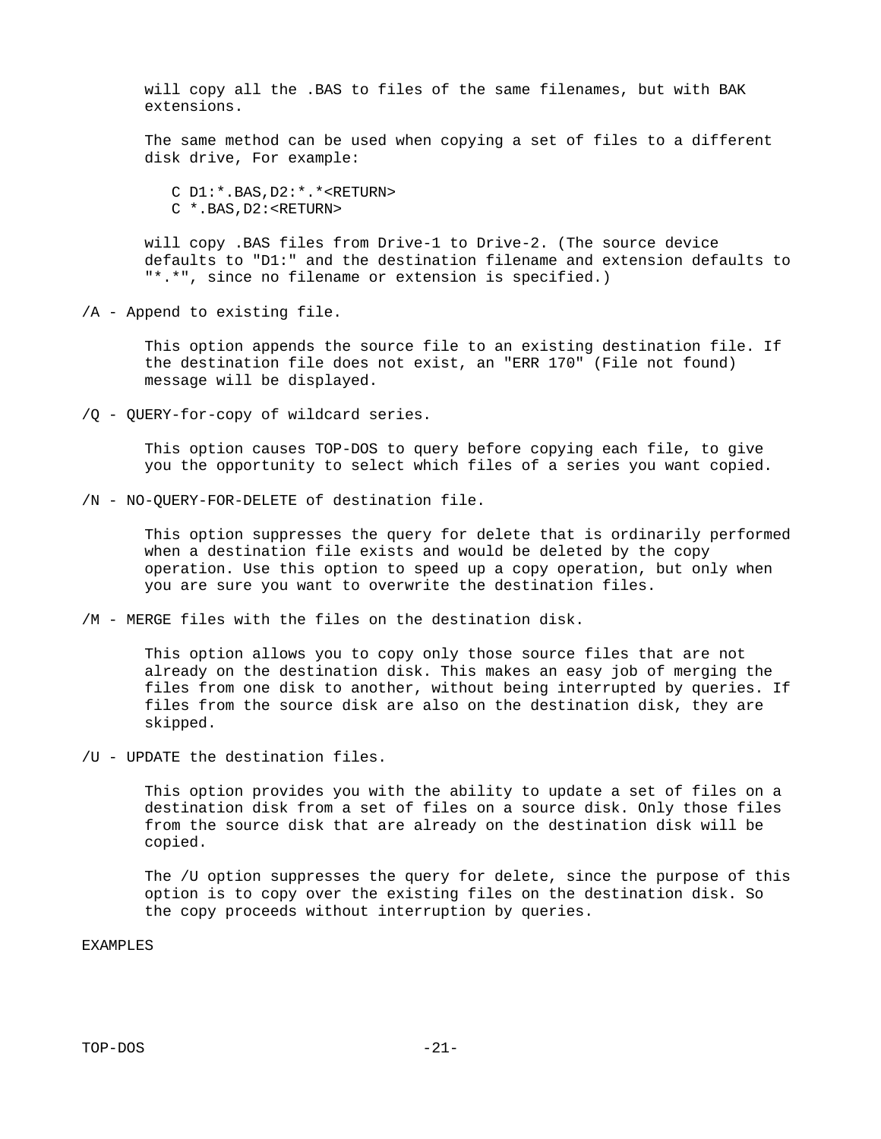will copy all the .BAS to files of the same filenames, but with BAK extensions.

 The same method can be used when copying a set of files to a different disk drive, For example:

 C D1:\*.BAS,D2:\*.\*<RETURN> C \*.BAS,D2:<RETURN>

 will copy .BAS files from Drive-1 to Drive-2. (The source device defaults to "D1:" and the destination filename and extension defaults to "\*.\*", since no filename or extension is specified.)

/A - Append to existing file.

 This option appends the source file to an existing destination file. If the destination file does not exist, an "ERR 170" (File not found) message will be displayed.

/Q - QUERY-for-copy of wildcard series.

 This option causes TOP-DOS to query before copying each file, to give you the opportunity to select which files of a series you want copied.

/N - NO-QUERY-FOR-DELETE of destination file.

 This option suppresses the query for delete that is ordinarily performed when a destination file exists and would be deleted by the copy operation. Use this option to speed up a copy operation, but only when you are sure you want to overwrite the destination files.

/M - MERGE files with the files on the destination disk.

 This option allows you to copy only those source files that are not already on the destination disk. This makes an easy job of merging the files from one disk to another, without being interrupted by queries. If files from the source disk are also on the destination disk, they are skipped.

/U - UPDATE the destination files.

 This option provides you with the ability to update a set of files on a destination disk from a set of files on a source disk. Only those files from the source disk that are already on the destination disk will be copied.

 The /U option suppresses the query for delete, since the purpose of this option is to copy over the existing files on the destination disk. So the copy proceeds without interruption by queries.

EXAMPLES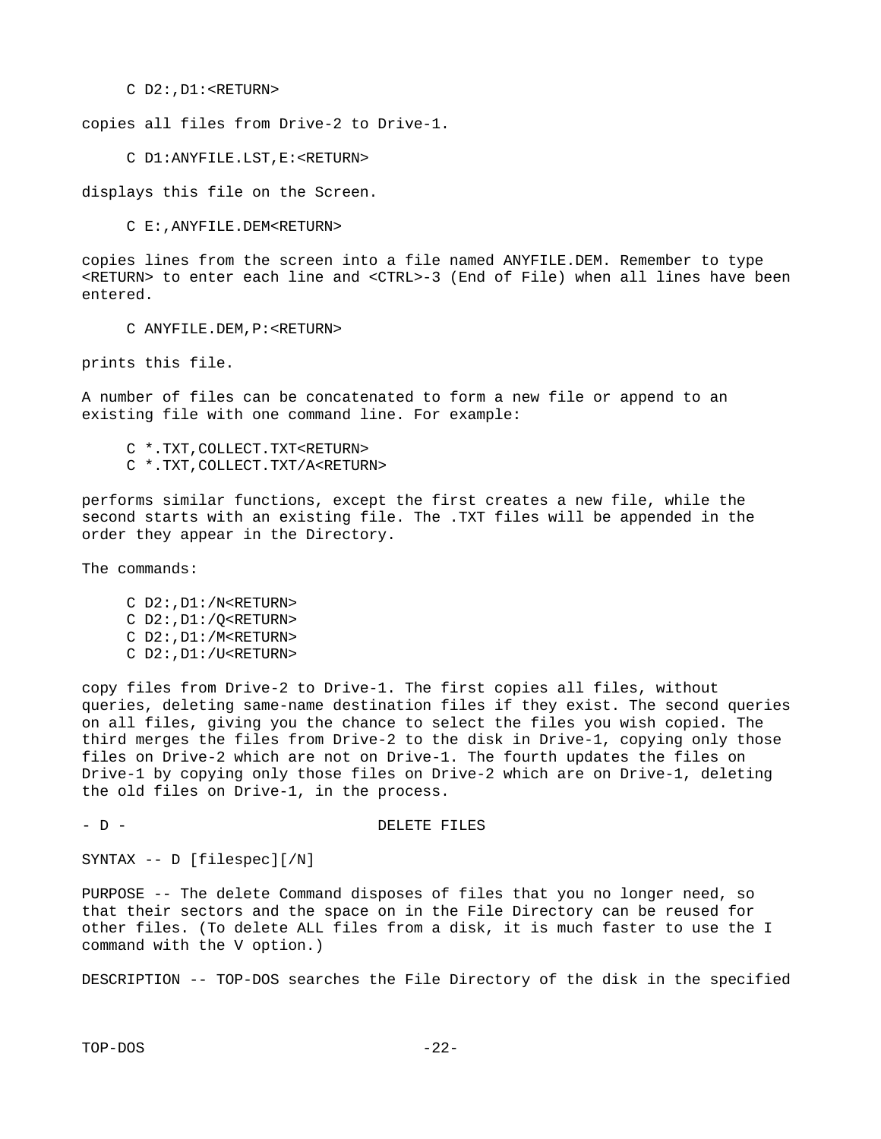C D2:,D1:<RETURN>

copies all files from Drive-2 to Drive-1.

C D1:ANYFILE.LST,E:<RETURN>

displays this file on the Screen.

C E:,ANYFILE.DEM<RETURN>

copies lines from the screen into a file named ANYFILE.DEM. Remember to type <RETURN> to enter each line and <CTRL>-3 (End of File) when all lines have been entered.

C ANYFILE.DEM,P:<RETURN>

prints this file.

A number of files can be concatenated to form a new file or append to an existing file with one command line. For example:

 C \*.TXT,COLLECT.TXT<RETURN> C \*.TXT,COLLECT.TXT/A<RETURN>

performs similar functions, except the first creates a new file, while the second starts with an existing file. The .TXT files will be appended in the order they appear in the Directory.

The commands:

- C D2:,D1:/N<RETURN> C D2:,D1:/Q<RETURN> C D2:,D1:/M<RETURN>
- C D2:,D1:/U<RETURN>

copy files from Drive-2 to Drive-1. The first copies all files, without queries, deleting same-name destination files if they exist. The second queries on all files, giving you the chance to select the files you wish copied. The third merges the files from Drive-2 to the disk in Drive-1, copying only those files on Drive-2 which are not on Drive-1. The fourth updates the files on Drive-1 by copying only those files on Drive-2 which are on Drive-1, deleting the old files on Drive-1, in the process.

- D - D - DELETE FILES

SYNTAX -- D [filespec][/N]

PURPOSE -- The delete Command disposes of files that you no longer need, so that their sectors and the space on in the File Directory can be reused for other files. (To delete ALL files from a disk, it is much faster to use the I command with the V option.)

DESCRIPTION -- TOP-DOS searches the File Directory of the disk in the specified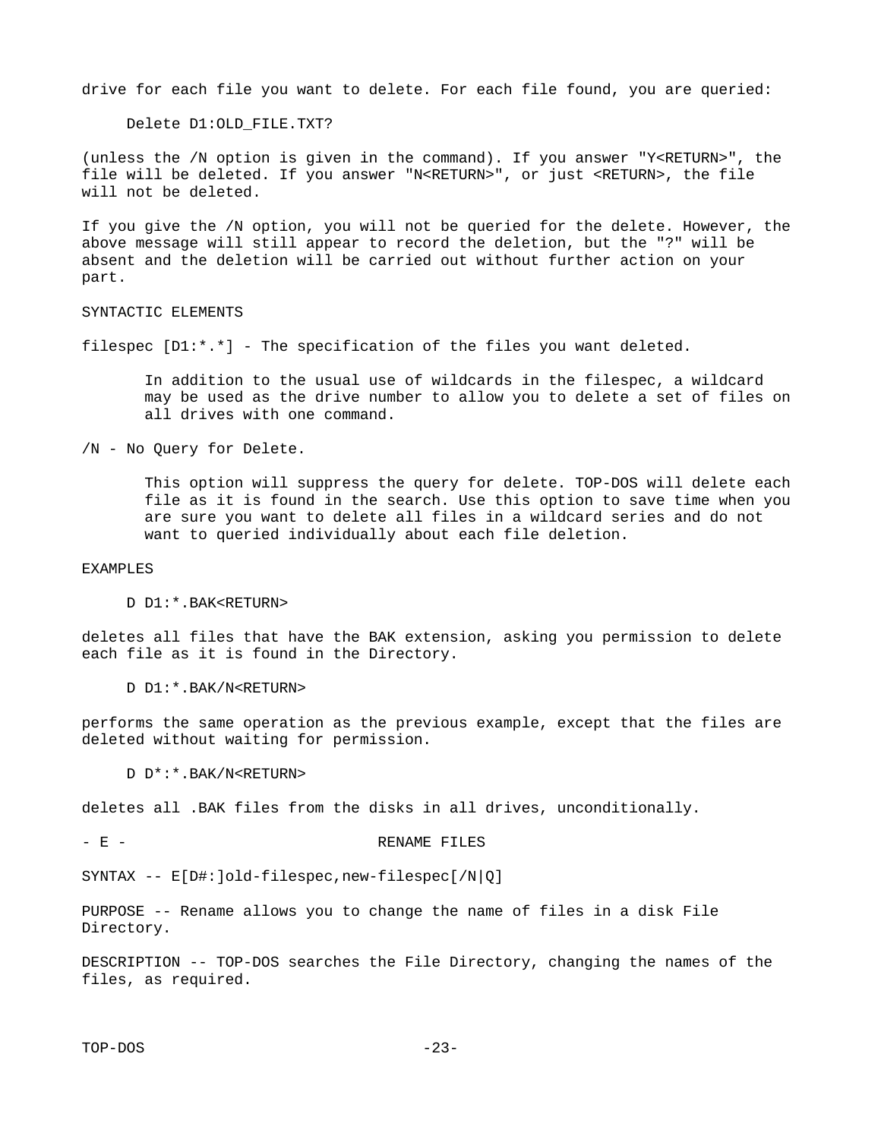drive for each file you want to delete. For each file found, you are queried:

Delete D1:OLD\_FILE.TXT?

(unless the /N option is given in the command). If you answer "Y<RETURN>", the file will be deleted. If you answer "N<RETURN>", or just <RETURN>, the file will not be deleted.

If you give the /N option, you will not be queried for the delete. However, the above message will still appear to record the deletion, but the "?" will be absent and the deletion will be carried out without further action on your part.

SYNTACTIC ELEMENTS

filespec [D1:\*.\*] - The specification of the files you want deleted.

 In addition to the usual use of wildcards in the filespec, a wildcard may be used as the drive number to allow you to delete a set of files on all drives with one command.

/N - No Query for Delete.

 This option will suppress the query for delete. TOP-DOS will delete each file as it is found in the search. Use this option to save time when you are sure you want to delete all files in a wildcard series and do not want to queried individually about each file deletion.

EXAMPLES

D D1:\*.BAK<RETURN>

deletes all files that have the BAK extension, asking you permission to delete each file as it is found in the Directory.

D D1:\*.BAK/N<RETURN>

performs the same operation as the previous example, except that the files are deleted without waiting for permission.

D D\*:\*.BAK/N<RETURN>

deletes all .BAK files from the disks in all drives, unconditionally.

- E - RENAME FILES

SYNTAX -- E[D#:]old-filespec,new-filespec[/N|Q]

PURPOSE -- Rename allows you to change the name of files in a disk File Directory.

DESCRIPTION -- TOP-DOS searches the File Directory, changing the names of the files, as required.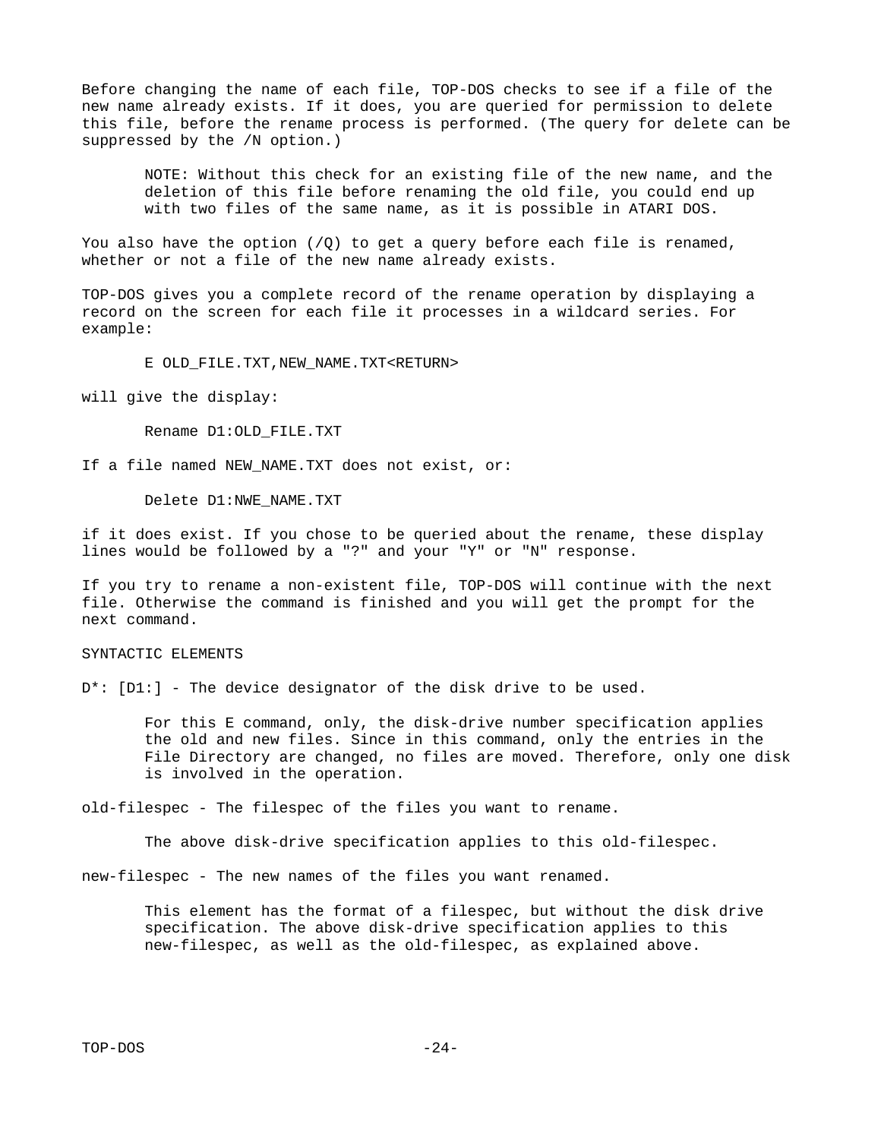Before changing the name of each file, TOP-DOS checks to see if a file of the new name already exists. If it does, you are queried for permission to delete this file, before the rename process is performed. (The query for delete can be suppressed by the /N option.)

 NOTE: Without this check for an existing file of the new name, and the deletion of this file before renaming the old file, you could end up with two files of the same name, as it is possible in ATARI DOS.

You also have the option  $(\sqrt{Q})$  to get a query before each file is renamed, whether or not a file of the new name already exists.

TOP-DOS gives you a complete record of the rename operation by displaying a record on the screen for each file it processes in a wildcard series. For example:

E OLD\_FILE.TXT,NEW\_NAME.TXT<RETURN>

will give the display:

Rename D1:OLD\_FILE.TXT

If a file named NEW\_NAME.TXT does not exist, or:

Delete D1:NWE\_NAME.TXT

if it does exist. If you chose to be queried about the rename, these display lines would be followed by a "?" and your "Y" or "N" response.

If you try to rename a non-existent file, TOP-DOS will continue with the next file. Otherwise the command is finished and you will get the prompt for the next command.

#### SYNTACTIC ELEMENTS

D<sup>\*</sup>: [D1:] - The device designator of the disk drive to be used.

 For this E command, only, the disk-drive number specification applies the old and new files. Since in this command, only the entries in the File Directory are changed, no files are moved. Therefore, only one disk is involved in the operation.

old-filespec - The filespec of the files you want to rename.

The above disk-drive specification applies to this old-filespec.

new-filespec - The new names of the files you want renamed.

 This element has the format of a filespec, but without the disk drive specification. The above disk-drive specification applies to this new-filespec, as well as the old-filespec, as explained above.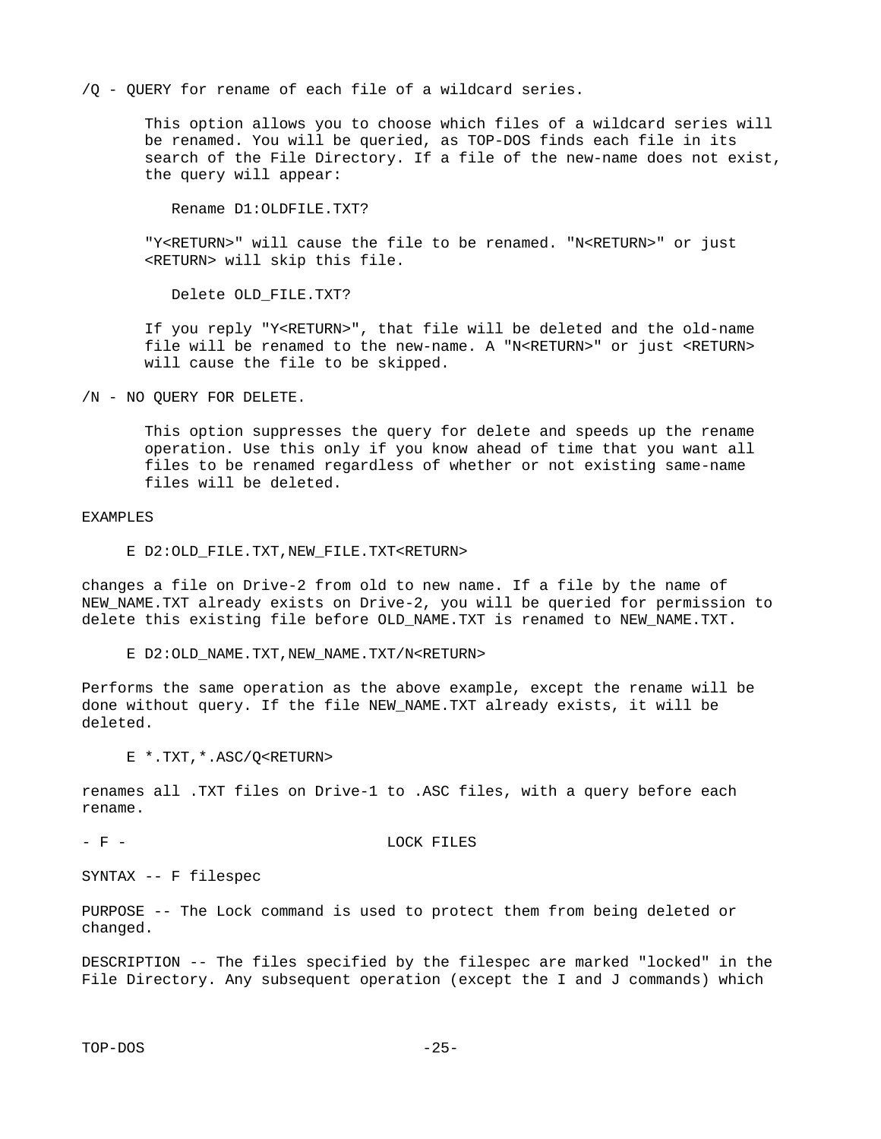/Q - QUERY for rename of each file of a wildcard series.

 This option allows you to choose which files of a wildcard series will be renamed. You will be queried, as TOP-DOS finds each file in its search of the File Directory. If a file of the new-name does not exist, the query will appear:

Rename D1:OLDFILE.TXT?

 "Y<RETURN>" will cause the file to be renamed. "N<RETURN>" or just <RETURN> will skip this file.

Delete OLD\_FILE.TXT?

 If you reply "Y<RETURN>", that file will be deleted and the old-name file will be renamed to the new-name. A "N<RETURN>" or just <RETURN> will cause the file to be skipped.

/N - NO QUERY FOR DELETE.

 This option suppresses the query for delete and speeds up the rename operation. Use this only if you know ahead of time that you want all files to be renamed regardless of whether or not existing same-name files will be deleted.

EXAMPLES

E D2:OLD\_FILE.TXT,NEW\_FILE.TXT<RETURN>

changes a file on Drive-2 from old to new name. If a file by the name of NEW NAME.TXT already exists on Drive-2, you will be queried for permission to delete this existing file before OLD\_NAME.TXT is renamed to NEW\_NAME.TXT.

E D2:0LD\_NAME.TXT, NEW\_NAME.TXT/N<RETURN>

Performs the same operation as the above example, except the rename will be done without query. If the file NEW\_NAME.TXT already exists, it will be deleted.

E \*.TXT,\*.ASC/Q<RETURN>

renames all .TXT files on Drive-1 to .ASC files, with a query before each rename.

- F - LOCK FILES

SYNTAX -- F filespec

PURPOSE -- The Lock command is used to protect them from being deleted or changed.

DESCRIPTION -- The files specified by the filespec are marked "locked" in the File Directory. Any subsequent operation (except the I and J commands) which

TOP-DOS -25-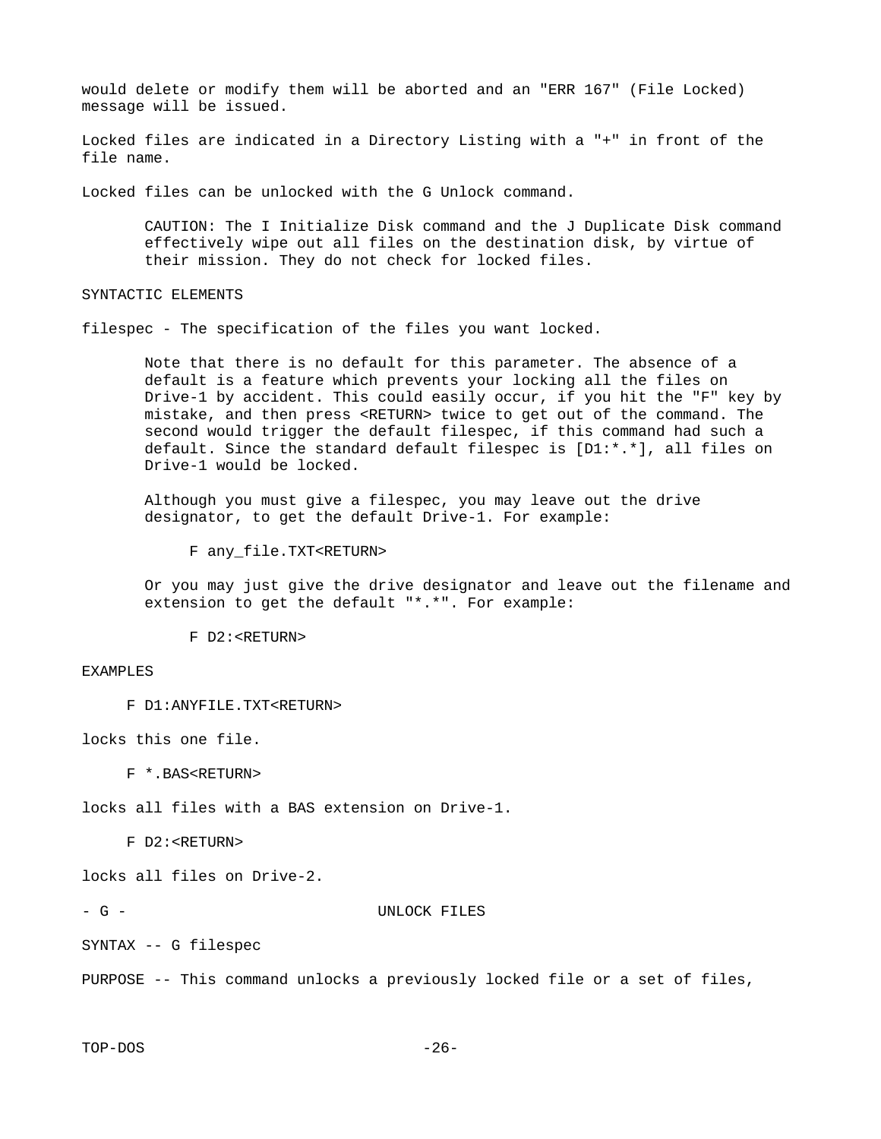would delete or modify them will be aborted and an "ERR 167" (File Locked) message will be issued.

Locked files are indicated in a Directory Listing with a "+" in front of the file name.

Locked files can be unlocked with the G Unlock command.

 CAUTION: The I Initialize Disk command and the J Duplicate Disk command effectively wipe out all files on the destination disk, by virtue of their mission. They do not check for locked files.

SYNTACTIC ELEMENTS

filespec - The specification of the files you want locked.

 Note that there is no default for this parameter. The absence of a default is a feature which prevents your locking all the files on Drive-1 by accident. This could easily occur, if you hit the "F" key by mistake, and then press <RETURN> twice to get out of the command. The second would trigger the default filespec, if this command had such a default. Since the standard default filespec is [D1:\*.\*], all files on Drive-1 would be locked.

 Although you must give a filespec, you may leave out the drive designator, to get the default Drive-1. For example:

F any\_file.TXT<RETURN>

 Or you may just give the drive designator and leave out the filename and extension to get the default "\*.\*". For example:

F D2:<RETURN>

#### EXAMPLES

F D1:ANYFILE.TXT<RETURN>

locks this one file.

F \*.BAS<RETURN>

locks all files with a BAS extension on Drive-1.

F D2:<RETURN>

locks all files on Drive-2.

#### - G - UNLOCK FILES

SYNTAX -- G filespec

PURPOSE -- This command unlocks a previously locked file or a set of files,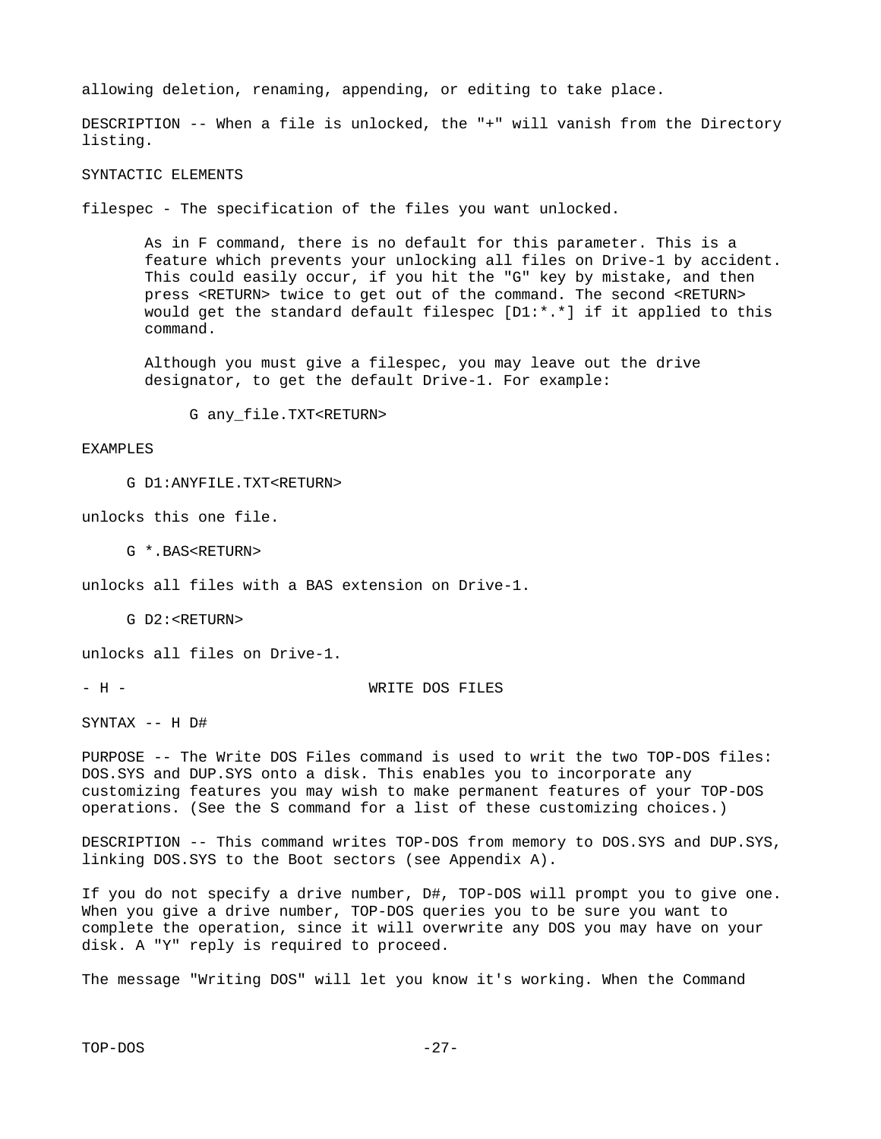allowing deletion, renaming, appending, or editing to take place.

DESCRIPTION -- When a file is unlocked, the "+" will vanish from the Directory listing.

SYNTACTIC ELEMENTS

filespec - The specification of the files you want unlocked.

 As in F command, there is no default for this parameter. This is a feature which prevents your unlocking all files on Drive-1 by accident. This could easily occur, if you hit the "G" key by mistake, and then press <RETURN> twice to get out of the command. The second <RETURN> would get the standard default filespec  $[D1:*,*]$  if it applied to this command.

 Although you must give a filespec, you may leave out the drive designator, to get the default Drive-1. For example:

G any\_file.TXT<RETURN>

#### EXAMPLES

G D1:ANYFILE.TXT<RETURN>

unlocks this one file.

G \*.BAS<RETURN>

unlocks all files with a BAS extension on Drive-1.

G D2:<RETURN>

unlocks all files on Drive-1.

- H - WRITE DOS FILES

SYNTAX -- H D#

PURPOSE -- The Write DOS Files command is used to writ the two TOP-DOS files: DOS.SYS and DUP.SYS onto a disk. This enables you to incorporate any customizing features you may wish to make permanent features of your TOP-DOS operations. (See the S command for a list of these customizing choices.)

DESCRIPTION -- This command writes TOP-DOS from memory to DOS.SYS and DUP.SYS, linking DOS.SYS to the Boot sectors (see Appendix A).

If you do not specify a drive number, D#, TOP-DOS will prompt you to give one. When you give a drive number, TOP-DOS queries you to be sure you want to complete the operation, since it will overwrite any DOS you may have on your disk. A "Y" reply is required to proceed.

The message "Writing DOS" will let you know it's working. When the Command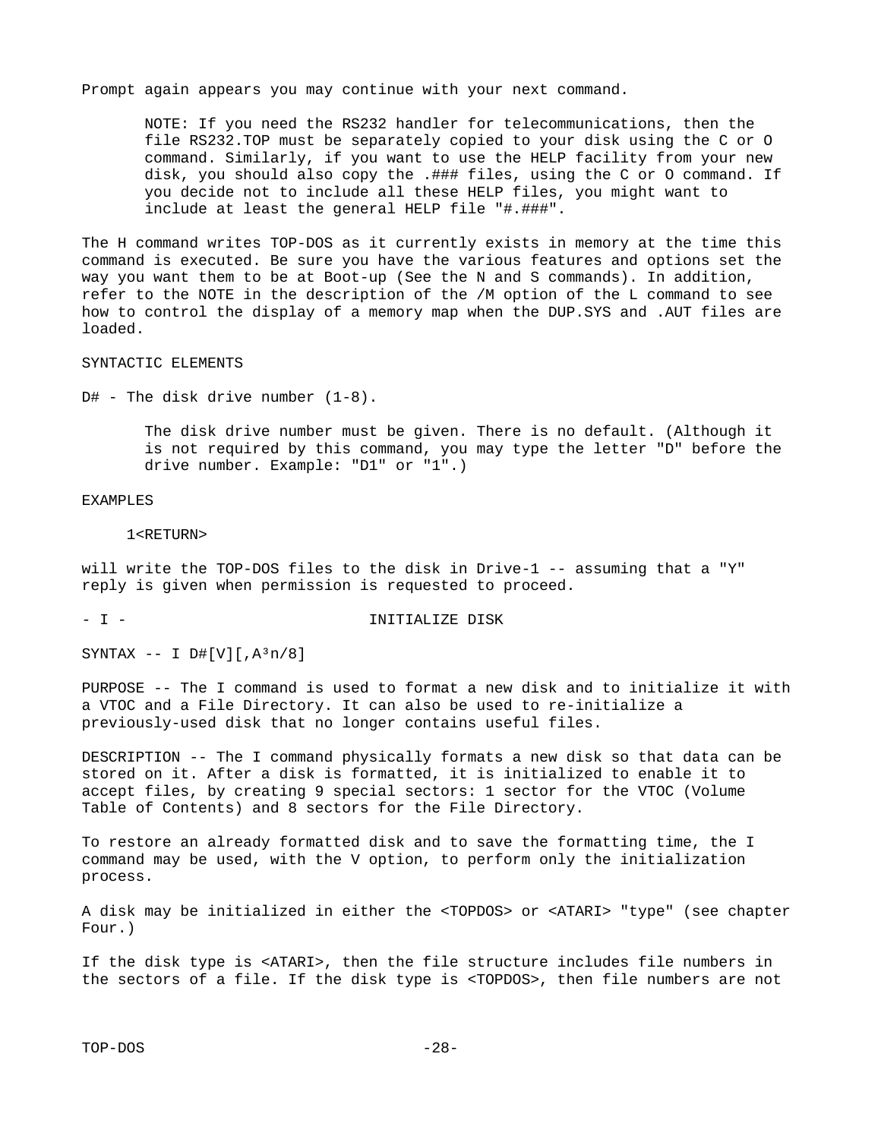Prompt again appears you may continue with your next command.

 NOTE: If you need the RS232 handler for telecommunications, then the file RS232.TOP must be separately copied to your disk using the C or O command. Similarly, if you want to use the HELP facility from your new disk, you should also copy the .### files, using the C or O command. If you decide not to include all these HELP files, you might want to include at least the general HELP file "#.###".

The H command writes TOP-DOS as it currently exists in memory at the time this command is executed. Be sure you have the various features and options set the way you want them to be at Boot-up (See the N and S commands). In addition, refer to the NOTE in the description of the /M option of the L command to see how to control the display of a memory map when the DUP.SYS and .AUT files are loaded.

#### SYNTACTIC ELEMENTS

 $D#$  - The disk drive number  $(1-8)$ .

 The disk drive number must be given. There is no default. (Although it is not required by this command, you may type the letter "D" before the drive number. Example: "D1" or "1".)

#### EXAMPLES

1<RETURN>

will write the TOP-DOS files to the disk in Drive-1 -- assuming that a "Y" reply is given when permission is requested to proceed.

#### - I - INITIALIZE DISK

SYNTAX -- I  $D#[V][A^3n/8]$ 

PURPOSE -- The I command is used to format a new disk and to initialize it with a VTOC and a File Directory. It can also be used to re-initialize a previously-used disk that no longer contains useful files.

DESCRIPTION -- The I command physically formats a new disk so that data can be stored on it. After a disk is formatted, it is initialized to enable it to accept files, by creating 9 special sectors: 1 sector for the VTOC (Volume Table of Contents) and 8 sectors for the File Directory.

To restore an already formatted disk and to save the formatting time, the I command may be used, with the V option, to perform only the initialization process.

A disk may be initialized in either the <TOPDOS> or <ATARI> "type" (see chapter Four.)

If the disk type is <ATARI>, then the file structure includes file numbers in the sectors of a file. If the disk type is <TOPDOS>, then file numbers are not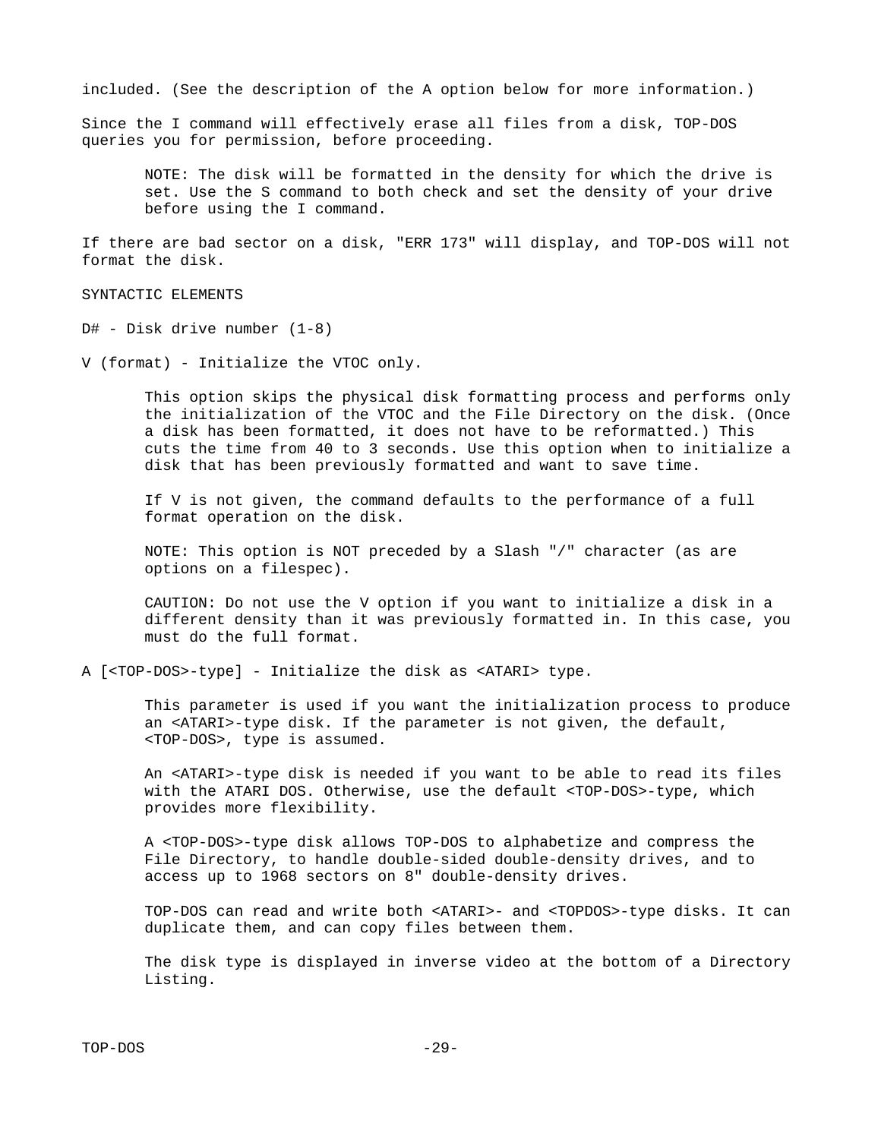included. (See the description of the A option below for more information.)

Since the I command will effectively erase all files from a disk, TOP-DOS queries you for permission, before proceeding.

 NOTE: The disk will be formatted in the density for which the drive is set. Use the S command to both check and set the density of your drive before using the I command.

If there are bad sector on a disk, "ERR 173" will display, and TOP-DOS will not format the disk.

SYNTACTIC ELEMENTS

D# - Disk drive number (1-8)

V (format) - Initialize the VTOC only.

 This option skips the physical disk formatting process and performs only the initialization of the VTOC and the File Directory on the disk. (Once a disk has been formatted, it does not have to be reformatted.) This cuts the time from 40 to 3 seconds. Use this option when to initialize a disk that has been previously formatted and want to save time.

 If V is not given, the command defaults to the performance of a full format operation on the disk.

 NOTE: This option is NOT preceded by a Slash "/" character (as are options on a filespec).

 CAUTION: Do not use the V option if you want to initialize a disk in a different density than it was previously formatted in. In this case, you must do the full format.

A [<TOP-DOS>-type] - Initialize the disk as <ATARI> type.

 This parameter is used if you want the initialization process to produce an <ATARI>-type disk. If the parameter is not given, the default, <TOP-DOS>, type is assumed.

 An <ATARI>-type disk is needed if you want to be able to read its files with the ATARI DOS. Otherwise, use the default <TOP-DOS>-type, which provides more flexibility.

 A <TOP-DOS>-type disk allows TOP-DOS to alphabetize and compress the File Directory, to handle double-sided double-density drives, and to access up to 1968 sectors on 8" double-density drives.

 TOP-DOS can read and write both <ATARI>- and <TOPDOS>-type disks. It can duplicate them, and can copy files between them.

 The disk type is displayed in inverse video at the bottom of a Directory Listing.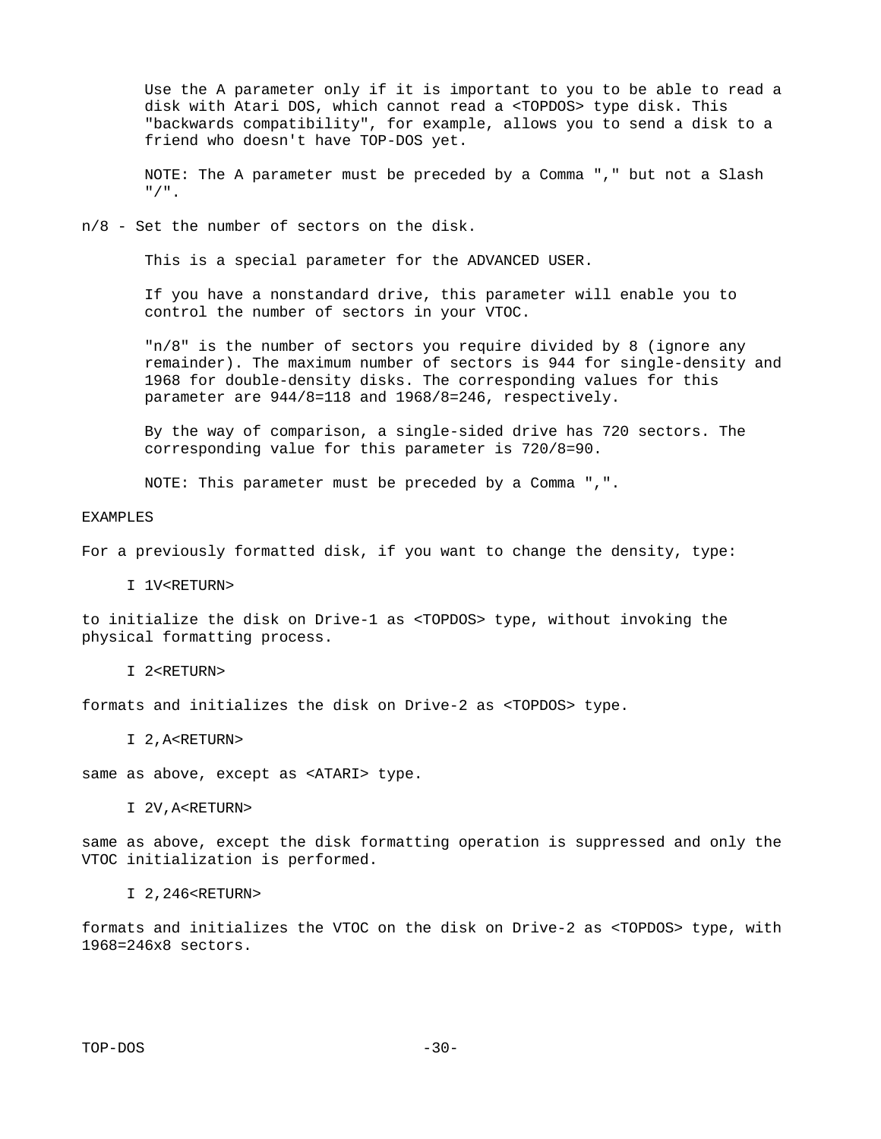Use the A parameter only if it is important to you to be able to read a disk with Atari DOS, which cannot read a <TOPDOS> type disk. This "backwards compatibility", for example, allows you to send a disk to a friend who doesn't have TOP-DOS yet.

 NOTE: The A parameter must be preceded by a Comma "," but not a Slash "/".

n/8 - Set the number of sectors on the disk.

This is a special parameter for the ADVANCED USER.

 If you have a nonstandard drive, this parameter will enable you to control the number of sectors in your VTOC.

 "n/8" is the number of sectors you require divided by 8 (ignore any remainder). The maximum number of sectors is 944 for single-density and 1968 for double-density disks. The corresponding values for this parameter are 944/8=118 and 1968/8=246, respectively.

 By the way of comparison, a single-sided drive has 720 sectors. The corresponding value for this parameter is 720/8=90.

NOTE: This parameter must be preceded by a Comma ",".

EXAMPLES

For a previously formatted disk, if you want to change the density, type:

I 1V<RETURN>

to initialize the disk on Drive-1 as <TOPDOS> type, without invoking the physical formatting process.

I 2<RETURN>

formats and initializes the disk on Drive-2 as <TOPDOS> type.

I 2, A<RETURN>

same as above, except as <ATARI> type.

I 2V,A<RETURN>

same as above, except the disk formatting operation is suppressed and only the VTOC initialization is performed.

#### I 2,246<RETURN>

formats and initializes the VTOC on the disk on Drive-2 as <TOPDOS> type, with 1968=246x8 sectors.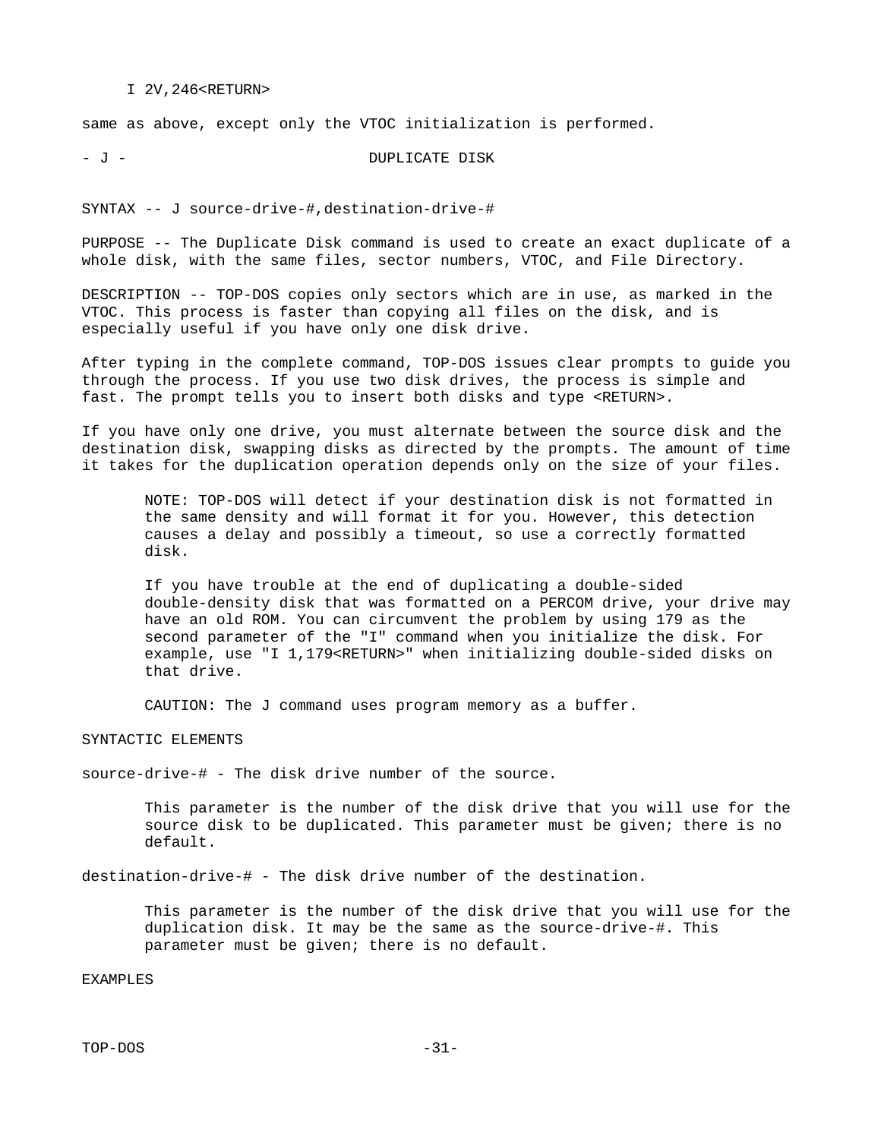#### I 2V,246<RETURN>

same as above, except only the VTOC initialization is performed.

- J - DUPLICATE DISK

SYNTAX -- J source-drive-#,destination-drive-#

PURPOSE -- The Duplicate Disk command is used to create an exact duplicate of a whole disk, with the same files, sector numbers, VTOC, and File Directory.

DESCRIPTION -- TOP-DOS copies only sectors which are in use, as marked in the VTOC. This process is faster than copying all files on the disk, and is especially useful if you have only one disk drive.

After typing in the complete command, TOP-DOS issues clear prompts to guide you through the process. If you use two disk drives, the process is simple and fast. The prompt tells you to insert both disks and type <RETURN>.

If you have only one drive, you must alternate between the source disk and the destination disk, swapping disks as directed by the prompts. The amount of time it takes for the duplication operation depends only on the size of your files.

 NOTE: TOP-DOS will detect if your destination disk is not formatted in the same density and will format it for you. However, this detection causes a delay and possibly a timeout, so use a correctly formatted disk.

 If you have trouble at the end of duplicating a double-sided double-density disk that was formatted on a PERCOM drive, your drive may have an old ROM. You can circumvent the problem by using 179 as the second parameter of the "I" command when you initialize the disk. For example, use "I 1,179<RETURN>" when initializing double-sided disks on that drive.

CAUTION: The J command uses program memory as a buffer.

SYNTACTIC ELEMENTS

source-drive-# - The disk drive number of the source.

 This parameter is the number of the disk drive that you will use for the source disk to be duplicated. This parameter must be given; there is no default.

destination-drive-# - The disk drive number of the destination.

 This parameter is the number of the disk drive that you will use for the duplication disk. It may be the same as the source-drive-#. This parameter must be given; there is no default.

EXAMPLES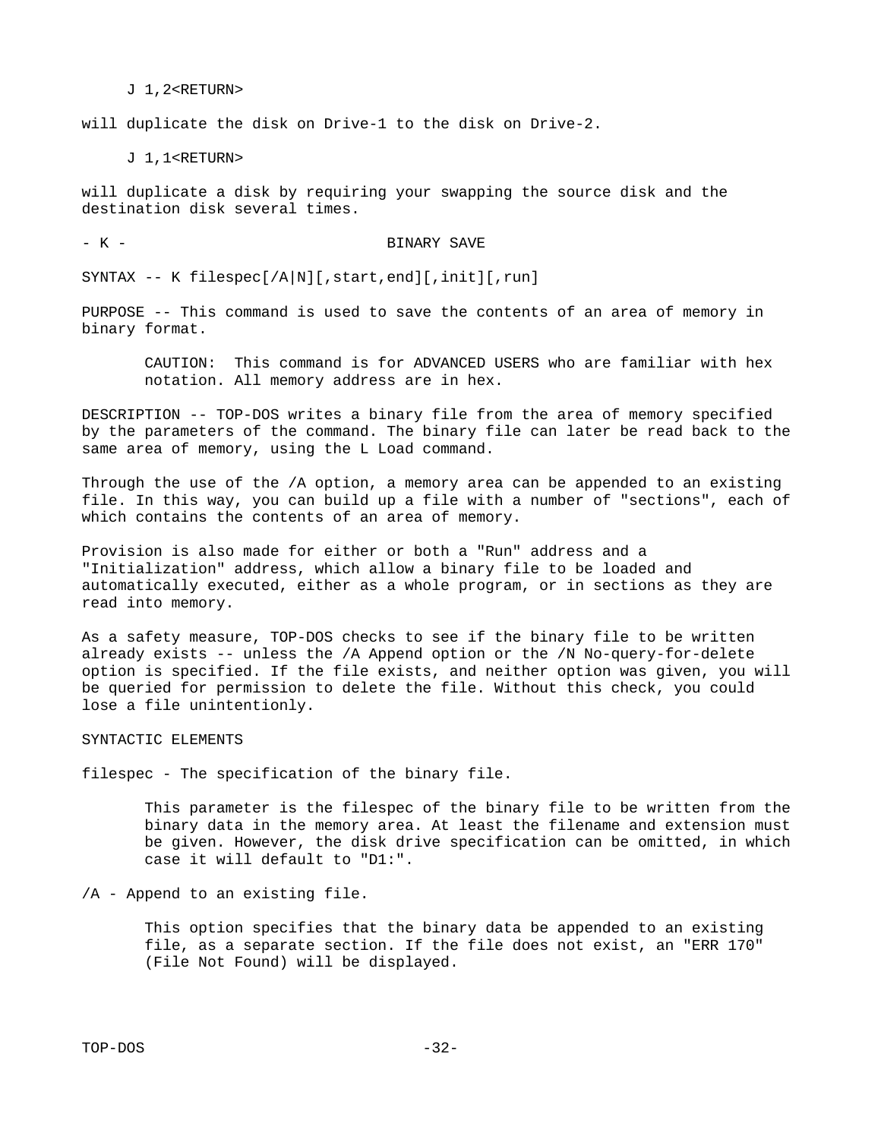J 1,2<RETURN>

will duplicate the disk on Drive-1 to the disk on Drive-2.

J 1,1<RETURN>

will duplicate a disk by requiring your swapping the source disk and the destination disk several times.

- K - BINARY SAVE

SYNTAX -- K filespec[/A|N][, start, end][, init][, run]

PURPOSE -- This command is used to save the contents of an area of memory in binary format.

 CAUTION: This command is for ADVANCED USERS who are familiar with hex notation. All memory address are in hex.

DESCRIPTION -- TOP-DOS writes a binary file from the area of memory specified by the parameters of the command. The binary file can later be read back to the same area of memory, using the L Load command.

Through the use of the /A option, a memory area can be appended to an existing file. In this way, you can build up a file with a number of "sections", each of which contains the contents of an area of memory.

Provision is also made for either or both a "Run" address and a "Initialization" address, which allow a binary file to be loaded and automatically executed, either as a whole program, or in sections as they are read into memory.

As a safety measure, TOP-DOS checks to see if the binary file to be written already exists -- unless the /A Append option or the /N No-query-for-delete option is specified. If the file exists, and neither option was given, you will be queried for permission to delete the file. Without this check, you could lose a file unintentionly.

SYNTACTIC ELEMENTS

filespec - The specification of the binary file.

 This parameter is the filespec of the binary file to be written from the binary data in the memory area. At least the filename and extension must be given. However, the disk drive specification can be omitted, in which case it will default to "D1:".

/A - Append to an existing file.

 This option specifies that the binary data be appended to an existing file, as a separate section. If the file does not exist, an "ERR 170" (File Not Found) will be displayed.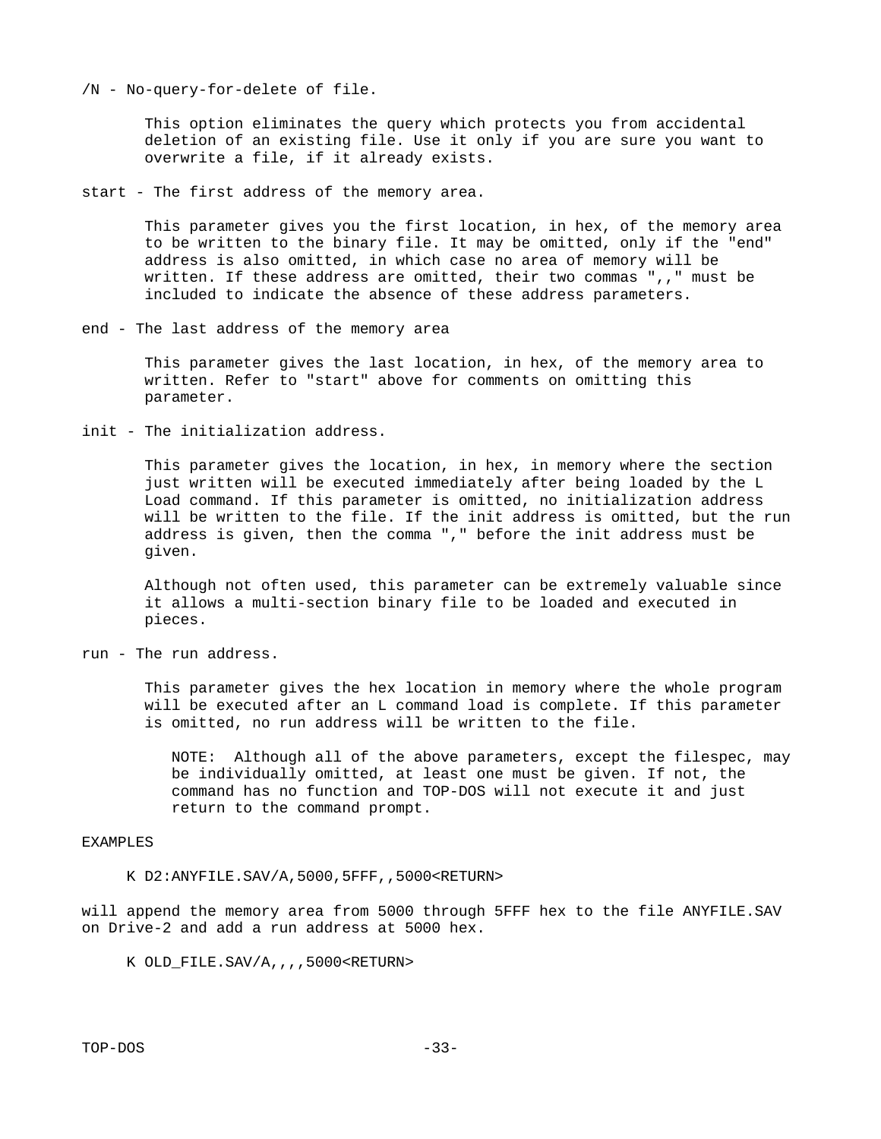/N - No-query-for-delete of file.

 This option eliminates the query which protects you from accidental deletion of an existing file. Use it only if you are sure you want to overwrite a file, if it already exists.

start - The first address of the memory area.

 This parameter gives you the first location, in hex, of the memory area to be written to the binary file. It may be omitted, only if the "end" address is also omitted, in which case no area of memory will be written. If these address are omitted, their two commas ",," must be included to indicate the absence of these address parameters.

end - The last address of the memory area

 This parameter gives the last location, in hex, of the memory area to written. Refer to "start" above for comments on omitting this parameter.

init - The initialization address.

 This parameter gives the location, in hex, in memory where the section just written will be executed immediately after being loaded by the L Load command. If this parameter is omitted, no initialization address will be written to the file. If the init address is omitted, but the run address is given, then the comma "," before the init address must be given.

 Although not often used, this parameter can be extremely valuable since it allows a multi-section binary file to be loaded and executed in pieces.

run - The run address.

 This parameter gives the hex location in memory where the whole program will be executed after an L command load is complete. If this parameter is omitted, no run address will be written to the file.

 NOTE: Although all of the above parameters, except the filespec, may be individually omitted, at least one must be given. If not, the command has no function and TOP-DOS will not execute it and just return to the command prompt.

#### EXAMPLES

K D2:ANYFILE.SAV/A,5000,5FFF,,5000<RETURN>

will append the memory area from 5000 through 5FFF hex to the file ANYFILE.SAV on Drive-2 and add a run address at 5000 hex.

K OLD\_FILE.SAV/A,,,,5000<RETURN>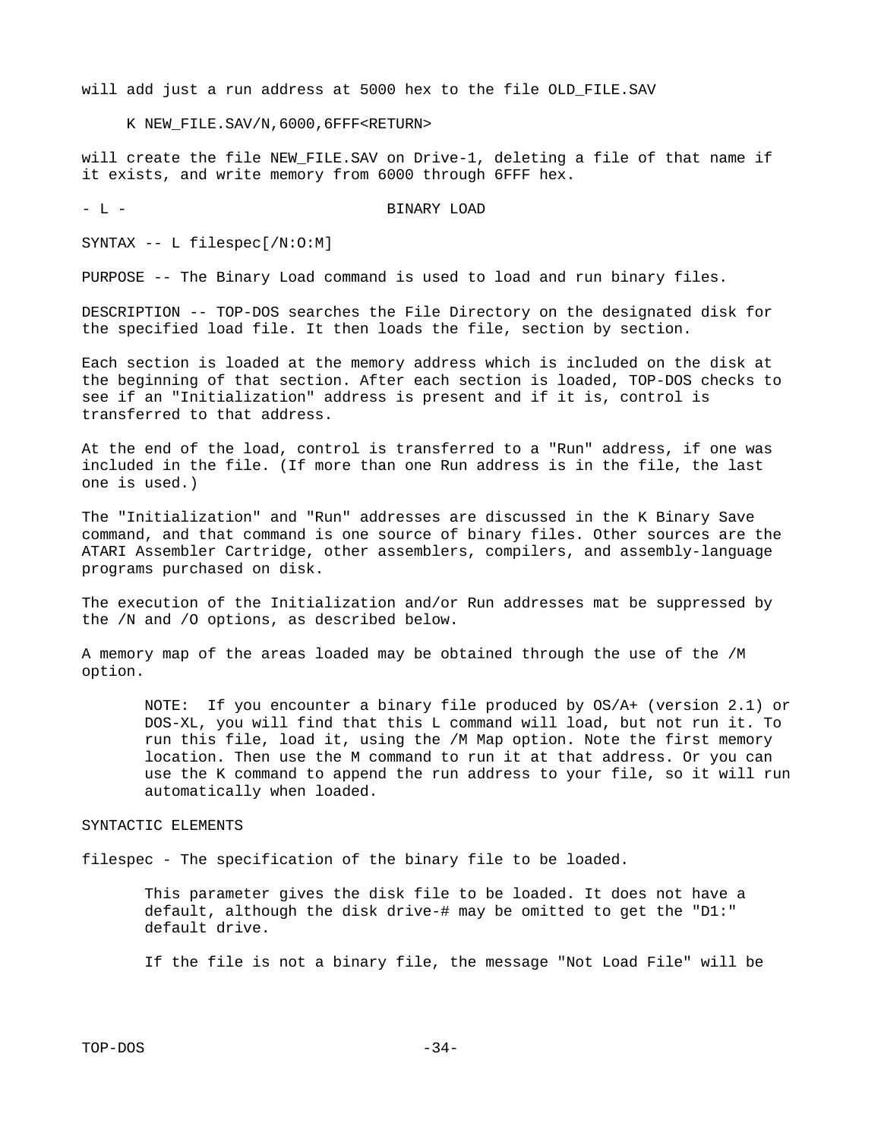will add just a run address at 5000 hex to the file OLD FILE.SAV

K NEW\_FILE.SAV/N,6000,6FFF<RETURN>

will create the file NEW\_FILE.SAV on Drive-1, deleting a file of that name if it exists, and write memory from 6000 through 6FFF hex.

- L - BINARY LOAD

SYNTAX -- L filespec[/N:O:M]

PURPOSE -- The Binary Load command is used to load and run binary files.

DESCRIPTION -- TOP-DOS searches the File Directory on the designated disk for the specified load file. It then loads the file, section by section.

Each section is loaded at the memory address which is included on the disk at the beginning of that section. After each section is loaded, TOP-DOS checks to see if an "Initialization" address is present and if it is, control is transferred to that address.

At the end of the load, control is transferred to a "Run" address, if one was included in the file. (If more than one Run address is in the file, the last one is used.)

The "Initialization" and "Run" addresses are discussed in the K Binary Save command, and that command is one source of binary files. Other sources are the ATARI Assembler Cartridge, other assemblers, compilers, and assembly-language programs purchased on disk.

The execution of the Initialization and/or Run addresses mat be suppressed by the /N and /O options, as described below.

A memory map of the areas loaded may be obtained through the use of the /M option.

 NOTE: If you encounter a binary file produced by OS/A+ (version 2.1) or DOS-XL, you will find that this L command will load, but not run it. To run this file, load it, using the /M Map option. Note the first memory location. Then use the M command to run it at that address. Or you can use the K command to append the run address to your file, so it will run automatically when loaded.

#### SYNTACTIC ELEMENTS

filespec - The specification of the binary file to be loaded.

 This parameter gives the disk file to be loaded. It does not have a default, although the disk drive-# may be omitted to get the "D1:" default drive.

If the file is not a binary file, the message "Not Load File" will be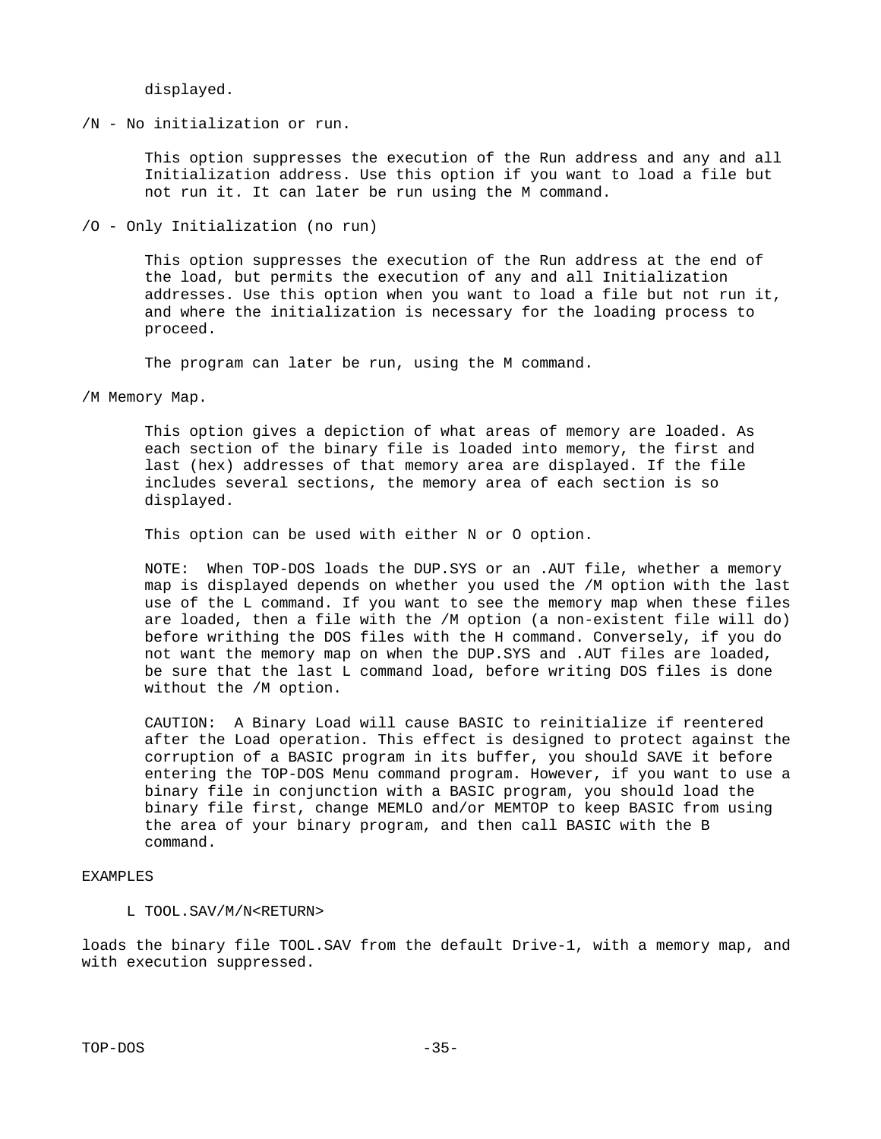displayed.

/N - No initialization or run.

 This option suppresses the execution of the Run address and any and all Initialization address. Use this option if you want to load a file but not run it. It can later be run using the M command.

/O - Only Initialization (no run)

 This option suppresses the execution of the Run address at the end of the load, but permits the execution of any and all Initialization addresses. Use this option when you want to load a file but not run it, and where the initialization is necessary for the loading process to proceed.

The program can later be run, using the M command.

/M Memory Map.

 This option gives a depiction of what areas of memory are loaded. As each section of the binary file is loaded into memory, the first and last (hex) addresses of that memory area are displayed. If the file includes several sections, the memory area of each section is so displayed.

This option can be used with either N or O option.

 NOTE: When TOP-DOS loads the DUP.SYS or an .AUT file, whether a memory map is displayed depends on whether you used the /M option with the last use of the L command. If you want to see the memory map when these files are loaded, then a file with the /M option (a non-existent file will do) before writhing the DOS files with the H command. Conversely, if you do not want the memory map on when the DUP.SYS and .AUT files are loaded, be sure that the last L command load, before writing DOS files is done without the /M option.

 CAUTION: A Binary Load will cause BASIC to reinitialize if reentered after the Load operation. This effect is designed to protect against the corruption of a BASIC program in its buffer, you should SAVE it before entering the TOP-DOS Menu command program. However, if you want to use a binary file in conjunction with a BASIC program, you should load the binary file first, change MEMLO and/or MEMTOP to keep BASIC from using the area of your binary program, and then call BASIC with the B command.

# EXAMPLES

# L TOOL.SAV/M/N<RETURN>

loads the binary file TOOL.SAV from the default Drive-1, with a memory map, and with execution suppressed.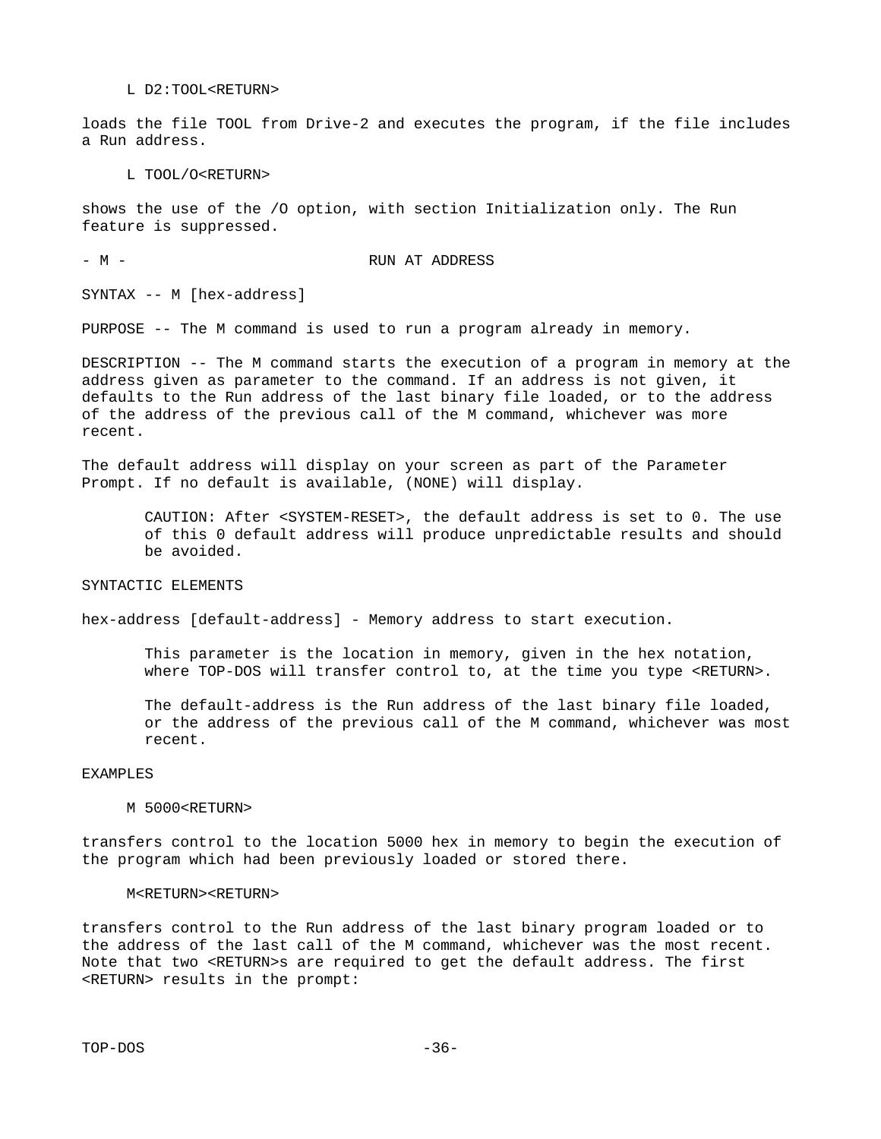L D2:TOOL<RETURN>

loads the file TOOL from Drive-2 and executes the program, if the file includes a Run address.

L TOOL/O<RETURN>

shows the use of the /O option, with section Initialization only. The Run feature is suppressed.

- M - RUN AT ADDRESS

SYNTAX -- M [hex-address]

PURPOSE -- The M command is used to run a program already in memory.

DESCRIPTION -- The M command starts the execution of a program in memory at the address given as parameter to the command. If an address is not given, it defaults to the Run address of the last binary file loaded, or to the address of the address of the previous call of the M command, whichever was more recent.

The default address will display on your screen as part of the Parameter Prompt. If no default is available, (NONE) will display.

 CAUTION: After <SYSTEM-RESET>, the default address is set to 0. The use of this 0 default address will produce unpredictable results and should be avoided.

# SYNTACTIC ELEMENTS

hex-address [default-address] - Memory address to start execution.

 This parameter is the location in memory, given in the hex notation, where TOP-DOS will transfer control to, at the time you type <RETURN>.

 The default-address is the Run address of the last binary file loaded, or the address of the previous call of the M command, whichever was most recent.

### EXAMPLES

#### M 5000<RETURN>

transfers control to the location 5000 hex in memory to begin the execution of the program which had been previously loaded or stored there.

#### M<RETURN><RETURN>

transfers control to the Run address of the last binary program loaded or to the address of the last call of the M command, whichever was the most recent. Note that two <RETURN>s are required to get the default address. The first <RETURN> results in the prompt: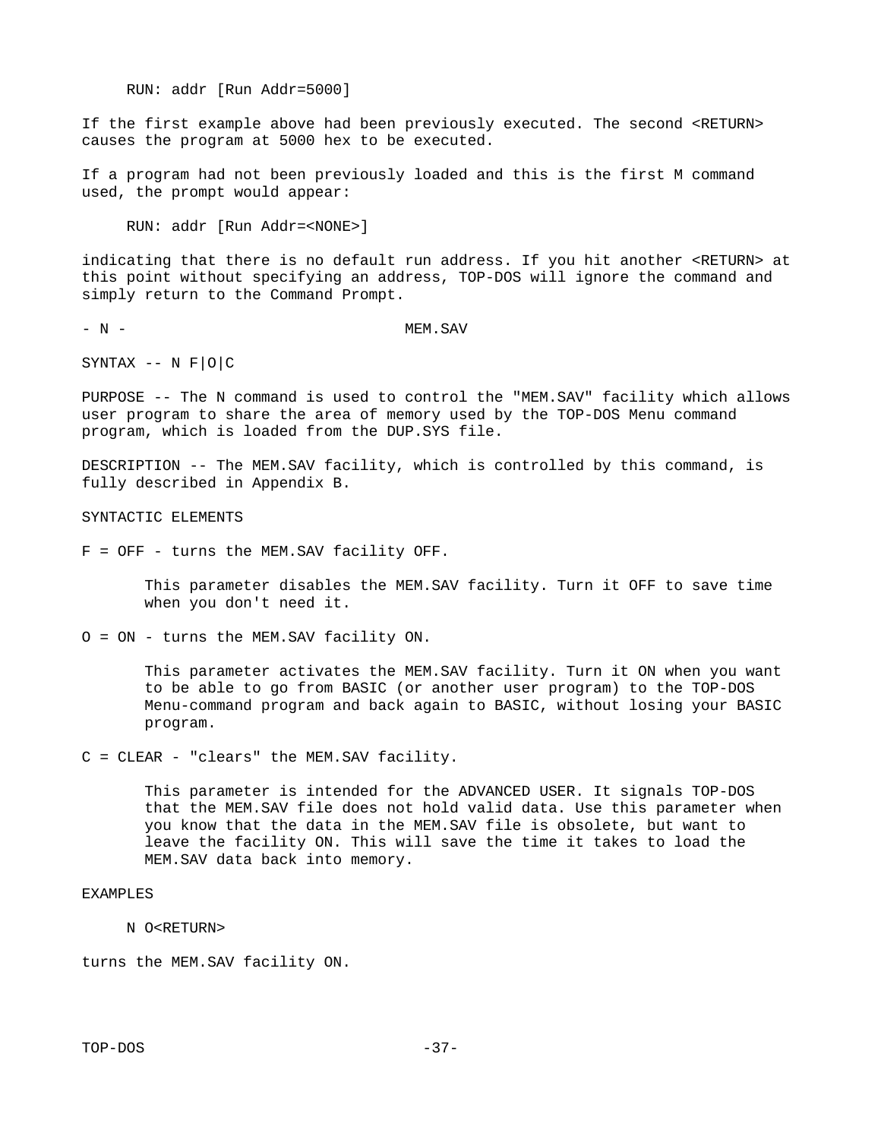RUN: addr [Run Addr=5000]

If the first example above had been previously executed. The second <RETURN> causes the program at 5000 hex to be executed.

If a program had not been previously loaded and this is the first M command used, the prompt would appear:

RUN: addr [Run Addr=<NONE>]

indicating that there is no default run address. If you hit another <RETURN> at this point without specifying an address, TOP-DOS will ignore the command and simply return to the Command Prompt.

- N - MEM.SAV

SYNTAX -- N F|O|C

PURPOSE -- The N command is used to control the "MEM.SAV" facility which allows user program to share the area of memory used by the TOP-DOS Menu command program, which is loaded from the DUP.SYS file.

DESCRIPTION -- The MEM.SAV facility, which is controlled by this command, is fully described in Appendix B.

SYNTACTIC ELEMENTS

F = OFF - turns the MEM.SAV facility OFF.

 This parameter disables the MEM.SAV facility. Turn it OFF to save time when you don't need it.

O = ON - turns the MEM.SAV facility ON.

 This parameter activates the MEM.SAV facility. Turn it ON when you want to be able to go from BASIC (or another user program) to the TOP-DOS Menu-command program and back again to BASIC, without losing your BASIC program.

C = CLEAR - "clears" the MEM.SAV facility.

 This parameter is intended for the ADVANCED USER. It signals TOP-DOS that the MEM.SAV file does not hold valid data. Use this parameter when you know that the data in the MEM.SAV file is obsolete, but want to leave the facility ON. This will save the time it takes to load the MEM.SAV data back into memory.

# EXAMPLES

N O<RETURN>

turns the MEM.SAV facility ON.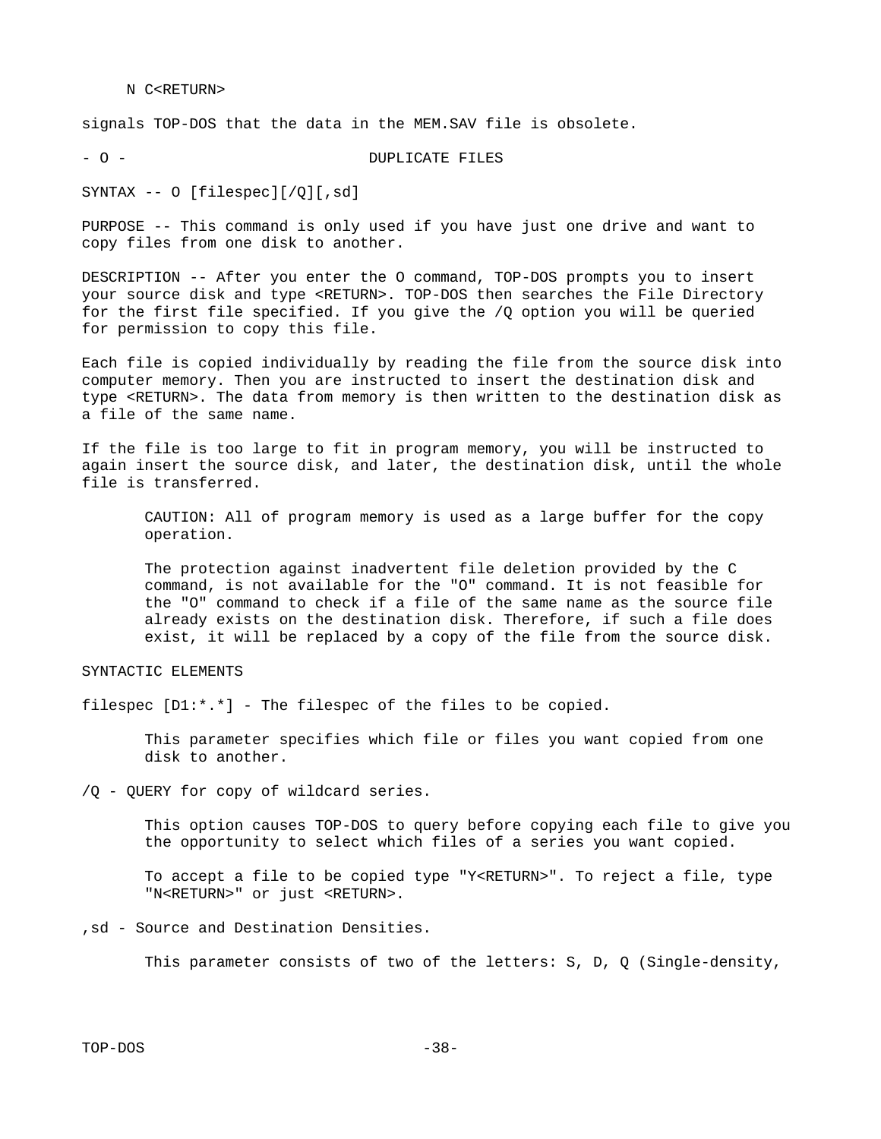#### N C<RETURN>

signals TOP-DOS that the data in the MEM.SAV file is obsolete.

- O - DUPLICATE FILES

SYNTAX -- O [filespec][/Q][,sd]

PURPOSE -- This command is only used if you have just one drive and want to copy files from one disk to another.

DESCRIPTION -- After you enter the O command, TOP-DOS prompts you to insert your source disk and type <RETURN>. TOP-DOS then searches the File Directory for the first file specified. If you give the /Q option you will be queried for permission to copy this file.

Each file is copied individually by reading the file from the source disk into computer memory. Then you are instructed to insert the destination disk and type <RETURN>. The data from memory is then written to the destination disk as a file of the same name.

If the file is too large to fit in program memory, you will be instructed to again insert the source disk, and later, the destination disk, until the whole file is transferred.

 CAUTION: All of program memory is used as a large buffer for the copy operation.

 The protection against inadvertent file deletion provided by the C command, is not available for the "O" command. It is not feasible for the "O" command to check if a file of the same name as the source file already exists on the destination disk. Therefore, if such a file does exist, it will be replaced by a copy of the file from the source disk.

SYNTACTIC ELEMENTS

filespec [D1:\*.\*] - The filespec of the files to be copied.

 This parameter specifies which file or files you want copied from one disk to another.

/Q - QUERY for copy of wildcard series.

 This option causes TOP-DOS to query before copying each file to give you the opportunity to select which files of a series you want copied.

 To accept a file to be copied type "Y<RETURN>". To reject a file, type "N<RETURN>" or just <RETURN>.

,sd - Source and Destination Densities.

This parameter consists of two of the letters: S, D, Q (Single-density,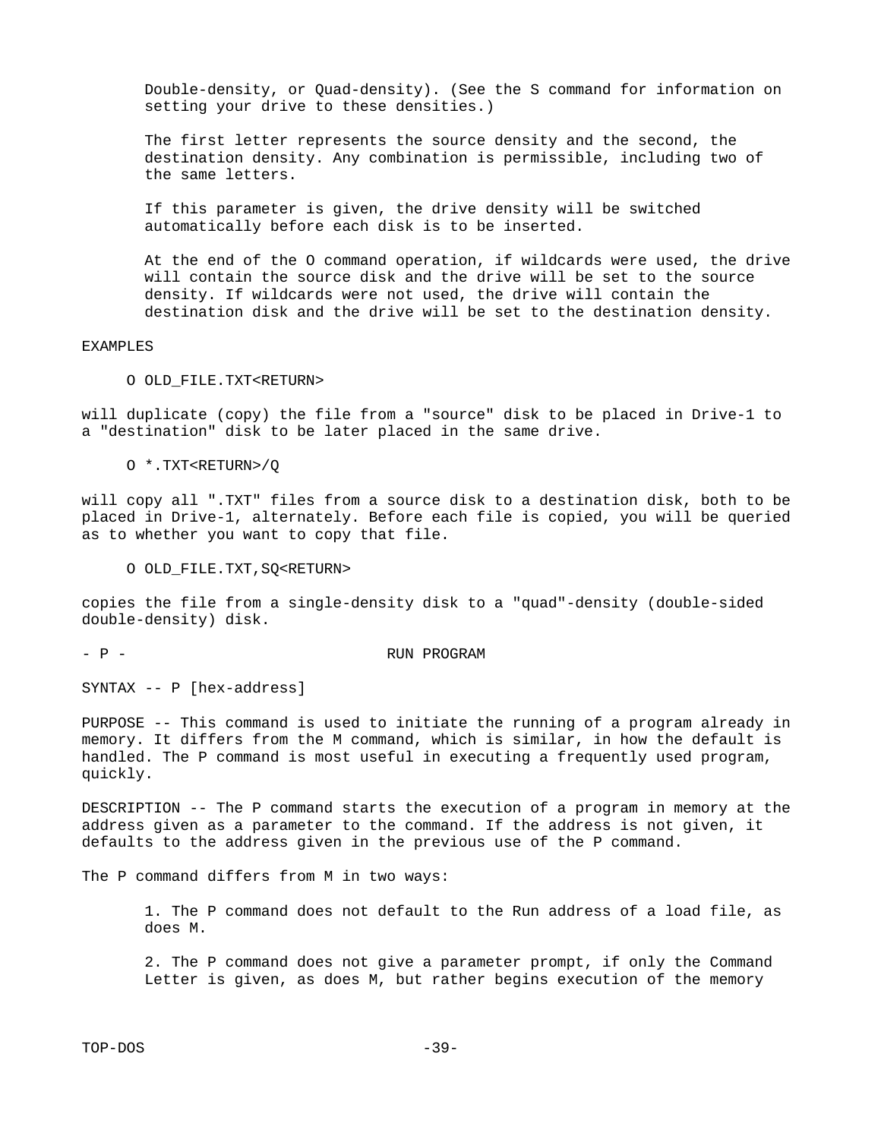Double-density, or Quad-density). (See the S command for information on setting your drive to these densities.)

 The first letter represents the source density and the second, the destination density. Any combination is permissible, including two of the same letters.

 If this parameter is given, the drive density will be switched automatically before each disk is to be inserted.

 At the end of the O command operation, if wildcards were used, the drive will contain the source disk and the drive will be set to the source density. If wildcards were not used, the drive will contain the destination disk and the drive will be set to the destination density.

#### EXAMPLES

O OLD\_FILE.TXT<RETURN>

will duplicate (copy) the file from a "source" disk to be placed in Drive-1 to a "destination" disk to be later placed in the same drive.

O \*.TXT<RETURN>/Q

will copy all ".TXT" files from a source disk to a destination disk, both to be placed in Drive-1, alternately. Before each file is copied, you will be queried as to whether you want to copy that file.

O OLD\_FILE.TXT,SQ<RETURN>

copies the file from a single-density disk to a "quad"-density (double-sided double-density) disk.

#### - P - RUN PROGRAM

SYNTAX -- P [hex-address]

PURPOSE -- This command is used to initiate the running of a program already in memory. It differs from the M command, which is similar, in how the default is handled. The P command is most useful in executing a frequently used program, quickly.

DESCRIPTION -- The P command starts the execution of a program in memory at the address given as a parameter to the command. If the address is not given, it defaults to the address given in the previous use of the P command.

The P command differs from M in two ways:

 1. The P command does not default to the Run address of a load file, as does M.

 2. The P command does not give a parameter prompt, if only the Command Letter is given, as does M, but rather begins execution of the memory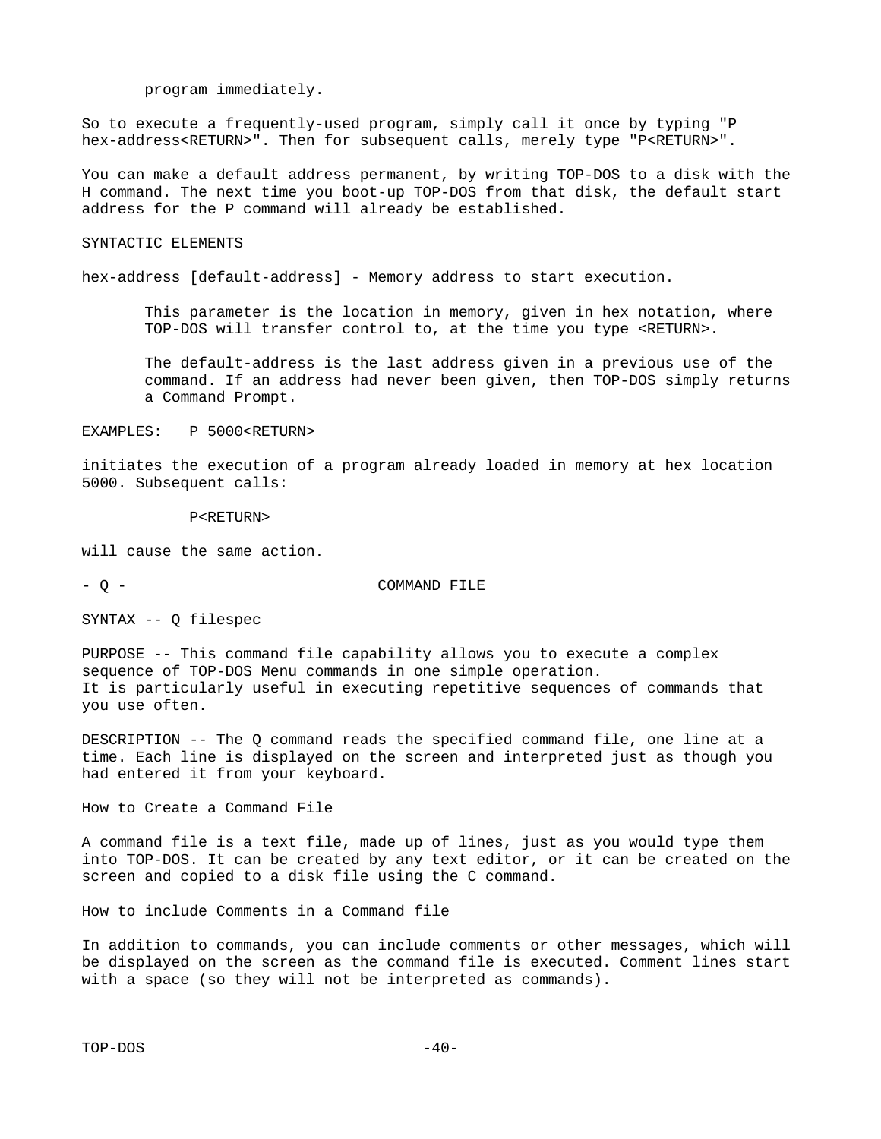program immediately.

So to execute a frequently-used program, simply call it once by typing "P hex-address<RETURN>". Then for subsequent calls, merely type "P<RETURN>".

You can make a default address permanent, by writing TOP-DOS to a disk with the H command. The next time you boot-up TOP-DOS from that disk, the default start address for the P command will already be established.

SYNTACTIC ELEMENTS

hex-address [default-address] - Memory address to start execution.

 This parameter is the location in memory, given in hex notation, where TOP-DOS will transfer control to, at the time you type <RETURN>.

 The default-address is the last address given in a previous use of the command. If an address had never been given, then TOP-DOS simply returns a Command Prompt.

EXAMPLES: P 5000<RETURN>

initiates the execution of a program already loaded in memory at hex location 5000. Subsequent calls:

P<RETURN>

will cause the same action.

- Q - COMMAND FILE

SYNTAX -- Q filespec

PURPOSE -- This command file capability allows you to execute a complex sequence of TOP-DOS Menu commands in one simple operation. It is particularly useful in executing repetitive sequences of commands that you use often.

DESCRIPTION -- The Q command reads the specified command file, one line at a time. Each line is displayed on the screen and interpreted just as though you had entered it from your keyboard.

How to Create a Command File

A command file is a text file, made up of lines, just as you would type them into TOP-DOS. It can be created by any text editor, or it can be created on the screen and copied to a disk file using the C command.

How to include Comments in a Command file

In addition to commands, you can include comments or other messages, which will be displayed on the screen as the command file is executed. Comment lines start with a space (so they will not be interpreted as commands).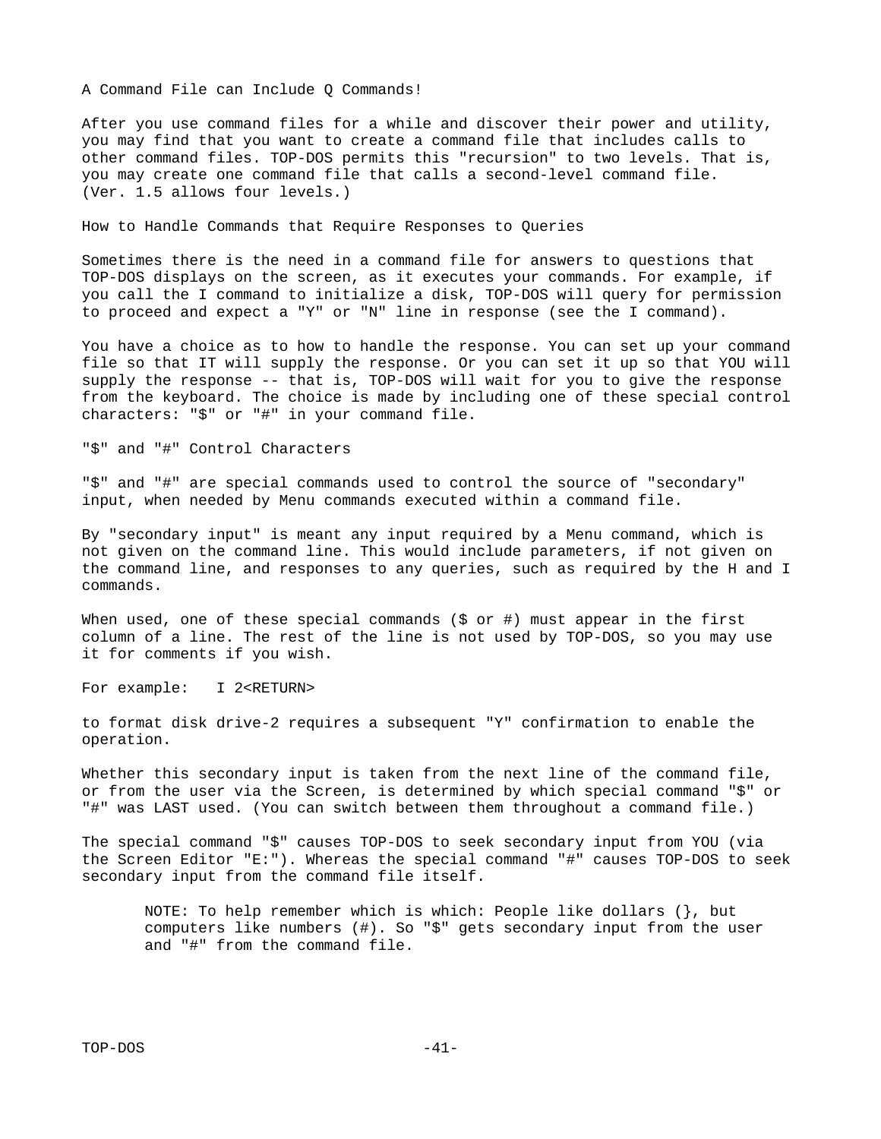A Command File can Include Q Commands!

After you use command files for a while and discover their power and utility, you may find that you want to create a command file that includes calls to other command files. TOP-DOS permits this "recursion" to two levels. That is, you may create one command file that calls a second-level command file. (Ver. 1.5 allows four levels.)

How to Handle Commands that Require Responses to Queries

Sometimes there is the need in a command file for answers to questions that TOP-DOS displays on the screen, as it executes your commands. For example, if you call the I command to initialize a disk, TOP-DOS will query for permission to proceed and expect a "Y" or "N" line in response (see the I command).

You have a choice as to how to handle the response. You can set up your command file so that IT will supply the response. Or you can set it up so that YOU will supply the response -- that is, TOP-DOS will wait for you to give the response from the keyboard. The choice is made by including one of these special control characters: "\$" or "#" in your command file.

"\$" and "#" Control Characters

"\$" and "#" are special commands used to control the source of "secondary" input, when needed by Menu commands executed within a command file.

By "secondary input" is meant any input required by a Menu command, which is not given on the command line. This would include parameters, if not given on the command line, and responses to any queries, such as required by the H and I commands.

When used, one of these special commands  $(\$$  or  $\#$ ) must appear in the first column of a line. The rest of the line is not used by TOP-DOS, so you may use it for comments if you wish.

For example: I 2<RETURN>

to format disk drive-2 requires a subsequent "Y" confirmation to enable the operation.

Whether this secondary input is taken from the next line of the command file, or from the user via the Screen, is determined by which special command "\$" or "#" was LAST used. (You can switch between them throughout a command file.)

The special command "\$" causes TOP-DOS to seek secondary input from YOU (via the Screen Editor "E:"). Whereas the special command "#" causes TOP-DOS to seek secondary input from the command file itself.

 NOTE: To help remember which is which: People like dollars (}, but computers like numbers  $(\#)$ . So "\$" gets secondary input from the user and "#" from the command file.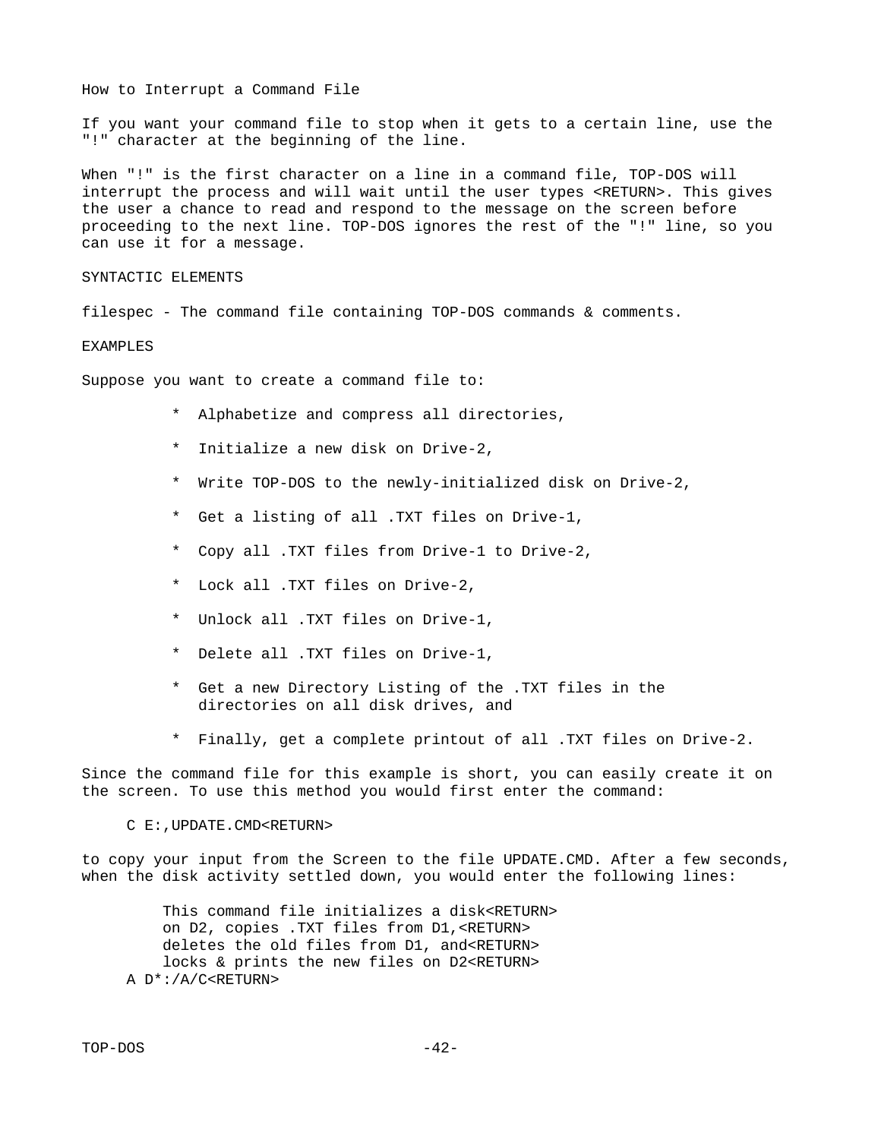How to Interrupt a Command File

If you want your command file to stop when it gets to a certain line, use the "!" character at the beginning of the line.

When "!" is the first character on a line in a command file, TOP-DOS will interrupt the process and will wait until the user types <RETURN>. This gives the user a chance to read and respond to the message on the screen before proceeding to the next line. TOP-DOS ignores the rest of the "!" line, so you can use it for a message.

SYNTACTIC ELEMENTS

filespec - The command file containing TOP-DOS commands & comments.

EXAMPLES

Suppose you want to create a command file to:

- \* Alphabetize and compress all directories,
- \* Initialize a new disk on Drive-2,
- \* Write TOP-DOS to the newly-initialized disk on Drive-2,
- \* Get a listing of all .TXT files on Drive-1,
- \* Copy all .TXT files from Drive-1 to Drive-2,
- \* Lock all .TXT files on Drive-2,
- \* Unlock all .TXT files on Drive-1,
- \* Delete all .TXT files on Drive-1,
- \* Get a new Directory Listing of the .TXT files in the directories on all disk drives, and
- Finally, get a complete printout of all .TXT files on Drive-2.

Since the command file for this example is short, you can easily create it on the screen. To use this method you would first enter the command:

C E:,UPDATE.CMD<RETURN>

to copy your input from the Screen to the file UPDATE.CMD. After a few seconds, when the disk activity settled down, you would enter the following lines:

 This command file initializes a disk<RETURN> on D2, copies .TXT files from D1,<RETURN> deletes the old files from D1, and<RETURN> locks & prints the new files on D2<RETURN> A D\*:/A/C<RETURN>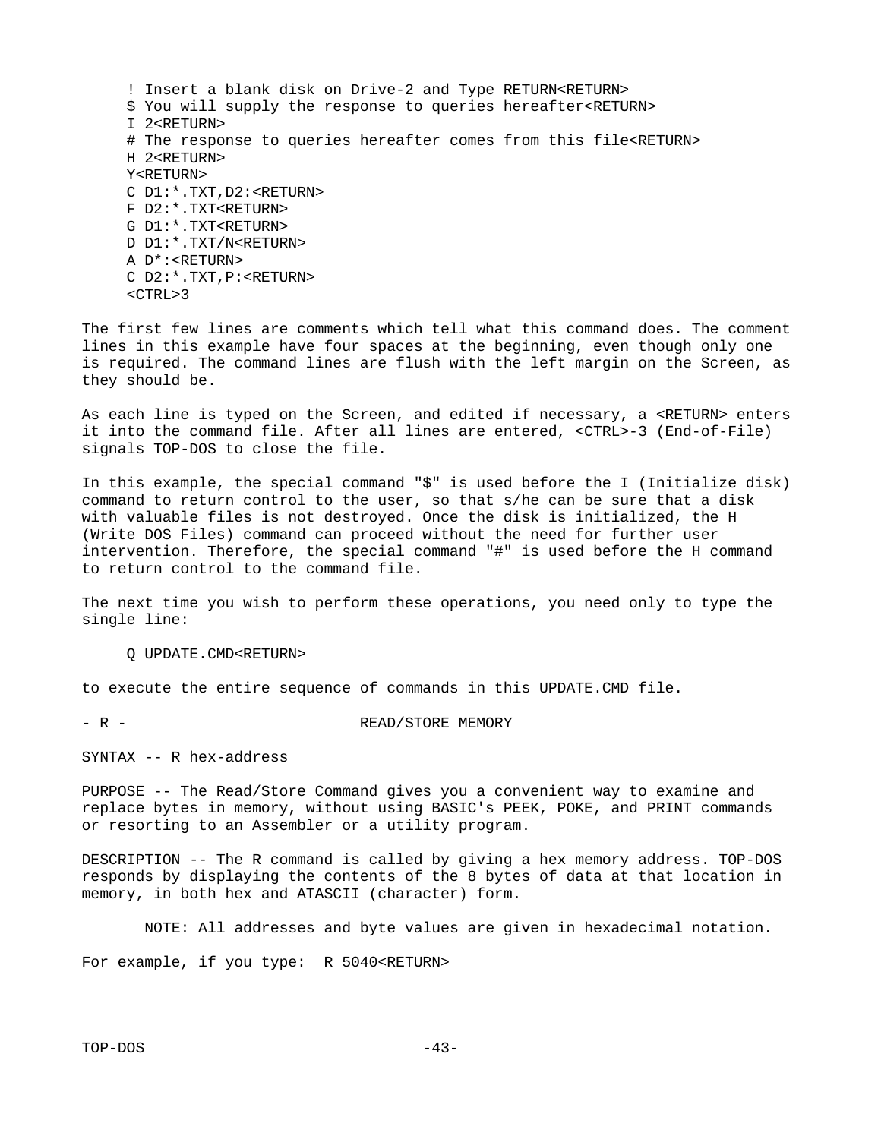! Insert a blank disk on Drive-2 and Type RETURN<RETURN> \$ You will supply the response to queries hereafter<RETURN> I 2<RETURN> # The response to queries hereafter comes from this file<RETURN> H 2<RETURN> Y<RETURN> C D1:\*.TXT,D2:<RETURN> F D2:\*.TXT<RETURN> G D1:\*.TXT<RETURN> D D1:\*.TXT/N<RETURN> A D\*:<RETURN> C D2:\*.TXT,P:<RETURN>  $<$ CTRL $>3$ 

The first few lines are comments which tell what this command does. The comment lines in this example have four spaces at the beginning, even though only one is required. The command lines are flush with the left margin on the Screen, as they should be.

As each line is typed on the Screen, and edited if necessary, a <RETURN> enters it into the command file. After all lines are entered, <CTRL>-3 (End-of-File) signals TOP-DOS to close the file.

In this example, the special command "\$" is used before the I (Initialize disk) command to return control to the user, so that s/he can be sure that a disk with valuable files is not destroyed. Once the disk is initialized, the H (Write DOS Files) command can proceed without the need for further user intervention. Therefore, the special command "#" is used before the H command to return control to the command file.

The next time you wish to perform these operations, you need only to type the single line:

Q UPDATE.CMD<RETURN>

to execute the entire sequence of commands in this UPDATE.CMD file.

- R - R - R - R - READ/STORE MEMORY

SYNTAX -- R hex-address

PURPOSE -- The Read/Store Command gives you a convenient way to examine and replace bytes in memory, without using BASIC's PEEK, POKE, and PRINT commands or resorting to an Assembler or a utility program.

DESCRIPTION -- The R command is called by giving a hex memory address. TOP-DOS responds by displaying the contents of the 8 bytes of data at that location in memory, in both hex and ATASCII (character) form.

NOTE: All addresses and byte values are given in hexadecimal notation.

For example, if you type: R 5040<RETURN>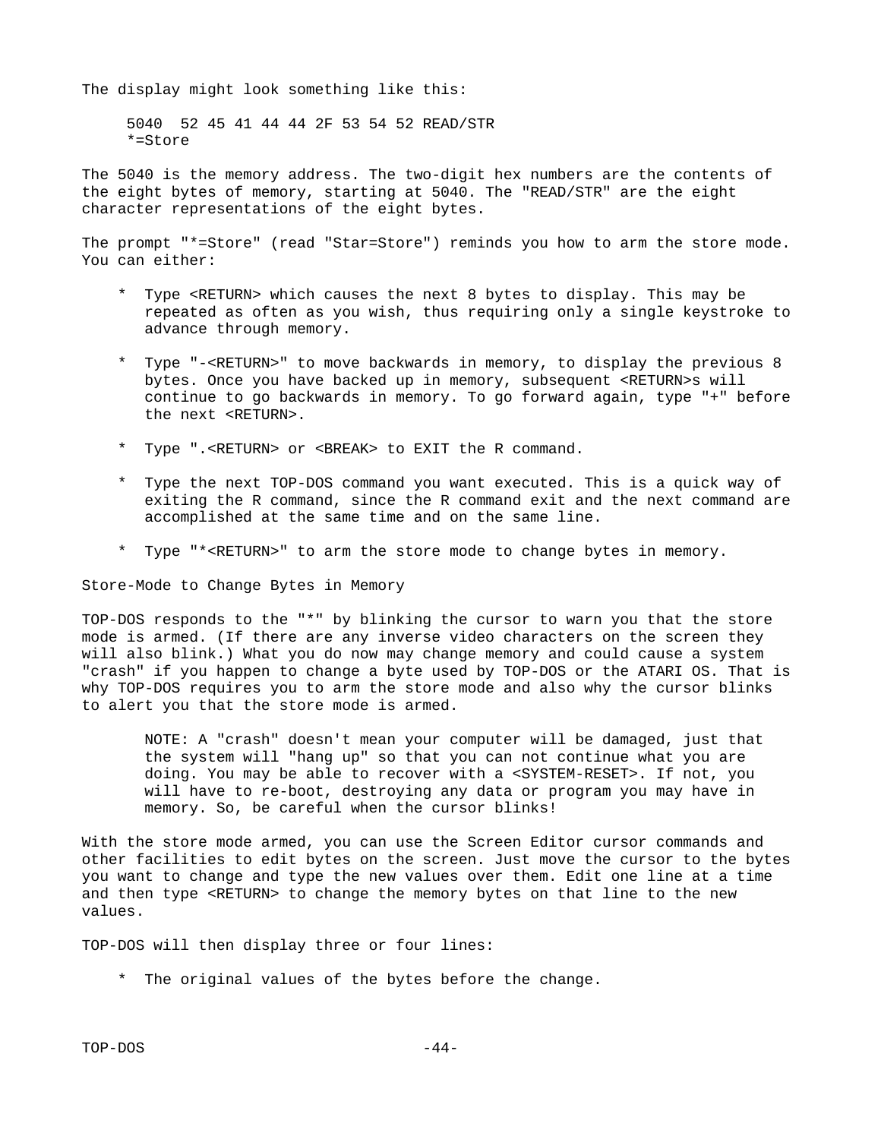The display might look something like this:

 5040 52 45 41 44 44 2F 53 54 52 READ/STR \*=Store

The 5040 is the memory address. The two-digit hex numbers are the contents of the eight bytes of memory, starting at 5040. The "READ/STR" are the eight character representations of the eight bytes.

The prompt "\*=Store" (read "Star=Store") reminds you how to arm the store mode. You can either:

- \* Type <RETURN> which causes the next 8 bytes to display. This may be repeated as often as you wish, thus requiring only a single keystroke to advance through memory.
- \* Type "-<RETURN>" to move backwards in memory, to display the previous 8 bytes. Once you have backed up in memory, subsequent <RETURN>s will continue to go backwards in memory. To go forward again, type "+" before the next <RETURN>.
- \* Type ".<RETURN> or <BREAK> to EXIT the R command.
- \* Type the next TOP-DOS command you want executed. This is a quick way of exiting the R command, since the R command exit and the next command are accomplished at the same time and on the same line.
- \* Type "\*<RETURN>" to arm the store mode to change bytes in memory.

Store-Mode to Change Bytes in Memory

TOP-DOS responds to the "\*" by blinking the cursor to warn you that the store mode is armed. (If there are any inverse video characters on the screen they will also blink.) What you do now may change memory and could cause a system "crash" if you happen to change a byte used by TOP-DOS or the ATARI OS. That is why TOP-DOS requires you to arm the store mode and also why the cursor blinks to alert you that the store mode is armed.

 NOTE: A "crash" doesn't mean your computer will be damaged, just that the system will "hang up" so that you can not continue what you are doing. You may be able to recover with a <SYSTEM-RESET>. If not, you will have to re-boot, destroying any data or program you may have in memory. So, be careful when the cursor blinks!

With the store mode armed, you can use the Screen Editor cursor commands and other facilities to edit bytes on the screen. Just move the cursor to the bytes you want to change and type the new values over them. Edit one line at a time and then type <RETURN> to change the memory bytes on that line to the new values.

TOP-DOS will then display three or four lines:

\* The original values of the bytes before the change.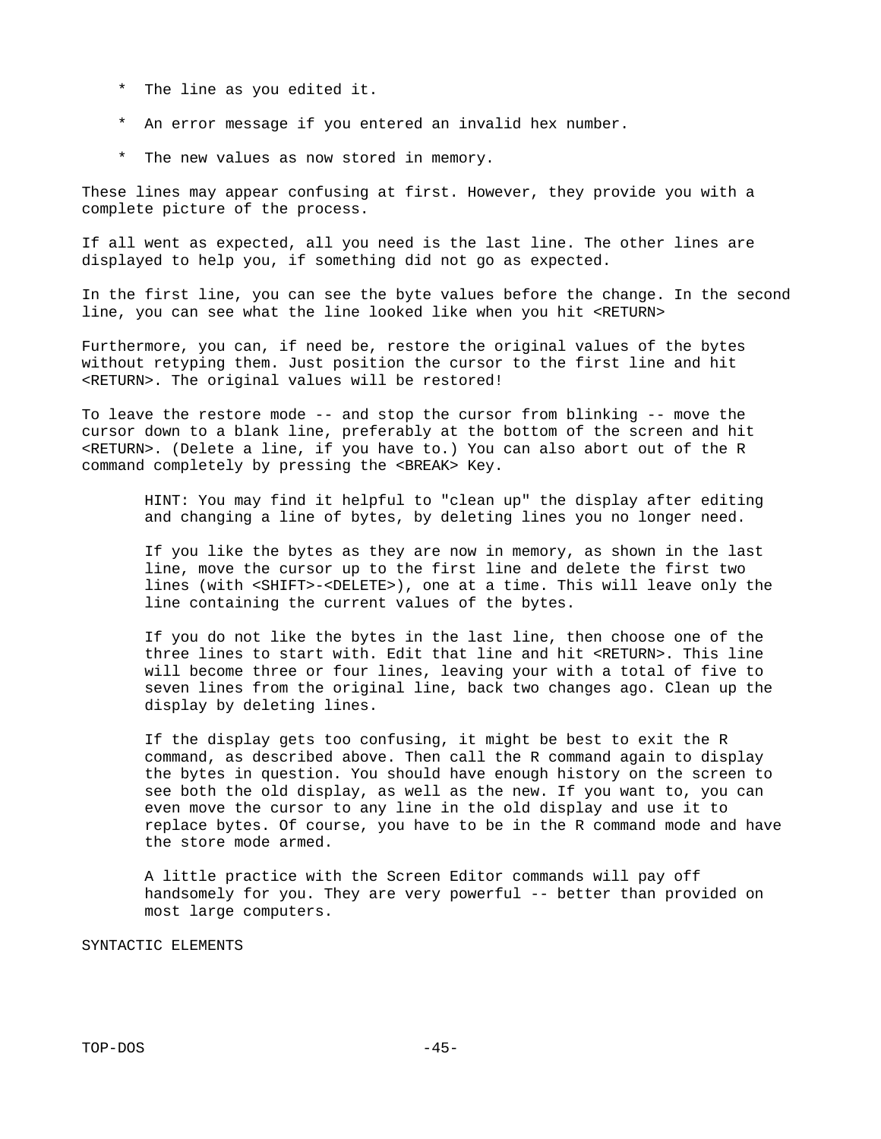- \* The line as you edited it.
- \* An error message if you entered an invalid hex number.
- \* The new values as now stored in memory.

These lines may appear confusing at first. However, they provide you with a complete picture of the process.

If all went as expected, all you need is the last line. The other lines are displayed to help you, if something did not go as expected.

In the first line, you can see the byte values before the change. In the second line, you can see what the line looked like when you hit <RETURN>

Furthermore, you can, if need be, restore the original values of the bytes without retyping them. Just position the cursor to the first line and hit <RETURN>. The original values will be restored!

To leave the restore mode -- and stop the cursor from blinking -- move the cursor down to a blank line, preferably at the bottom of the screen and hit <RETURN>. (Delete a line, if you have to.) You can also abort out of the R command completely by pressing the <BREAK> Key.

 HINT: You may find it helpful to "clean up" the display after editing and changing a line of bytes, by deleting lines you no longer need.

 If you like the bytes as they are now in memory, as shown in the last line, move the cursor up to the first line and delete the first two lines (with <SHIFT>-<DELETE>), one at a time. This will leave only the line containing the current values of the bytes.

 If you do not like the bytes in the last line, then choose one of the three lines to start with. Edit that line and hit <RETURN>. This line will become three or four lines, leaving your with a total of five to seven lines from the original line, back two changes ago. Clean up the display by deleting lines.

 If the display gets too confusing, it might be best to exit the R command, as described above. Then call the R command again to display the bytes in question. You should have enough history on the screen to see both the old display, as well as the new. If you want to, you can even move the cursor to any line in the old display and use it to replace bytes. Of course, you have to be in the R command mode and have the store mode armed.

 A little practice with the Screen Editor commands will pay off handsomely for you. They are very powerful -- better than provided on most large computers.

SYNTACTIC ELEMENTS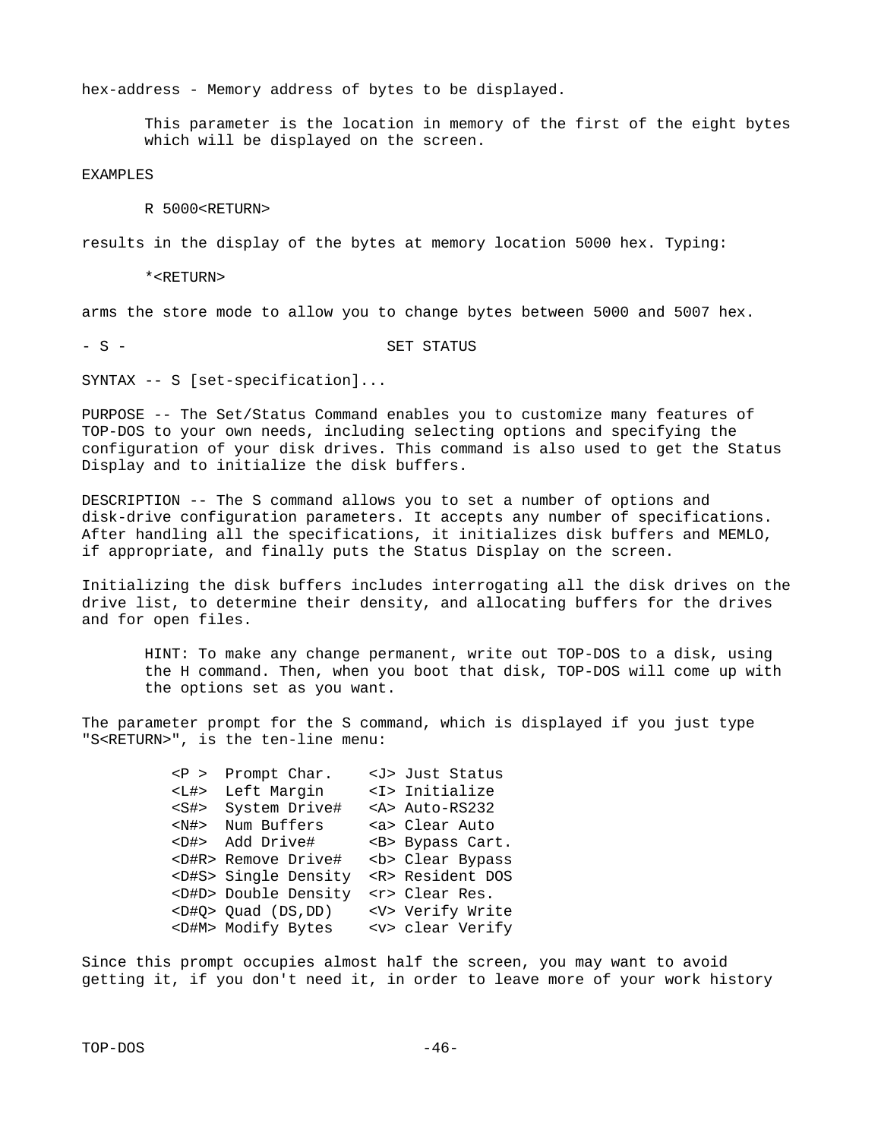hex-address - Memory address of bytes to be displayed.

 This parameter is the location in memory of the first of the eight bytes which will be displayed on the screen.

EXAMPLES

R 5000<RETURN>

results in the display of the bytes at memory location 5000 hex. Typing:

\*<RETURN>

arms the store mode to allow you to change bytes between 5000 and 5007 hex.

- S - S - SET STATUS

SYNTAX -- S [set-specification]...

PURPOSE -- The Set/Status Command enables you to customize many features of TOP-DOS to your own needs, including selecting options and specifying the configuration of your disk drives. This command is also used to get the Status Display and to initialize the disk buffers.

DESCRIPTION -- The S command allows you to set a number of options and disk-drive configuration parameters. It accepts any number of specifications. After handling all the specifications, it initializes disk buffers and MEMLO, if appropriate, and finally puts the Status Display on the screen.

Initializing the disk buffers includes interrogating all the disk drives on the drive list, to determine their density, and allocating buffers for the drives and for open files.

 HINT: To make any change permanent, write out TOP-DOS to a disk, using the H command. Then, when you boot that disk, TOP-DOS will come up with the options set as you want.

The parameter prompt for the S command, which is displayed if you just type "S<RETURN>", is the ten-line menu:

|  | $< P$ > Prompt Char.       | <j> Just Status</j>  |
|--|----------------------------|----------------------|
|  | <l#> Left Margin</l#>      | <i> Initialize</i>   |
|  | <s#> System Drive#</s#>    | <a> Auto-RS232</a>   |
|  | <n#> Num Buffers</n#>      | <a> Clear Auto</a>   |
|  | <d#> Add Drive#</d#>       | <b> Bypass Cart.</b> |
|  | <d#r> Remove Drive#</d#r>  | <b> Clear Bypass</b> |
|  | <d#s> Single Density</d#s> | <r> Resident DOS</r> |
|  | <d#d> Double Density</d#d> | <r> Clear Res.</r>   |
|  | $<$ D#Q> Quad (DS,DD)      | <v> Verify Write</v> |
|  | <d#m> Modify Bytes</d#m>   | <v> clear Verify</v> |
|  |                            |                      |

Since this prompt occupies almost half the screen, you may want to avoid getting it, if you don't need it, in order to leave more of your work history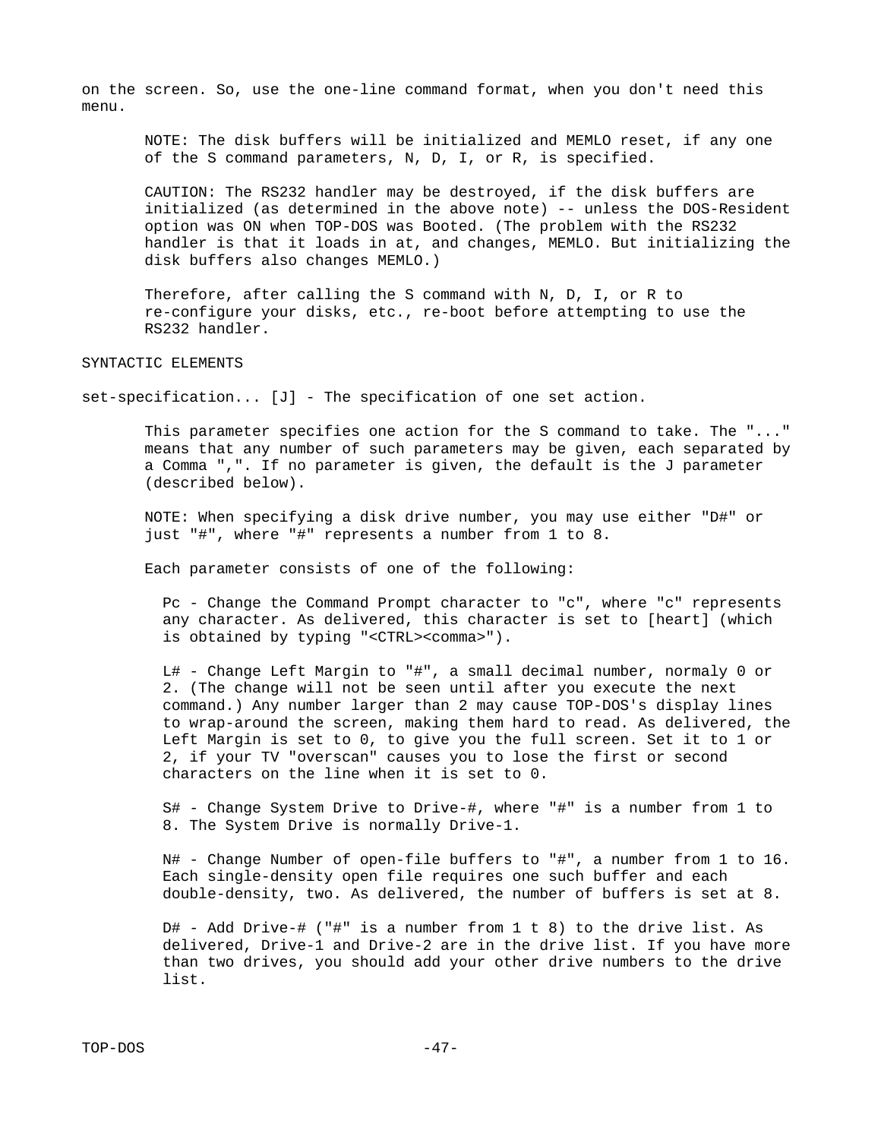on the screen. So, use the one-line command format, when you don't need this menu.

 NOTE: The disk buffers will be initialized and MEMLO reset, if any one of the S command parameters, N, D, I, or R, is specified.

 CAUTION: The RS232 handler may be destroyed, if the disk buffers are initialized (as determined in the above note) -- unless the DOS-Resident option was ON when TOP-DOS was Booted. (The problem with the RS232 handler is that it loads in at, and changes, MEMLO. But initializing the disk buffers also changes MEMLO.)

 Therefore, after calling the S command with N, D, I, or R to re-configure your disks, etc., re-boot before attempting to use the RS232 handler.

### SYNTACTIC ELEMENTS

set-specification... [J] - The specification of one set action.

 This parameter specifies one action for the S command to take. The "..." means that any number of such parameters may be given, each separated by a Comma ",". If no parameter is given, the default is the J parameter (described below).

 NOTE: When specifying a disk drive number, you may use either "D#" or just "#", where "#" represents a number from 1 to 8.

Each parameter consists of one of the following:

 Pc - Change the Command Prompt character to "c", where "c" represents any character. As delivered, this character is set to [heart] (which is obtained by typing "<CTRL><comma>").

 L# - Change Left Margin to "#", a small decimal number, normaly 0 or 2. (The change will not be seen until after you execute the next command.) Any number larger than 2 may cause TOP-DOS's display lines to wrap-around the screen, making them hard to read. As delivered, the Left Margin is set to 0, to give you the full screen. Set it to 1 or 2, if your TV "overscan" causes you to lose the first or second characters on the line when it is set to 0.

 S# - Change System Drive to Drive-#, where "#" is a number from 1 to 8. The System Drive is normally Drive-1.

 $N#$  - Change Number of open-file buffers to "#", a number from 1 to 16. Each single-density open file requires one such buffer and each double-density, two. As delivered, the number of buffers is set at 8.

D# - Add Drive-# ("#" is a number from 1 t 8) to the drive list. As delivered, Drive-1 and Drive-2 are in the drive list. If you have more than two drives, you should add your other drive numbers to the drive list.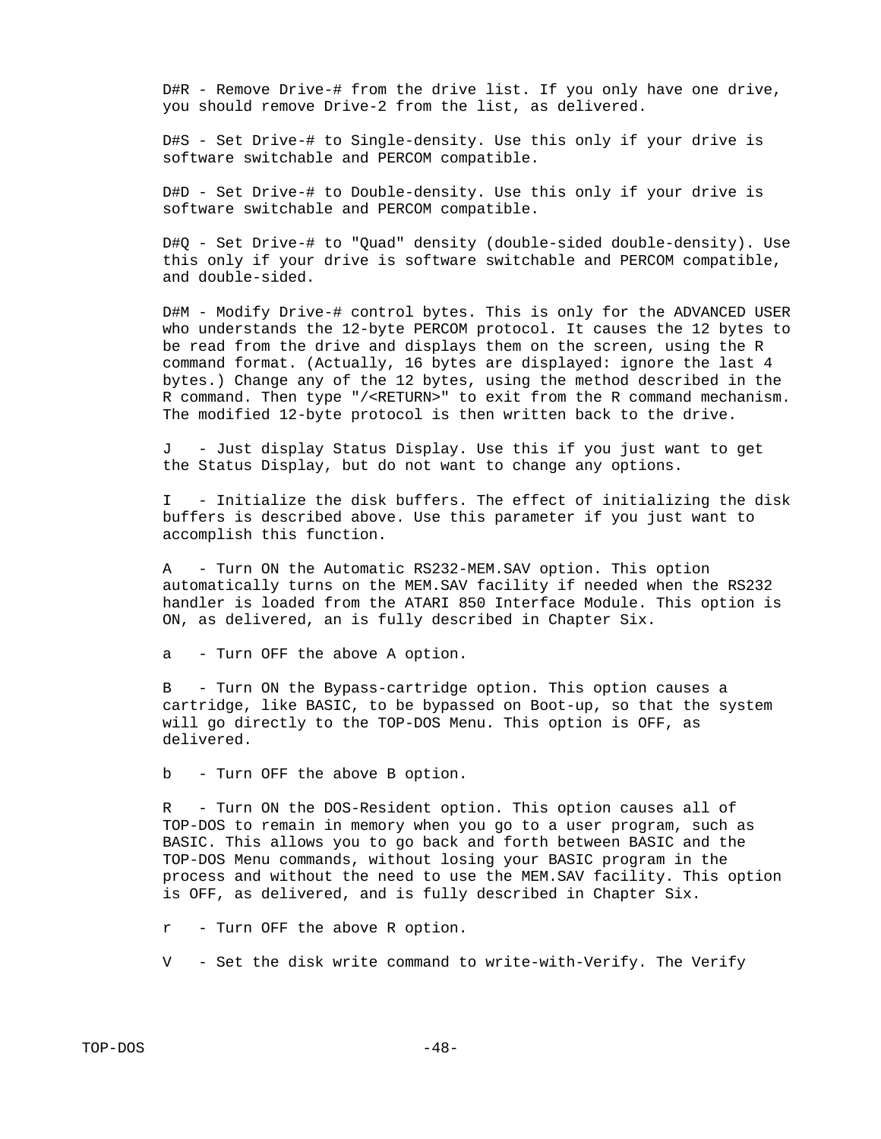$D\#R$  - Remove Drive-# from the drive list. If you only have one drive, you should remove Drive-2 from the list, as delivered.

 D#S - Set Drive-# to Single-density. Use this only if your drive is software switchable and PERCOM compatible.

 D#D - Set Drive-# to Double-density. Use this only if your drive is software switchable and PERCOM compatible.

 D#Q - Set Drive-# to "Quad" density (double-sided double-density). Use this only if your drive is software switchable and PERCOM compatible, and double-sided.

 D#M - Modify Drive-# control bytes. This is only for the ADVANCED USER who understands the 12-byte PERCOM protocol. It causes the 12 bytes to be read from the drive and displays them on the screen, using the R command format. (Actually, 16 bytes are displayed: ignore the last 4 bytes.) Change any of the 12 bytes, using the method described in the R command. Then type "/<RETURN>" to exit from the R command mechanism. The modified 12-byte protocol is then written back to the drive.

 J - Just display Status Display. Use this if you just want to get the Status Display, but do not want to change any options.

 I - Initialize the disk buffers. The effect of initializing the disk buffers is described above. Use this parameter if you just want to accomplish this function.

 A - Turn ON the Automatic RS232-MEM.SAV option. This option automatically turns on the MEM.SAV facility if needed when the RS232 handler is loaded from the ATARI 850 Interface Module. This option is ON, as delivered, an is fully described in Chapter Six.

a - Turn OFF the above A option.

 B - Turn ON the Bypass-cartridge option. This option causes a cartridge, like BASIC, to be bypassed on Boot-up, so that the system will go directly to the TOP-DOS Menu. This option is OFF, as delivered.

b - Turn OFF the above B option.

- Turn ON the DOS-Resident option. This option causes all of TOP-DOS to remain in memory when you go to a user program, such as BASIC. This allows you to go back and forth between BASIC and the TOP-DOS Menu commands, without losing your BASIC program in the process and without the need to use the MEM.SAV facility. This option is OFF, as delivered, and is fully described in Chapter Six.

r - Turn OFF the above R option.

V - Set the disk write command to write-with-Verify. The Verify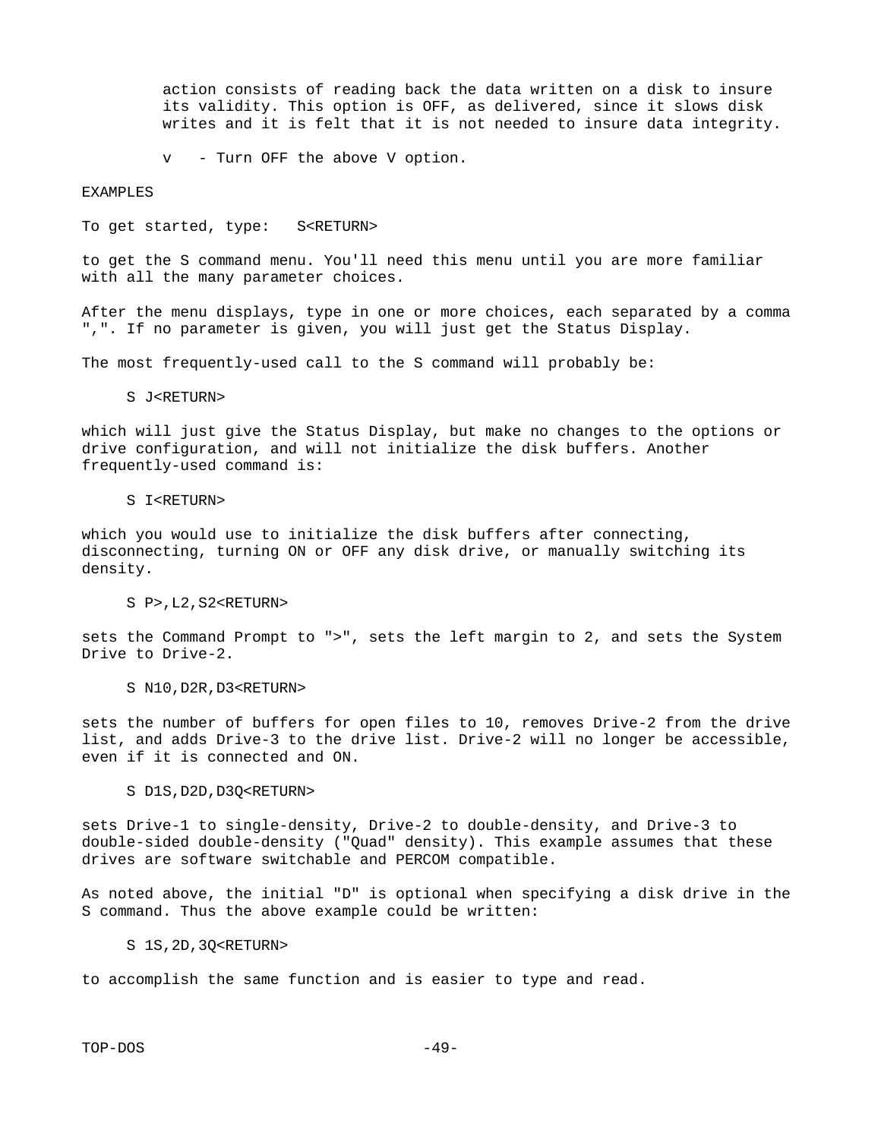action consists of reading back the data written on a disk to insure its validity. This option is OFF, as delivered, since it slows disk writes and it is felt that it is not needed to insure data integrity.

v - Turn OFF the above V option.

### EXAMPLES

To get started, type: S<RETURN>

to get the S command menu. You'll need this menu until you are more familiar with all the many parameter choices.

After the menu displays, type in one or more choices, each separated by a comma ",". If no parameter is given, you will just get the Status Display.

The most frequently-used call to the S command will probably be:

S J<RETURN>

which will just give the Status Display, but make no changes to the options or drive configuration, and will not initialize the disk buffers. Another frequently-used command is:

#### S I<RETURN>

which you would use to initialize the disk buffers after connecting, disconnecting, turning ON or OFF any disk drive, or manually switching its density.

S P>,L2,S2<RETURN>

sets the Command Prompt to ">", sets the left margin to 2, and sets the System Drive to Drive-2.

S N10,D2R,D3<RETURN>

sets the number of buffers for open files to 10, removes Drive-2 from the drive list, and adds Drive-3 to the drive list. Drive-2 will no longer be accessible, even if it is connected and ON.

S D1S, D2D, D3Q<RETURN>

sets Drive-1 to single-density, Drive-2 to double-density, and Drive-3 to double-sided double-density ("Quad" density). This example assumes that these drives are software switchable and PERCOM compatible.

As noted above, the initial "D" is optional when specifying a disk drive in the S command. Thus the above example could be written:

S 1S,2D,3Q<RETURN>

to accomplish the same function and is easier to type and read.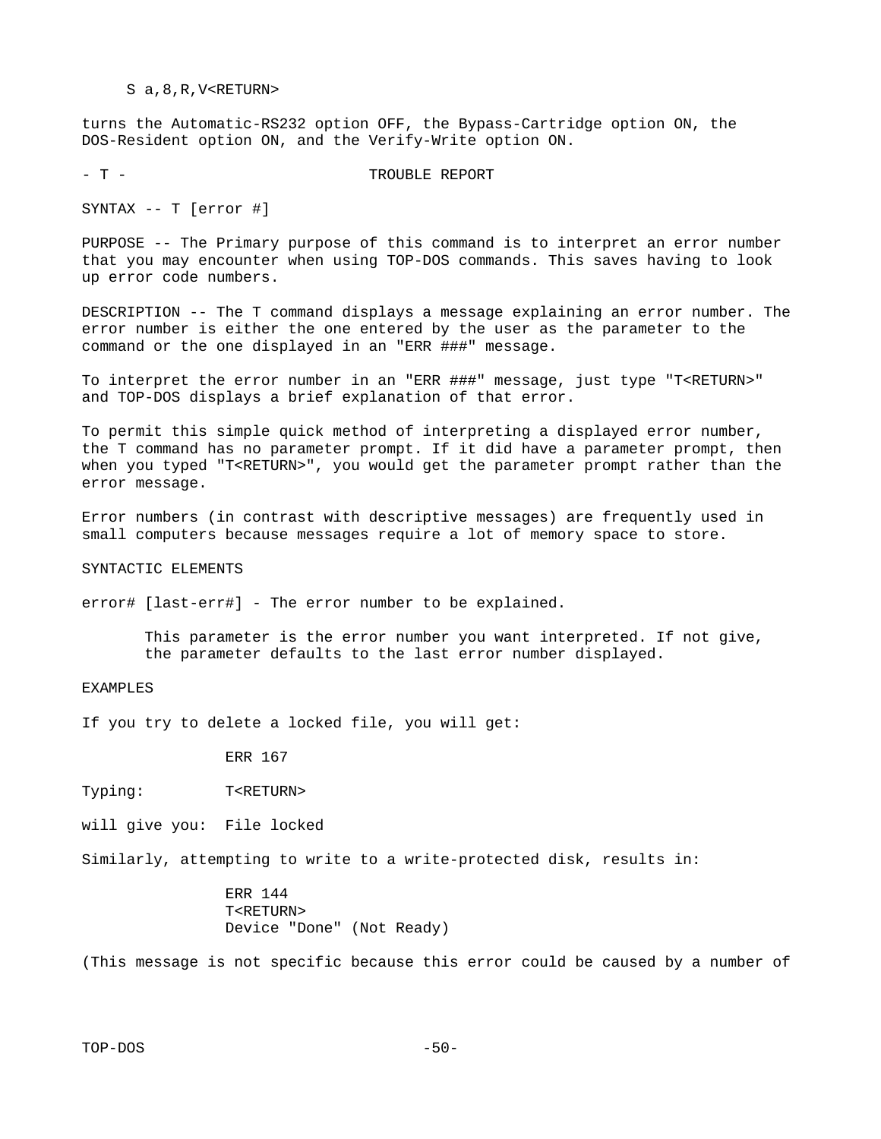#### S a,8,R,V<RETURN>

turns the Automatic-RS232 option OFF, the Bypass-Cartridge option ON, the DOS-Resident option ON, and the Verify-Write option ON.

- T - T - TROUBLE REPORT

SYNTAX -- T [error #]

PURPOSE -- The Primary purpose of this command is to interpret an error number that you may encounter when using TOP-DOS commands. This saves having to look up error code numbers.

DESCRIPTION -- The T command displays a message explaining an error number. The error number is either the one entered by the user as the parameter to the command or the one displayed in an "ERR ###" message.

To interpret the error number in an "ERR ###" message, just type "T<RETURN>" and TOP-DOS displays a brief explanation of that error.

To permit this simple quick method of interpreting a displayed error number, the T command has no parameter prompt. If it did have a parameter prompt, then when you typed "T<RETURN>", you would get the parameter prompt rather than the error message.

Error numbers (in contrast with descriptive messages) are frequently used in small computers because messages require a lot of memory space to store.

SYNTACTIC ELEMENTS

error# [last-err#] - The error number to be explained.

 This parameter is the error number you want interpreted. If not give, the parameter defaults to the last error number displayed.

EXAMPLES

If you try to delete a locked file, you will get:

ERR 167

Typing: T<RETURN>

will give you: File locked

Similarly, attempting to write to a write-protected disk, results in:

 ERR 144 T<RETURN> Device "Done" (Not Ready)

(This message is not specific because this error could be caused by a number of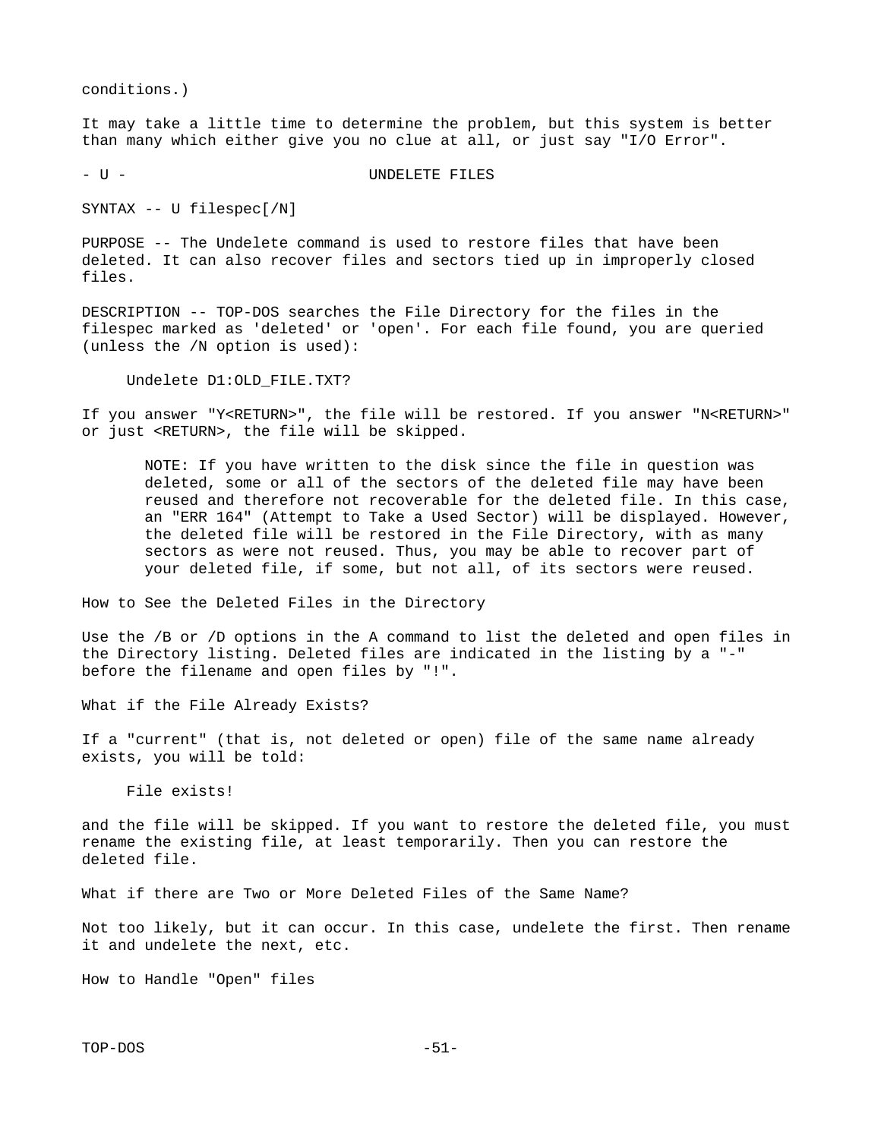conditions.)

It may take a little time to determine the problem, but this system is better than many which either give you no clue at all, or just say "I/O Error".

- U - UNDELETE FILES

SYNTAX -- U filespec[/N]

PURPOSE -- The Undelete command is used to restore files that have been deleted. It can also recover files and sectors tied up in improperly closed files.

DESCRIPTION -- TOP-DOS searches the File Directory for the files in the filespec marked as 'deleted' or 'open'. For each file found, you are queried (unless the /N option is used):

Undelete D1:OLD\_FILE.TXT?

If you answer "Y<RETURN>", the file will be restored. If you answer "N<RETURN>" or just <RETURN>, the file will be skipped.

 NOTE: If you have written to the disk since the file in question was deleted, some or all of the sectors of the deleted file may have been reused and therefore not recoverable for the deleted file. In this case, an "ERR 164" (Attempt to Take a Used Sector) will be displayed. However, the deleted file will be restored in the File Directory, with as many sectors as were not reused. Thus, you may be able to recover part of your deleted file, if some, but not all, of its sectors were reused.

How to See the Deleted Files in the Directory

Use the /B or /D options in the A command to list the deleted and open files in the Directory listing. Deleted files are indicated in the listing by a "-" before the filename and open files by "!".

What if the File Already Exists?

If a "current" (that is, not deleted or open) file of the same name already exists, you will be told:

File exists!

and the file will be skipped. If you want to restore the deleted file, you must rename the existing file, at least temporarily. Then you can restore the deleted file.

What if there are Two or More Deleted Files of the Same Name?

Not too likely, but it can occur. In this case, undelete the first. Then rename it and undelete the next, etc.

How to Handle "Open" files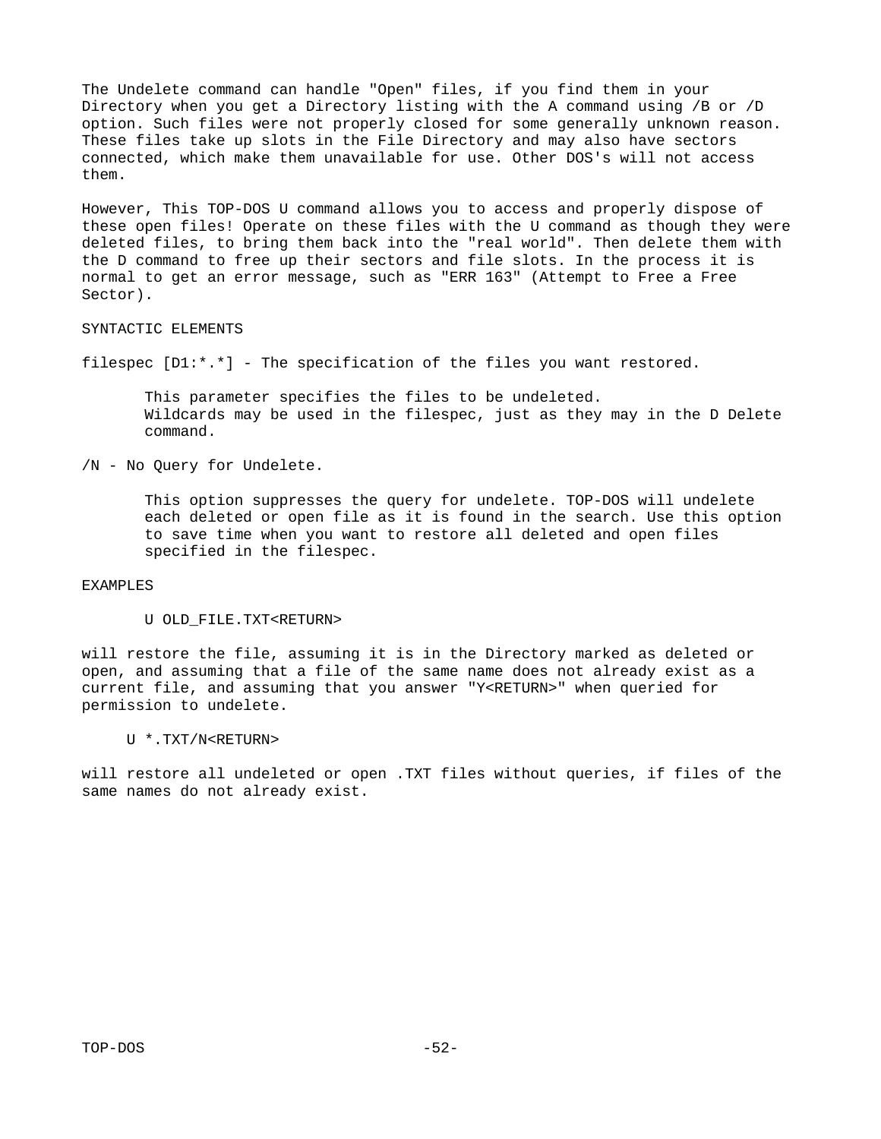The Undelete command can handle "Open" files, if you find them in your Directory when you get a Directory listing with the A command using /B or /D option. Such files were not properly closed for some generally unknown reason. These files take up slots in the File Directory and may also have sectors connected, which make them unavailable for use. Other DOS's will not access them.

However, This TOP-DOS U command allows you to access and properly dispose of these open files! Operate on these files with the U command as though they were deleted files, to bring them back into the "real world". Then delete them with the D command to free up their sectors and file slots. In the process it is normal to get an error message, such as "ERR 163" (Attempt to Free a Free Sector).

## SYNTACTIC ELEMENTS

filespec [D1:\*.\*] - The specification of the files you want restored.

 This parameter specifies the files to be undeleted. Wildcards may be used in the filespec, just as they may in the D Delete command.

/N - No Query for Undelete.

 This option suppresses the query for undelete. TOP-DOS will undelete each deleted or open file as it is found in the search. Use this option to save time when you want to restore all deleted and open files specified in the filespec.

### EXAMPLES

U OLD\_FILE.TXT<RETURN>

will restore the file, assuming it is in the Directory marked as deleted or open, and assuming that a file of the same name does not already exist as a current file, and assuming that you answer "Y<RETURN>" when queried for permission to undelete.

U \*.TXT/N<RETURN>

will restore all undeleted or open .TXT files without queries, if files of the same names do not already exist.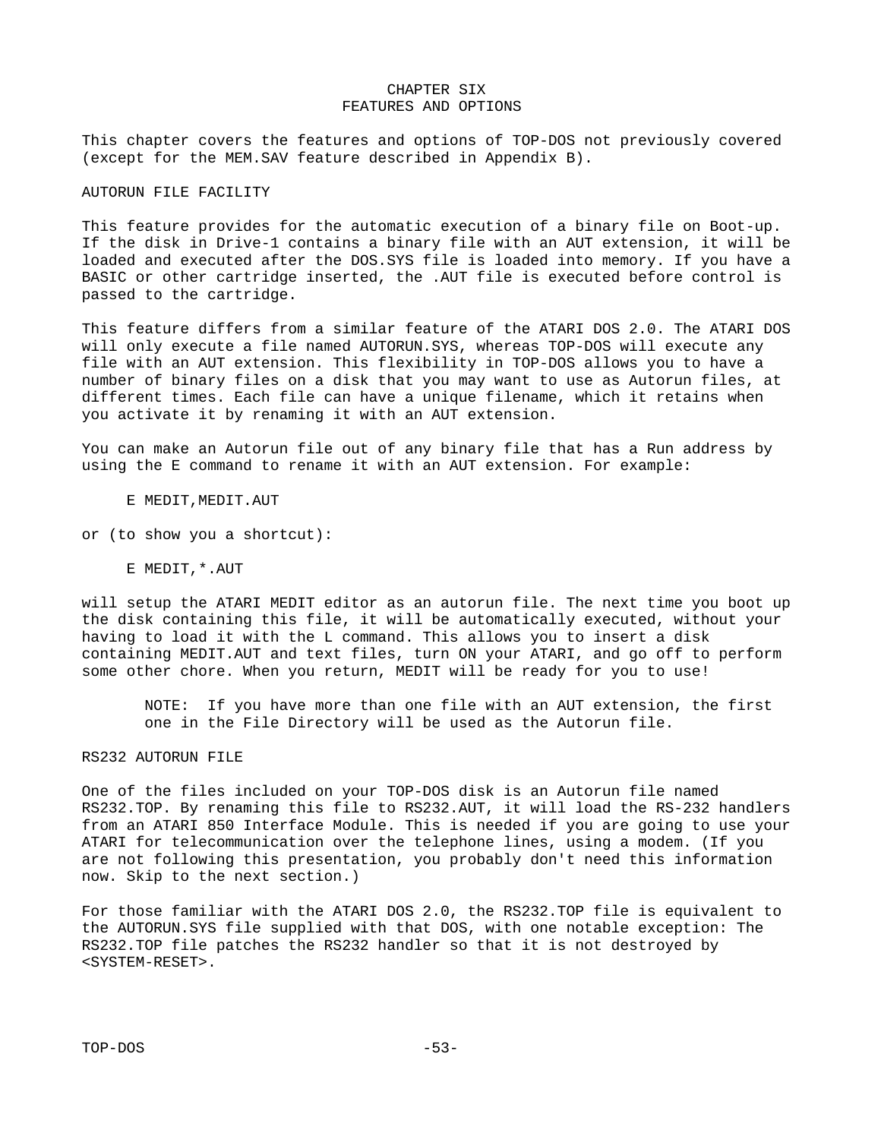### CHAPTER SIX FEATURES AND OPTIONS

This chapter covers the features and options of TOP-DOS not previously covered (except for the MEM.SAV feature described in Appendix B).

### AUTORUN FILE FACILITY

This feature provides for the automatic execution of a binary file on Boot-up. If the disk in Drive-1 contains a binary file with an AUT extension, it will be loaded and executed after the DOS.SYS file is loaded into memory. If you have a BASIC or other cartridge inserted, the .AUT file is executed before control is passed to the cartridge.

This feature differs from a similar feature of the ATARI DOS 2.0. The ATARI DOS will only execute a file named AUTORUN.SYS, whereas TOP-DOS will execute any file with an AUT extension. This flexibility in TOP-DOS allows you to have a number of binary files on a disk that you may want to use as Autorun files, at different times. Each file can have a unique filename, which it retains when you activate it by renaming it with an AUT extension.

You can make an Autorun file out of any binary file that has a Run address by using the E command to rename it with an AUT extension. For example:

E MEDIT,MEDIT.AUT

or (to show you a shortcut):

E MEDIT,\*.AUT

will setup the ATARI MEDIT editor as an autorun file. The next time you boot up the disk containing this file, it will be automatically executed, without your having to load it with the L command. This allows you to insert a disk containing MEDIT.AUT and text files, turn ON your ATARI, and go off to perform some other chore. When you return, MEDIT will be ready for you to use!

 NOTE: If you have more than one file with an AUT extension, the first one in the File Directory will be used as the Autorun file.

# RS232 AUTORUN FILE

One of the files included on your TOP-DOS disk is an Autorun file named RS232.TOP. By renaming this file to RS232.AUT, it will load the RS-232 handlers from an ATARI 850 Interface Module. This is needed if you are going to use your ATARI for telecommunication over the telephone lines, using a modem. (If you are not following this presentation, you probably don't need this information now. Skip to the next section.)

For those familiar with the ATARI DOS 2.0, the RS232.TOP file is equivalent to the AUTORUN.SYS file supplied with that DOS, with one notable exception: The RS232.TOP file patches the RS232 handler so that it is not destroyed by <SYSTEM-RESET>.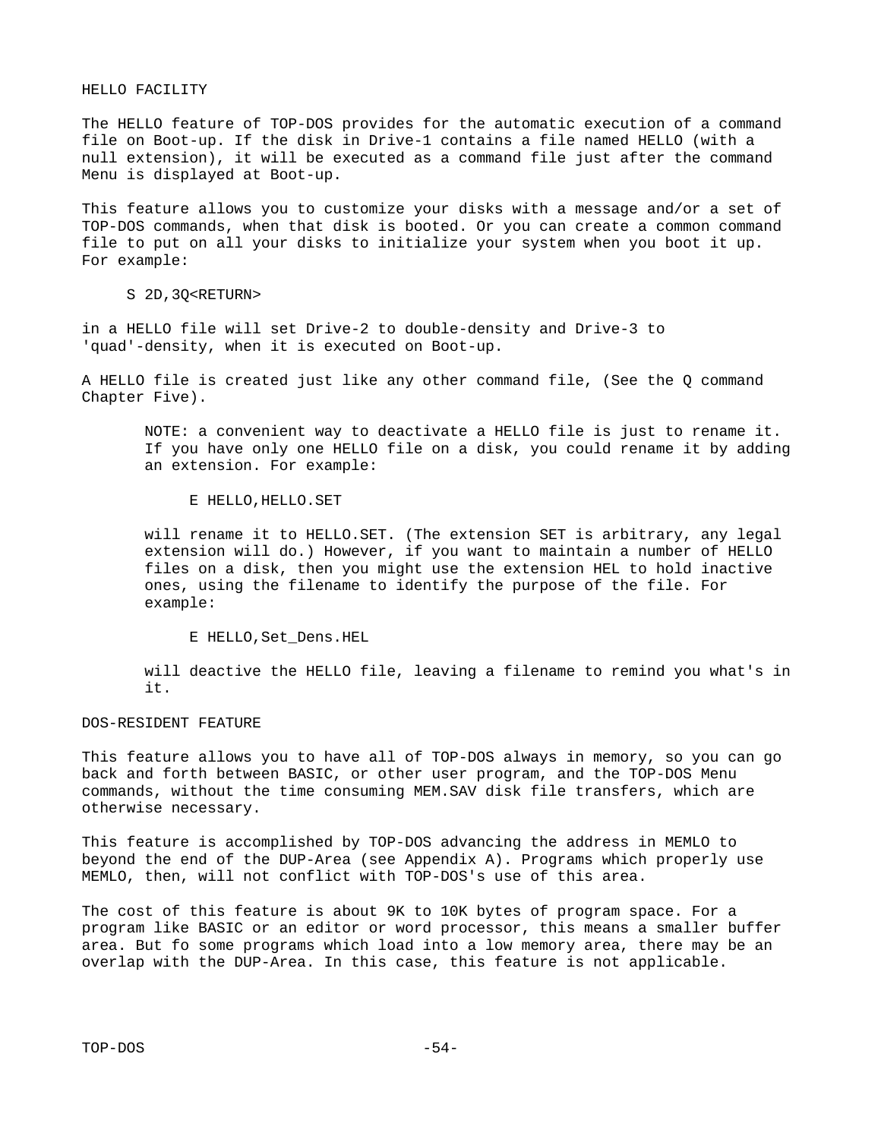### HELLO FACILITY

The HELLO feature of TOP-DOS provides for the automatic execution of a command file on Boot-up. If the disk in Drive-1 contains a file named HELLO (with a null extension), it will be executed as a command file just after the command Menu is displayed at Boot-up.

This feature allows you to customize your disks with a message and/or a set of TOP-DOS commands, when that disk is booted. Or you can create a common command file to put on all your disks to initialize your system when you boot it up. For example:

S 2D,3Q<RETURN>

in a HELLO file will set Drive-2 to double-density and Drive-3 to 'quad'-density, when it is executed on Boot-up.

A HELLO file is created just like any other command file, (See the Q command Chapter Five).

 NOTE: a convenient way to deactivate a HELLO file is just to rename it. If you have only one HELLO file on a disk, you could rename it by adding an extension. For example:

E HELLO,HELLO.SET

 will rename it to HELLO.SET. (The extension SET is arbitrary, any legal extension will do.) However, if you want to maintain a number of HELLO files on a disk, then you might use the extension HEL to hold inactive ones, using the filename to identify the purpose of the file. For example:

E HELLO,Set\_Dens.HEL

 will deactive the HELLO file, leaving a filename to remind you what's in it.

DOS-RESIDENT FEATURE

This feature allows you to have all of TOP-DOS always in memory, so you can go back and forth between BASIC, or other user program, and the TOP-DOS Menu commands, without the time consuming MEM.SAV disk file transfers, which are otherwise necessary.

This feature is accomplished by TOP-DOS advancing the address in MEMLO to beyond the end of the DUP-Area (see Appendix A). Programs which properly use MEMLO, then, will not conflict with TOP-DOS's use of this area.

The cost of this feature is about 9K to 10K bytes of program space. For a program like BASIC or an editor or word processor, this means a smaller buffer area. But fo some programs which load into a low memory area, there may be an overlap with the DUP-Area. In this case, this feature is not applicable.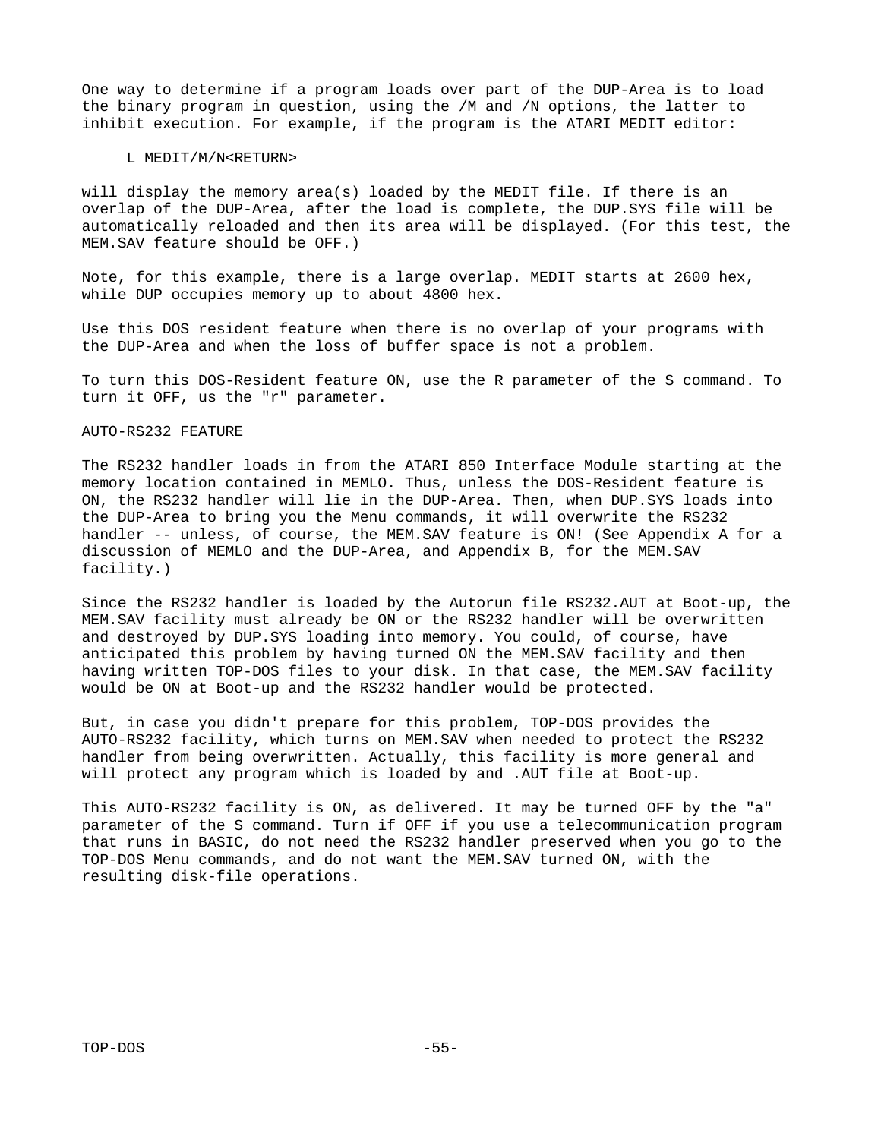One way to determine if a program loads over part of the DUP-Area is to load the binary program in question, using the /M and /N options, the latter to inhibit execution. For example, if the program is the ATARI MEDIT editor:

### L MEDIT/M/N<RETURN>

will display the memory area(s) loaded by the MEDIT file. If there is an overlap of the DUP-Area, after the load is complete, the DUP.SYS file will be automatically reloaded and then its area will be displayed. (For this test, the MEM.SAV feature should be OFF.)

Note, for this example, there is a large overlap. MEDIT starts at 2600 hex, while DUP occupies memory up to about 4800 hex.

Use this DOS resident feature when there is no overlap of your programs with the DUP-Area and when the loss of buffer space is not a problem.

To turn this DOS-Resident feature ON, use the R parameter of the S command. To turn it OFF, us the "r" parameter.

### AUTO-RS232 FEATURE

The RS232 handler loads in from the ATARI 850 Interface Module starting at the memory location contained in MEMLO. Thus, unless the DOS-Resident feature is ON, the RS232 handler will lie in the DUP-Area. Then, when DUP.SYS loads into the DUP-Area to bring you the Menu commands, it will overwrite the RS232 handler -- unless, of course, the MEM.SAV feature is ON! (See Appendix A for a discussion of MEMLO and the DUP-Area, and Appendix B, for the MEM.SAV facility.)

Since the RS232 handler is loaded by the Autorun file RS232.AUT at Boot-up, the MEM.SAV facility must already be ON or the RS232 handler will be overwritten and destroyed by DUP.SYS loading into memory. You could, of course, have anticipated this problem by having turned ON the MEM.SAV facility and then having written TOP-DOS files to your disk. In that case, the MEM.SAV facility would be ON at Boot-up and the RS232 handler would be protected.

But, in case you didn't prepare for this problem, TOP-DOS provides the AUTO-RS232 facility, which turns on MEM.SAV when needed to protect the RS232 handler from being overwritten. Actually, this facility is more general and will protect any program which is loaded by and .AUT file at Boot-up.

This AUTO-RS232 facility is ON, as delivered. It may be turned OFF by the "a" parameter of the S command. Turn if OFF if you use a telecommunication program that runs in BASIC, do not need the RS232 handler preserved when you go to the TOP-DOS Menu commands, and do not want the MEM.SAV turned ON, with the resulting disk-file operations.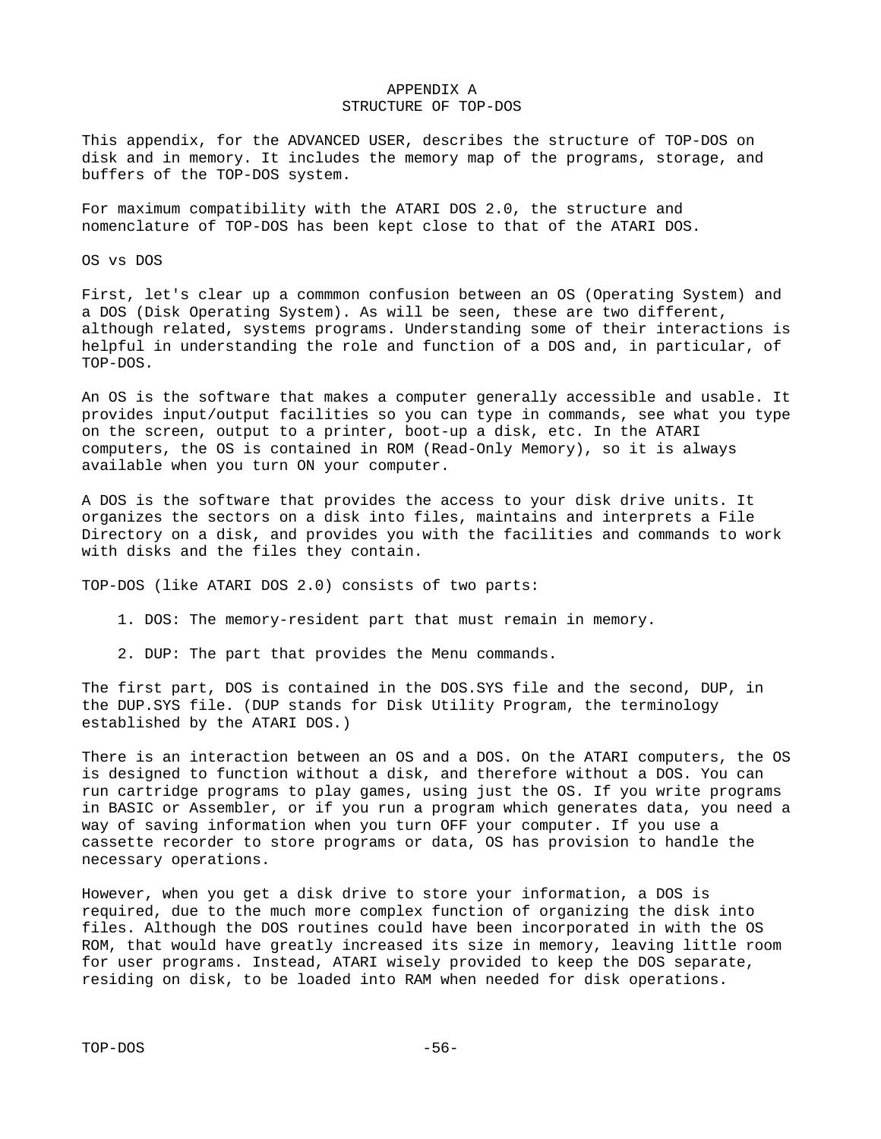### APPENDIX A STRUCTURE OF TOP-DOS

This appendix, for the ADVANCED USER, describes the structure of TOP-DOS on disk and in memory. It includes the memory map of the programs, storage, and buffers of the TOP-DOS system.

For maximum compatibility with the ATARI DOS 2.0, the structure and nomenclature of TOP-DOS has been kept close to that of the ATARI DOS.

OS vs DOS

First, let's clear up a commmon confusion between an OS (Operating System) and a DOS (Disk Operating System). As will be seen, these are two different, although related, systems programs. Understanding some of their interactions is helpful in understanding the role and function of a DOS and, in particular, of TOP-DOS.

An OS is the software that makes a computer generally accessible and usable. It provides input/output facilities so you can type in commands, see what you type on the screen, output to a printer, boot-up a disk, etc. In the ATARI computers, the OS is contained in ROM (Read-Only Memory), so it is always available when you turn ON your computer.

A DOS is the software that provides the access to your disk drive units. It organizes the sectors on a disk into files, maintains and interprets a File Directory on a disk, and provides you with the facilities and commands to work with disks and the files they contain.

TOP-DOS (like ATARI DOS 2.0) consists of two parts:

- 1. DOS: The memory-resident part that must remain in memory.
- 2. DUP: The part that provides the Menu commands.

The first part, DOS is contained in the DOS.SYS file and the second, DUP, in the DUP.SYS file. (DUP stands for Disk Utility Program, the terminology established by the ATARI DOS.)

There is an interaction between an OS and a DOS. On the ATARI computers, the OS is designed to function without a disk, and therefore without a DOS. You can run cartridge programs to play games, using just the OS. If you write programs in BASIC or Assembler, or if you run a program which generates data, you need a way of saving information when you turn OFF your computer. If you use a cassette recorder to store programs or data, OS has provision to handle the necessary operations.

However, when you get a disk drive to store your information, a DOS is required, due to the much more complex function of organizing the disk into files. Although the DOS routines could have been incorporated in with the OS ROM, that would have greatly increased its size in memory, leaving little room for user programs. Instead, ATARI wisely provided to keep the DOS separate, residing on disk, to be loaded into RAM when needed for disk operations.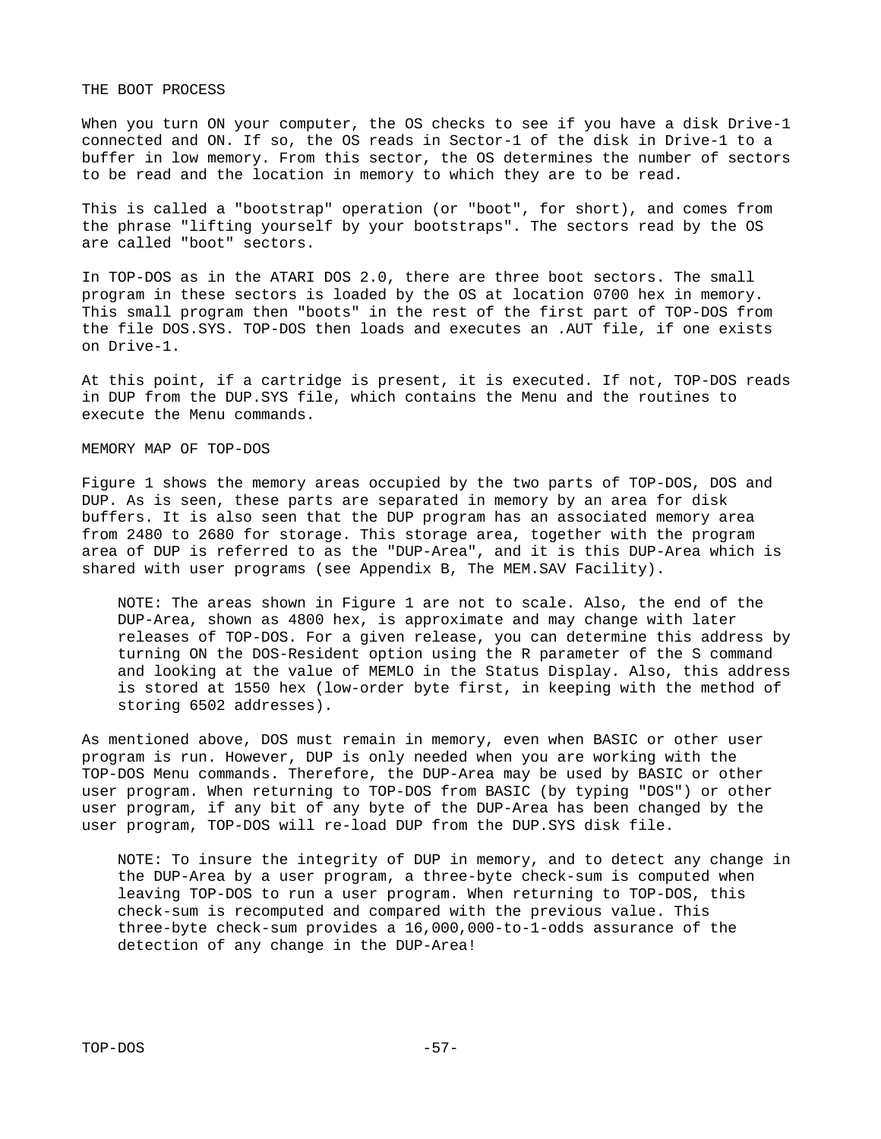THE BOOT PROCESS

When you turn ON your computer, the OS checks to see if you have a disk Drive-1 connected and ON. If so, the OS reads in Sector-1 of the disk in Drive-1 to a buffer in low memory. From this sector, the OS determines the number of sectors to be read and the location in memory to which they are to be read.

This is called a "bootstrap" operation (or "boot", for short), and comes from the phrase "lifting yourself by your bootstraps". The sectors read by the OS are called "boot" sectors.

In TOP-DOS as in the ATARI DOS 2.0, there are three boot sectors. The small program in these sectors is loaded by the OS at location 0700 hex in memory. This small program then "boots" in the rest of the first part of TOP-DOS from the file DOS.SYS. TOP-DOS then loads and executes an .AUT file, if one exists on Drive-1.

At this point, if a cartridge is present, it is executed. If not, TOP-DOS reads in DUP from the DUP.SYS file, which contains the Menu and the routines to execute the Menu commands.

### MEMORY MAP OF TOP-DOS

Figure 1 shows the memory areas occupied by the two parts of TOP-DOS, DOS and DUP. As is seen, these parts are separated in memory by an area for disk buffers. It is also seen that the DUP program has an associated memory area from 2480 to 2680 for storage. This storage area, together with the program area of DUP is referred to as the "DUP-Area", and it is this DUP-Area which is shared with user programs (see Appendix B, The MEM.SAV Facility).

 NOTE: The areas shown in Figure 1 are not to scale. Also, the end of the DUP-Area, shown as 4800 hex, is approximate and may change with later releases of TOP-DOS. For a given release, you can determine this address by turning ON the DOS-Resident option using the R parameter of the S command and looking at the value of MEMLO in the Status Display. Also, this address is stored at 1550 hex (low-order byte first, in keeping with the method of storing 6502 addresses).

As mentioned above, DOS must remain in memory, even when BASIC or other user program is run. However, DUP is only needed when you are working with the TOP-DOS Menu commands. Therefore, the DUP-Area may be used by BASIC or other user program. When returning to TOP-DOS from BASIC (by typing "DOS") or other user program, if any bit of any byte of the DUP-Area has been changed by the user program, TOP-DOS will re-load DUP from the DUP.SYS disk file.

 NOTE: To insure the integrity of DUP in memory, and to detect any change in the DUP-Area by a user program, a three-byte check-sum is computed when leaving TOP-DOS to run a user program. When returning to TOP-DOS, this check-sum is recomputed and compared with the previous value. This three-byte check-sum provides a 16,000,000-to-1-odds assurance of the detection of any change in the DUP-Area!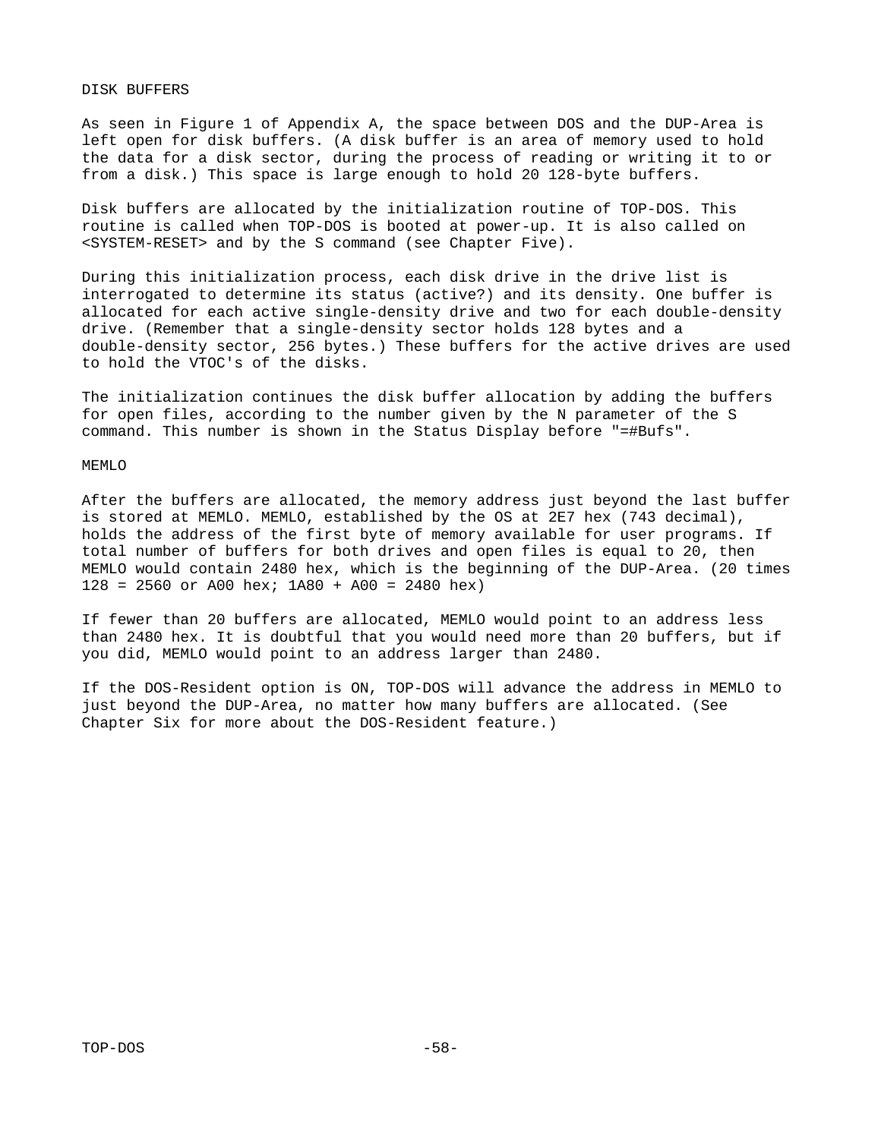#### DISK BUFFERS

As seen in Figure 1 of Appendix A, the space between DOS and the DUP-Area is left open for disk buffers. (A disk buffer is an area of memory used to hold the data for a disk sector, during the process of reading or writing it to or from a disk.) This space is large enough to hold 20 128-byte buffers.

Disk buffers are allocated by the initialization routine of TOP-DOS. This routine is called when TOP-DOS is booted at power-up. It is also called on <SYSTEM-RESET> and by the S command (see Chapter Five).

During this initialization process, each disk drive in the drive list is interrogated to determine its status (active?) and its density. One buffer is allocated for each active single-density drive and two for each double-density drive. (Remember that a single-density sector holds 128 bytes and a double-density sector, 256 bytes.) These buffers for the active drives are used to hold the VTOC's of the disks.

The initialization continues the disk buffer allocation by adding the buffers for open files, according to the number given by the N parameter of the S command. This number is shown in the Status Display before "=#Bufs".

#### MEMLO

After the buffers are allocated, the memory address just beyond the last buffer is stored at MEMLO. MEMLO, established by the OS at 2E7 hex (743 decimal), holds the address of the first byte of memory available for user programs. If total number of buffers for both drives and open files is equal to 20, then MEMLO would contain 2480 hex, which is the beginning of the DUP-Area. (20 times  $128 = 2560$  or A00 hex;  $1A80 + A00 = 2480$  hex)

If fewer than 20 buffers are allocated, MEMLO would point to an address less than 2480 hex. It is doubtful that you would need more than 20 buffers, but if you did, MEMLO would point to an address larger than 2480.

If the DOS-Resident option is ON, TOP-DOS will advance the address in MEMLO to just beyond the DUP-Area, no matter how many buffers are allocated. (See Chapter Six for more about the DOS-Resident feature.)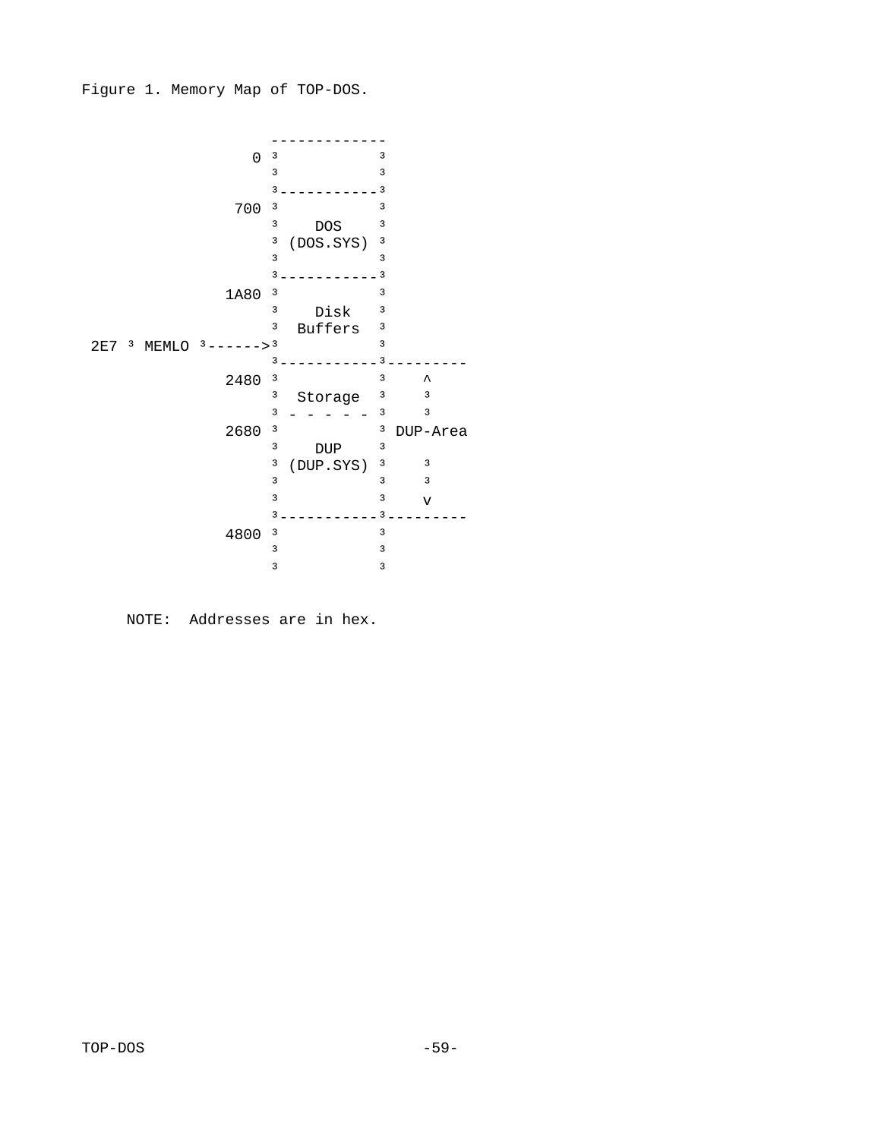Figure 1. Memory Map of TOP-DOS.



NOTE: Addresses are in hex.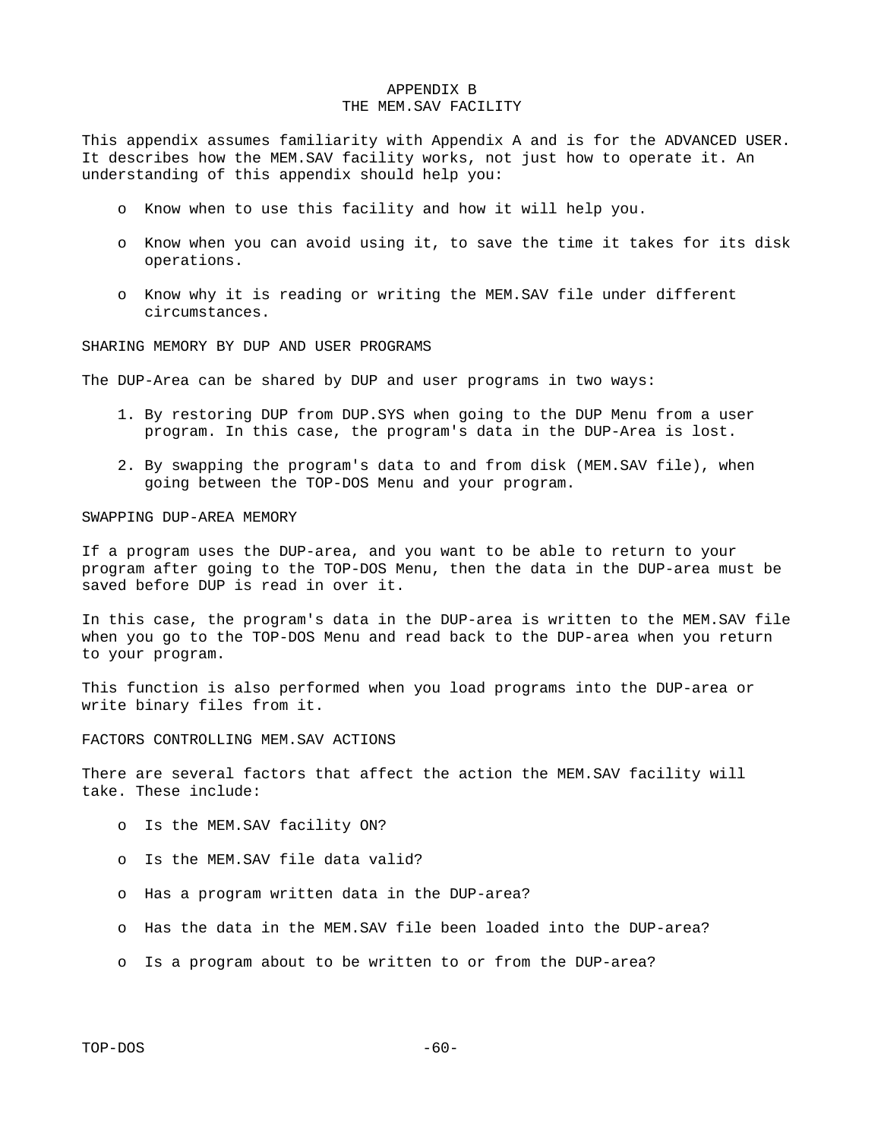## APPENDIX B THE MEM.SAV FACILITY

This appendix assumes familiarity with Appendix A and is for the ADVANCED USER. It describes how the MEM.SAV facility works, not just how to operate it. An understanding of this appendix should help you:

- o Know when to use this facility and how it will help you.
- o Know when you can avoid using it, to save the time it takes for its disk operations.
- o Know why it is reading or writing the MEM.SAV file under different circumstances.

SHARING MEMORY BY DUP AND USER PROGRAMS

The DUP-Area can be shared by DUP and user programs in two ways:

- 1. By restoring DUP from DUP.SYS when going to the DUP Menu from a user program. In this case, the program's data in the DUP-Area is lost.
- 2. By swapping the program's data to and from disk (MEM.SAV file), when going between the TOP-DOS Menu and your program.

SWAPPING DUP-AREA MEMORY

If a program uses the DUP-area, and you want to be able to return to your program after going to the TOP-DOS Menu, then the data in the DUP-area must be saved before DUP is read in over it.

In this case, the program's data in the DUP-area is written to the MEM.SAV file when you go to the TOP-DOS Menu and read back to the DUP-area when you return to your program.

This function is also performed when you load programs into the DUP-area or write binary files from it.

FACTORS CONTROLLING MEM.SAV ACTIONS

There are several factors that affect the action the MEM.SAV facility will take. These include:

- o Is the MEM.SAV facility ON?
- o Is the MEM.SAV file data valid?
- o Has a program written data in the DUP-area?
- o Has the data in the MEM.SAV file been loaded into the DUP-area?
- o Is a program about to be written to or from the DUP-area?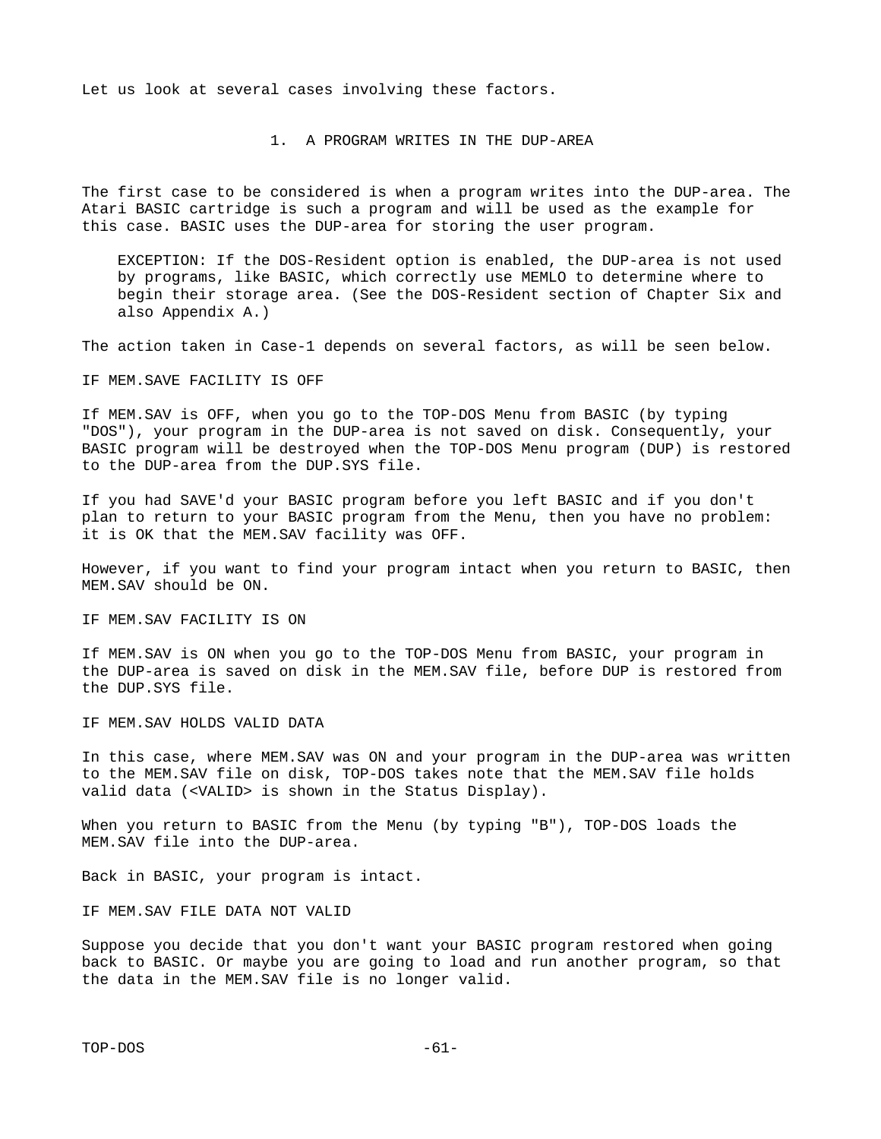Let us look at several cases involving these factors.

1. A PROGRAM WRITES IN THE DUP-AREA

The first case to be considered is when a program writes into the DUP-area. The Atari BASIC cartridge is such a program and will be used as the example for this case. BASIC uses the DUP-area for storing the user program.

 EXCEPTION: If the DOS-Resident option is enabled, the DUP-area is not used by programs, like BASIC, which correctly use MEMLO to determine where to begin their storage area. (See the DOS-Resident section of Chapter Six and also Appendix A.)

The action taken in Case-1 depends on several factors, as will be seen below.

IF MEM.SAVE FACILITY IS OFF

If MEM.SAV is OFF, when you go to the TOP-DOS Menu from BASIC (by typing "DOS"), your program in the DUP-area is not saved on disk. Consequently, your BASIC program will be destroyed when the TOP-DOS Menu program (DUP) is restored to the DUP-area from the DUP.SYS file.

If you had SAVE'd your BASIC program before you left BASIC and if you don't plan to return to your BASIC program from the Menu, then you have no problem: it is OK that the MEM.SAV facility was OFF.

However, if you want to find your program intact when you return to BASIC, then MEM.SAV should be ON.

IF MEM.SAV FACILITY IS ON

If MEM.SAV is ON when you go to the TOP-DOS Menu from BASIC, your program in the DUP-area is saved on disk in the MEM.SAV file, before DUP is restored from the DUP.SYS file.

IF MEM.SAV HOLDS VALID DATA

In this case, where MEM.SAV was ON and your program in the DUP-area was written to the MEM.SAV file on disk, TOP-DOS takes note that the MEM.SAV file holds valid data (<VALID> is shown in the Status Display).

When you return to BASIC from the Menu (by typing "B"), TOP-DOS loads the MEM.SAV file into the DUP-area.

Back in BASIC, your program is intact.

IF MEM.SAV FILE DATA NOT VALID

Suppose you decide that you don't want your BASIC program restored when going back to BASIC. Or maybe you are going to load and run another program, so that the data in the MEM.SAV file is no longer valid.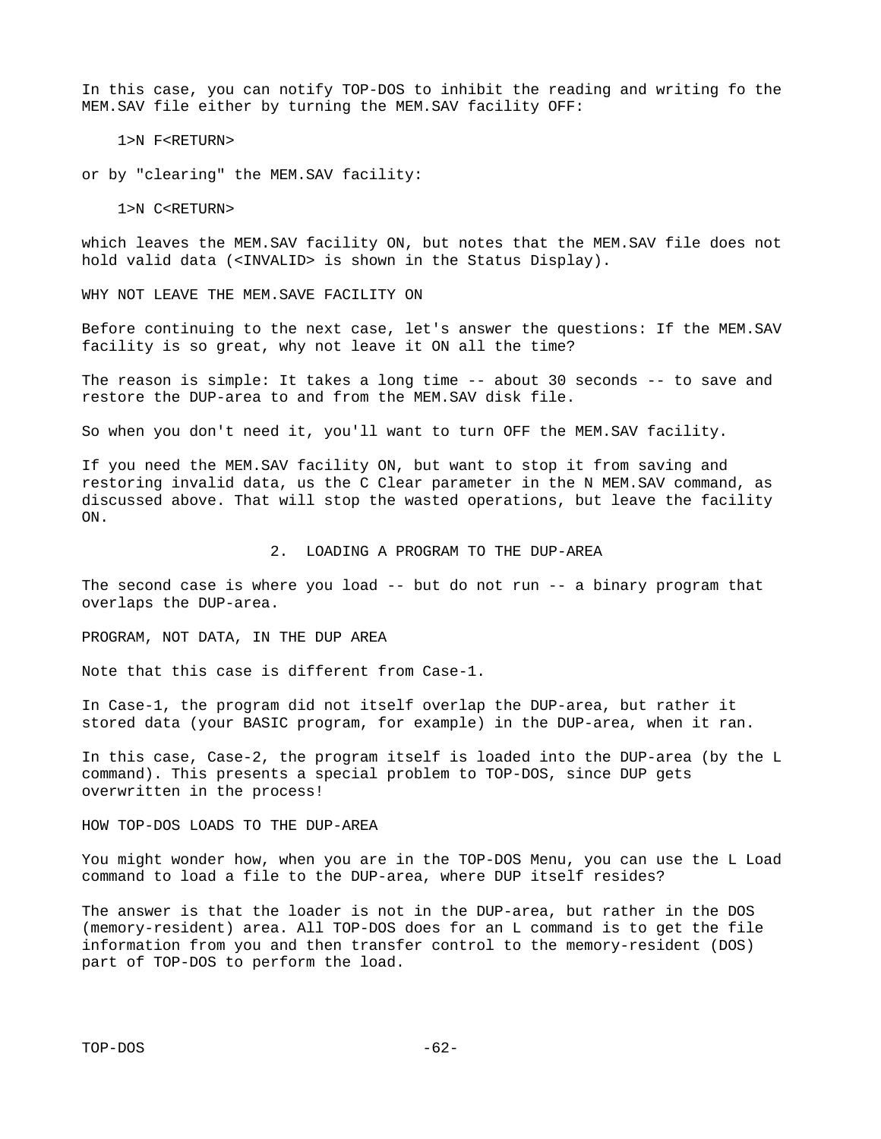In this case, you can notify TOP-DOS to inhibit the reading and writing fo the MEM.SAV file either by turning the MEM.SAV facility OFF:

1>N F<RETURN>

or by "clearing" the MEM.SAV facility:

1>N C<RETURN>

which leaves the MEM.SAV facility ON, but notes that the MEM.SAV file does not hold valid data (<INVALID> is shown in the Status Display).

WHY NOT LEAVE THE MEM.SAVE FACILITY ON

Before continuing to the next case, let's answer the questions: If the MEM.SAV facility is so great, why not leave it ON all the time?

The reason is simple: It takes a long time -- about 30 seconds -- to save and restore the DUP-area to and from the MEM.SAV disk file.

So when you don't need it, you'll want to turn OFF the MEM.SAV facility.

If you need the MEM.SAV facility ON, but want to stop it from saving and restoring invalid data, us the C Clear parameter in the N MEM.SAV command, as discussed above. That will stop the wasted operations, but leave the facility ON.

2. LOADING A PROGRAM TO THE DUP-AREA

The second case is where you load -- but do not run -- a binary program that overlaps the DUP-area.

PROGRAM, NOT DATA, IN THE DUP AREA

Note that this case is different from Case-1.

In Case-1, the program did not itself overlap the DUP-area, but rather it stored data (your BASIC program, for example) in the DUP-area, when it ran.

In this case, Case-2, the program itself is loaded into the DUP-area (by the L command). This presents a special problem to TOP-DOS, since DUP gets overwritten in the process!

HOW TOP-DOS LOADS TO THE DUP-AREA

You might wonder how, when you are in the TOP-DOS Menu, you can use the L Load command to load a file to the DUP-area, where DUP itself resides?

The answer is that the loader is not in the DUP-area, but rather in the DOS (memory-resident) area. All TOP-DOS does for an L command is to get the file information from you and then transfer control to the memory-resident (DOS) part of TOP-DOS to perform the load.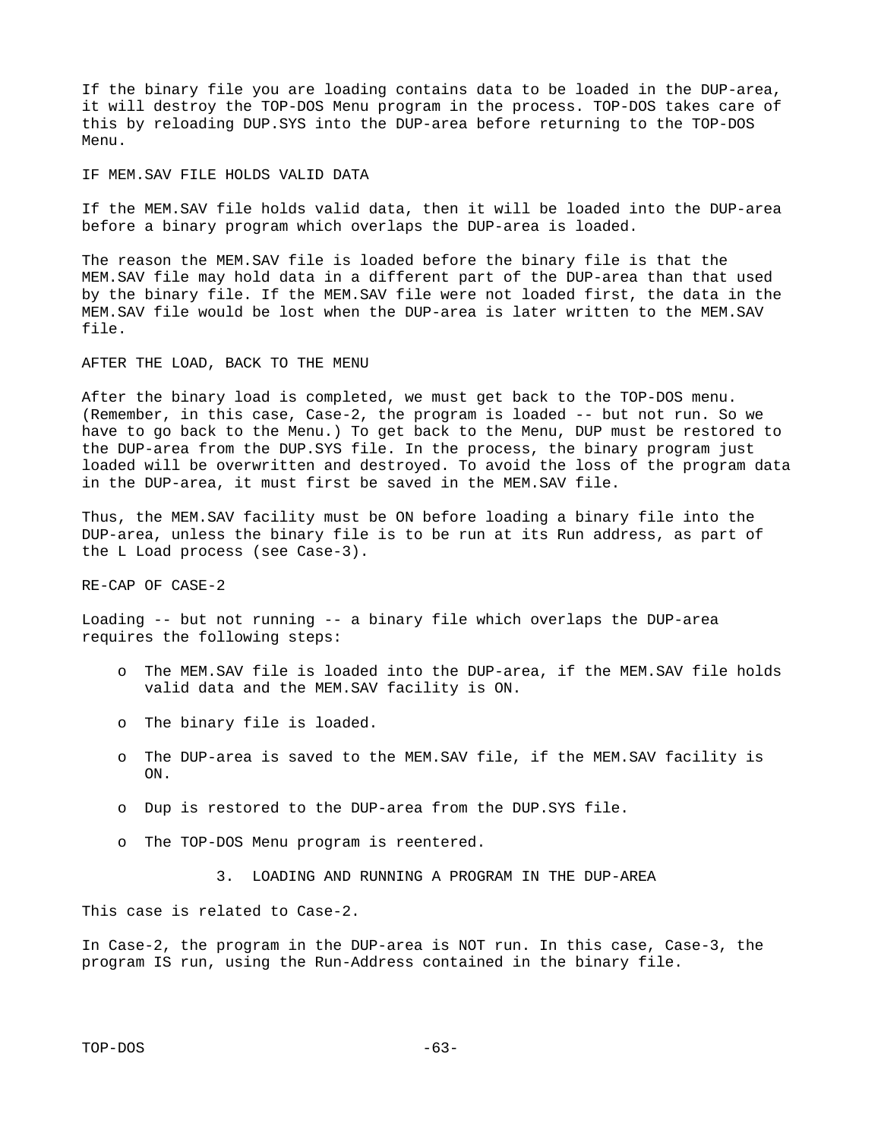If the binary file you are loading contains data to be loaded in the DUP-area, it will destroy the TOP-DOS Menu program in the process. TOP-DOS takes care of this by reloading DUP.SYS into the DUP-area before returning to the TOP-DOS Menu.

IF MEM.SAV FILE HOLDS VALID DATA

If the MEM.SAV file holds valid data, then it will be loaded into the DUP-area before a binary program which overlaps the DUP-area is loaded.

The reason the MEM.SAV file is loaded before the binary file is that the MEM.SAV file may hold data in a different part of the DUP-area than that used by the binary file. If the MEM.SAV file were not loaded first, the data in the MEM.SAV file would be lost when the DUP-area is later written to the MEM.SAV file.

AFTER THE LOAD, BACK TO THE MENU

After the binary load is completed, we must get back to the TOP-DOS menu. (Remember, in this case, Case-2, the program is loaded -- but not run. So we have to go back to the Menu.) To get back to the Menu, DUP must be restored to the DUP-area from the DUP.SYS file. In the process, the binary program just loaded will be overwritten and destroyed. To avoid the loss of the program data in the DUP-area, it must first be saved in the MEM.SAV file.

Thus, the MEM.SAV facility must be ON before loading a binary file into the DUP-area, unless the binary file is to be run at its Run address, as part of the L Load process (see Case-3).

RE-CAP OF CASE-2

Loading -- but not running -- a binary file which overlaps the DUP-area requires the following steps:

- o The MEM.SAV file is loaded into the DUP-area, if the MEM.SAV file holds valid data and the MEM.SAV facility is ON.
- o The binary file is loaded.
- o The DUP-area is saved to the MEM.SAV file, if the MEM.SAV facility is ON.
- o Dup is restored to the DUP-area from the DUP.SYS file.
- o The TOP-DOS Menu program is reentered.
	- 3. LOADING AND RUNNING A PROGRAM IN THE DUP-AREA

This case is related to Case-2.

In Case-2, the program in the DUP-area is NOT run. In this case, Case-3, the program IS run, using the Run-Address contained in the binary file.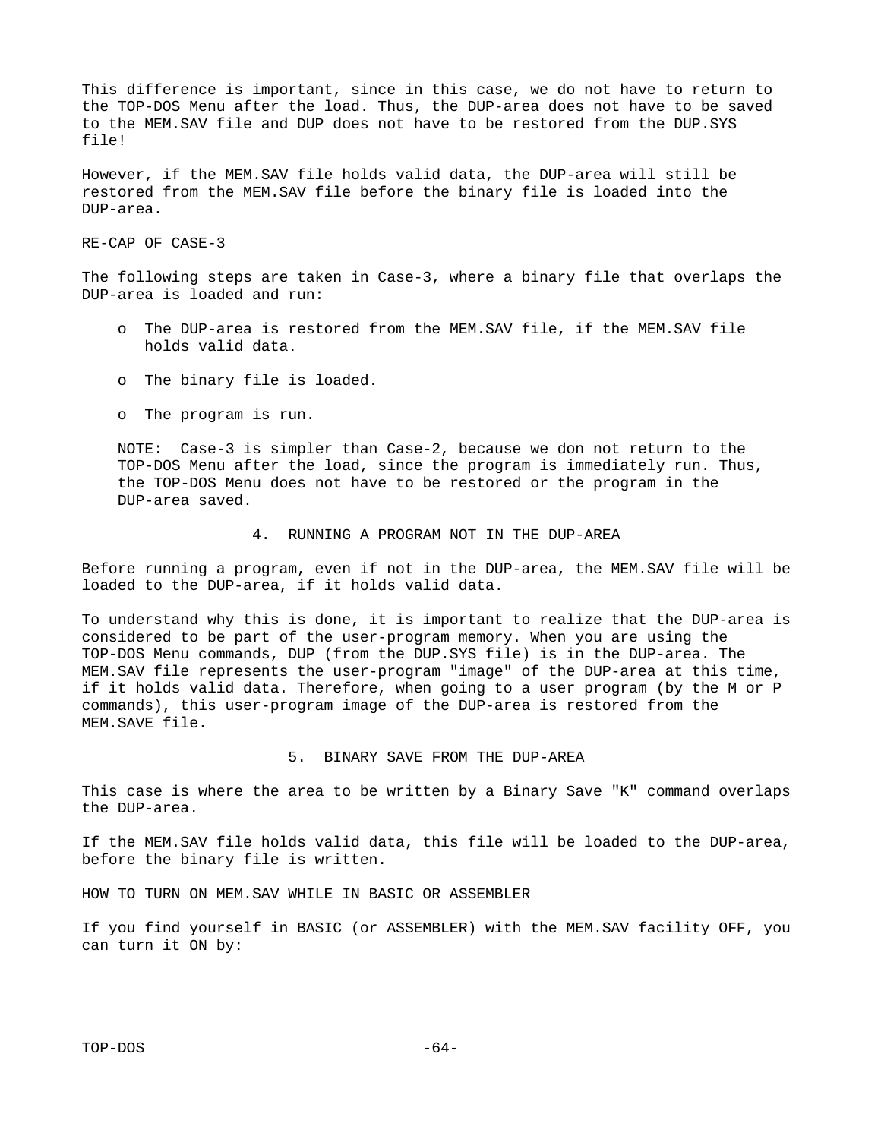This difference is important, since in this case, we do not have to return to the TOP-DOS Menu after the load. Thus, the DUP-area does not have to be saved to the MEM.SAV file and DUP does not have to be restored from the DUP.SYS file!

However, if the MEM.SAV file holds valid data, the DUP-area will still be restored from the MEM.SAV file before the binary file is loaded into the DUP-area.

RE-CAP OF CASE-3

The following steps are taken in Case-3, where a binary file that overlaps the DUP-area is loaded and run:

- o The DUP-area is restored from the MEM.SAV file, if the MEM.SAV file holds valid data.
- o The binary file is loaded.
- o The program is run.

 NOTE: Case-3 is simpler than Case-2, because we don not return to the TOP-DOS Menu after the load, since the program is immediately run. Thus, the TOP-DOS Menu does not have to be restored or the program in the DUP-area saved.

#### 4. RUNNING A PROGRAM NOT IN THE DUP-AREA

Before running a program, even if not in the DUP-area, the MEM.SAV file will be loaded to the DUP-area, if it holds valid data.

To understand why this is done, it is important to realize that the DUP-area is considered to be part of the user-program memory. When you are using the TOP-DOS Menu commands, DUP (from the DUP.SYS file) is in the DUP-area. The MEM.SAV file represents the user-program "image" of the DUP-area at this time, if it holds valid data. Therefore, when going to a user program (by the M or P commands), this user-program image of the DUP-area is restored from the MEM.SAVE file.

5. BINARY SAVE FROM THE DUP-AREA

This case is where the area to be written by a Binary Save "K" command overlaps the DUP-area.

If the MEM.SAV file holds valid data, this file will be loaded to the DUP-area, before the binary file is written.

HOW TO TURN ON MEM.SAV WHILE IN BASIC OR ASSEMBLER

If you find yourself in BASIC (or ASSEMBLER) with the MEM.SAV facility OFF, you can turn it ON by: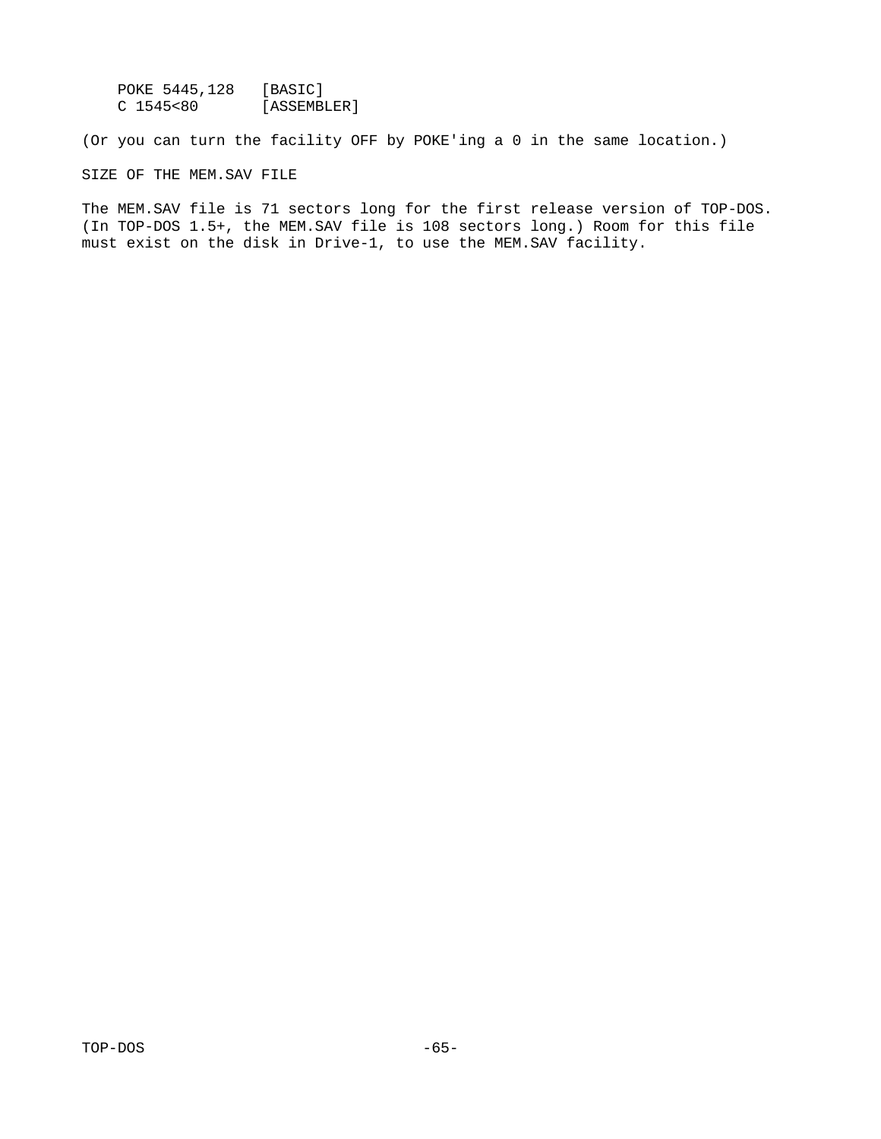POKE 5445,128 [BASIC]<br>C 1545<80 [ASSEMB] [ASSEMBLER]

(Or you can turn the facility OFF by POKE'ing a 0 in the same location.)

SIZE OF THE MEM.SAV FILE

The MEM.SAV file is 71 sectors long for the first release version of TOP-DOS. (In TOP-DOS 1.5+, the MEM.SAV file is 108 sectors long.) Room for this file must exist on the disk in Drive-1, to use the MEM.SAV facility.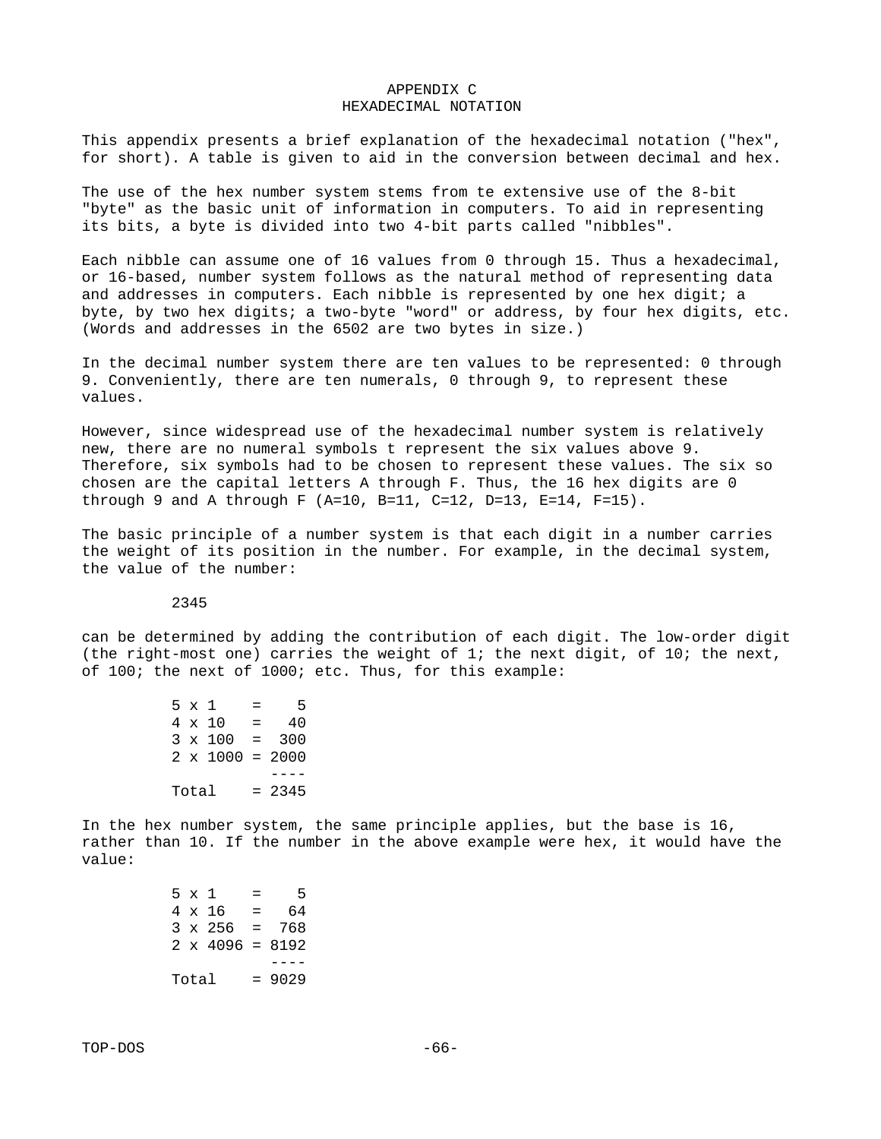### APPENDIX C HEXADECIMAL NOTATION

This appendix presents a brief explanation of the hexadecimal notation ("hex", for short). A table is given to aid in the conversion between decimal and hex.

The use of the hex number system stems from te extensive use of the 8-bit "byte" as the basic unit of information in computers. To aid in representing its bits, a byte is divided into two 4-bit parts called "nibbles".

Each nibble can assume one of 16 values from 0 through 15. Thus a hexadecimal, or 16-based, number system follows as the natural method of representing data and addresses in computers. Each nibble is represented by one hex digit; a byte, by two hex digits; a two-byte "word" or address, by four hex digits, etc. (Words and addresses in the 6502 are two bytes in size.)

In the decimal number system there are ten values to be represented: 0 through 9. Conveniently, there are ten numerals, 0 through 9, to represent these values.

However, since widespread use of the hexadecimal number system is relatively new, there are no numeral symbols t represent the six values above 9. Therefore, six symbols had to be chosen to represent these values. The six so chosen are the capital letters A through F. Thus, the 16 hex digits are  $0$ through 9 and A through F (A=10, B=11, C=12, D=13, E=14, F=15).

The basic principle of a number system is that each digit in a number carries the weight of its position in the number. For example, in the decimal system, the value of the number:

2345

can be determined by adding the contribution of each digit. The low-order digit (the right-most one) carries the weight of 1; the next digit, of 10; the next, of 100; the next of 1000; etc. Thus, for this example:

 $5 \times 1 = 5$ <br> $4 \times 10 = 40$  $4 \times 10 =$  $3 \times 100 = 300$  $2 \times 1000 = 2000$  ----  $Total = 2345$ 

In the hex number system, the same principle applies, but the base is 16, rather than 10. If the number in the above example were hex, it would have the value:

 $5 \times 1 = 5$  $4 \times 16 = 64$  $3 \times 256 = 768$  $2 \times 4096 = 8192$  ----  $Total = 9029$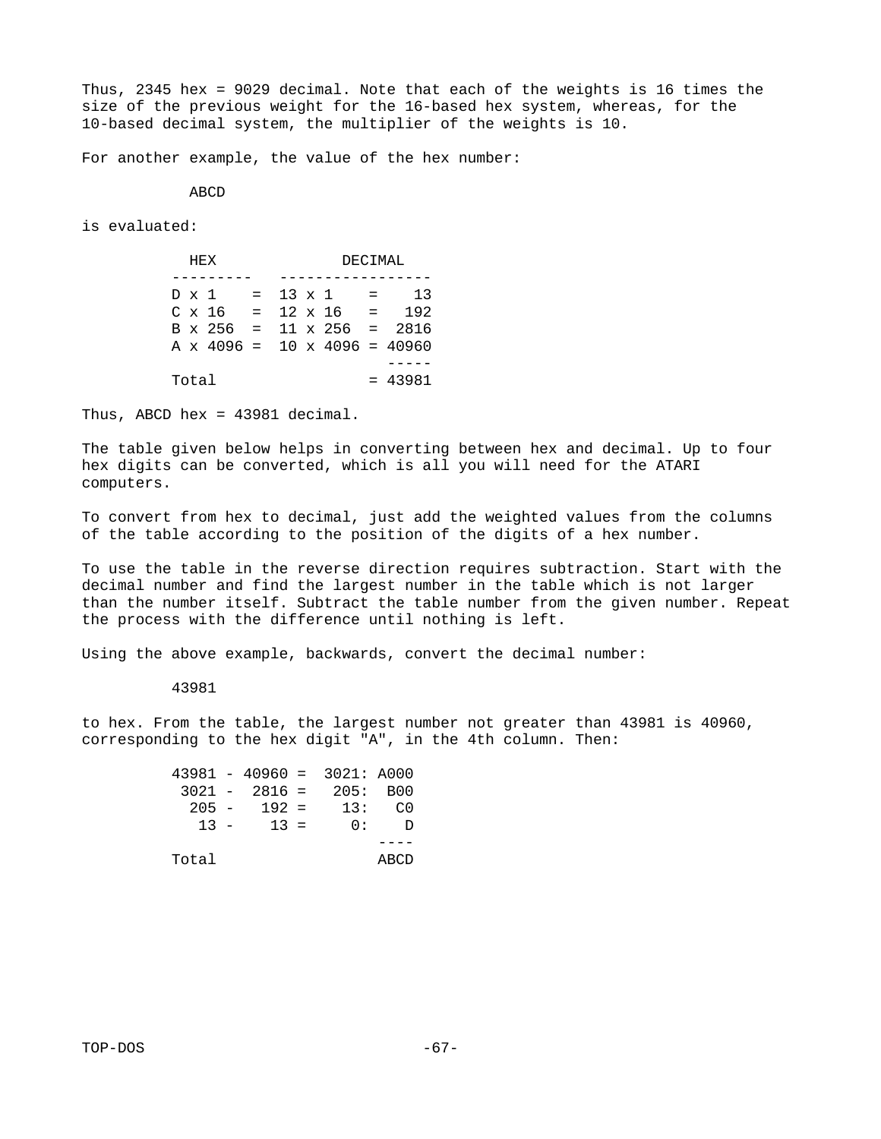Thus, 2345 hex = 9029 decimal. Note that each of the weights is 16 times the size of the previous weight for the 16-based hex system, whereas, for the 10-based decimal system, the multiplier of the weights is 10.

For another example, the value of the hex number:

ABCD

is evaluated:

| <b>HEX</b> |                            |  | <b>DECIMAL</b> |  |                                |  |                                            |  |
|------------|----------------------------|--|----------------|--|--------------------------------|--|--------------------------------------------|--|
|            |                            |  |                |  |                                |  |                                            |  |
|            | $D \times 1 = 13 \times 1$ |  |                |  | and the state                  |  | 13                                         |  |
|            |                            |  |                |  | $C \times 16 = 12 \times 16 =$ |  | 192                                        |  |
|            |                            |  |                |  |                                |  | $B \times 256 = 11 \times 256 = 2816$      |  |
|            |                            |  |                |  |                                |  | A $\times$ 4096 = 10 $\times$ 4096 = 40960 |  |
|            |                            |  |                |  |                                |  |                                            |  |
| Total      |                            |  |                |  |                                |  | $= 43981$                                  |  |

Thus, ABCD hex =  $43981$  decimal.

The table given below helps in converting between hex and decimal. Up to four hex digits can be converted, which is all you will need for the ATARI computers.

To convert from hex to decimal, just add the weighted values from the columns of the table according to the position of the digits of a hex number.

To use the table in the reverse direction requires subtraction. Start with the decimal number and find the largest number in the table which is not larger than the number itself. Subtract the table number from the given number. Repeat the process with the difference until nothing is left.

Using the above example, backwards, convert the decimal number:

43981

to hex. From the table, the largest number not greater than 43981 is 40960, corresponding to the hex digit "A", in the 4th column. Then:

|        |               | $43981 - 40960 = 3021$ : A000 |      |
|--------|---------------|-------------------------------|------|
|        |               | $3021 - 2816 = 205$ : B00     |      |
|        | $205 - 192 =$ | 13 :                          | - C0 |
| $13 -$ | $13 =$        | 0.                            | Ð    |
|        |               |                               |      |
| Total  |               |                               | ABCD |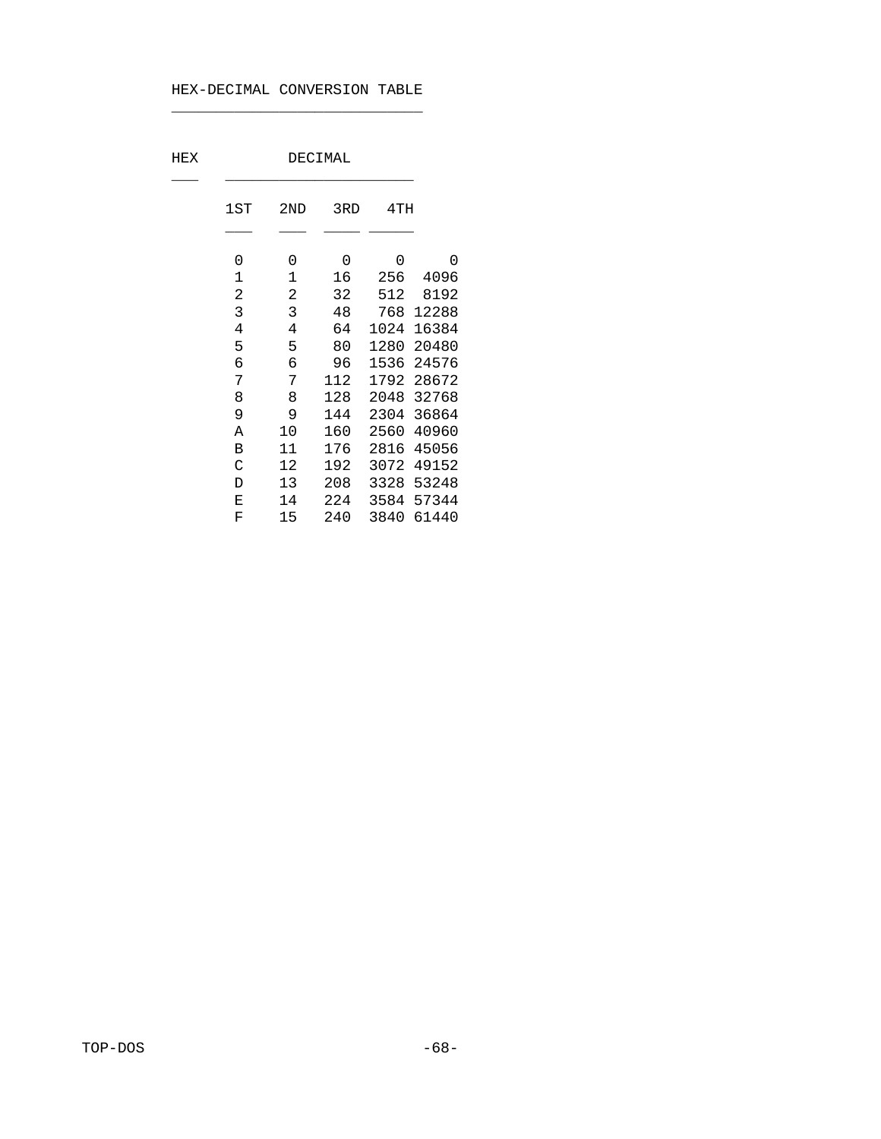# HEX-DECIMAL CONVERSION TABLE

 $\mathcal{L}_\text{max}$  and  $\mathcal{L}_\text{max}$  are the set of the set of the set of the set of the set of the set of the set of the set of the set of the set of the set of the set of the set of the set of the set of the set of the set o

| HEX | DECIMAL                 |                |     |      |       |  |
|-----|-------------------------|----------------|-----|------|-------|--|
|     | 1ST                     | 2ND            | 3RD | 4TH  |       |  |
|     | 0                       | 0              | 0   | 0    | 0     |  |
|     | 1                       | 1              | 16  | 256  | 4096  |  |
|     | $\overline{\mathbf{c}}$ | $\overline{c}$ | 32  | 512  | 8192  |  |
|     | 3                       | 3              | 48  | 768  | 12288 |  |
|     | 4                       | 4              | 64  | 1024 | 16384 |  |
|     | 5                       | 5              | 80  | 1280 | 20480 |  |
|     | 6                       | 6              | 96  | 1536 | 24576 |  |
|     | 7                       | 7              | 112 | 1792 | 28672 |  |
|     | 8                       | 8              | 128 | 2048 | 32768 |  |
|     | 9                       | 9              | 144 | 2304 | 36864 |  |
|     | Α                       | 10             | 160 | 2560 | 40960 |  |
|     | B                       | 11             | 176 | 2816 | 45056 |  |
|     | С                       | 12             | 192 | 3072 | 49152 |  |
|     | D                       | 13             | 208 | 3328 | 53248 |  |
|     | Е                       | 14             | 224 | 3584 | 57344 |  |
|     | F                       | 15             | 240 | 3840 | 61440 |  |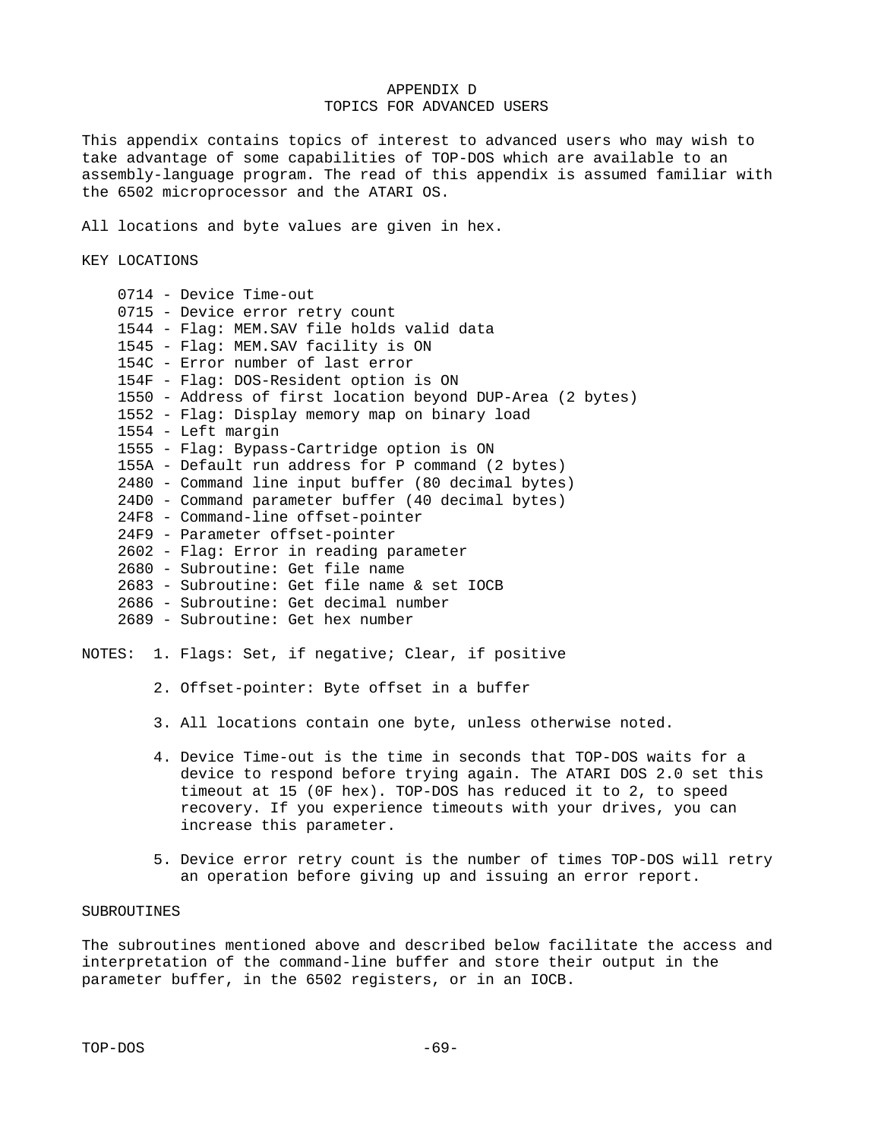# APPENDIX D TOPICS FOR ADVANCED USERS

This appendix contains topics of interest to advanced users who may wish to take advantage of some capabilities of TOP-DOS which are available to an assembly-language program. The read of this appendix is assumed familiar with the 6502 microprocessor and the ATARI OS.

All locations and byte values are given in hex.

KEY LOCATIONS

| 0714 - Device Time-out                                     |
|------------------------------------------------------------|
| 0715 - Device error retry count                            |
| 1544 - Flag: MEM.SAV file holds valid data                 |
| 1545 - Flag: MEM.SAV facility is ON                        |
| 154C - Error number of last error                          |
| 154F - Flag: DOS-Resident option is ON                     |
| 1550 - Address of first location beyond DUP-Area (2 bytes) |
| 1552 - Flag: Display memory map on binary load             |
| 1554 - Left margin                                         |
| 1555 - Flag: Bypass-Cartridge option is ON                 |
| 155A - Default run address for P command (2 bytes)         |
| 2480 - Command line input buffer (80 decimal bytes)        |
| 24D0 - Command parameter buffer (40 decimal bytes)         |
| 24F8 - Command-line offset-pointer                         |
| 24F9 - Parameter offset-pointer                            |
| 2602 - Flag: Error in reading parameter                    |
| 2680 - Subroutine: Get file name                           |
| 2683 - Subroutine: Get file name & set IOCB                |
| 2686 - Subroutine: Get decimal number                      |
| 2689 - Subroutine: Get hex number                          |

# NOTES: 1. Flags: Set, if negative; Clear, if positive

- 2. Offset-pointer: Byte offset in a buffer
- 3. All locations contain one byte, unless otherwise noted.
- 4. Device Time-out is the time in seconds that TOP-DOS waits for a device to respond before trying again. The ATARI DOS 2.0 set this timeout at 15 (0F hex). TOP-DOS has reduced it to 2, to speed recovery. If you experience timeouts with your drives, you can increase this parameter.
- 5. Device error retry count is the number of times TOP-DOS will retry an operation before giving up and issuing an error report.

# SUBROUTINES

The subroutines mentioned above and described below facilitate the access and interpretation of the command-line buffer and store their output in the parameter buffer, in the 6502 registers, or in an IOCB.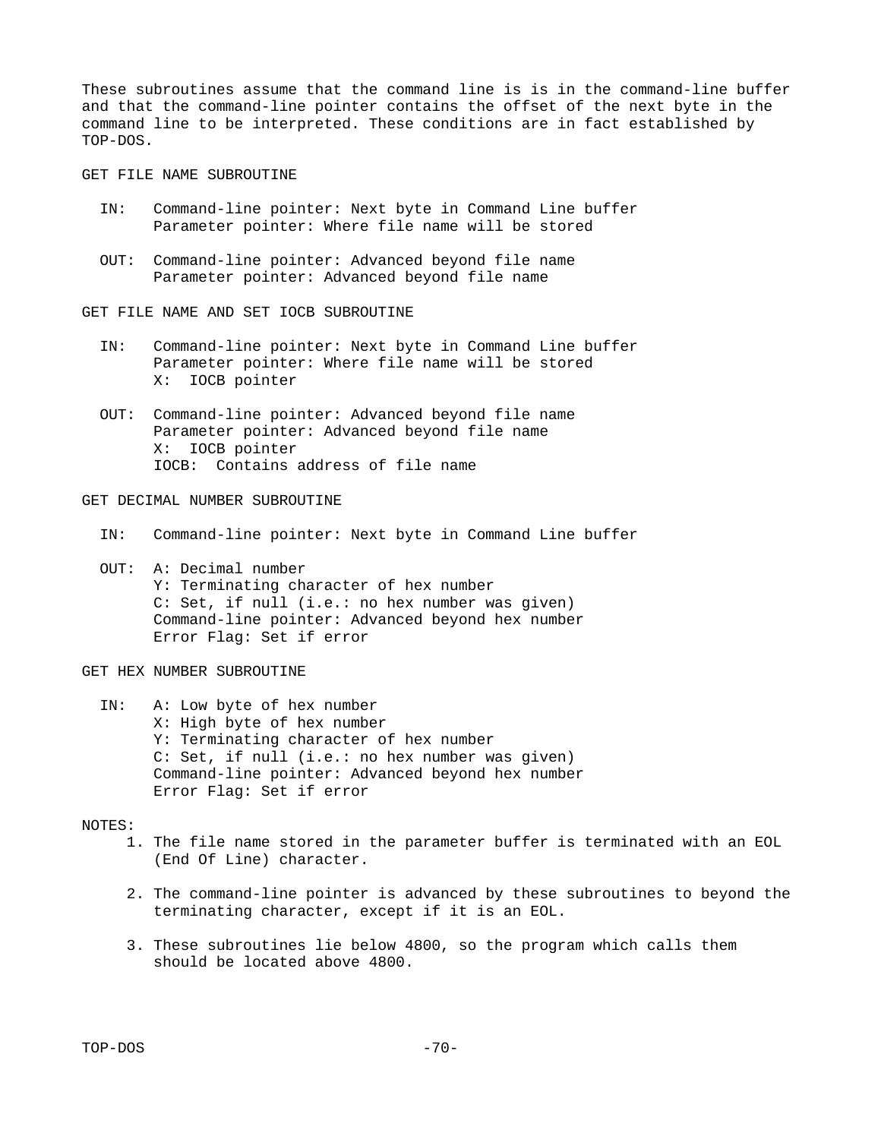These subroutines assume that the command line is is in the command-line buffer and that the command-line pointer contains the offset of the next byte in the command line to be interpreted. These conditions are in fact established by TOP-DOS.

GET FILE NAME SUBROUTINE

- IN: Command-line pointer: Next byte in Command Line buffer Parameter pointer: Where file name will be stored
- OUT: Command-line pointer: Advanced beyond file name Parameter pointer: Advanced beyond file name

GET FILE NAME AND SET IOCB SUBROUTINE

- IN: Command-line pointer: Next byte in Command Line buffer Parameter pointer: Where file name will be stored X: IOCB pointer
- OUT: Command-line pointer: Advanced beyond file name Parameter pointer: Advanced beyond file name X: IOCB pointer IOCB: Contains address of file name

GET DECIMAL NUMBER SUBROUTINE

- IN: Command-line pointer: Next byte in Command Line buffer
- OUT: A: Decimal number Y: Terminating character of hex number C: Set, if null (i.e.: no hex number was given) Command-line pointer: Advanced beyond hex number Error Flag: Set if error

GET HEX NUMBER SUBROUTINE

 IN: A: Low byte of hex number X: High byte of hex number Y: Terminating character of hex number C: Set, if null (i.e.: no hex number was given) Command-line pointer: Advanced beyond hex number Error Flag: Set if error

### NOTES:

- 1. The file name stored in the parameter buffer is terminated with an EOL (End Of Line) character.
- 2. The command-line pointer is advanced by these subroutines to beyond the terminating character, except if it is an EOL.
- 3. These subroutines lie below 4800, so the program which calls them should be located above 4800.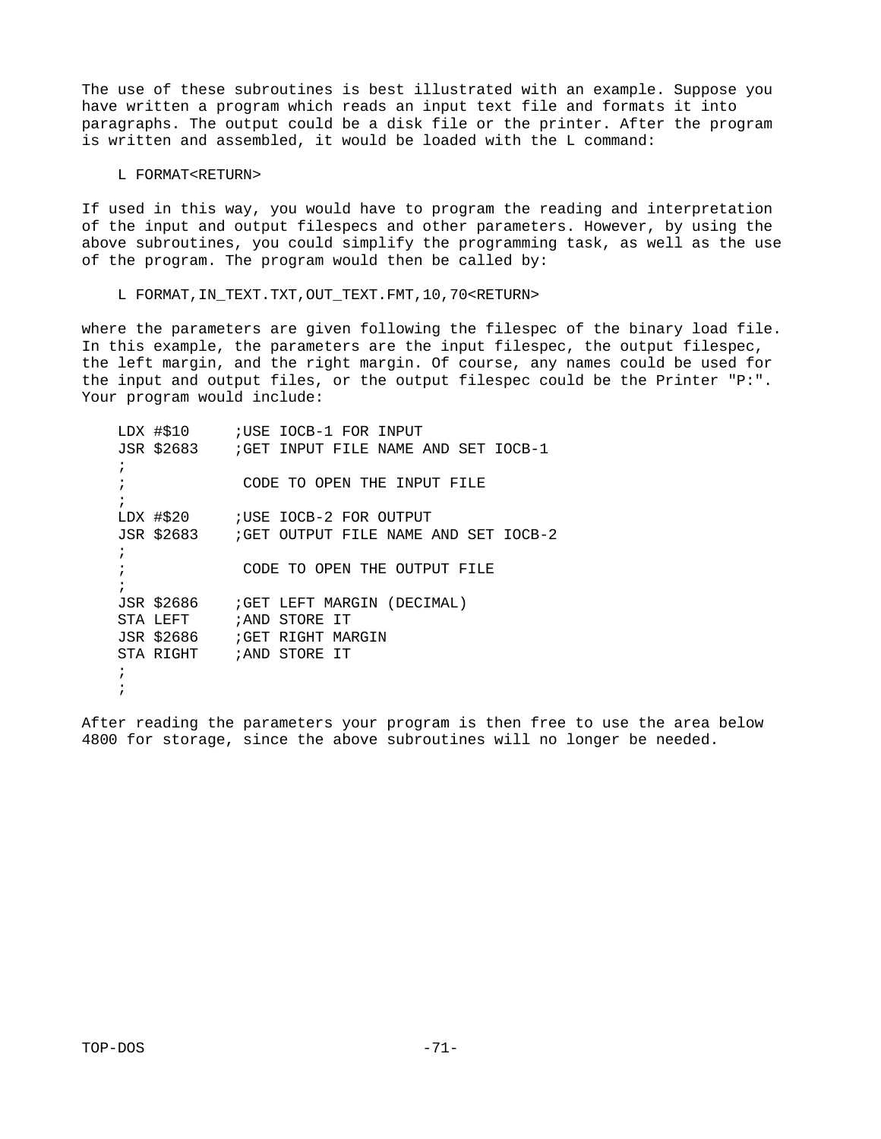The use of these subroutines is best illustrated with an example. Suppose you have written a program which reads an input text file and formats it into paragraphs. The output could be a disk file or the printer. After the program is written and assembled, it would be loaded with the L command:

## L FORMAT<RETURN>

If used in this way, you would have to program the reading and interpretation of the input and output filespecs and other parameters. However, by using the above subroutines, you could simplify the programming task, as well as the use of the program. The program would then be called by:

# L FORMAT,IN\_TEXT.TXT,OUT\_TEXT.FMT,10,70<RETURN>

where the parameters are given following the filespec of the binary load file. In this example, the parameters are the input filespec, the output filespec, the left margin, and the right margin. Of course, any names could be used for the input and output files, or the output filespec could be the Printer "P:". Your program would include:

 LDX #\$10 ;USE IOCB-1 FOR INPUT JSR \$2683 ;GET INPUT FILE NAME AND SET IOCB-1  $\ddot{i}$ CODE TO OPEN THE INPUT FILE  $\ddot{i}$ LDX #\$20 ;USE IOCB-2 FOR OUTPUT JSR \$2683 ;GET OUTPUT FILE NAME AND SET IOCB-2  $\ddot{i}$ CODE TO OPEN THE OUTPUT FILE  $\ddot{i}$ JSR \$2686 ;GET LEFT MARGIN (DECIMAL)<br>STA LEFT :AND STORE IT ;AND STORE IT JSR \$2686 ;GET RIGHT MARGIN STA RIGHT ;AND STORE IT  $\ddot{i}$  $\ddot{i}$ 

After reading the parameters your program is then free to use the area below 4800 for storage, since the above subroutines will no longer be needed.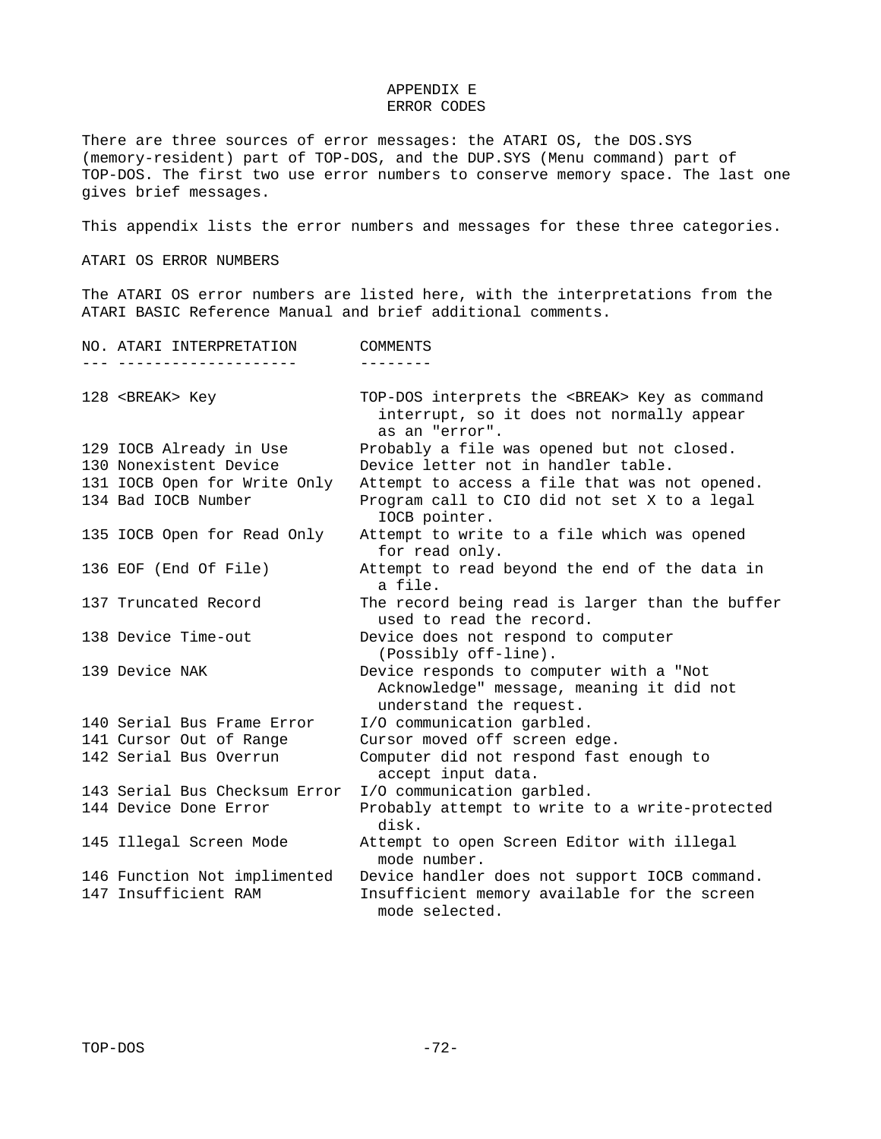## APPENDIX E ERROR CODES

There are three sources of error messages: the ATARI OS, the DOS.SYS (memory-resident) part of TOP-DOS, and the DUP.SYS (Menu command) part of TOP-DOS. The first two use error numbers to conserve memory space. The last one gives brief messages.

This appendix lists the error numbers and messages for these three categories.

ATARI OS ERROR NUMBERS

The ATARI OS error numbers are listed here, with the interpretations from the ATARI BASIC Reference Manual and brief additional comments.

| NO. ATARI INTERPRETATION                             | <b>COMMENTS</b>                                                                                                        |
|------------------------------------------------------|------------------------------------------------------------------------------------------------------------------------|
|                                                      |                                                                                                                        |
| 128 <break> Key</break>                              | TOP-DOS interprets the <break> Key as command<br/>interrupt, so it does not normally appear<br/>as an "error".</break> |
| 129 IOCB Already in Use                              | Probably a file was opened but not closed.                                                                             |
| 130 Nonexistent Device                               | Device letter not in handler table.                                                                                    |
| 131 IOCB Open for Write Only                         | Attempt to access a file that was not opened.                                                                          |
| 134 Bad IOCB Number                                  | Program call to CIO did not set X to a legal<br>IOCB pointer.                                                          |
| 135 IOCB Open for Read Only                          | Attempt to write to a file which was opened<br>for read only.                                                          |
| 136 EOF (End Of File)                                | Attempt to read beyond the end of the data in<br>a file.                                                               |
| 137 Truncated Record                                 | The record being read is larger than the buffer                                                                        |
|                                                      | used to read the record.                                                                                               |
| 138 Device Time-out                                  | Device does not respond to computer<br>(Possibly off-line).                                                            |
| 139 Device NAK                                       | Device responds to computer with a "Not<br>Acknowledge" message, meaning it did not<br>understand the request.         |
| 140 Serial Bus Frame Error                           | I/O communication garbled.                                                                                             |
| 141 Cursor Out of Range                              | Cursor moved off screen edge.                                                                                          |
| 142 Serial Bus Overrun                               | Computer did not respond fast enough to<br>accept input data.                                                          |
| 143 Serial Bus Checksum Error                        | I/O communication garbled.                                                                                             |
| 144 Device Done Error                                | Probably attempt to write to a write-protected<br>disk.                                                                |
| 145 Illegal Screen Mode                              | Attempt to open Screen Editor with illegal<br>mode number.                                                             |
| 146 Function Not implimented<br>147 Insufficient RAM | Device handler does not support IOCB command.<br>Insufficient memory available for the screen<br>mode selected.        |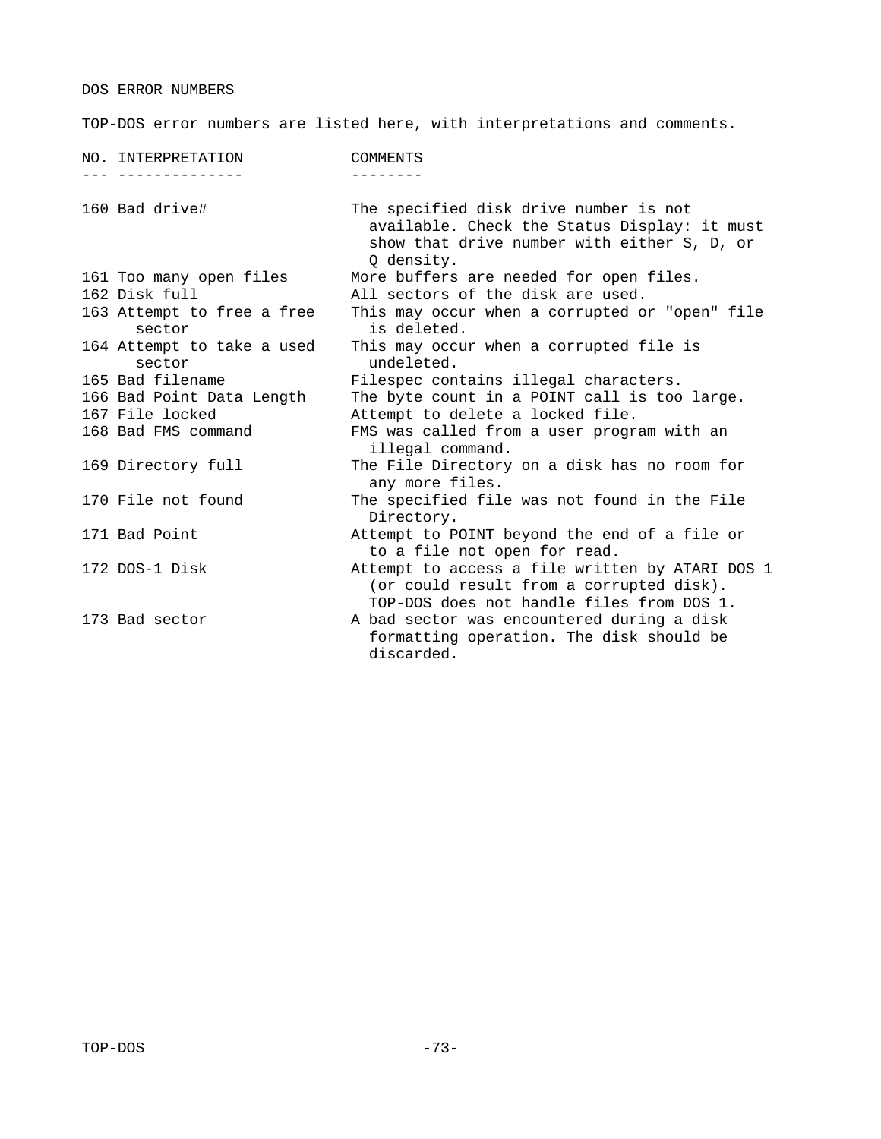DOS ERROR NUMBERS

TOP-DOS error numbers are listed here, with interpretations and comments.

| .<br>--------<br>160 Bad drive#<br>The specified disk drive number is not<br>available. Check the Status Display: it must<br>show that drive number with either S, D, or<br>Q density.<br>More buffers are needed for open files.<br>161 Too many open files<br>All sectors of the disk are used.<br>162 Disk full<br>163 Attempt to free a free<br>This may occur when a corrupted or "open" file<br>is deleted.<br>sector<br>This may occur when a corrupted file is<br>164 Attempt to take a used<br>undeleted.<br>sector<br>165 Bad filename<br>Filespec contains illegal characters.<br>The byte count in a POINT call is too large.<br>166 Bad Point Data Length<br>Attempt to delete a locked file.<br>167 File locked<br>168 Bad FMS command<br>FMS was called from a user program with an<br>illegal command.<br>169 Directory full<br>The File Directory on a disk has no room for<br>any more files.<br>170 File not found<br>The specified file was not found in the File<br>Directory.<br>Attempt to POINT beyond the end of a file or<br>171 Bad Point<br>to a file not open for read.<br>172 DOS-1 Disk<br>(or could result from a corrupted disk).<br>TOP-DOS does not handle files from DOS 1.<br>173 Bad sector<br>A bad sector was encountered during a disk<br>formatting operation. The disk should be<br>discarded. | NO. INTERPRETATION | <b>COMMENTS</b>                                 |
|-------------------------------------------------------------------------------------------------------------------------------------------------------------------------------------------------------------------------------------------------------------------------------------------------------------------------------------------------------------------------------------------------------------------------------------------------------------------------------------------------------------------------------------------------------------------------------------------------------------------------------------------------------------------------------------------------------------------------------------------------------------------------------------------------------------------------------------------------------------------------------------------------------------------------------------------------------------------------------------------------------------------------------------------------------------------------------------------------------------------------------------------------------------------------------------------------------------------------------------------------------------------------------------------------------------------------------------------|--------------------|-------------------------------------------------|
|                                                                                                                                                                                                                                                                                                                                                                                                                                                                                                                                                                                                                                                                                                                                                                                                                                                                                                                                                                                                                                                                                                                                                                                                                                                                                                                                           |                    |                                                 |
|                                                                                                                                                                                                                                                                                                                                                                                                                                                                                                                                                                                                                                                                                                                                                                                                                                                                                                                                                                                                                                                                                                                                                                                                                                                                                                                                           |                    |                                                 |
|                                                                                                                                                                                                                                                                                                                                                                                                                                                                                                                                                                                                                                                                                                                                                                                                                                                                                                                                                                                                                                                                                                                                                                                                                                                                                                                                           |                    |                                                 |
|                                                                                                                                                                                                                                                                                                                                                                                                                                                                                                                                                                                                                                                                                                                                                                                                                                                                                                                                                                                                                                                                                                                                                                                                                                                                                                                                           |                    |                                                 |
|                                                                                                                                                                                                                                                                                                                                                                                                                                                                                                                                                                                                                                                                                                                                                                                                                                                                                                                                                                                                                                                                                                                                                                                                                                                                                                                                           |                    |                                                 |
|                                                                                                                                                                                                                                                                                                                                                                                                                                                                                                                                                                                                                                                                                                                                                                                                                                                                                                                                                                                                                                                                                                                                                                                                                                                                                                                                           |                    |                                                 |
|                                                                                                                                                                                                                                                                                                                                                                                                                                                                                                                                                                                                                                                                                                                                                                                                                                                                                                                                                                                                                                                                                                                                                                                                                                                                                                                                           |                    |                                                 |
|                                                                                                                                                                                                                                                                                                                                                                                                                                                                                                                                                                                                                                                                                                                                                                                                                                                                                                                                                                                                                                                                                                                                                                                                                                                                                                                                           |                    |                                                 |
|                                                                                                                                                                                                                                                                                                                                                                                                                                                                                                                                                                                                                                                                                                                                                                                                                                                                                                                                                                                                                                                                                                                                                                                                                                                                                                                                           |                    |                                                 |
|                                                                                                                                                                                                                                                                                                                                                                                                                                                                                                                                                                                                                                                                                                                                                                                                                                                                                                                                                                                                                                                                                                                                                                                                                                                                                                                                           |                    |                                                 |
|                                                                                                                                                                                                                                                                                                                                                                                                                                                                                                                                                                                                                                                                                                                                                                                                                                                                                                                                                                                                                                                                                                                                                                                                                                                                                                                                           |                    |                                                 |
|                                                                                                                                                                                                                                                                                                                                                                                                                                                                                                                                                                                                                                                                                                                                                                                                                                                                                                                                                                                                                                                                                                                                                                                                                                                                                                                                           |                    |                                                 |
|                                                                                                                                                                                                                                                                                                                                                                                                                                                                                                                                                                                                                                                                                                                                                                                                                                                                                                                                                                                                                                                                                                                                                                                                                                                                                                                                           |                    |                                                 |
|                                                                                                                                                                                                                                                                                                                                                                                                                                                                                                                                                                                                                                                                                                                                                                                                                                                                                                                                                                                                                                                                                                                                                                                                                                                                                                                                           |                    | Attempt to access a file written by ATARI DOS 1 |
|                                                                                                                                                                                                                                                                                                                                                                                                                                                                                                                                                                                                                                                                                                                                                                                                                                                                                                                                                                                                                                                                                                                                                                                                                                                                                                                                           |                    |                                                 |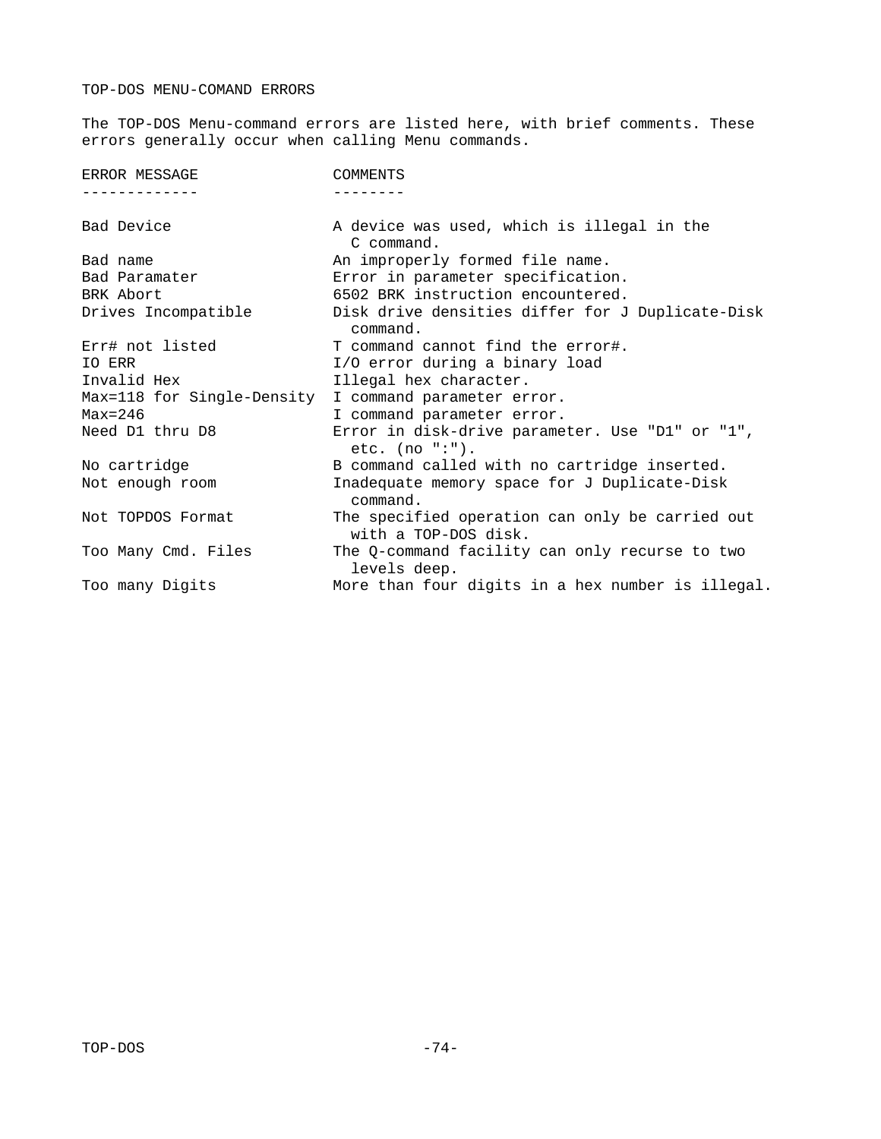# TOP-DOS MENU-COMAND ERRORS

The TOP-DOS Menu-command errors are listed here, with brief comments. These errors generally occur when calling Menu commands.

| ERROR MESSAGE              | <b>COMMENTS</b>                                                         |
|----------------------------|-------------------------------------------------------------------------|
|                            |                                                                         |
| Bad Device                 | A device was used, which is illegal in the<br>C command.                |
| Bad name                   | An improperly formed file name.                                         |
| Bad Paramater              | Error in parameter specification.                                       |
| BRK Abort                  | 6502 BRK instruction encountered.                                       |
| Drives Incompatible        | Disk drive densities differ for J Duplicate-Disk<br>command.            |
| Err# not listed            | T command cannot find the error#.                                       |
| IO ERR                     | I/O error during a binary load                                          |
| Invalid Hex                | Illegal hex character.                                                  |
| Max=118 for Single-Density | I command parameter error.                                              |
| $Max=246$                  | I command parameter error.                                              |
| Need D1 thru D8            | Error in disk-drive parameter. Use "D1" or "1",<br>etc. $(no ":")$ .    |
| No cartridge               | B command called with no cartridge inserted.                            |
| Not enough room            | Inadequate memory space for J Duplicate-Disk<br>command.                |
| Not TOPDOS Format          | The specified operation can only be carried out<br>with a TOP-DOS disk. |
| Too Many Cmd. Files        | The Q-command facility can only recurse to two<br>levels deep.          |
| Too many Digits            | More than four digits in a hex number is illegal.                       |
|                            |                                                                         |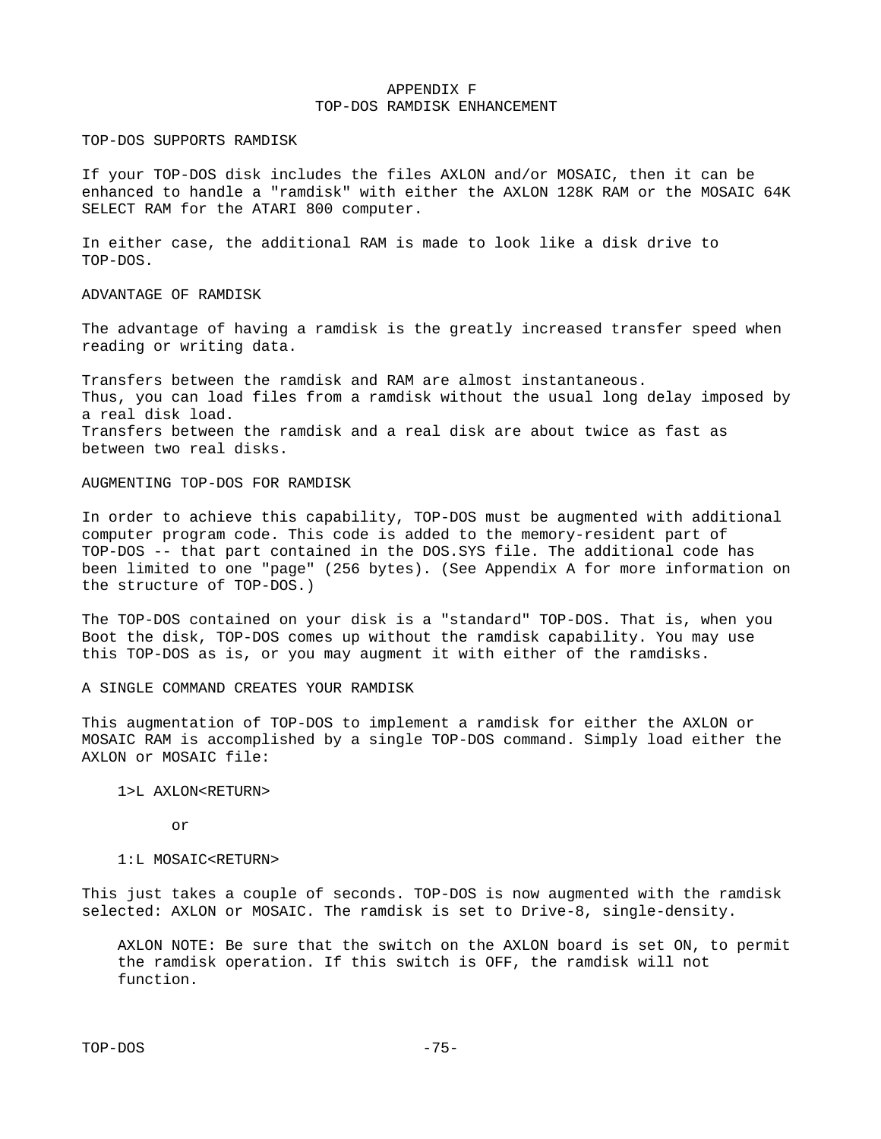## APPENDIX F TOP-DOS RAMDISK ENHANCEMENT

TOP-DOS SUPPORTS RAMDISK

If your TOP-DOS disk includes the files AXLON and/or MOSAIC, then it can be enhanced to handle a "ramdisk" with either the AXLON 128K RAM or the MOSAIC 64K SELECT RAM for the ATARI 800 computer.

In either case, the additional RAM is made to look like a disk drive to TOP-DOS.

## ADVANTAGE OF RAMDISK

The advantage of having a ramdisk is the greatly increased transfer speed when reading or writing data.

Transfers between the ramdisk and RAM are almost instantaneous. Thus, you can load files from a ramdisk without the usual long delay imposed by a real disk load. Transfers between the ramdisk and a real disk are about twice as fast as between two real disks.

### AUGMENTING TOP-DOS FOR RAMDISK

In order to achieve this capability, TOP-DOS must be augmented with additional computer program code. This code is added to the memory-resident part of TOP-DOS -- that part contained in the DOS.SYS file. The additional code has been limited to one "page" (256 bytes). (See Appendix A for more information on the structure of TOP-DOS.)

The TOP-DOS contained on your disk is a "standard" TOP-DOS. That is, when you Boot the disk, TOP-DOS comes up without the ramdisk capability. You may use this TOP-DOS as is, or you may augment it with either of the ramdisks.

## A SINGLE COMMAND CREATES YOUR RAMDISK

This augmentation of TOP-DOS to implement a ramdisk for either the AXLON or MOSAIC RAM is accomplished by a single TOP-DOS command. Simply load either the AXLON or MOSAIC file:

### 1>L AXLON<RETURN>

or

#### 1:L MOSAIC<RETURN>

This just takes a couple of seconds. TOP-DOS is now augmented with the ramdisk selected: AXLON or MOSAIC. The ramdisk is set to Drive-8, single-density.

 AXLON NOTE: Be sure that the switch on the AXLON board is set ON, to permit the ramdisk operation. If this switch is OFF, the ramdisk will not function.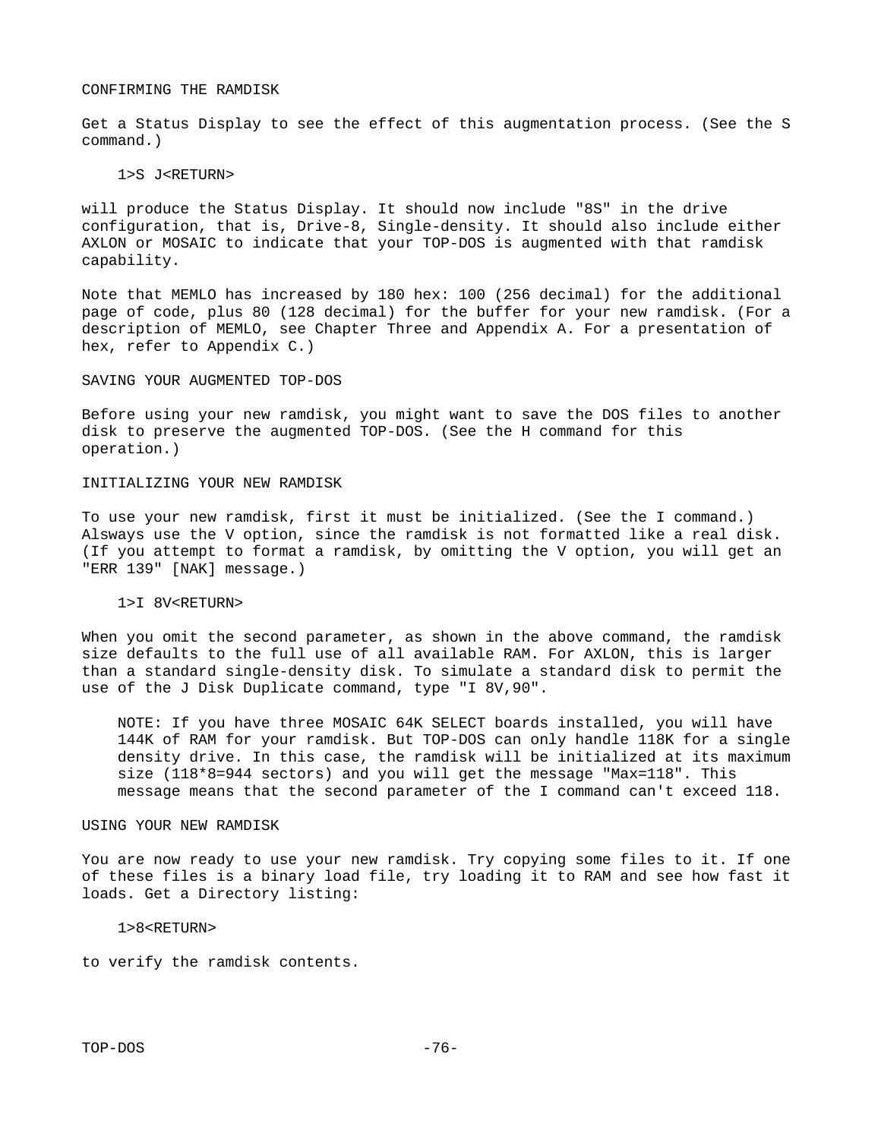### CONFIRMING THE RAMDISK

Get a Status Display to see the effect of this augmentation process. (See the S command.)

#### 1>S J<RETURN>

will produce the Status Display. It should now include "8S" in the drive configuration, that is, Drive-8, Single-density. It should also include either AXLON or MOSAIC to indicate that your TOP-DOS is augmented with that ramdisk capability.

Note that MEMLO has increased by 180 hex: 100 (256 decimal) for the additional page of code, plus 80 (128 decimal) for the buffer for your new ramdisk. (For a description of MEMLO, see Chapter Three and Appendix A. For a presentation of hex, refer to Appendix C.)

#### SAVING YOUR AUGMENTED TOP-DOS

Before using your new ramdisk, you might want to save the DOS files to another disk to preserve the augmented TOP-DOS. (See the H command for this operation.)

## INITIALIZING YOUR NEW RAMDISK

To use your new ramdisk, first it must be initialized. (See the I command.) Alsways use the V option, since the ramdisk is not formatted like a real disk. (If you attempt to format a ramdisk, by omitting the V option, you will get an "ERR 139" [NAK] message.)

### 1>I 8V<RETURN>

When you omit the second parameter, as shown in the above command, the ramdisk size defaults to the full use of all available RAM. For AXLON, this is larger than a standard single-density disk. To simulate a standard disk to permit the use of the J Disk Duplicate command, type "I 8V,90".

 NOTE: If you have three MOSAIC 64K SELECT boards installed, you will have 144K of RAM for your ramdisk. But TOP-DOS can only handle 118K for a single density drive. In this case, the ramdisk will be initialized at its maximum size (118\*8=944 sectors) and you will get the message "Max=118". This message means that the second parameter of the I command can't exceed 118.

#### USING YOUR NEW RAMDISK

You are now ready to use your new ramdisk. Try copying some files to it. If one of these files is a binary load file, try loading it to RAM and see how fast it loads. Get a Directory listing:

#### 1>8<RETURN>

to verify the ramdisk contents.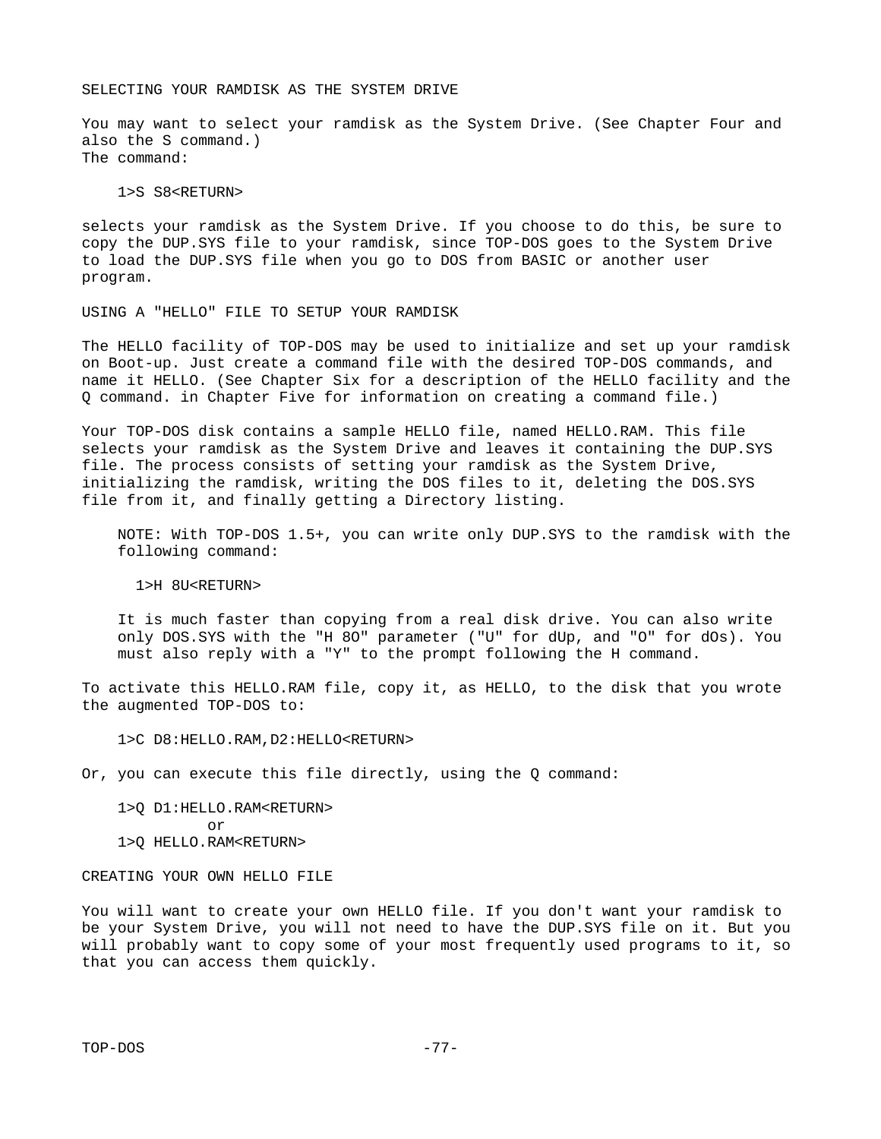### SELECTING YOUR RAMDISK AS THE SYSTEM DRIVE

You may want to select your ramdisk as the System Drive. (See Chapter Four and also the S command.) The command:

1>S S8<RETURN>

selects your ramdisk as the System Drive. If you choose to do this, be sure to copy the DUP.SYS file to your ramdisk, since TOP-DOS goes to the System Drive to load the DUP.SYS file when you go to DOS from BASIC or another user program.

USING A "HELLO" FILE TO SETUP YOUR RAMDISK

The HELLO facility of TOP-DOS may be used to initialize and set up your ramdisk on Boot-up. Just create a command file with the desired TOP-DOS commands, and name it HELLO. (See Chapter Six for a description of the HELLO facility and the Q command. in Chapter Five for information on creating a command file.)

Your TOP-DOS disk contains a sample HELLO file, named HELLO.RAM. This file selects your ramdisk as the System Drive and leaves it containing the DUP.SYS file. The process consists of setting your ramdisk as the System Drive, initializing the ramdisk, writing the DOS files to it, deleting the DOS.SYS file from it, and finally getting a Directory listing.

 NOTE: With TOP-DOS 1.5+, you can write only DUP.SYS to the ramdisk with the following command:

1>H 8U<RETURN>

 It is much faster than copying from a real disk drive. You can also write only DOS.SYS with the "H 8O" parameter ("U" for dUp, and "O" for dOs). You must also reply with a "Y" to the prompt following the H command.

To activate this HELLO.RAM file, copy it, as HELLO, to the disk that you wrote the augmented TOP-DOS to:

1>C D8:HELLO.RAM,D2:HELLO<RETURN>

Or, you can execute this file directly, using the Q command:

 1>Q D1:HELLO.RAM<RETURN> or 1>Q HELLO.RAM<RETURN>

CREATING YOUR OWN HELLO FILE

You will want to create your own HELLO file. If you don't want your ramdisk to be your System Drive, you will not need to have the DUP.SYS file on it. But you will probably want to copy some of your most frequently used programs to it, so that you can access them quickly.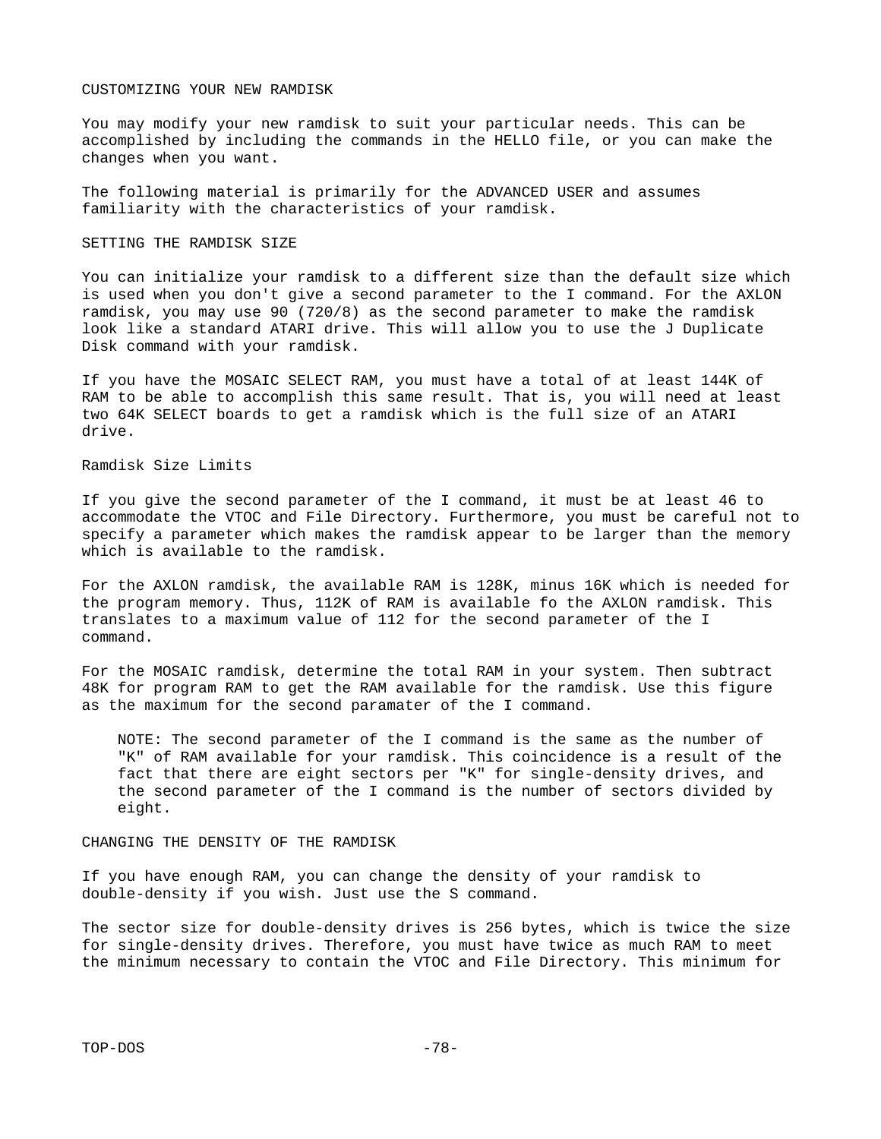### CUSTOMIZING YOUR NEW RAMDISK

You may modify your new ramdisk to suit your particular needs. This can be accomplished by including the commands in the HELLO file, or you can make the changes when you want.

The following material is primarily for the ADVANCED USER and assumes familiarity with the characteristics of your ramdisk.

#### SETTING THE RAMDISK SIZE

You can initialize your ramdisk to a different size than the default size which is used when you don't give a second parameter to the I command. For the AXLON ramdisk, you may use 90 (720/8) as the second parameter to make the ramdisk look like a standard ATARI drive. This will allow you to use the J Duplicate Disk command with your ramdisk.

If you have the MOSAIC SELECT RAM, you must have a total of at least 144K of RAM to be able to accomplish this same result. That is, you will need at least two 64K SELECT boards to get a ramdisk which is the full size of an ATARI drive.

Ramdisk Size Limits

If you give the second parameter of the I command, it must be at least 46 to accommodate the VTOC and File Directory. Furthermore, you must be careful not to specify a parameter which makes the ramdisk appear to be larger than the memory which is available to the ramdisk.

For the AXLON ramdisk, the available RAM is 128K, minus 16K which is needed for the program memory. Thus, 112K of RAM is available fo the AXLON ramdisk. This translates to a maximum value of 112 for the second parameter of the I command.

For the MOSAIC ramdisk, determine the total RAM in your system. Then subtract 48K for program RAM to get the RAM available for the ramdisk. Use this figure as the maximum for the second paramater of the I command.

 NOTE: The second parameter of the I command is the same as the number of "K" of RAM available for your ramdisk. This coincidence is a result of the fact that there are eight sectors per "K" for single-density drives, and the second parameter of the I command is the number of sectors divided by eight.

CHANGING THE DENSITY OF THE RAMDISK

If you have enough RAM, you can change the density of your ramdisk to double-density if you wish. Just use the S command.

The sector size for double-density drives is 256 bytes, which is twice the size for single-density drives. Therefore, you must have twice as much RAM to meet the minimum necessary to contain the VTOC and File Directory. This minimum for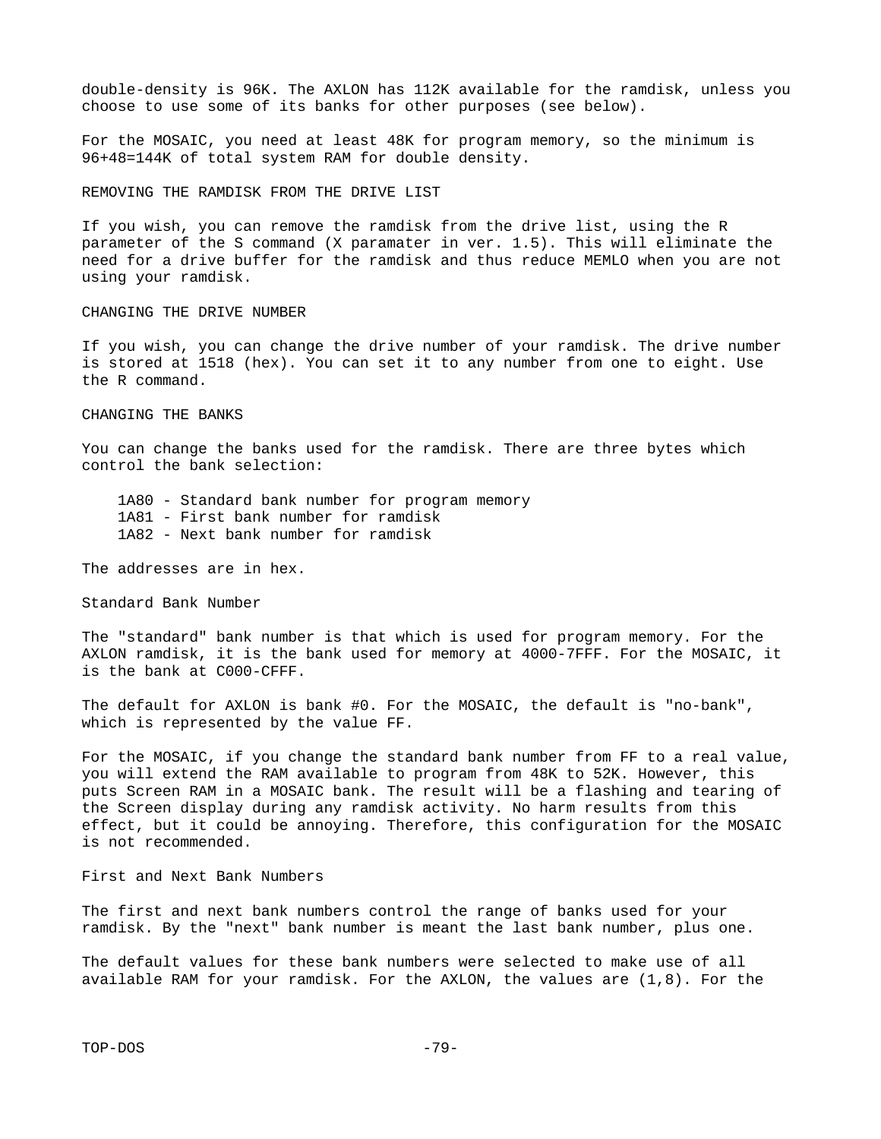double-density is 96K. The AXLON has 112K available for the ramdisk, unless you choose to use some of its banks for other purposes (see below).

For the MOSAIC, you need at least 48K for program memory, so the minimum is 96+48=144K of total system RAM for double density.

REMOVING THE RAMDISK FROM THE DRIVE LIST

If you wish, you can remove the ramdisk from the drive list, using the R parameter of the S command (X paramater in ver. 1.5). This will eliminate the need for a drive buffer for the ramdisk and thus reduce MEMLO when you are not using your ramdisk.

CHANGING THE DRIVE NUMBER

If you wish, you can change the drive number of your ramdisk. The drive number is stored at 1518 (hex). You can set it to any number from one to eight. Use the R command.

CHANGING THE BANKS

You can change the banks used for the ramdisk. There are three bytes which control the bank selection:

 1A80 - Standard bank number for program memory 1A81 - First bank number for ramdisk 1A82 - Next bank number for ramdisk

The addresses are in hex.

Standard Bank Number

The "standard" bank number is that which is used for program memory. For the AXLON ramdisk, it is the bank used for memory at 4000-7FFF. For the MOSAIC, it is the bank at C000-CFFF.

The default for AXLON is bank #0. For the MOSAIC, the default is "no-bank", which is represented by the value FF.

For the MOSAIC, if you change the standard bank number from FF to a real value, you will extend the RAM available to program from 48K to 52K. However, this puts Screen RAM in a MOSAIC bank. The result will be a flashing and tearing of the Screen display during any ramdisk activity. No harm results from this effect, but it could be annoying. Therefore, this configuration for the MOSAIC is not recommended.

First and Next Bank Numbers

The first and next bank numbers control the range of banks used for your ramdisk. By the "next" bank number is meant the last bank number, plus one.

The default values for these bank numbers were selected to make use of all available RAM for your ramdisk. For the AXLON, the values are (1,8). For the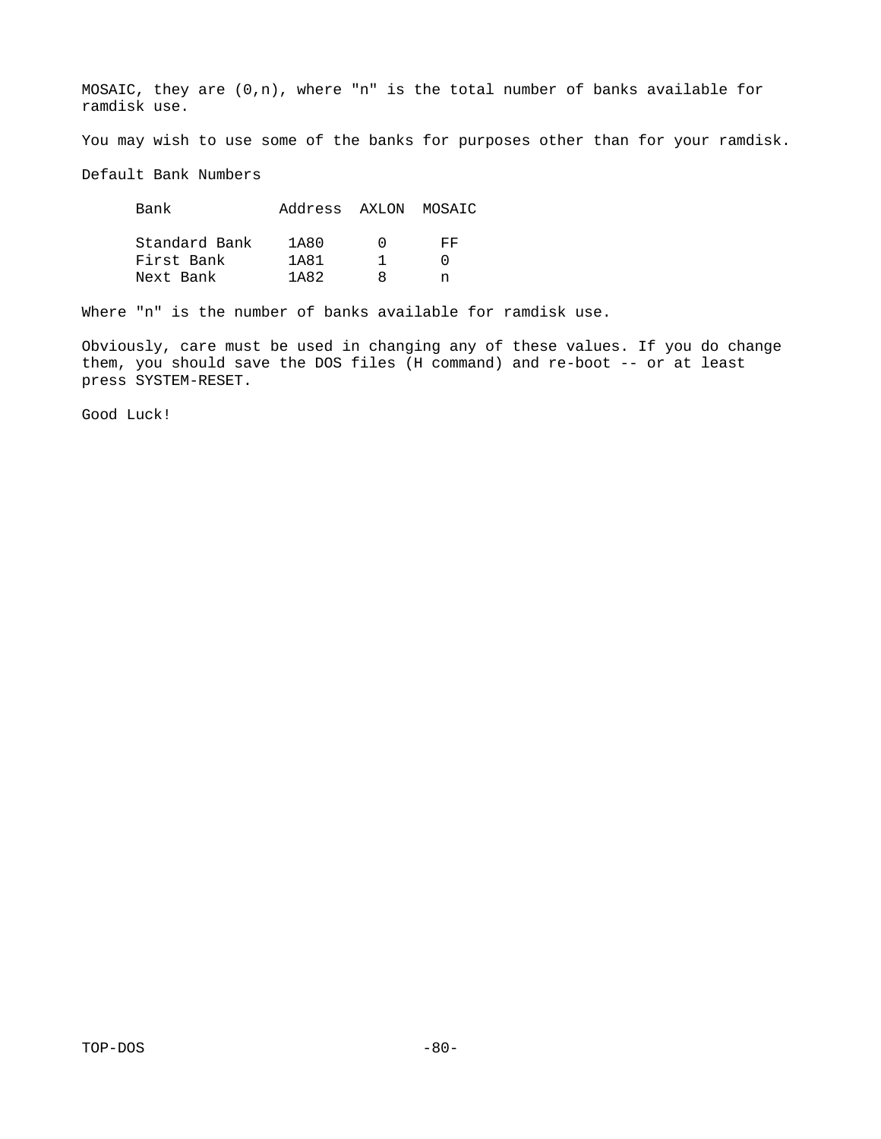MOSAIC, they are (0,n), where "n" is the total number of banks available for ramdisk use.

You may wish to use some of the banks for purposes other than for your ramdisk.

Default Bank Numbers

| Bank          | Address AXLON MOSAIC |                       |     |
|---------------|----------------------|-----------------------|-----|
| Standard Bank | 1A80                 | $\boldsymbol{\Theta}$ | FF. |
| First Bank    | 1A81                 | 1                     | ∩   |
| Next Bank     | 1A82                 | 8                     |     |

Where "n" is the number of banks available for ramdisk use.

Obviously, care must be used in changing any of these values. If you do change them, you should save the DOS files (H command) and re-boot -- or at least press SYSTEM-RESET.

Good Luck!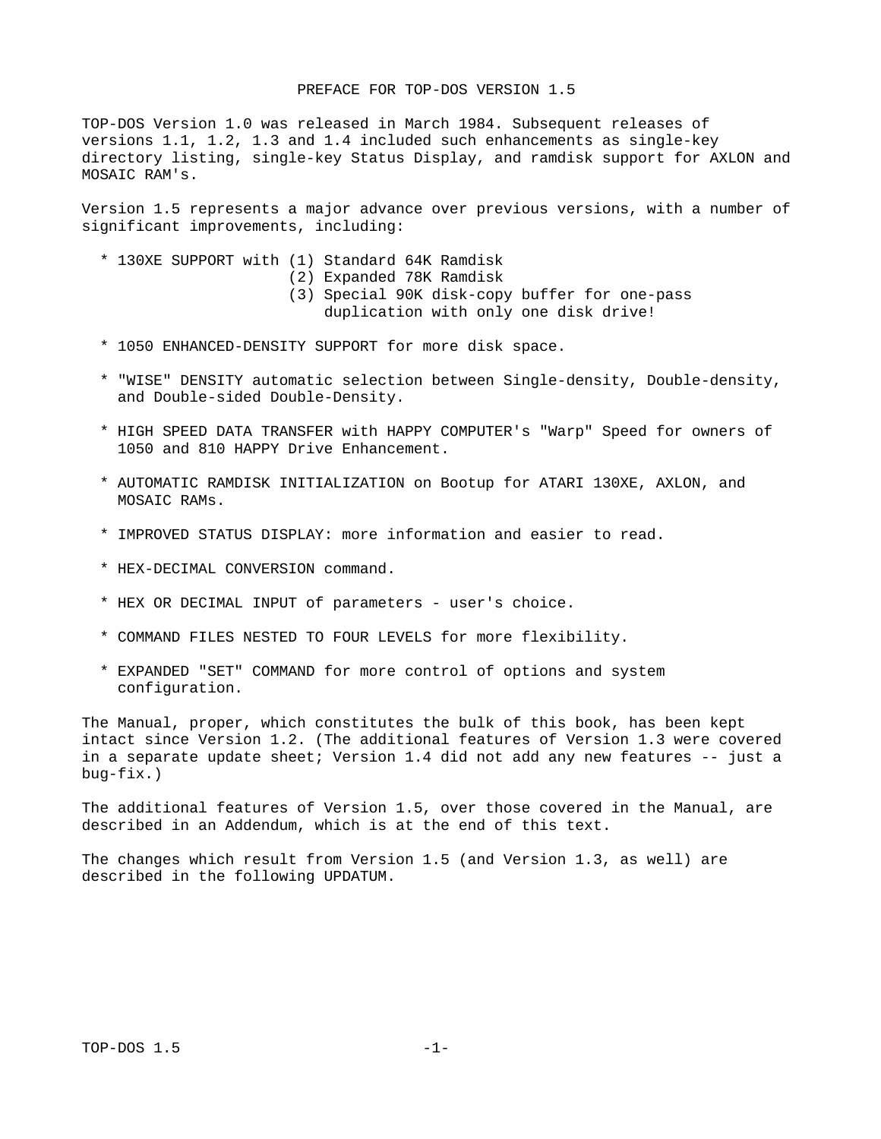## PREFACE FOR TOP-DOS VERSION 1.5

TOP-DOS Version 1.0 was released in March 1984. Subsequent releases of versions 1.1, 1.2, 1.3 and 1.4 included such enhancements as single-key directory listing, single-key Status Display, and ramdisk support for AXLON and MOSAIC RAM's.

Version 1.5 represents a major advance over previous versions, with a number of significant improvements, including:

- \* 130XE SUPPORT with (1) Standard 64K Ramdisk
	- (2) Expanded 78K Ramdisk
	- (3) Special 90K disk-copy buffer for one-pass duplication with only one disk drive!
- \* 1050 ENHANCED-DENSITY SUPPORT for more disk space.
- \* "WISE" DENSITY automatic selection between Single-density, Double-density, and Double-sided Double-Density.
- \* HIGH SPEED DATA TRANSFER with HAPPY COMPUTER's "Warp" Speed for owners of 1050 and 810 HAPPY Drive Enhancement.
- \* AUTOMATIC RAMDISK INITIALIZATION on Bootup for ATARI 130XE, AXLON, and MOSAIC RAMs.
- \* IMPROVED STATUS DISPLAY: more information and easier to read.
- \* HEX-DECIMAL CONVERSION command.
- \* HEX OR DECIMAL INPUT of parameters user's choice.
- \* COMMAND FILES NESTED TO FOUR LEVELS for more flexibility.
- \* EXPANDED "SET" COMMAND for more control of options and system configuration.

The Manual, proper, which constitutes the bulk of this book, has been kept intact since Version 1.2. (The additional features of Version 1.3 were covered in a separate update sheet; Version 1.4 did not add any new features -- just a bug-fix.)

The additional features of Version 1.5, over those covered in the Manual, are described in an Addendum, which is at the end of this text.

The changes which result from Version 1.5 (and Version 1.3, as well) are described in the following UPDATUM.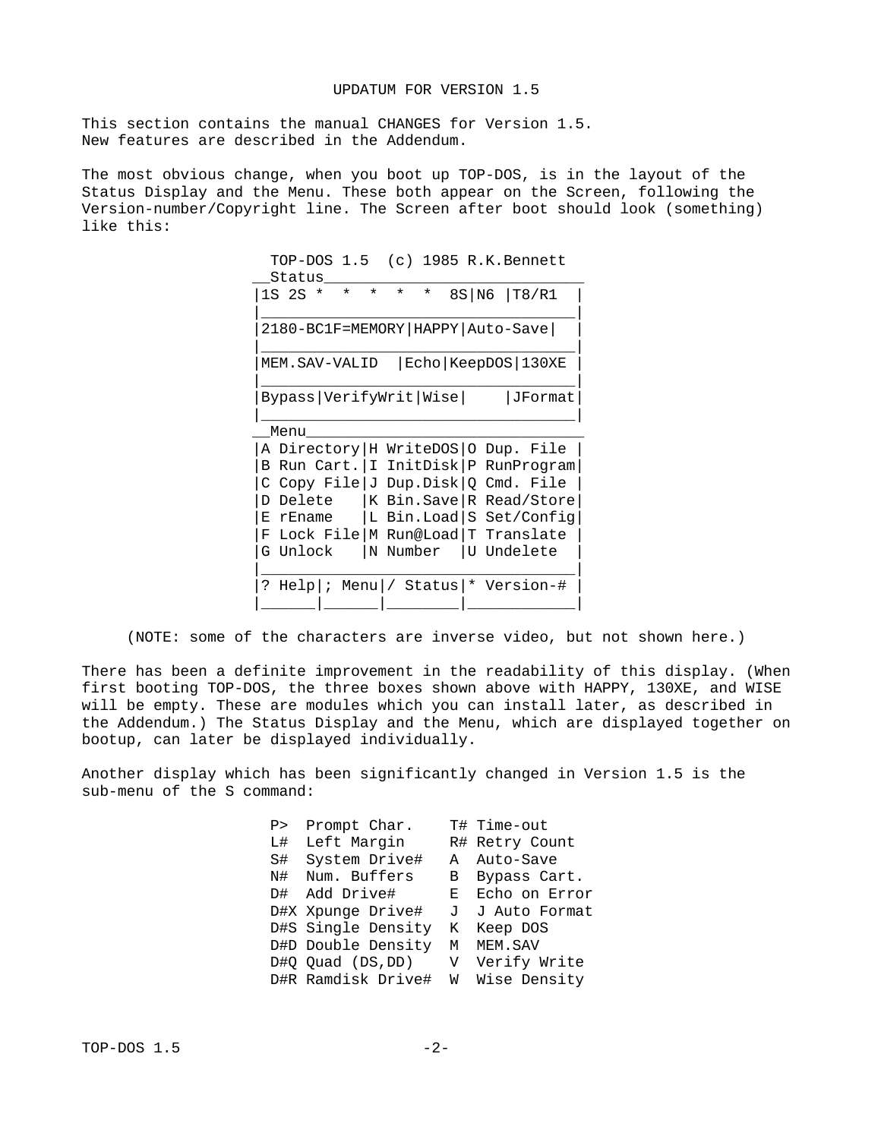This section contains the manual CHANGES for Version 1.5. New features are described in the Addendum.

The most obvious change, when you boot up TOP-DOS, is in the layout of the Status Display and the Menu. These both appear on the Screen, following the Version-number/Copyright line. The Screen after boot should look (something) like this:

 TOP-DOS 1.5 (c) 1985 R.K.Bennett \_\_Status\_\_\_\_\_\_\_\_\_\_\_\_\_\_\_\_\_\_\_\_\_\_\_\_\_\_\_\_\_ |1S 2S \* \* \* \* \* 8S|N6 |T8/R1 | |\_\_\_\_\_\_\_\_\_\_\_\_\_\_\_\_\_\_\_\_\_\_\_\_\_\_\_\_\_\_\_\_\_\_\_| |2180-BC1F=MEMORY|HAPPY|Auto-Save| | |\_\_\_\_\_\_\_\_\_\_\_\_\_\_\_\_\_\_\_\_\_\_\_\_\_\_\_\_\_\_\_\_\_\_\_| |MEM.SAV-VALID |Echo|KeepDOS|130XE | |\_\_\_\_\_\_\_\_\_\_\_\_\_\_\_\_\_\_\_\_\_\_\_\_\_\_\_\_\_\_\_\_\_\_\_| |Bypass|VerifyWrit|Wise| |JFormat| |\_\_\_\_\_\_\_\_\_\_\_\_\_\_\_\_\_\_\_\_\_\_\_\_\_\_\_\_\_\_\_\_\_\_\_|  $\sqrt{2}$ Menu $\sqrt{2}$ |A Directory|H WriteDOS|O Dup. File | |B Run Cart.|I InitDisk|P RunProgram| |C Copy File|J Dup.Disk|Q Cmd. File | |K Bin.Save|R Read/Store| |E rEname |L Bin.Load|S Set/Config| |F Lock File|M Run@Load|T Translate |  $|G$  Unlock  $|N$  Number  $|U$  Undelete |\_\_\_\_\_\_\_\_\_\_\_\_\_\_\_\_\_\_\_\_\_\_\_\_\_\_\_\_\_\_\_\_\_\_\_| |? Help|; Menu|/ Status|\* Version-# | |\_\_\_\_\_\_|\_\_\_\_\_\_|\_\_\_\_\_\_\_\_|\_\_\_\_\_\_\_\_\_\_\_\_|

(NOTE: some of the characters are inverse video, but not shown here.)

There has been a definite improvement in the readability of this display. (When first booting TOP-DOS, the three boxes shown above with HAPPY, 130XE, and WISE will be empty. These are modules which you can install later, as described in the Addendum.) The Status Display and the Menu, which are displayed together on bootup, can later be displayed individually.

Another display which has been significantly changed in Version 1.5 is the sub-menu of the S command:

| P> Prompt Char.                   | T# Time-out     |
|-----------------------------------|-----------------|
| L# Left Margin                    | R# Retry Count  |
| S# System Drive#                  | A Auto-Save     |
| N# Num. Buffers                   | B Bypass Cart.  |
| D# Add Drive#                     | E Echo on Error |
| D#X Xpunge Drive#                 | J J Auto Format |
| D#S Single Density                | K Keep DOS      |
| D#D Double Density                | M MEM.SAV       |
| D#Q Quad (DS,DD) V Verify Write   |                 |
| D#R Ramdisk Drive# W Wise Density |                 |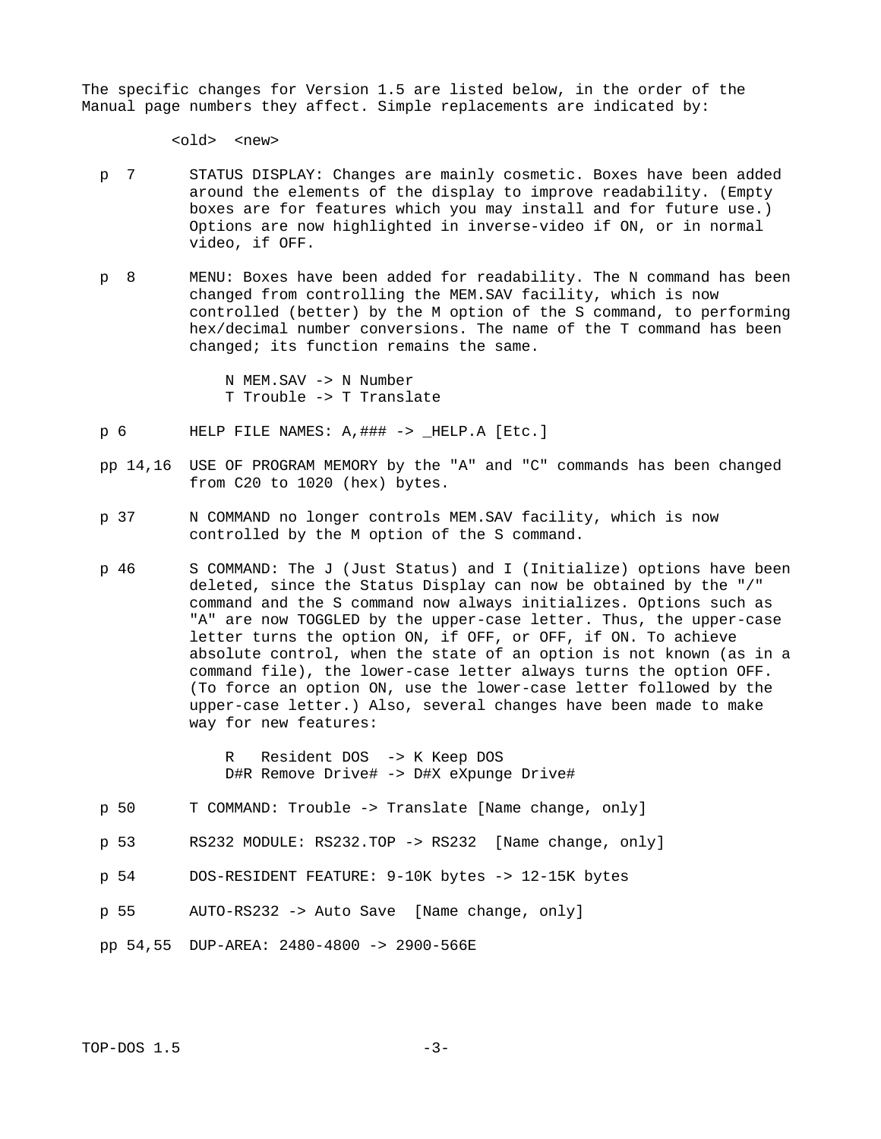The specific changes for Version 1.5 are listed below, in the order of the Manual page numbers they affect. Simple replacements are indicated by:

 $<sub>old</sub>$  <new></sub>

- p 7 STATUS DISPLAY: Changes are mainly cosmetic. Boxes have been added around the elements of the display to improve readability. (Empty boxes are for features which you may install and for future use.) Options are now highlighted in inverse-video if ON, or in normal video, if OFF.
- p 8 MENU: Boxes have been added for readability. The N command has been changed from controlling the MEM.SAV facility, which is now controlled (better) by the M option of the S command, to performing hex/decimal number conversions. The name of the T command has been changed; its function remains the same.

 N MEM.SAV -> N Number T Trouble -> T Translate

- p 6 HELP FILE NAMES: A,### -> \_HELP.A [Etc.]
- pp 14,16 USE OF PROGRAM MEMORY by the "A" and "C" commands has been changed from C20 to 1020 (hex) bytes.
- p 37 N COMMAND no longer controls MEM.SAV facility, which is now controlled by the M option of the S command.
- p 46 S COMMAND: The J (Just Status) and I (Initialize) options have been deleted, since the Status Display can now be obtained by the "/" command and the S command now always initializes. Options such as "A" are now TOGGLED by the upper-case letter. Thus, the upper-case letter turns the option ON, if OFF, or OFF, if ON. To achieve absolute control, when the state of an option is not known (as in a command file), the lower-case letter always turns the option OFF. (To force an option ON, use the lower-case letter followed by the upper-case letter.) Also, several changes have been made to make way for new features:

 R Resident DOS -> K Keep DOS D#R Remove Drive# -> D#X eXpunge Drive#

- p 50 T COMMAND: Trouble -> Translate [Name change, only]
- p 53 RS232 MODULE: RS232.TOP -> RS232 [Name change, only]
- p 54 DOS-RESIDENT FEATURE: 9-10K bytes -> 12-15K bytes
- p 55 AUTO-RS232 -> Auto Save [Name change, only]
- pp 54,55 DUP-AREA: 2480-4800 -> 2900-566E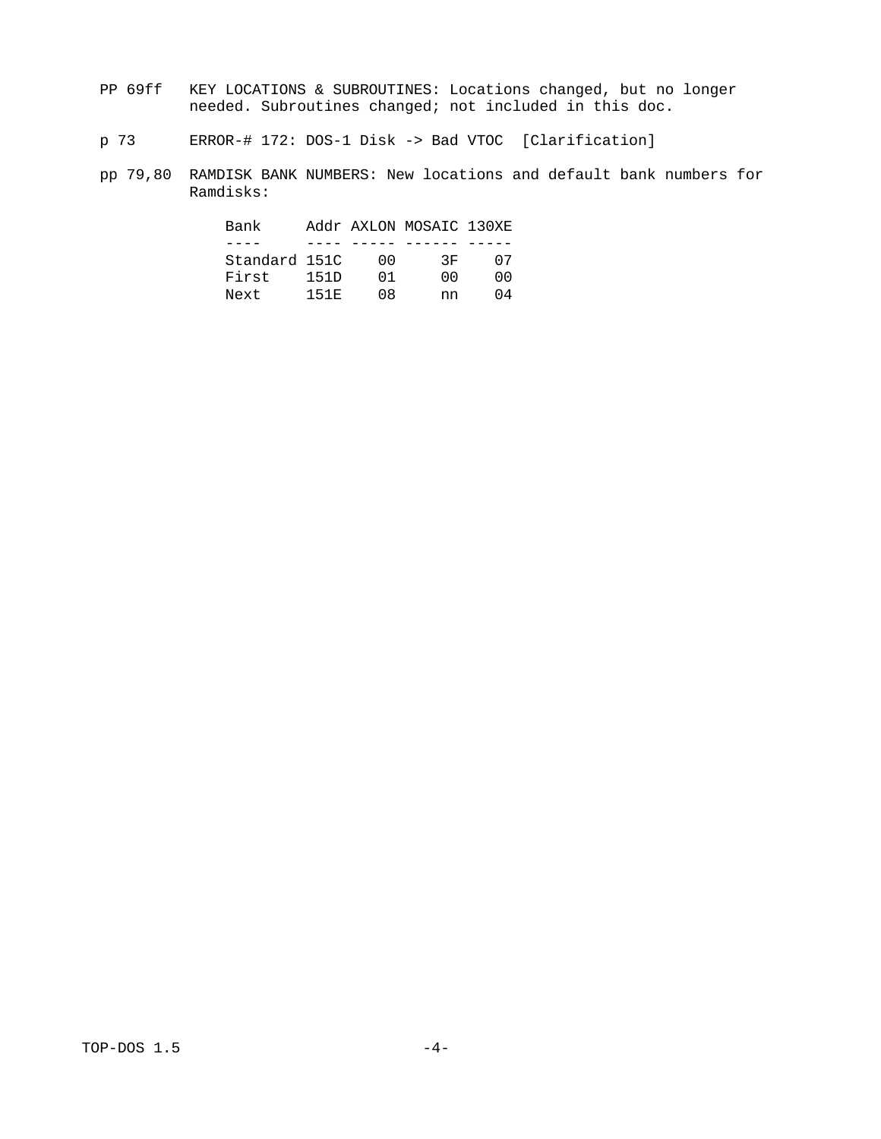- PP 69ff KEY LOCATIONS & SUBROUTINES: Locations changed, but no longer needed. Subroutines changed; not included in this doc.
	- p 73 ERROR-# 172: DOS-1 Disk -> Bad VTOC [Clarification]
	- pp 79,80 RAMDISK BANK NUMBERS: New locations and default bank numbers for Ramdisks:

| Bank          |      |     | Addr AXLON MOSAIC 130XE |     |
|---------------|------|-----|-------------------------|-----|
|               |      |     |                         |     |
| Standard 151C |      | 00. | 3F                      | 07  |
| First         | 151D | 01  | 00.                     | 00. |
| Next          | 151E | 68  | nn                      | 04  |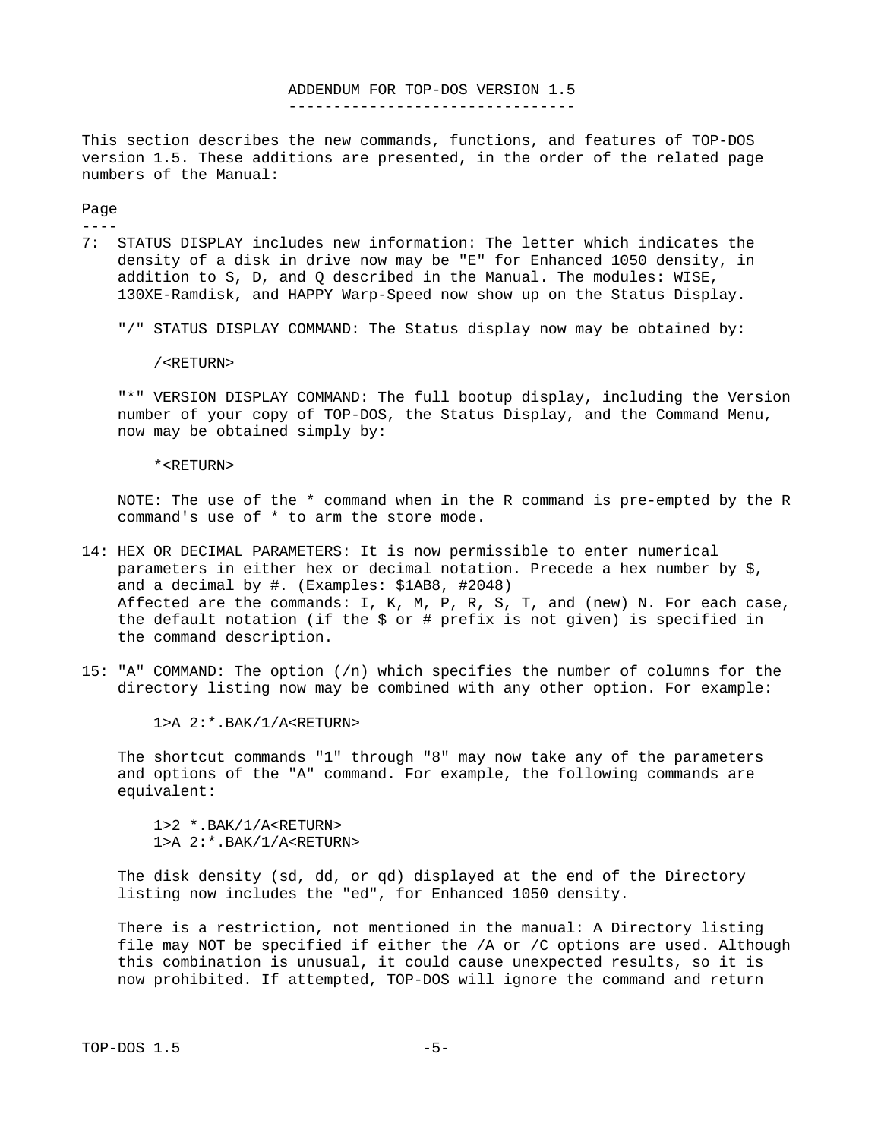### ADDENDUM FOR TOP-DOS VERSION 1.5 --------------------------------

This section describes the new commands, functions, and features of TOP-DOS version 1.5. These additions are presented, in the order of the related page numbers of the Manual:

Page

----

7: STATUS DISPLAY includes new information: The letter which indicates the density of a disk in drive now may be "E" for Enhanced 1050 density, in addition to S, D, and Q described in the Manual. The modules: WISE, 130XE-Ramdisk, and HAPPY Warp-Speed now show up on the Status Display.

"/" STATUS DISPLAY COMMAND: The Status display now may be obtained by:

/<RETURN>

 "\*" VERSION DISPLAY COMMAND: The full bootup display, including the Version number of your copy of TOP-DOS, the Status Display, and the Command Menu, now may be obtained simply by:

\*<RETURN>

 NOTE: The use of the \* command when in the R command is pre-empted by the R command's use of \* to arm the store mode.

- 14: HEX OR DECIMAL PARAMETERS: It is now permissible to enter numerical parameters in either hex or decimal notation. Precede a hex number by \$, and a decimal by #. (Examples: \$1AB8, #2048) Affected are the commands: I, K, M, P, R, S, T, and (new) N. For each case, the default notation (if the \$ or # prefix is not given) is specified in the command description.
- 15: "A" COMMAND: The option (/n) which specifies the number of columns for the directory listing now may be combined with any other option. For example:

1>A 2:\*.BAK/1/A<RETURN>

 The shortcut commands "1" through "8" may now take any of the parameters and options of the "A" command. For example, the following commands are equivalent:

 1>2 \*.BAK/1/A<RETURN> 1>A 2:\*.BAK/1/A<RETURN>

 The disk density (sd, dd, or qd) displayed at the end of the Directory listing now includes the "ed", for Enhanced 1050 density.

 There is a restriction, not mentioned in the manual: A Directory listing file may NOT be specified if either the /A or /C options are used. Although this combination is unusual, it could cause unexpected results, so it is now prohibited. If attempted, TOP-DOS will ignore the command and return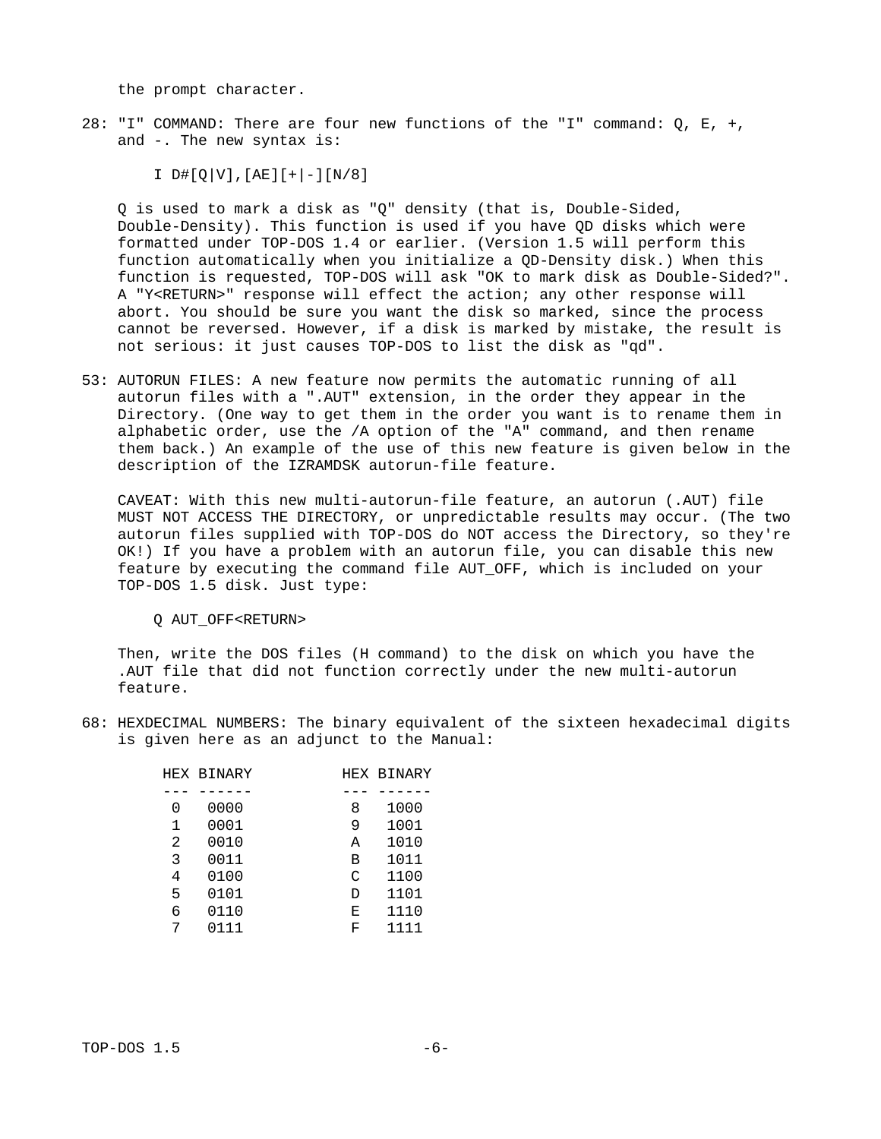the prompt character.

28: "I" COMMAND: There are four new functions of the "I" command: Q, E, +, and -. The new syntax is:

 $I$  D#[Q|V], [AE][+|-][N/8]

 Q is used to mark a disk as "Q" density (that is, Double-Sided, Double-Density). This function is used if you have QD disks which were formatted under TOP-DOS 1.4 or earlier. (Version 1.5 will perform this function automatically when you initialize a QD-Density disk.) When this function is requested, TOP-DOS will ask "OK to mark disk as Double-Sided?". A "Y<RETURN>" response will effect the action; any other response will abort. You should be sure you want the disk so marked, since the process cannot be reversed. However, if a disk is marked by mistake, the result is not serious: it just causes TOP-DOS to list the disk as "qd".

53: AUTORUN FILES: A new feature now permits the automatic running of all autorun files with a ".AUT" extension, in the order they appear in the Directory. (One way to get them in the order you want is to rename them in alphabetic order, use the /A option of the "A" command, and then rename them back.) An example of the use of this new feature is given below in the description of the IZRAMDSK autorun-file feature.

 CAVEAT: With this new multi-autorun-file feature, an autorun (.AUT) file MUST NOT ACCESS THE DIRECTORY, or unpredictable results may occur. (The two autorun files supplied with TOP-DOS do NOT access the Directory, so they're OK!) If you have a problem with an autorun file, you can disable this new feature by executing the command file AUT\_OFF, which is included on your TOP-DOS 1.5 disk. Just type:

Q AUT\_OFF<RETURN>

 Then, write the DOS files (H command) to the disk on which you have the .AUT file that did not function correctly under the new multi-autorun feature.

68: HEXDECIMAL NUMBERS: The binary equivalent of the sixteen hexadecimal digits is given here as an adjunct to the Manual:

|   | <b>HEX BINARY</b> |   | <b>HEX BINARY</b> |
|---|-------------------|---|-------------------|
|   |                   |   |                   |
| 0 | 0000              | 8 | 1000              |
| 1 | 0001              | 9 | 1001              |
| 2 | 0010              | А | 1010              |
| 3 | 0011              | В | 1011              |
| 4 | 0100              | C | 1100              |
| 5 | 0101              | D | 1101              |
| 6 | 0110              | Е | 1110              |
|   | 0111              | F | 1111              |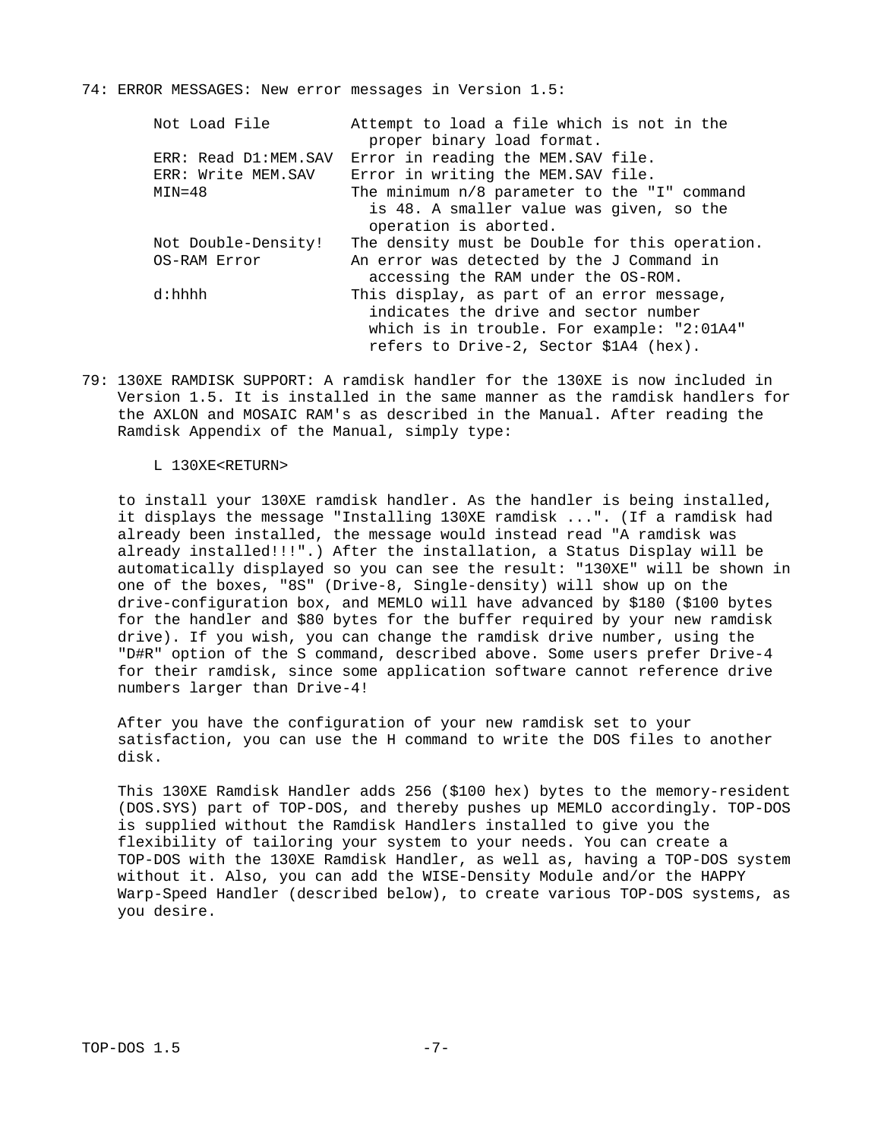## 74: ERROR MESSAGES: New error messages in Version 1.5:

| Not Load File                              | Attempt to load a file which is not in the<br>proper binary load format.                                                                                                    |
|--------------------------------------------|-----------------------------------------------------------------------------------------------------------------------------------------------------------------------------|
| ERR: Read D1:MEM.SAV<br>ERR: Write MEM.SAV | Error in reading the MEM.SAV file.<br>Error in writing the MEM.SAV file.                                                                                                    |
| $MIN = 48$                                 | The minimum n/8 parameter to the "I" command                                                                                                                                |
|                                            | is 48. A smaller value was given, so the<br>operation is aborted.                                                                                                           |
| Not Double-Density!                        | The density must be Double for this operation.                                                                                                                              |
| <b>OS-RAM Error</b>                        | An error was detected by the J Command in<br>accessing the RAM under the OS-ROM.                                                                                            |
| d:hhhh                                     | This display, as part of an error message,<br>indicates the drive and sector number<br>which is in trouble. For example: "2:01A4"<br>refers to Drive-2, Sector \$1A4 (hex). |
|                                            |                                                                                                                                                                             |

79: 130XE RAMDISK SUPPORT: A ramdisk handler for the 130XE is now included in Version 1.5. It is installed in the same manner as the ramdisk handlers for the AXLON and MOSAIC RAM's as described in the Manual. After reading the Ramdisk Appendix of the Manual, simply type:

### L 130XE<RETURN>

 to install your 130XE ramdisk handler. As the handler is being installed, it displays the message "Installing 130XE ramdisk ...". (If a ramdisk had already been installed, the message would instead read "A ramdisk was already installed!!!".) After the installation, a Status Display will be automatically displayed so you can see the result: "130XE" will be shown in one of the boxes, "8S" (Drive-8, Single-density) will show up on the drive-configuration box, and MEMLO will have advanced by \$180 (\$100 bytes for the handler and \$80 bytes for the buffer required by your new ramdisk drive). If you wish, you can change the ramdisk drive number, using the "D#R" option of the S command, described above. Some users prefer Drive-4 for their ramdisk, since some application software cannot reference drive numbers larger than Drive-4!

 After you have the configuration of your new ramdisk set to your satisfaction, you can use the H command to write the DOS files to another disk.

 This 130XE Ramdisk Handler adds 256 (\$100 hex) bytes to the memory-resident (DOS.SYS) part of TOP-DOS, and thereby pushes up MEMLO accordingly. TOP-DOS is supplied without the Ramdisk Handlers installed to give you the flexibility of tailoring your system to your needs. You can create a TOP-DOS with the 130XE Ramdisk Handler, as well as, having a TOP-DOS system without it. Also, you can add the WISE-Density Module and/or the HAPPY Warp-Speed Handler (described below), to create various TOP-DOS systems, as you desire.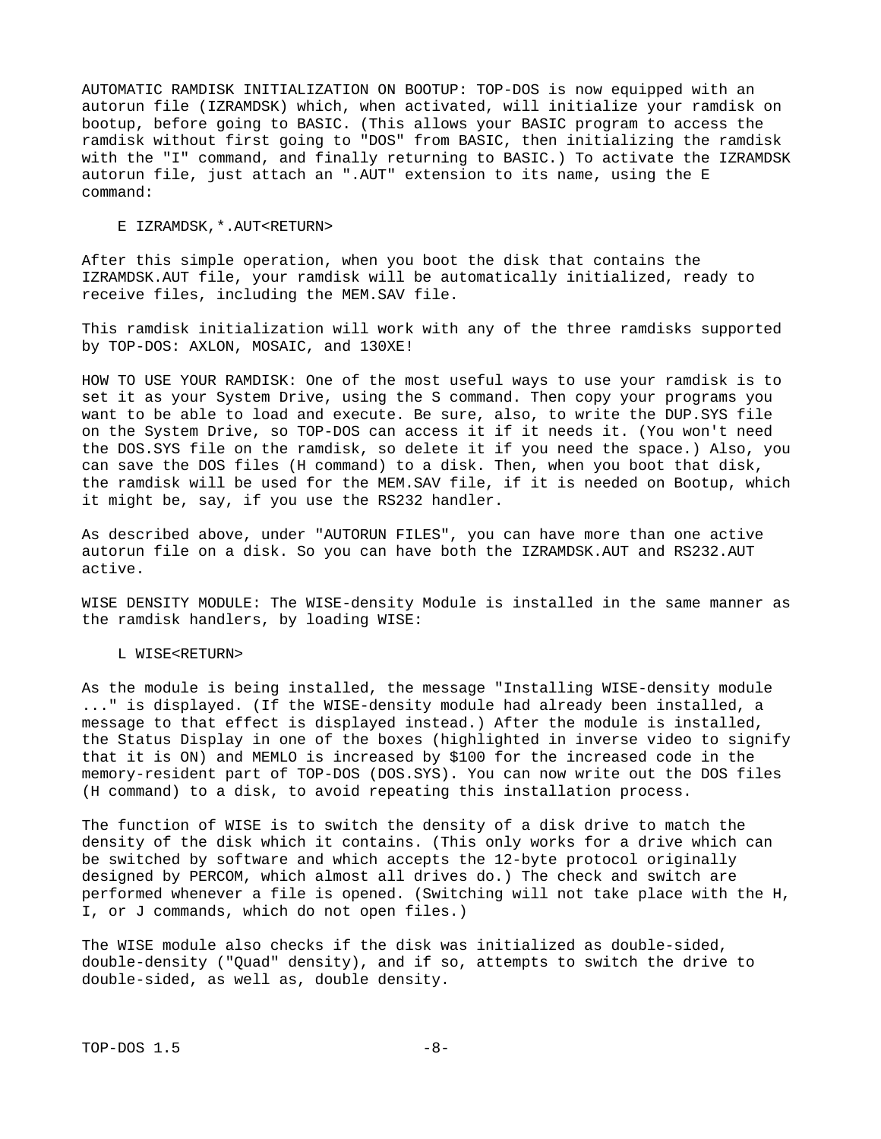AUTOMATIC RAMDISK INITIALIZATION ON BOOTUP: TOP-DOS is now equipped with an autorun file (IZRAMDSK) which, when activated, will initialize your ramdisk on bootup, before going to BASIC. (This allows your BASIC program to access the ramdisk without first going to "DOS" from BASIC, then initializing the ramdisk with the "I" command, and finally returning to BASIC.) To activate the IZRAMDSK autorun file, just attach an ".AUT" extension to its name, using the E command:

### E IZRAMDSK,\*.AUT<RETURN>

After this simple operation, when you boot the disk that contains the IZRAMDSK.AUT file, your ramdisk will be automatically initialized, ready to receive files, including the MEM.SAV file.

This ramdisk initialization will work with any of the three ramdisks supported by TOP-DOS: AXLON, MOSAIC, and 130XE!

HOW TO USE YOUR RAMDISK: One of the most useful ways to use your ramdisk is to set it as your System Drive, using the S command. Then copy your programs you want to be able to load and execute. Be sure, also, to write the DUP.SYS file on the System Drive, so TOP-DOS can access it if it needs it. (You won't need the DOS.SYS file on the ramdisk, so delete it if you need the space.) Also, you can save the DOS files (H command) to a disk. Then, when you boot that disk, the ramdisk will be used for the MEM.SAV file, if it is needed on Bootup, which it might be, say, if you use the RS232 handler.

As described above, under "AUTORUN FILES", you can have more than one active autorun file on a disk. So you can have both the IZRAMDSK.AUT and RS232.AUT active.

WISE DENSITY MODULE: The WISE-density Module is installed in the same manner as the ramdisk handlers, by loading WISE:

### L WISE<RETURN>

As the module is being installed, the message "Installing WISE-density module ..." is displayed. (If the WISE-density module had already been installed, a message to that effect is displayed instead.) After the module is installed, the Status Display in one of the boxes (highlighted in inverse video to signify that it is ON) and MEMLO is increased by \$100 for the increased code in the memory-resident part of TOP-DOS (DOS.SYS). You can now write out the DOS files (H command) to a disk, to avoid repeating this installation process.

The function of WISE is to switch the density of a disk drive to match the density of the disk which it contains. (This only works for a drive which can be switched by software and which accepts the 12-byte protocol originally designed by PERCOM, which almost all drives do.) The check and switch are performed whenever a file is opened. (Switching will not take place with the H, I, or J commands, which do not open files.)

The WISE module also checks if the disk was initialized as double-sided, double-density ("Quad" density), and if so, attempts to switch the drive to double-sided, as well as, double density.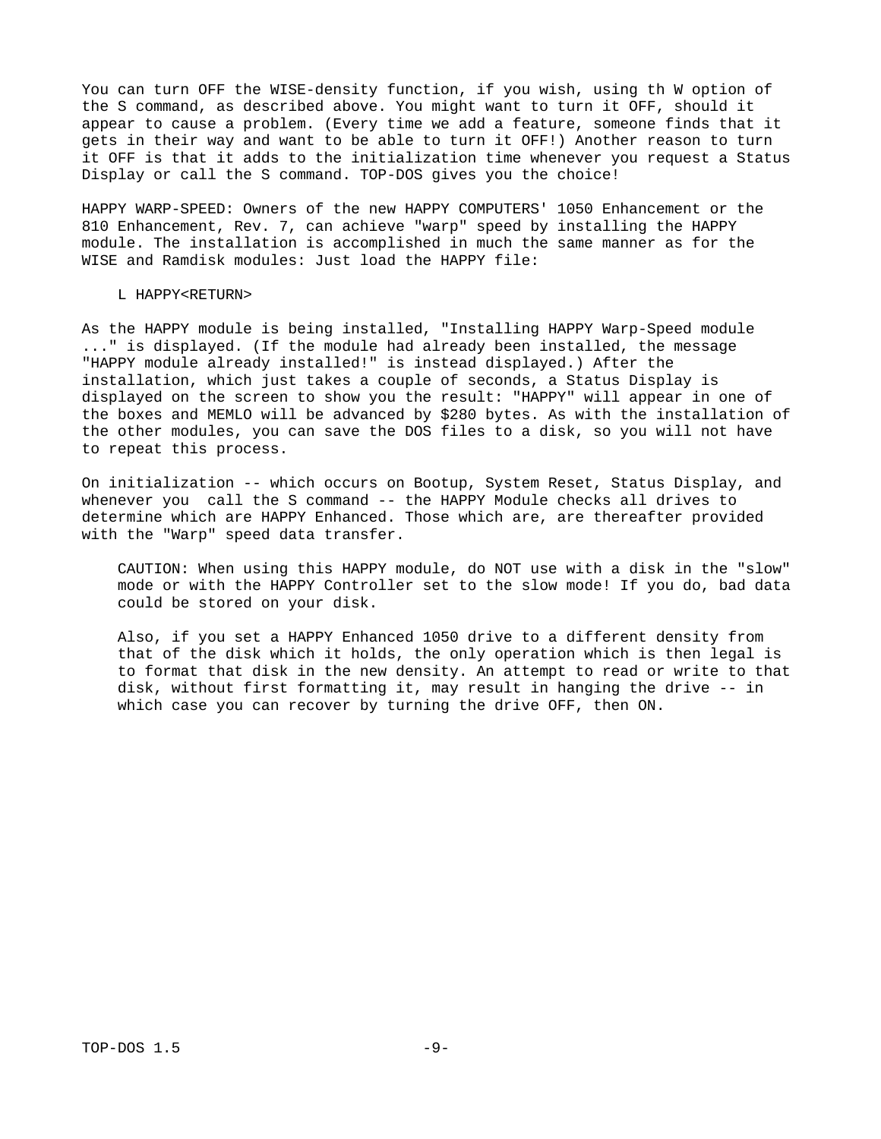You can turn OFF the WISE-density function, if you wish, using th W option of the S command, as described above. You might want to turn it OFF, should it appear to cause a problem. (Every time we add a feature, someone finds that it gets in their way and want to be able to turn it OFF!) Another reason to turn it OFF is that it adds to the initialization time whenever you request a Status Display or call the S command. TOP-DOS gives you the choice!

HAPPY WARP-SPEED: Owners of the new HAPPY COMPUTERS' 1050 Enhancement or the 810 Enhancement, Rev. 7, can achieve "warp" speed by installing the HAPPY module. The installation is accomplished in much the same manner as for the WISE and Ramdisk modules: Just load the HAPPY file:

### L HAPPY<RETURN>

As the HAPPY module is being installed, "Installing HAPPY Warp-Speed module ..." is displayed. (If the module had already been installed, the message "HAPPY module already installed!" is instead displayed.) After the installation, which just takes a couple of seconds, a Status Display is displayed on the screen to show you the result: "HAPPY" will appear in one of the boxes and MEMLO will be advanced by \$280 bytes. As with the installation of the other modules, you can save the DOS files to a disk, so you will not have to repeat this process.

On initialization -- which occurs on Bootup, System Reset, Status Display, and whenever you call the S command -- the HAPPY Module checks all drives to determine which are HAPPY Enhanced. Those which are, are thereafter provided with the "Warp" speed data transfer.

 CAUTION: When using this HAPPY module, do NOT use with a disk in the "slow" mode or with the HAPPY Controller set to the slow mode! If you do, bad data could be stored on your disk.

 Also, if you set a HAPPY Enhanced 1050 drive to a different density from that of the disk which it holds, the only operation which is then legal is to format that disk in the new density. An attempt to read or write to that disk, without first formatting it, may result in hanging the drive -- in which case you can recover by turning the drive OFF, then ON.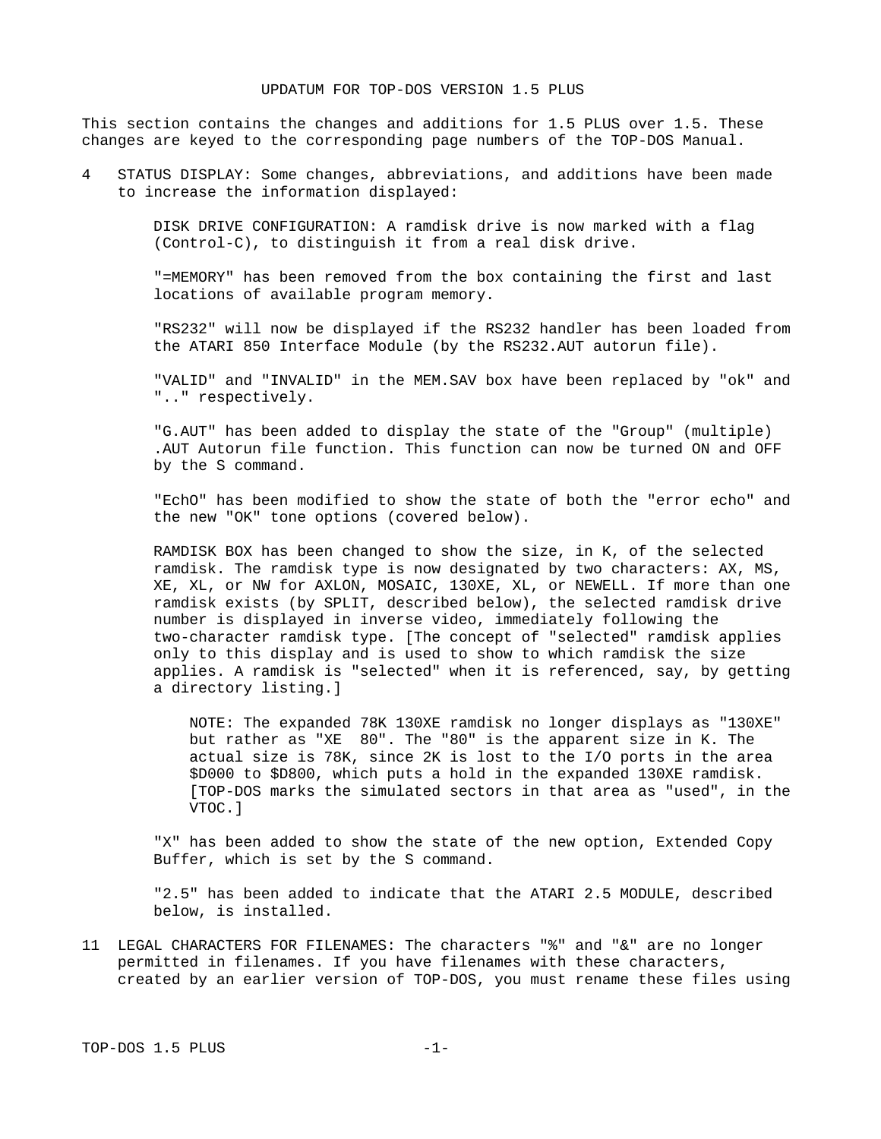## UPDATUM FOR TOP-DOS VERSION 1.5 PLUS

This section contains the changes and additions for 1.5 PLUS over 1.5. These changes are keyed to the corresponding page numbers of the TOP-DOS Manual.

4 STATUS DISPLAY: Some changes, abbreviations, and additions have been made to increase the information displayed:

> DISK DRIVE CONFIGURATION: A ramdisk drive is now marked with a flag (Control-C), to distinguish it from a real disk drive.

 "=MEMORY" has been removed from the box containing the first and last locations of available program memory.

 "RS232" will now be displayed if the RS232 handler has been loaded from the ATARI 850 Interface Module (by the RS232.AUT autorun file).

 "VALID" and "INVALID" in the MEM.SAV box have been replaced by "ok" and ".." respectively.

 "G.AUT" has been added to display the state of the "Group" (multiple) .AUT Autorun file function. This function can now be turned ON and OFF by the S command.

 "EchO" has been modified to show the state of both the "error echo" and the new "OK" tone options (covered below).

 RAMDISK BOX has been changed to show the size, in K, of the selected ramdisk. The ramdisk type is now designated by two characters: AX, MS, XE, XL, or NW for AXLON, MOSAIC, 130XE, XL, or NEWELL. If more than one ramdisk exists (by SPLIT, described below), the selected ramdisk drive number is displayed in inverse video, immediately following the two-character ramdisk type. [The concept of "selected" ramdisk applies only to this display and is used to show to which ramdisk the size applies. A ramdisk is "selected" when it is referenced, say, by getting a directory listing.]

 NOTE: The expanded 78K 130XE ramdisk no longer displays as "130XE" but rather as "XE 80". The "80" is the apparent size in K. The actual size is 78K, since 2K is lost to the I/O ports in the area \$D000 to \$D800, which puts a hold in the expanded 130XE ramdisk. [TOP-DOS marks the simulated sectors in that area as "used", in the VTOC.]

 "X" has been added to show the state of the new option, Extended Copy Buffer, which is set by the S command.

 "2.5" has been added to indicate that the ATARI 2.5 MODULE, described below, is installed.

11 LEGAL CHARACTERS FOR FILENAMES: The characters "%" and "&" are no longer permitted in filenames. If you have filenames with these characters, created by an earlier version of TOP-DOS, you must rename these files using

TOP-DOS 1.5 PLUS -1-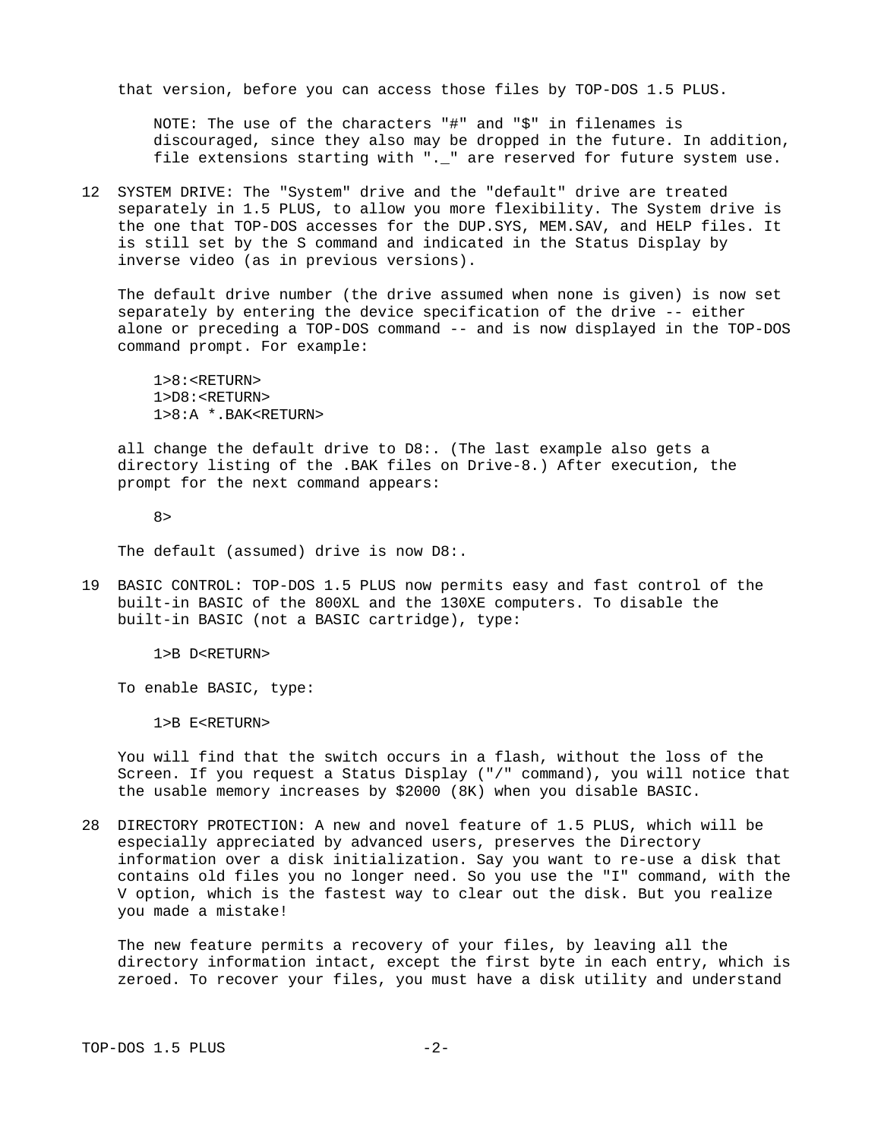that version, before you can access those files by TOP-DOS 1.5 PLUS.

 NOTE: The use of the characters "#" and "\$" in filenames is discouraged, since they also may be dropped in the future. In addition, file extensions starting with ".\_" are reserved for future system use.

12 SYSTEM DRIVE: The "System" drive and the "default" drive are treated separately in 1.5 PLUS, to allow you more flexibility. The System drive is the one that TOP-DOS accesses for the DUP.SYS, MEM.SAV, and HELP files. It is still set by the S command and indicated in the Status Display by inverse video (as in previous versions).

 The default drive number (the drive assumed when none is given) is now set separately by entering the device specification of the drive -- either alone or preceding a TOP-DOS command -- and is now displayed in the TOP-DOS command prompt. For example:

 1>8:<RETURN> 1>D8:<RETURN> 1>8:A \*.BAK<RETURN>

 all change the default drive to D8:. (The last example also gets a directory listing of the .BAK files on Drive-8.) After execution, the prompt for the next command appears:

8>

The default (assumed) drive is now D8:.

19 BASIC CONTROL: TOP-DOS 1.5 PLUS now permits easy and fast control of the built-in BASIC of the 800XL and the 130XE computers. To disable the built-in BASIC (not a BASIC cartridge), type:

1>B D<RETURN>

To enable BASIC, type:

1>B E<RETURN>

 You will find that the switch occurs in a flash, without the loss of the Screen. If you request a Status Display ("/" command), you will notice that the usable memory increases by \$2000 (8K) when you disable BASIC.

28 DIRECTORY PROTECTION: A new and novel feature of 1.5 PLUS, which will be especially appreciated by advanced users, preserves the Directory information over a disk initialization. Say you want to re-use a disk that contains old files you no longer need. So you use the "I" command, with the V option, which is the fastest way to clear out the disk. But you realize you made a mistake!

 The new feature permits a recovery of your files, by leaving all the directory information intact, except the first byte in each entry, which is zeroed. To recover your files, you must have a disk utility and understand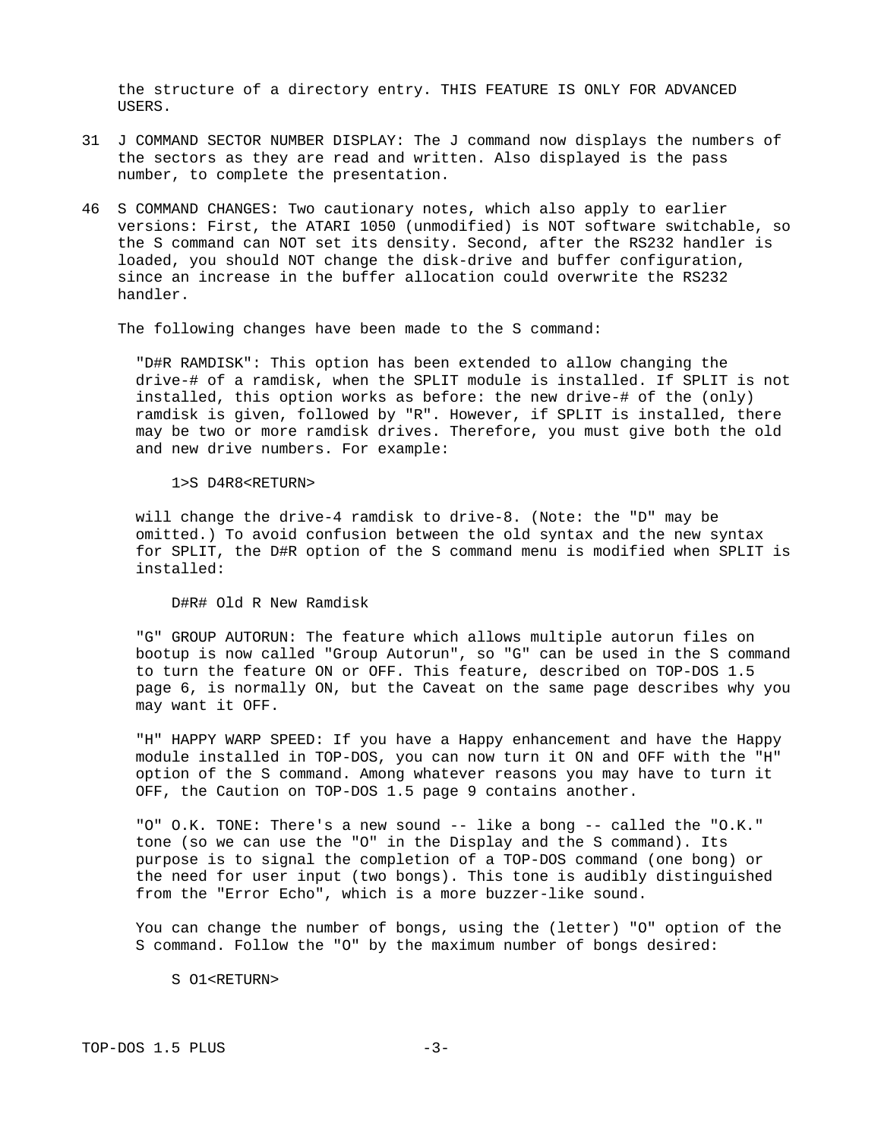the structure of a directory entry. THIS FEATURE IS ONLY FOR ADVANCED USERS.

- 31 J COMMAND SECTOR NUMBER DISPLAY: The J command now displays the numbers of the sectors as they are read and written. Also displayed is the pass number, to complete the presentation.
- 46 S COMMAND CHANGES: Two cautionary notes, which also apply to earlier versions: First, the ATARI 1050 (unmodified) is NOT software switchable, so the S command can NOT set its density. Second, after the RS232 handler is loaded, you should NOT change the disk-drive and buffer configuration, since an increase in the buffer allocation could overwrite the RS232 handler.

The following changes have been made to the S command:

 "D#R RAMDISK": This option has been extended to allow changing the drive-# of a ramdisk, when the SPLIT module is installed. If SPLIT is not installed, this option works as before: the new drive-# of the (only) ramdisk is given, followed by "R". However, if SPLIT is installed, there may be two or more ramdisk drives. Therefore, you must give both the old and new drive numbers. For example:

#### 1>S D4R8<RETURN>

 will change the drive-4 ramdisk to drive-8. (Note: the "D" may be omitted.) To avoid confusion between the old syntax and the new syntax for SPLIT, the D#R option of the S command menu is modified when SPLIT is installed:

D#R# Old R New Ramdisk

 "G" GROUP AUTORUN: The feature which allows multiple autorun files on bootup is now called "Group Autorun", so "G" can be used in the S command to turn the feature ON or OFF. This feature, described on TOP-DOS 1.5 page 6, is normally ON, but the Caveat on the same page describes why you may want it OFF.

 "H" HAPPY WARP SPEED: If you have a Happy enhancement and have the Happy module installed in TOP-DOS, you can now turn it ON and OFF with the "H" option of the S command. Among whatever reasons you may have to turn it OFF, the Caution on TOP-DOS 1.5 page 9 contains another.

 "O" O.K. TONE: There's a new sound -- like a bong -- called the "O.K." tone (so we can use the "O" in the Display and the S command). Its purpose is to signal the completion of a TOP-DOS command (one bong) or the need for user input (two bongs). This tone is audibly distinguished from the "Error Echo", which is a more buzzer-like sound.

 You can change the number of bongs, using the (letter) "O" option of the S command. Follow the "O" by the maximum number of bongs desired:

S 01<RETURN>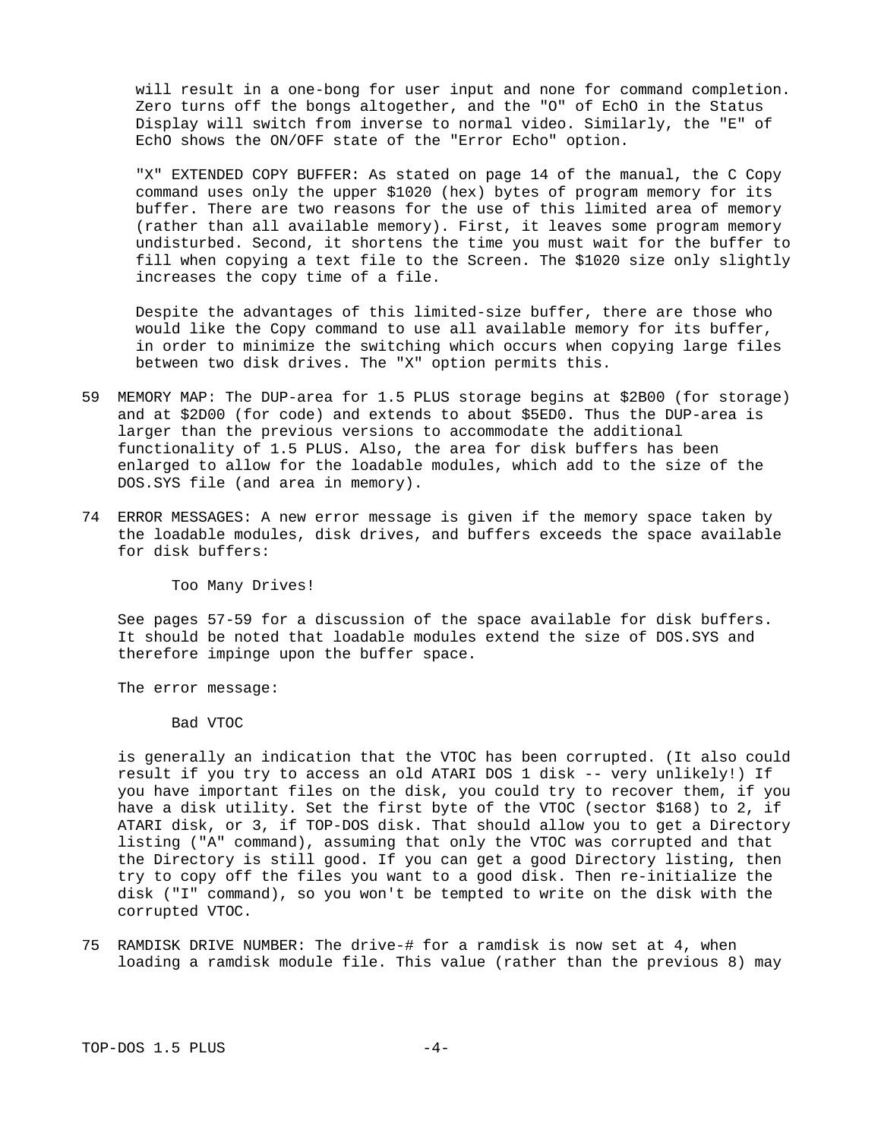will result in a one-bong for user input and none for command completion. Zero turns off the bongs altogether, and the "O" of EchO in the Status Display will switch from inverse to normal video. Similarly, the "E" of EchO shows the ON/OFF state of the "Error Echo" option.

 "X" EXTENDED COPY BUFFER: As stated on page 14 of the manual, the C Copy command uses only the upper \$1020 (hex) bytes of program memory for its buffer. There are two reasons for the use of this limited area of memory (rather than all available memory). First, it leaves some program memory undisturbed. Second, it shortens the time you must wait for the buffer to fill when copying a text file to the Screen. The \$1020 size only slightly increases the copy time of a file.

 Despite the advantages of this limited-size buffer, there are those who would like the Copy command to use all available memory for its buffer, in order to minimize the switching which occurs when copying large files between two disk drives. The "X" option permits this.

- 59 MEMORY MAP: The DUP-area for 1.5 PLUS storage begins at \$2B00 (for storage) and at \$2D00 (for code) and extends to about \$5ED0. Thus the DUP-area is larger than the previous versions to accommodate the additional functionality of 1.5 PLUS. Also, the area for disk buffers has been enlarged to allow for the loadable modules, which add to the size of the DOS.SYS file (and area in memory).
- 74 ERROR MESSAGES: A new error message is given if the memory space taken by the loadable modules, disk drives, and buffers exceeds the space available for disk buffers:

Too Many Drives!

 See pages 57-59 for a discussion of the space available for disk buffers. It should be noted that loadable modules extend the size of DOS.SYS and therefore impinge upon the buffer space.

The error message:

Bad VTOC

 is generally an indication that the VTOC has been corrupted. (It also could result if you try to access an old ATARI DOS 1 disk -- very unlikely!) If you have important files on the disk, you could try to recover them, if you have a disk utility. Set the first byte of the VTOC (sector \$168) to 2, if ATARI disk, or 3, if TOP-DOS disk. That should allow you to get a Directory listing ("A" command), assuming that only the VTOC was corrupted and that the Directory is still good. If you can get a good Directory listing, then try to copy off the files you want to a good disk. Then re-initialize the disk ("I" command), so you won't be tempted to write on the disk with the corrupted VTOC.

75 RAMDISK DRIVE NUMBER: The drive-# for a ramdisk is now set at 4, when loading a ramdisk module file. This value (rather than the previous 8) may

TOP-DOS 1.5 PLUS -4-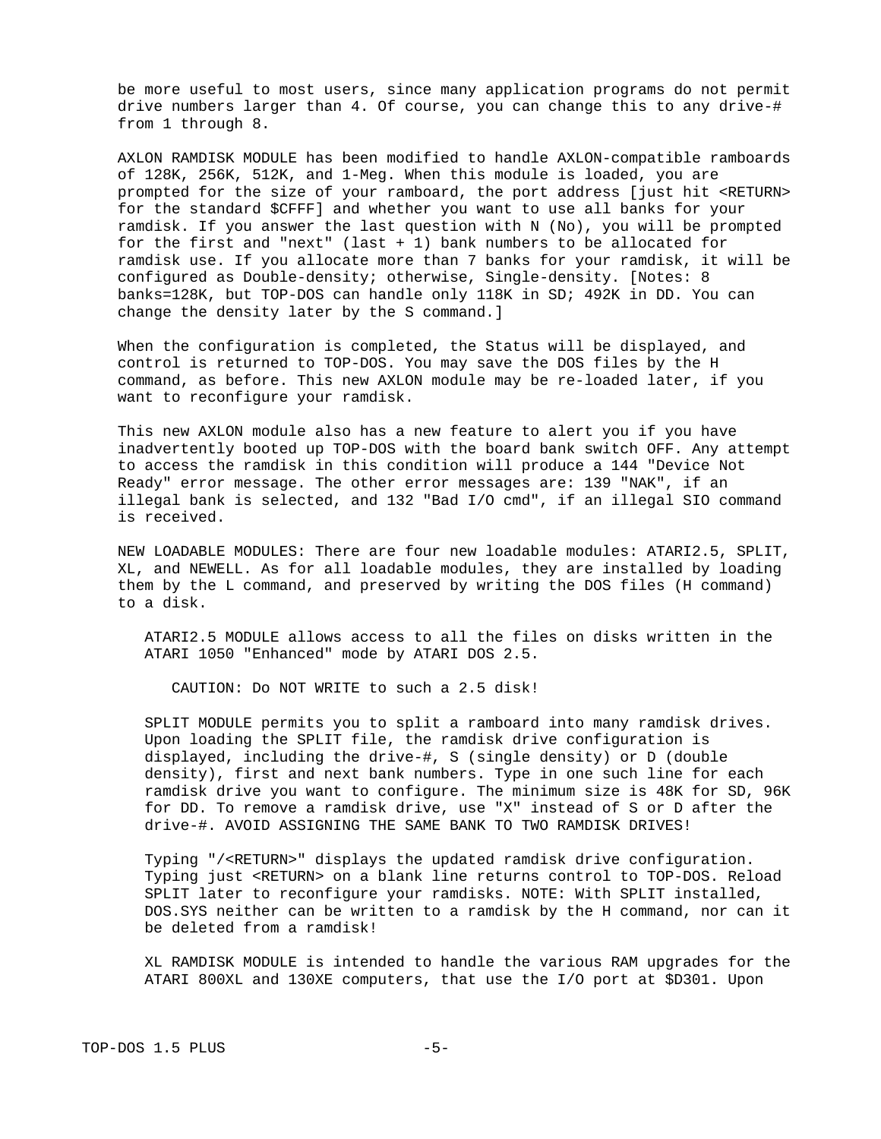be more useful to most users, since many application programs do not permit drive numbers larger than 4. Of course, you can change this to any drive-# from 1 through 8.

 AXLON RAMDISK MODULE has been modified to handle AXLON-compatible ramboards of 128K, 256K, 512K, and 1-Meg. When this module is loaded, you are prompted for the size of your ramboard, the port address [just hit <RETURN> for the standard \$CFFF] and whether you want to use all banks for your ramdisk. If you answer the last question with N (No), you will be prompted for the first and "next" (last + 1) bank numbers to be allocated for ramdisk use. If you allocate more than 7 banks for your ramdisk, it will be configured as Double-density; otherwise, Single-density. [Notes: 8 banks=128K, but TOP-DOS can handle only 118K in SD; 492K in DD. You can change the density later by the S command.]

 When the configuration is completed, the Status will be displayed, and control is returned to TOP-DOS. You may save the DOS files by the H command, as before. This new AXLON module may be re-loaded later, if you want to reconfigure your ramdisk.

 This new AXLON module also has a new feature to alert you if you have inadvertently booted up TOP-DOS with the board bank switch OFF. Any attempt to access the ramdisk in this condition will produce a 144 "Device Not Ready" error message. The other error messages are: 139 "NAK", if an illegal bank is selected, and 132 "Bad I/O cmd", if an illegal SIO command is received.

 NEW LOADABLE MODULES: There are four new loadable modules: ATARI2.5, SPLIT, XL, and NEWELL. As for all loadable modules, they are installed by loading them by the L command, and preserved by writing the DOS files (H command) to a disk.

 ATARI2.5 MODULE allows access to all the files on disks written in the ATARI 1050 "Enhanced" mode by ATARI DOS 2.5.

CAUTION: Do NOT WRITE to such a 2.5 disk!

 SPLIT MODULE permits you to split a ramboard into many ramdisk drives. Upon loading the SPLIT file, the ramdisk drive configuration is displayed, including the drive-#, S (single density) or D (double density), first and next bank numbers. Type in one such line for each ramdisk drive you want to configure. The minimum size is 48K for SD, 96K for DD. To remove a ramdisk drive, use "X" instead of S or D after the drive-#. AVOID ASSIGNING THE SAME BANK TO TWO RAMDISK DRIVES!

 Typing "/<RETURN>" displays the updated ramdisk drive configuration. Typing just <RETURN> on a blank line returns control to TOP-DOS. Reload SPLIT later to reconfigure your ramdisks. NOTE: With SPLIT installed, DOS.SYS neither can be written to a ramdisk by the H command, nor can it be deleted from a ramdisk!

 XL RAMDISK MODULE is intended to handle the various RAM upgrades for the ATARI 800XL and 130XE computers, that use the I/O port at \$D301. Upon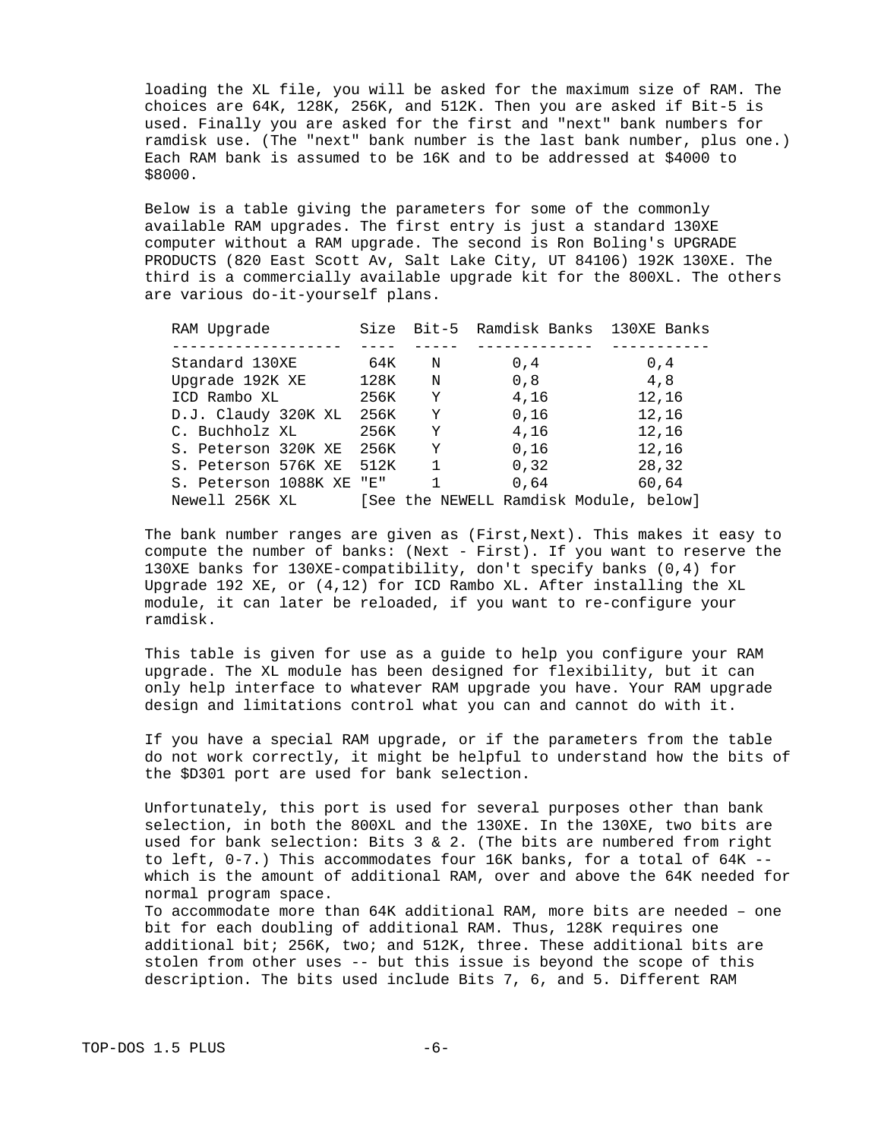loading the XL file, you will be asked for the maximum size of RAM. The choices are 64K, 128K, 256K, and 512K. Then you are asked if Bit-5 is used. Finally you are asked for the first and "next" bank numbers for ramdisk use. (The "next" bank number is the last bank number, plus one.) Each RAM bank is assumed to be 16K and to be addressed at \$4000 to \$8000.

 Below is a table giving the parameters for some of the commonly available RAM upgrades. The first entry is just a standard 130XE computer without a RAM upgrade. The second is Ron Boling's UPGRADE PRODUCTS (820 East Scott Av, Salt Lake City, UT 84106) 192K 130XE. The third is a commercially available upgrade kit for the 800XL. The others are various do-it-yourself plans.

| RAM Upgrade              |      |              | Size Bit-5 Ramdisk Banks 130XE Banks   |              |
|--------------------------|------|--------------|----------------------------------------|--------------|
|                          |      |              |                                        |              |
| Standard 130XE           | 64K  | N            | $\theta$ , 4                           | $\theta$ , 4 |
| Upgrade 192K XE          | 128K | N.           | 0,8                                    | 4, 8         |
| ICD Rambo XL             | 256K | Y            | 4,16                                   | 12, 16       |
| D.J. Claudy 320K XL 256K |      | Y            | 0, 16                                  | 12, 16       |
| C. Buchholz XL           | 256K | Y            | 4,16                                   | 12, 16       |
| S. Peterson 320K XE      | 256K | Y            | 0, 16                                  | 12, 16       |
| S. Peterson 576K XE 512K |      | $\mathbf{1}$ | 0, 32                                  | 28,32        |
| S. Peterson 1088K XE "E" |      | $\mathbf{1}$ | 0,64                                   | 60,64        |
| Newell 256K XL           |      |              | [See the NEWELL Ramdisk Module, below] |              |

 The bank number ranges are given as (First,Next). This makes it easy to compute the number of banks: (Next - First). If you want to reserve the 130XE banks for 130XE-compatibility, don't specify banks (0,4) for Upgrade 192 XE, or (4,12) for ICD Rambo XL. After installing the XL module, it can later be reloaded, if you want to re-configure your ramdisk.

 This table is given for use as a guide to help you configure your RAM upgrade. The XL module has been designed for flexibility, but it can only help interface to whatever RAM upgrade you have. Your RAM upgrade design and limitations control what you can and cannot do with it.

 If you have a special RAM upgrade, or if the parameters from the table do not work correctly, it might be helpful to understand how the bits of the \$D301 port are used for bank selection.

 Unfortunately, this port is used for several purposes other than bank selection, in both the 800XL and the 130XE. In the 130XE, two bits are used for bank selection: Bits 3 & 2. (The bits are numbered from right to left, 0-7.) This accommodates four 16K banks, for a total of 64K - which is the amount of additional RAM, over and above the 64K needed for normal program space.

 To accommodate more than 64K additional RAM, more bits are needed – one bit for each doubling of additional RAM. Thus, 128K requires one additional bit; 256K, two; and 512K, three. These additional bits are stolen from other uses -- but this issue is beyond the scope of this description. The bits used include Bits 7, 6, and 5. Different RAM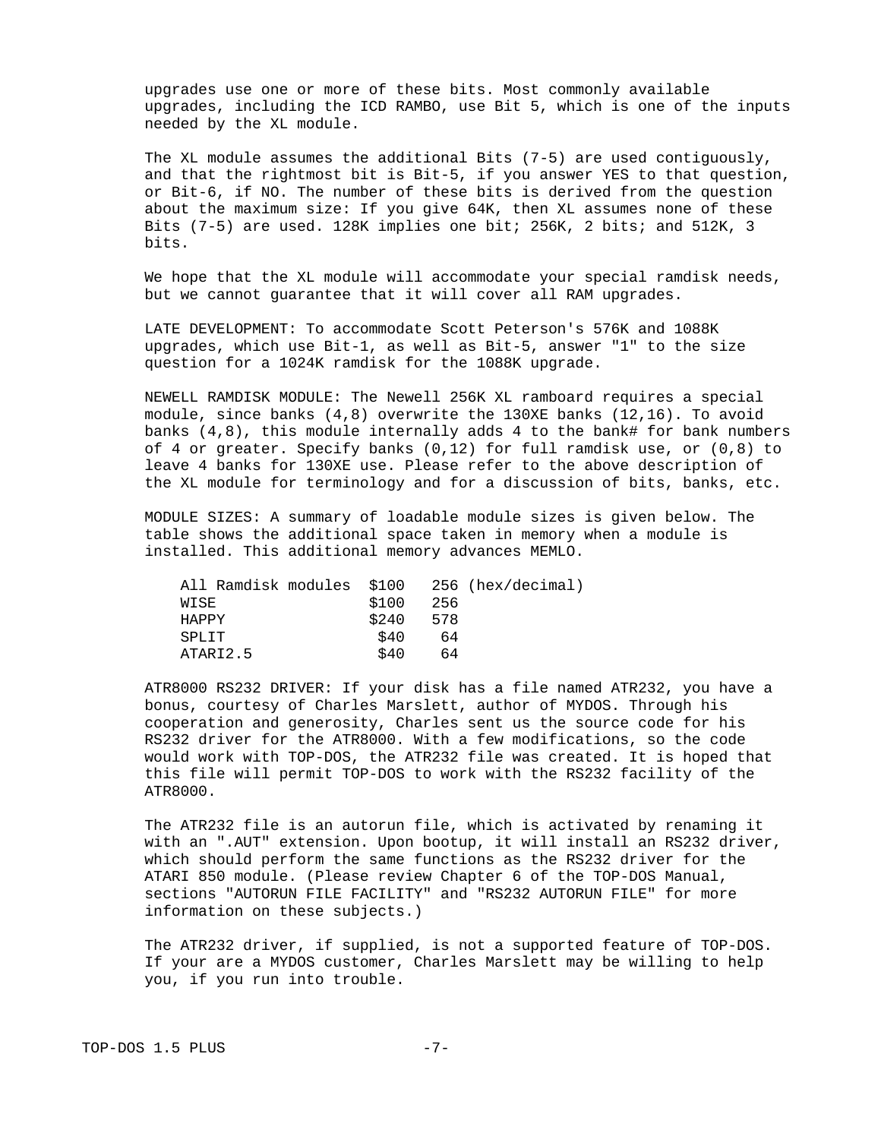upgrades use one or more of these bits. Most commonly available upgrades, including the ICD RAMBO, use Bit 5, which is one of the inputs needed by the XL module.

 The XL module assumes the additional Bits (7-5) are used contiguously, and that the rightmost bit is Bit-5, if you answer YES to that question, or Bit-6, if NO. The number of these bits is derived from the question about the maximum size: If you give 64K, then XL assumes none of these Bits (7-5) are used. 128K implies one bit; 256K, 2 bits; and 512K, 3 bits.

 We hope that the XL module will accommodate your special ramdisk needs, but we cannot guarantee that it will cover all RAM upgrades.

 LATE DEVELOPMENT: To accommodate Scott Peterson's 576K and 1088K upgrades, which use Bit-1, as well as Bit-5, answer "1" to the size question for a 1024K ramdisk for the 1088K upgrade.

 NEWELL RAMDISK MODULE: The Newell 256K XL ramboard requires a special module, since banks  $(4,8)$  overwrite the 130XE banks  $(12,16)$ . To avoid banks  $(4,8)$ , this module internally adds 4 to the bank# for bank numbers of 4 or greater. Specify banks (0,12) for full ramdisk use, or (0,8) to leave 4 banks for 130XE use. Please refer to the above description of the XL module for terminology and for a discussion of bits, banks, etc.

 MODULE SIZES: A summary of loadable module sizes is given below. The table shows the additional space taken in memory when a module is installed. This additional memory advances MEMLO.

| All Ramdisk modules \$100 |       | 256 (hex/decimal) |
|---------------------------|-------|-------------------|
| WISE                      | \$100 | 256               |
| <b>HAPPY</b>              | \$240 | 578               |
| <b>SPLIT</b>              | \$40  | 64                |
| ATARI2.5                  | \$40  | 64                |
|                           |       |                   |

 ATR8000 RS232 DRIVER: If your disk has a file named ATR232, you have a bonus, courtesy of Charles Marslett, author of MYDOS. Through his cooperation and generosity, Charles sent us the source code for his RS232 driver for the ATR8000. With a few modifications, so the code would work with TOP-DOS, the ATR232 file was created. It is hoped that this file will permit TOP-DOS to work with the RS232 facility of the ATR8000.

 The ATR232 file is an autorun file, which is activated by renaming it with an ".AUT" extension. Upon bootup, it will install an RS232 driver, which should perform the same functions as the RS232 driver for the ATARI 850 module. (Please review Chapter 6 of the TOP-DOS Manual, sections "AUTORUN FILE FACILITY" and "RS232 AUTORUN FILE" for more information on these subjects.)

 The ATR232 driver, if supplied, is not a supported feature of TOP-DOS. If your are a MYDOS customer, Charles Marslett may be willing to help you, if you run into trouble.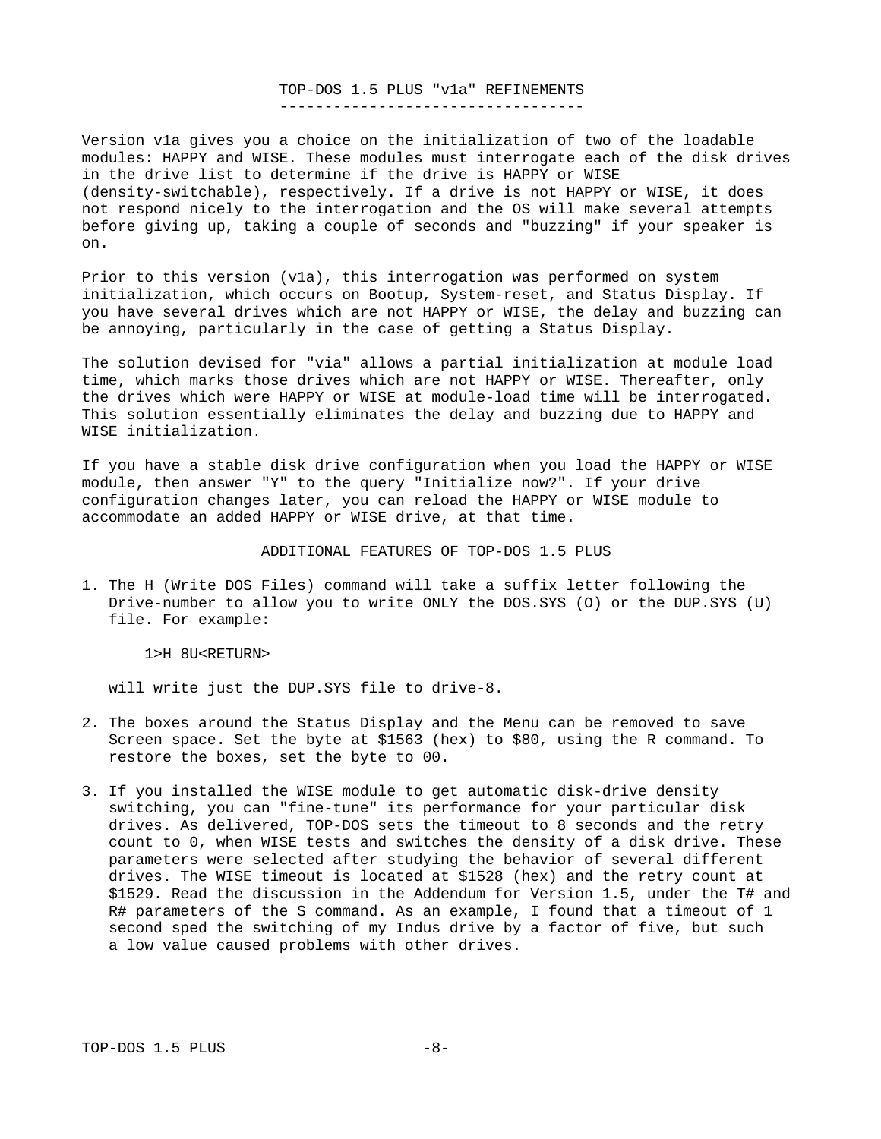### TOP-DOS 1.5 PLUS "v1a" REFINEMENTS ----------------------------------

Version v1a gives you a choice on the initialization of two of the loadable modules: HAPPY and WISE. These modules must interrogate each of the disk drives in the drive list to determine if the drive is HAPPY or WISE (density-switchable), respectively. If a drive is not HAPPY or WISE, it does not respond nicely to the interrogation and the OS will make several attempts before giving up, taking a couple of seconds and "buzzing" if your speaker is on.

Prior to this version (v1a), this interrogation was performed on system initialization, which occurs on Bootup, System-reset, and Status Display. If you have several drives which are not HAPPY or WISE, the delay and buzzing can be annoying, particularly in the case of getting a Status Display.

The solution devised for "via" allows a partial initialization at module load time, which marks those drives which are not HAPPY or WISE. Thereafter, only the drives which were HAPPY or WISE at module-load time will be interrogated. This solution essentially eliminates the delay and buzzing due to HAPPY and WISE initialization.

If you have a stable disk drive configuration when you load the HAPPY or WISE module, then answer "Y" to the query "Initialize now?". If your drive configuration changes later, you can reload the HAPPY or WISE module to accommodate an added HAPPY or WISE drive, at that time.

#### ADDITIONAL FEATURES OF TOP-DOS 1.5 PLUS

1. The H (Write DOS Files) command will take a suffix letter following the Drive-number to allow you to write ONLY the DOS.SYS (O) or the DUP.SYS (U) file. For example:

1>H 8U<RETURN>

will write just the DUP.SYS file to drive-8.

- 2. The boxes around the Status Display and the Menu can be removed to save Screen space. Set the byte at \$1563 (hex) to \$80, using the R command. To restore the boxes, set the byte to 00.
- 3. If you installed the WISE module to get automatic disk-drive density switching, you can "fine-tune" its performance for your particular disk drives. As delivered, TOP-DOS sets the timeout to 8 seconds and the retry count to 0, when WISE tests and switches the density of a disk drive. These parameters were selected after studying the behavior of several different drives. The WISE timeout is located at \$1528 (hex) and the retry count at \$1529. Read the discussion in the Addendum for Version 1.5, under the T# and R# parameters of the S command. As an example, I found that a timeout of 1 second sped the switching of my Indus drive by a factor of five, but such a low value caused problems with other drives.